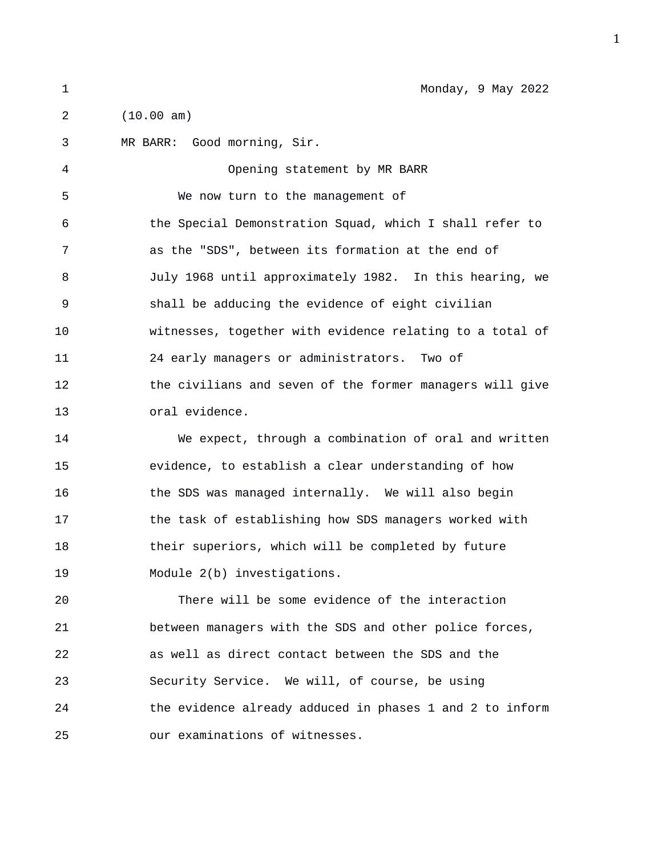2 (10.00 am)

3 MR BARR: Good morning, Sir. 4 Opening statement by MR BARR 5 We now turn to the management of 6 the Special Demonstration Squad, which I shall refer to 7 as the "SDS", between its formation at the end of 8 July 1968 until approximately 1982. In this hearing, we 9 shall be adducing the evidence of eight civilian 10 witnesses, together with evidence relating to a total of 11 24 early managers or administrators. Two of 12 the civilians and seven of the former managers will give 13 oral evidence. 14 We expect, through a combination of oral and written 15 evidence, to establish a clear understanding of how 16 the SDS was managed internally. We will also begin 17 the task of establishing how SDS managers worked with 18 their superiors, which will be completed by future 19 Module 2(b) investigations. 20 There will be some evidence of the interaction 21 between managers with the SDS and other police forces, 22 as well as direct contact between the SDS and the 23 Security Service. We will, of course, be using 24 the evidence already adduced in phases 1 and 2 to inform 25 our examinations of witnesses.

1 Monday, 9 May 2022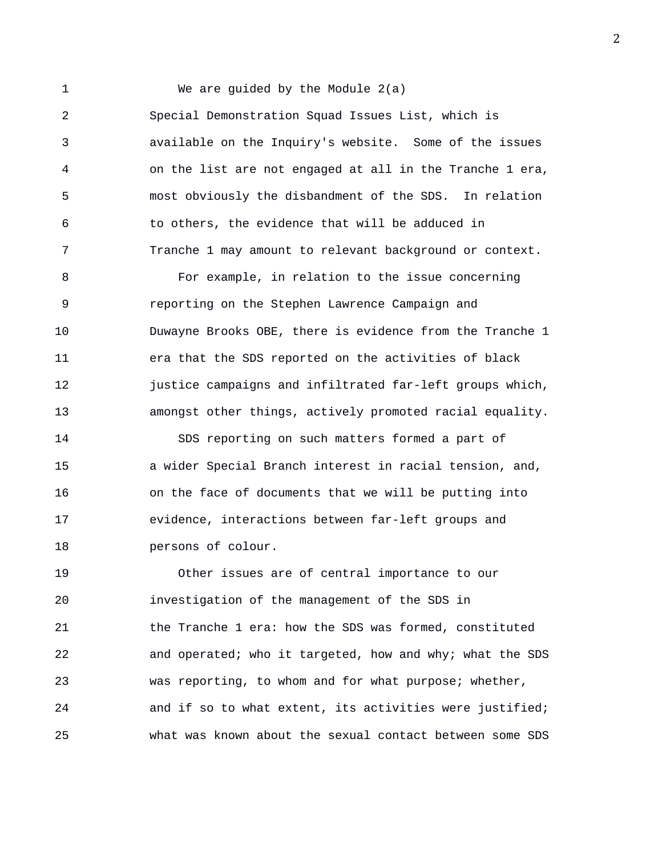1 We are guided by the Module 2(a) 2 Special Demonstration Squad Issues List, which is 3 available on the Inquiry's website. Some of the issues 4 on the list are not engaged at all in the Tranche 1 era, 5 most obviously the disbandment of the SDS. In relation 6 to others, the evidence that will be adduced in 7 Tranche 1 may amount to relevant background or context. 8 For example, in relation to the issue concerning 9 reporting on the Stephen Lawrence Campaign and 10 Duwayne Brooks OBE, there is evidence from the Tranche 1 11 era that the SDS reported on the activities of black 12 justice campaigns and infiltrated far-left groups which, 13 amongst other things, actively promoted racial equality. 14 SDS reporting on such matters formed a part of 15 a wider Special Branch interest in racial tension, and, 16 on the face of documents that we will be putting into

18 persons of colour.

19 Other issues are of central importance to our 20 investigation of the management of the SDS in 21 the Tranche 1 era: how the SDS was formed, constituted 22 and operated; who it targeted, how and why; what the SDS 23 was reporting, to whom and for what purpose; whether, 24 and if so to what extent, its activities were justified; 25 what was known about the sexual contact between some SDS

17 evidence, interactions between far-left groups and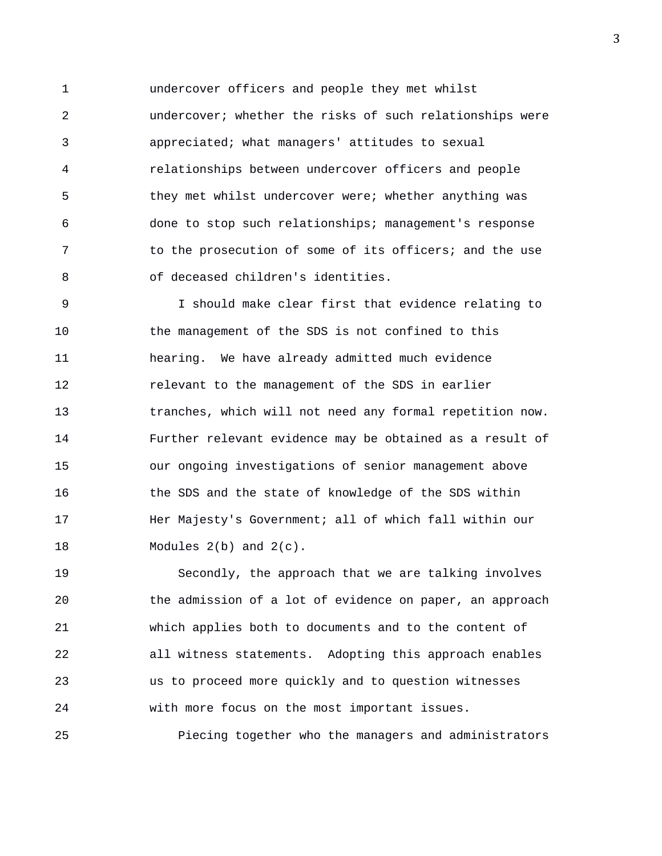1 undercover officers and people they met whilst 2 undercover; whether the risks of such relationships were 3 appreciated; what managers' attitudes to sexual 4 relationships between undercover officers and people 5 they met whilst undercover were; whether anything was 6 done to stop such relationships; management's response 7 to the prosecution of some of its officers; and the use 8 of deceased children's identities.

9 I should make clear first that evidence relating to 10 the management of the SDS is not confined to this 11 hearing. We have already admitted much evidence 12 relevant to the management of the SDS in earlier 13 tranches, which will not need any formal repetition now. 14 Further relevant evidence may be obtained as a result of 15 our ongoing investigations of senior management above 16 the SDS and the state of knowledge of the SDS within 17 **Her Majesty's Government; all of which fall within our** 18 Modules 2(b) and 2(c).

19 Secondly, the approach that we are talking involves 20 the admission of a lot of evidence on paper, an approach 21 which applies both to documents and to the content of 22 all witness statements. Adopting this approach enables 23 us to proceed more quickly and to question witnesses 24 with more focus on the most important issues.

25 Piecing together who the managers and administrators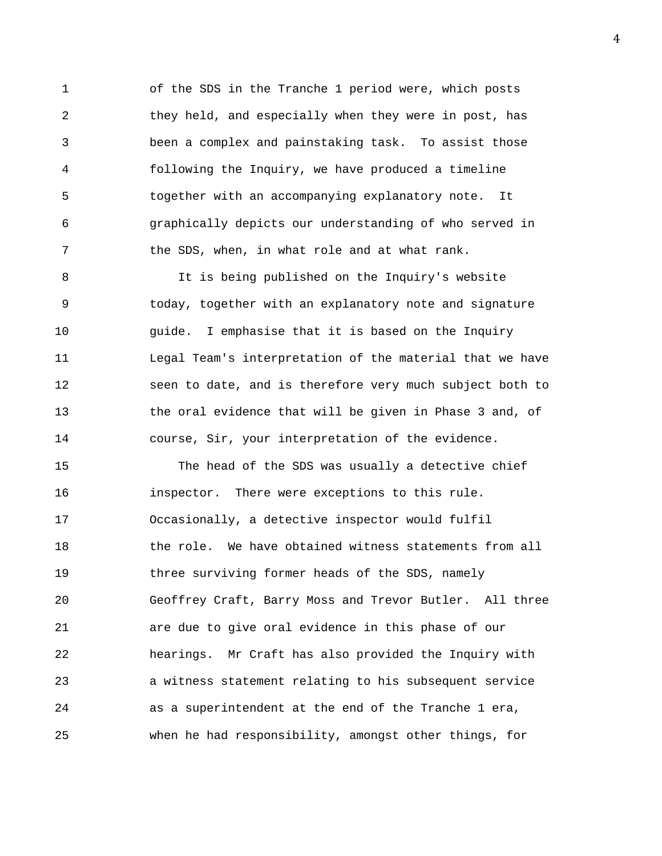1 of the SDS in the Tranche 1 period were, which posts 2 they held, and especially when they were in post, has 3 been a complex and painstaking task. To assist those 4 following the Inquiry, we have produced a timeline 5 together with an accompanying explanatory note. It 6 graphically depicts our understanding of who served in 7 the SDS, when, in what role and at what rank.

8 It is being published on the Inquiry's website 9 today, together with an explanatory note and signature 10 guide. I emphasise that it is based on the Inquiry 11 Legal Team's interpretation of the material that we have 12 seen to date, and is therefore very much subject both to 13 the oral evidence that will be given in Phase 3 and, of 14 course, Sir, your interpretation of the evidence.

15 The head of the SDS was usually a detective chief 16 inspector. There were exceptions to this rule. 17 Occasionally, a detective inspector would fulfil 18 the role. We have obtained witness statements from all 19 three surviving former heads of the SDS, namely 20 Geoffrey Craft, Barry Moss and Trevor Butler. All three 21 are due to give oral evidence in this phase of our 22 hearings. Mr Craft has also provided the Inquiry with 23 a witness statement relating to his subsequent service 24 as a superintendent at the end of the Tranche 1 era, 25 when he had responsibility, amongst other things, for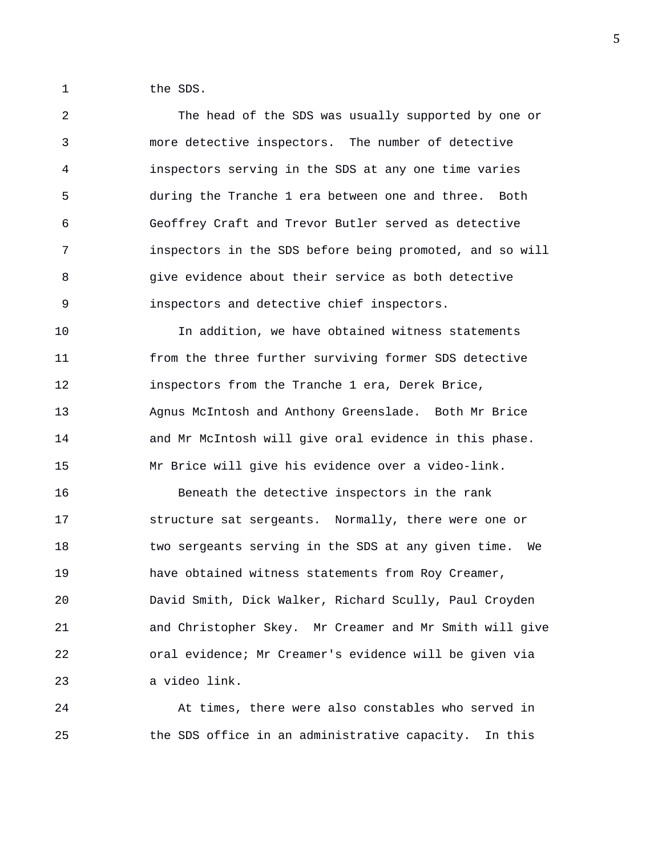1 the SDS.

2 The head of the SDS was usually supported by one or 3 more detective inspectors. The number of detective 4 inspectors serving in the SDS at any one time varies 5 during the Tranche 1 era between one and three. Both 6 Geoffrey Craft and Trevor Butler served as detective 7 inspectors in the SDS before being promoted, and so will 8 give evidence about their service as both detective 9 inspectors and detective chief inspectors.

10 In addition, we have obtained witness statements 11 from the three further surviving former SDS detective 12 inspectors from the Tranche 1 era, Derek Brice, 13 Agnus McIntosh and Anthony Greenslade. Both Mr Brice 14 and Mr McIntosh will give oral evidence in this phase. 15 Mr Brice will give his evidence over a video-link.

16 Beneath the detective inspectors in the rank 17 structure sat sergeants. Normally, there were one or 18 **two sergeants serving in the SDS at any given time.** We 19 have obtained witness statements from Roy Creamer, 20 David Smith, Dick Walker, Richard Scully, Paul Croyden 21 and Christopher Skey. Mr Creamer and Mr Smith will give 22 oral evidence; Mr Creamer's evidence will be given via 23 a video link.

24 At times, there were also constables who served in 25 the SDS office in an administrative capacity. In this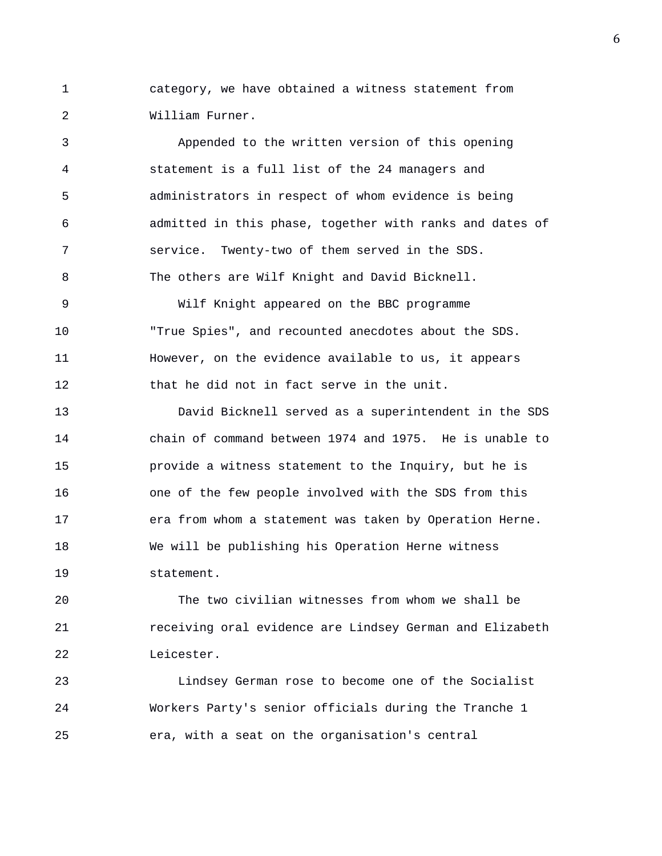1 category, we have obtained a witness statement from 2 William Furner.

3 Appended to the written version of this opening 4 statement is a full list of the 24 managers and 5 administrators in respect of whom evidence is being 6 admitted in this phase, together with ranks and dates of 7 service. Twenty-two of them served in the SDS. 8 The others are Wilf Knight and David Bicknell.

9 Wilf Knight appeared on the BBC programme 10 "True Spies", and recounted anecdotes about the SDS. 11 However, on the evidence available to us, it appears 12 that he did not in fact serve in the unit.

13 David Bicknell served as a superintendent in the SDS 14 chain of command between 1974 and 1975. He is unable to 15 provide a witness statement to the Inquiry, but he is 16 one of the few people involved with the SDS from this 17 era from whom a statement was taken by Operation Herne. 18 We will be publishing his Operation Herne witness 19 statement.

20 The two civilian witnesses from whom we shall be 21 receiving oral evidence are Lindsey German and Elizabeth 22 Leicester.

23 Lindsey German rose to become one of the Socialist 24 Workers Party's senior officials during the Tranche 1 25 era, with a seat on the organisation's central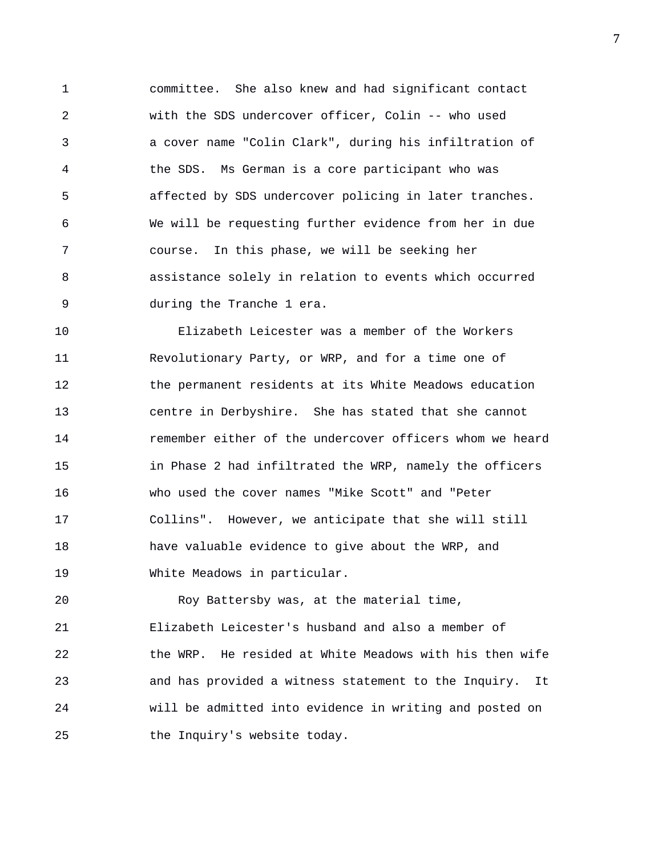1 committee. She also knew and had significant contact 2 with the SDS undercover officer, Colin -- who used 3 a cover name "Colin Clark", during his infiltration of 4 the SDS. Ms German is a core participant who was 5 affected by SDS undercover policing in later tranches. 6 We will be requesting further evidence from her in due 7 course. In this phase, we will be seeking her 8 assistance solely in relation to events which occurred 9 during the Tranche 1 era.

10 Elizabeth Leicester was a member of the Workers 11 Revolutionary Party, or WRP, and for a time one of 12 the permanent residents at its White Meadows education 13 centre in Derbyshire. She has stated that she cannot 14 remember either of the undercover officers whom we heard 15 in Phase 2 had infiltrated the WRP, namely the officers 16 who used the cover names "Mike Scott" and "Peter 17 Collins". However, we anticipate that she will still 18 have valuable evidence to give about the WRP, and 19 White Meadows in particular.

20 Roy Battersby was, at the material time, 21 Elizabeth Leicester's husband and also a member of 22 the WRP. He resided at White Meadows with his then wife 23 and has provided a witness statement to the Inquiry. It 24 will be admitted into evidence in writing and posted on 25 the Inquiry's website today.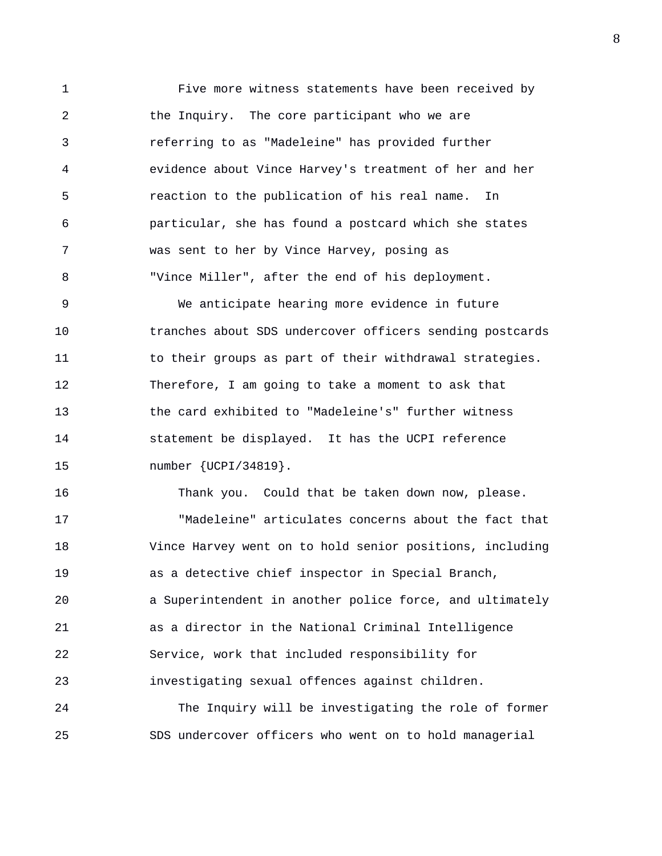1 Five more witness statements have been received by 2 the Inquiry. The core participant who we are 3 referring to as "Madeleine" has provided further 4 evidence about Vince Harvey's treatment of her and her 5 reaction to the publication of his real name. In 6 particular, she has found a postcard which she states 7 was sent to her by Vince Harvey, posing as 8 "Vince Miller", after the end of his deployment.

9 We anticipate hearing more evidence in future 10 tranches about SDS undercover officers sending postcards 11 to their groups as part of their withdrawal strategies. 12 Therefore, I am going to take a moment to ask that 13 the card exhibited to "Madeleine's" further witness 14 statement be displayed. It has the UCPI reference 15 number {UCPI/34819}.

16 Thank you. Could that be taken down now, please. 17 "Madeleine" articulates concerns about the fact that 18 Vince Harvey went on to hold senior positions, including 19 as a detective chief inspector in Special Branch, 20 a Superintendent in another police force, and ultimately 21 as a director in the National Criminal Intelligence 22 Service, work that included responsibility for 23 investigating sexual offences against children.

24 The Inquiry will be investigating the role of former 25 SDS undercover officers who went on to hold managerial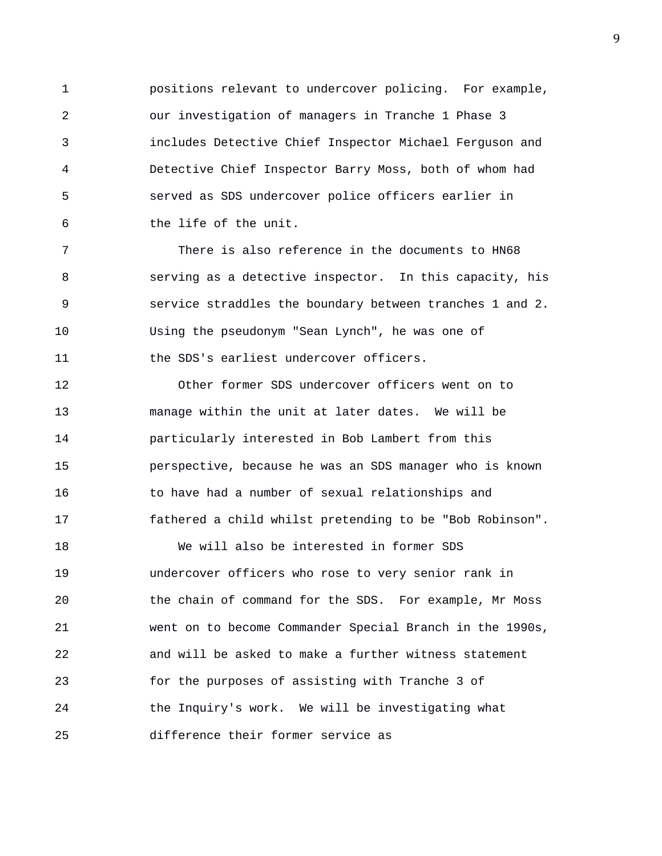1 positions relevant to undercover policing. For example, 2 our investigation of managers in Tranche 1 Phase 3 3 includes Detective Chief Inspector Michael Ferguson and 4 Detective Chief Inspector Barry Moss, both of whom had 5 served as SDS undercover police officers earlier in 6 the life of the unit.

7 There is also reference in the documents to HN68 8 serving as a detective inspector. In this capacity, his 9 service straddles the boundary between tranches 1 and 2. 10 Using the pseudonym "Sean Lynch", he was one of 11 the SDS's earliest undercover officers.

12 Other former SDS undercover officers went on to 13 manage within the unit at later dates. We will be 14 particularly interested in Bob Lambert from this 15 perspective, because he was an SDS manager who is known 16 to have had a number of sexual relationships and 17 fathered a child whilst pretending to be "Bob Robinson".

18 We will also be interested in former SDS 19 undercover officers who rose to very senior rank in 20 the chain of command for the SDS. For example, Mr Moss 21 went on to become Commander Special Branch in the 1990s, 22 and will be asked to make a further witness statement 23 for the purposes of assisting with Tranche 3 of 24 the Inquiry's work. We will be investigating what 25 difference their former service as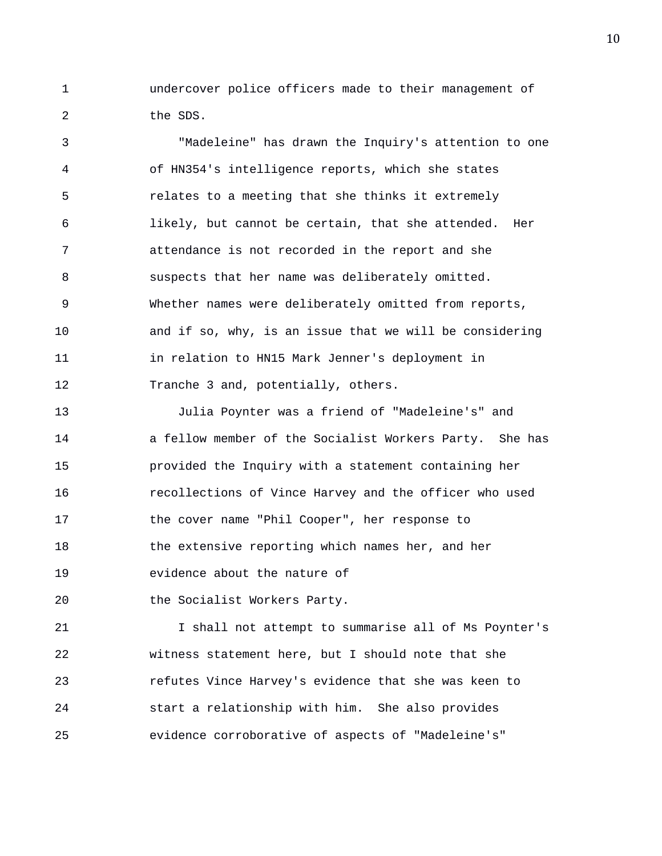1 undercover police officers made to their management of 2 the SDS.

3 "Madeleine" has drawn the Inquiry's attention to one 4 of HN354's intelligence reports, which she states 5 relates to a meeting that she thinks it extremely 6 likely, but cannot be certain, that she attended. Her 7 attendance is not recorded in the report and she 8 suspects that her name was deliberately omitted. 9 Whether names were deliberately omitted from reports, 10 and if so, why, is an issue that we will be considering 11 in relation to HN15 Mark Jenner's deployment in 12 Tranche 3 and, potentially, others.

13 Julia Poynter was a friend of "Madeleine's" and 14 a fellow member of the Socialist Workers Party. She has 15 provided the Inquiry with a statement containing her 16 recollections of Vince Harvey and the officer who used 17 the cover name "Phil Cooper", her response to 18 the extensive reporting which names her, and her 19 evidence about the nature of

20 the Socialist Workers Party.

21 I shall not attempt to summarise all of Ms Poynter's 22 witness statement here, but I should note that she 23 refutes Vince Harvey's evidence that she was keen to 24 start a relationship with him. She also provides 25 evidence corroborative of aspects of "Madeleine's"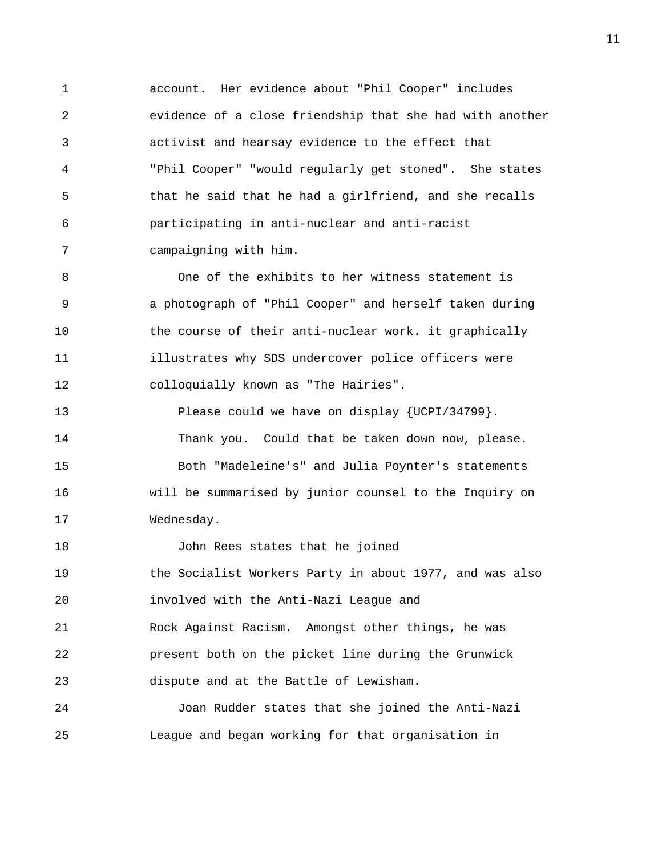1 account. Her evidence about "Phil Cooper" includes 2 evidence of a close friendship that she had with another 3 activist and hearsay evidence to the effect that 4 "Phil Cooper" "would regularly get stoned". She states 5 that he said that he had a girlfriend, and she recalls 6 participating in anti-nuclear and anti-racist 7 campaigning with him.

8 One of the exhibits to her witness statement is 9 a photograph of "Phil Cooper" and herself taken during 10 the course of their anti-nuclear work. it graphically 11 illustrates why SDS undercover police officers were 12 colloquially known as "The Hairies".

13 Please could we have on display {UCPI/34799}. 14 Thank you. Could that be taken down now, please. 15 Both "Madeleine's" and Julia Poynter's statements 16 will be summarised by junior counsel to the Inquiry on 17 Wednesday.

18 John Rees states that he joined 19 the Socialist Workers Party in about 1977, and was also 20 involved with the Anti-Nazi League and 21 Rock Against Racism. Amongst other things, he was 22 present both on the picket line during the Grunwick 23 dispute and at the Battle of Lewisham.

24 Joan Rudder states that she joined the Anti-Nazi 25 League and began working for that organisation in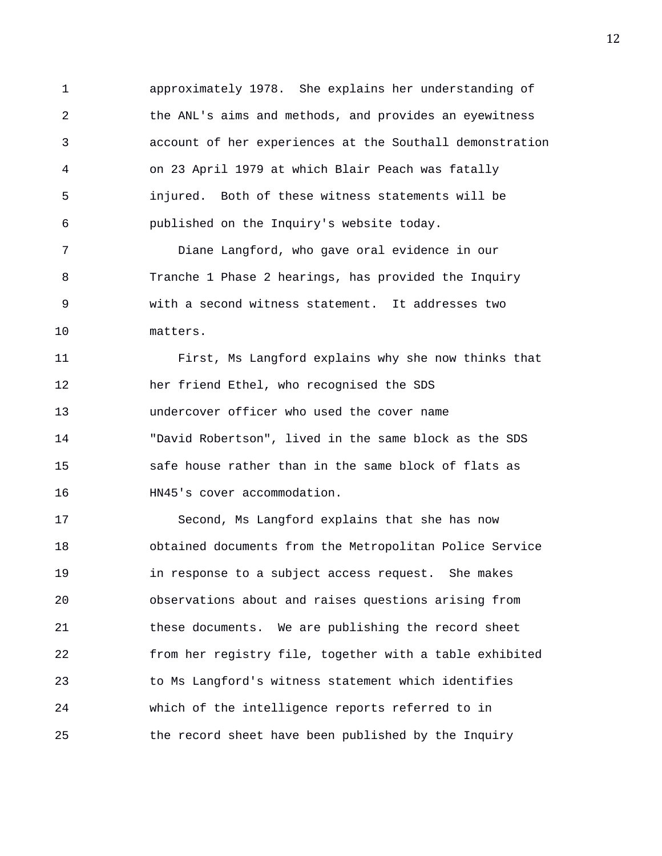1 approximately 1978. She explains her understanding of 2 the ANL's aims and methods, and provides an eyewitness 3 account of her experiences at the Southall demonstration 4 on 23 April 1979 at which Blair Peach was fatally 5 injured. Both of these witness statements will be 6 published on the Inquiry's website today.

7 Diane Langford, who gave oral evidence in our 8 Tranche 1 Phase 2 hearings, has provided the Inquiry 9 with a second witness statement. It addresses two 10 matters.

11 First, Ms Langford explains why she now thinks that 12 her friend Ethel, who recognised the SDS 13 undercover officer who used the cover name 14 "David Robertson", lived in the same block as the SDS 15 safe house rather than in the same block of flats as 16 HN45's cover accommodation.

17 Second, Ms Langford explains that she has now 18 obtained documents from the Metropolitan Police Service 19 in response to a subject access request. She makes 20 observations about and raises questions arising from 21 these documents. We are publishing the record sheet 22 from her registry file, together with a table exhibited 23 to Ms Langford's witness statement which identifies 24 which of the intelligence reports referred to in 25 the record sheet have been published by the Inquiry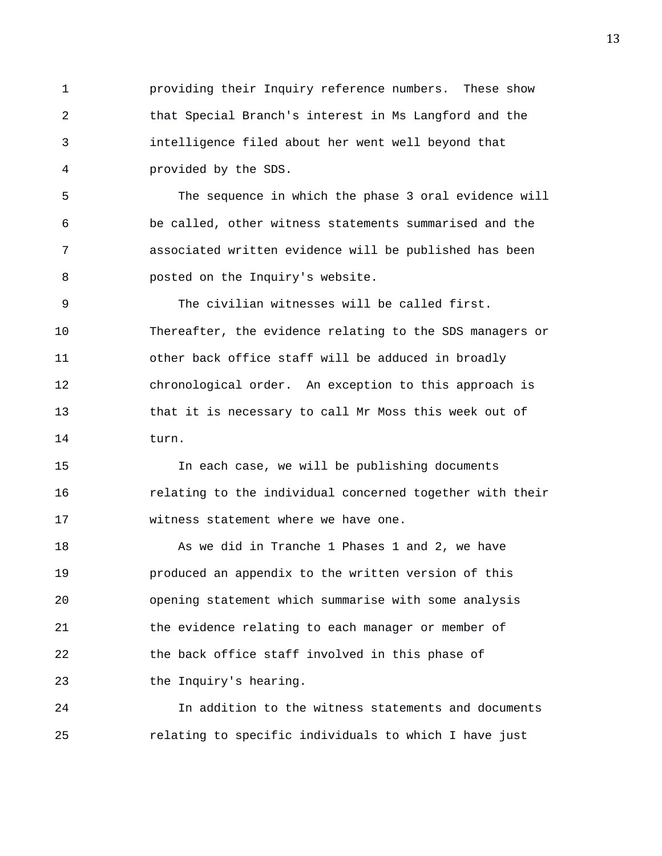1 providing their Inquiry reference numbers. These show 2 that Special Branch's interest in Ms Langford and the 3 intelligence filed about her went well beyond that 4 provided by the SDS.

5 The sequence in which the phase 3 oral evidence will 6 be called, other witness statements summarised and the 7 associated written evidence will be published has been 8 posted on the Inquiry's website.

9 The civilian witnesses will be called first. 10 Thereafter, the evidence relating to the SDS managers or 11 other back office staff will be adduced in broadly 12 chronological order. An exception to this approach is 13 that it is necessary to call Mr Moss this week out of 14 turn.

15 In each case, we will be publishing documents 16 relating to the individual concerned together with their 17 witness statement where we have one.

18 As we did in Tranche 1 Phases 1 and 2, we have 19 produced an appendix to the written version of this 20 opening statement which summarise with some analysis 21 the evidence relating to each manager or member of 22 the back office staff involved in this phase of 23 the Inquiry's hearing.

24 In addition to the witness statements and documents 25 relating to specific individuals to which I have just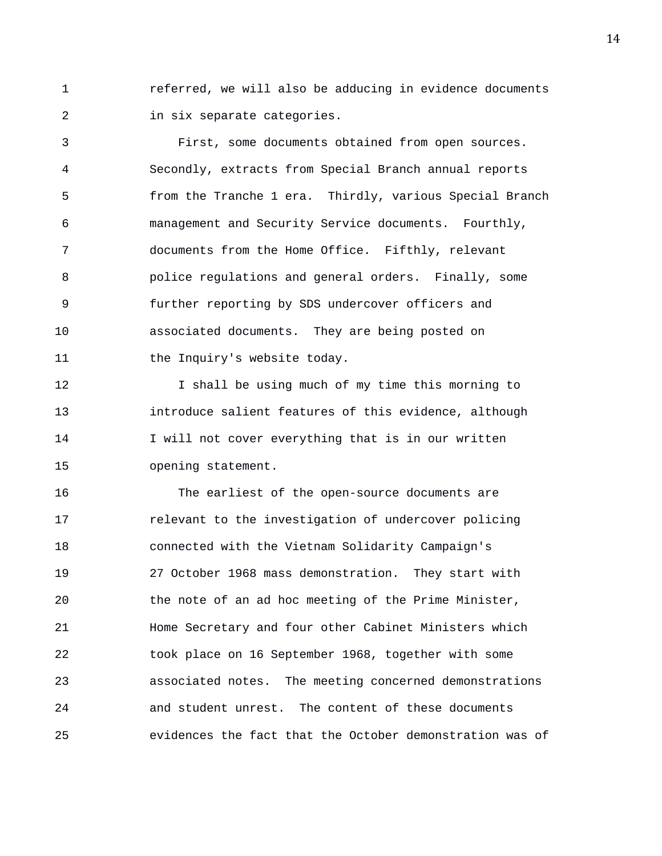1 referred, we will also be adducing in evidence documents 2 in six separate categories.

3 First, some documents obtained from open sources. 4 Secondly, extracts from Special Branch annual reports 5 from the Tranche 1 era. Thirdly, various Special Branch 6 management and Security Service documents. Fourthly, 7 documents from the Home Office. Fifthly, relevant 8 police regulations and general orders. Finally, some 9 further reporting by SDS undercover officers and 10 associated documents. They are being posted on 11 the Inquiry's website today.

12 12 I shall be using much of my time this morning to 13 introduce salient features of this evidence, although 14 I will not cover everything that is in our written 15 opening statement.

16 The earliest of the open-source documents are 17 relevant to the investigation of undercover policing 18 connected with the Vietnam Solidarity Campaign's 19 27 October 1968 mass demonstration. They start with 20 the note of an ad hoc meeting of the Prime Minister, 21 Home Secretary and four other Cabinet Ministers which 22 took place on 16 September 1968, together with some 23 associated notes. The meeting concerned demonstrations 24 and student unrest. The content of these documents 25 evidences the fact that the October demonstration was of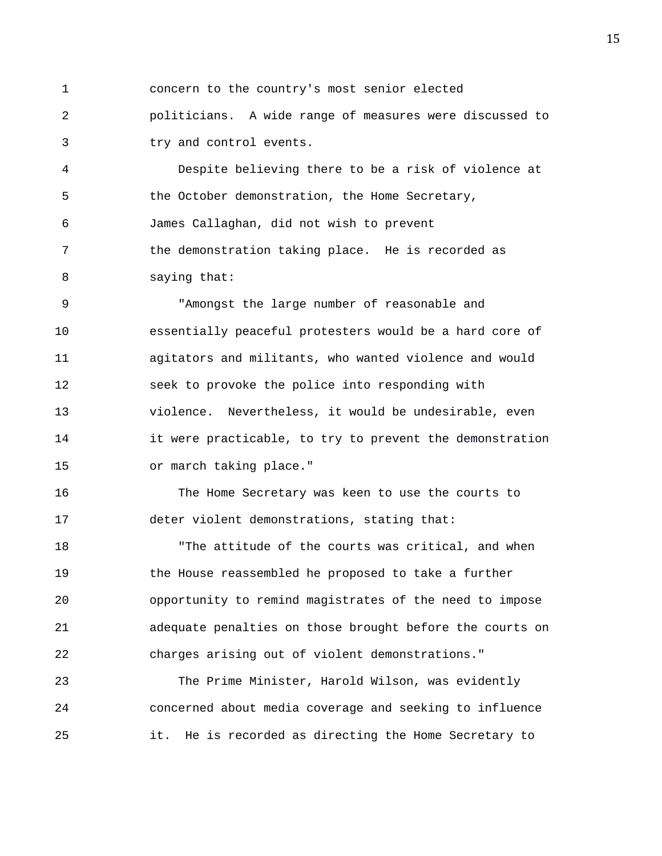1 concern to the country's most senior elected 2 politicians. A wide range of measures were discussed to 3 try and control events.

4 Despite believing there to be a risk of violence at 5 the October demonstration, the Home Secretary, 6 James Callaghan, did not wish to prevent 7 the demonstration taking place. He is recorded as 8 saying that:

9 "Amongst the large number of reasonable and 10 essentially peaceful protesters would be a hard core of 11 agitators and militants, who wanted violence and would 12 seek to provoke the police into responding with 13 violence. Nevertheless, it would be undesirable, even 14 it were practicable, to try to prevent the demonstration 15 or march taking place."

16 The Home Secretary was keen to use the courts to 17 deter violent demonstrations, stating that:

18 "The attitude of the courts was critical, and when 19 the House reassembled he proposed to take a further 20 opportunity to remind magistrates of the need to impose 21 adequate penalties on those brought before the courts on 22 charges arising out of violent demonstrations."

23 The Prime Minister, Harold Wilson, was evidently 24 concerned about media coverage and seeking to influence 25 it. He is recorded as directing the Home Secretary to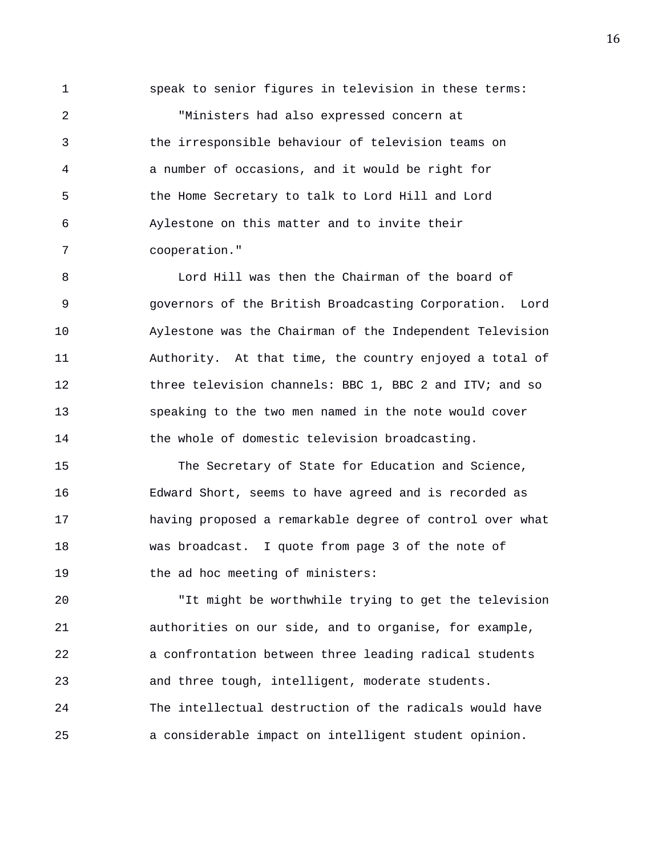1 speak to senior figures in television in these terms:

2 "Ministers had also expressed concern at 3 the irresponsible behaviour of television teams on 4 a number of occasions, and it would be right for 5 the Home Secretary to talk to Lord Hill and Lord 6 Aylestone on this matter and to invite their 7 cooperation."

8 Lord Hill was then the Chairman of the board of 9 governors of the British Broadcasting Corporation. Lord 10 Aylestone was the Chairman of the Independent Television 11 Authority. At that time, the country enjoyed a total of 12 three television channels: BBC 1, BBC 2 and ITV; and so 13 speaking to the two men named in the note would cover 14 the whole of domestic television broadcasting.

15 The Secretary of State for Education and Science, 16 Edward Short, seems to have agreed and is recorded as 17 having proposed a remarkable degree of control over what 18 was broadcast. I quote from page 3 of the note of 19 the ad hoc meeting of ministers:

20 "It might be worthwhile trying to get the television 21 authorities on our side, and to organise, for example, 22 a confrontation between three leading radical students 23 and three tough, intelligent, moderate students. 24 The intellectual destruction of the radicals would have 25 a considerable impact on intelligent student opinion.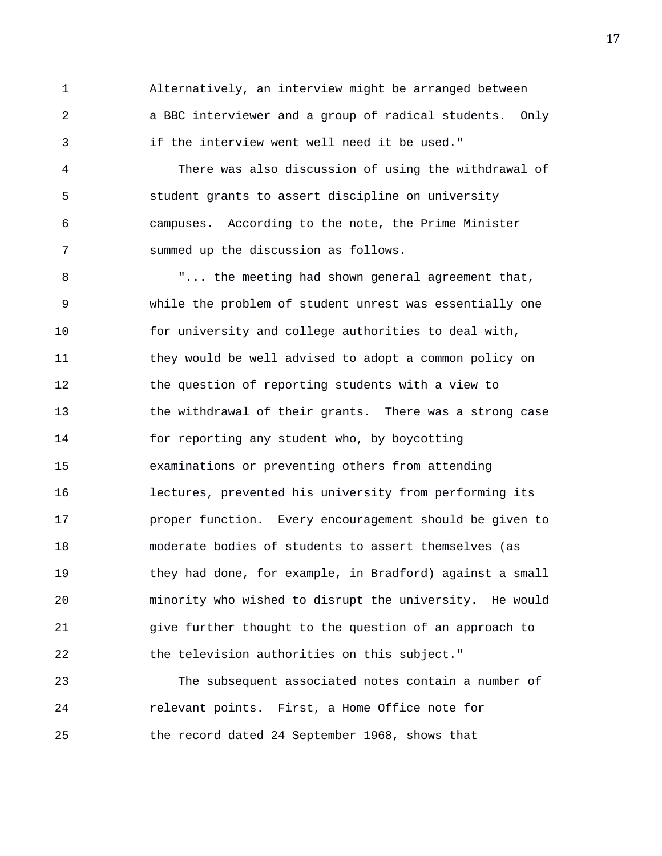1 Alternatively, an interview might be arranged between 2 a BBC interviewer and a group of radical students. Only 3 if the interview went well need it be used."

4 There was also discussion of using the withdrawal of 5 student grants to assert discipline on university 6 campuses. According to the note, the Prime Minister 7 summed up the discussion as follows.

8 "... the meeting had shown general agreement that, 9 while the problem of student unrest was essentially one 10 for university and college authorities to deal with, 11 they would be well advised to adopt a common policy on 12 the question of reporting students with a view to 13 the withdrawal of their grants. There was a strong case 14 for reporting any student who, by boycotting 15 examinations or preventing others from attending 16 lectures, prevented his university from performing its 17 proper function. Every encouragement should be given to 18 moderate bodies of students to assert themselves (as 19 they had done, for example, in Bradford) against a small 20 minority who wished to disrupt the university. He would 21 give further thought to the question of an approach to 22 the television authorities on this subject."

23 The subsequent associated notes contain a number of 24 relevant points. First, a Home Office note for 25 the record dated 24 September 1968, shows that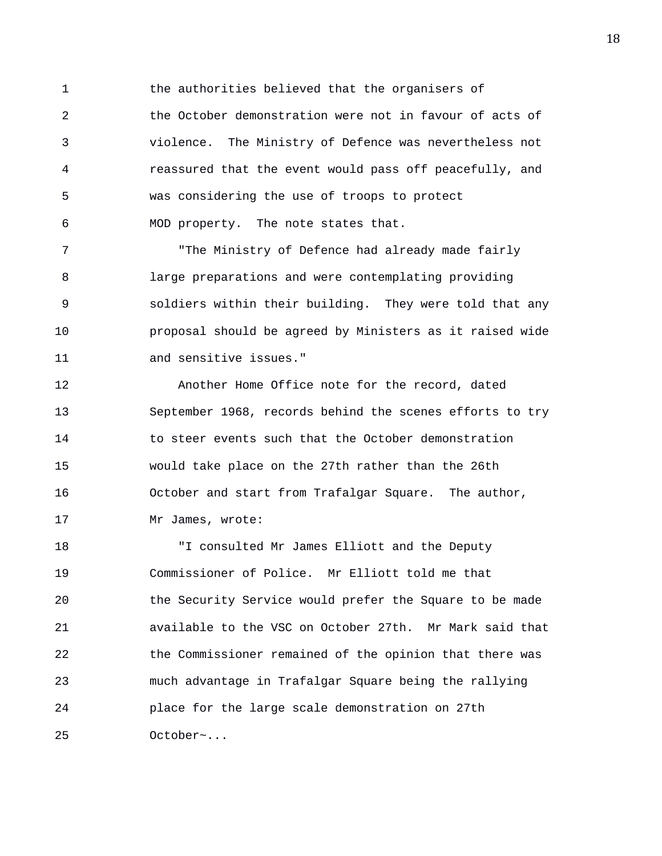1 the authorities believed that the organisers of 2 the October demonstration were not in favour of acts of 3 violence. The Ministry of Defence was nevertheless not 4 reassured that the event would pass off peacefully, and 5 was considering the use of troops to protect 6 MOD property. The note states that.

7 The Ministry of Defence had already made fairly 8 large preparations and were contemplating providing 9 soldiers within their building. They were told that any 10 proposal should be agreed by Ministers as it raised wide 11 and sensitive issues."

12 Another Home Office note for the record, dated 13 September 1968, records behind the scenes efforts to try 14 to steer events such that the October demonstration 15 would take place on the 27th rather than the 26th 16 October and start from Trafalgar Square. The author, 17 Mr James, wrote:

18 "I consulted Mr James Elliott and the Deputy 19 Commissioner of Police. Mr Elliott told me that 20 the Security Service would prefer the Square to be made 21 available to the VSC on October 27th. Mr Mark said that 22 the Commissioner remained of the opinion that there was 23 much advantage in Trafalgar Square being the rallying 24 place for the large scale demonstration on 27th 25 October~...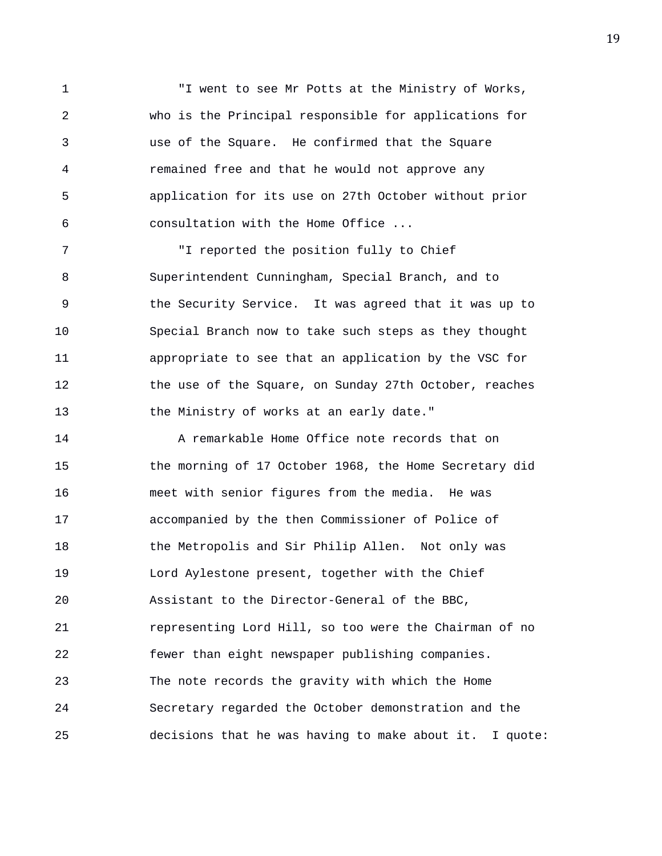1 "I went to see Mr Potts at the Ministry of Works, 2 who is the Principal responsible for applications for 3 use of the Square. He confirmed that the Square 4 remained free and that he would not approve any 5 application for its use on 27th October without prior 6 consultation with the Home Office ...

7 "I reported the position fully to Chief 8 Superintendent Cunningham, Special Branch, and to 9 the Security Service. It was agreed that it was up to 10 Special Branch now to take such steps as they thought 11 appropriate to see that an application by the VSC for 12 the use of the Square, on Sunday 27th October, reaches 13 the Ministry of works at an early date."

14 A remarkable Home Office note records that on 15 the morning of 17 October 1968, the Home Secretary did 16 meet with senior figures from the media. He was 17 accompanied by the then Commissioner of Police of 18 the Metropolis and Sir Philip Allen. Not only was 19 Lord Aylestone present, together with the Chief 20 Assistant to the Director-General of the BBC, 21 representing Lord Hill, so too were the Chairman of no 22 fewer than eight newspaper publishing companies. 23 The note records the gravity with which the Home 24 Secretary regarded the October demonstration and the 25 decisions that he was having to make about it. I quote: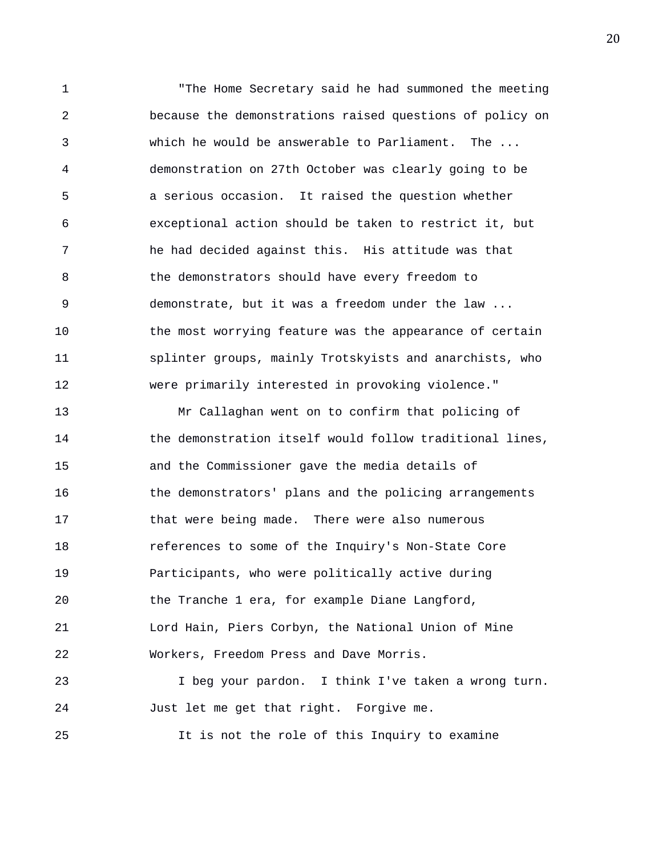1 "The Home Secretary said he had summoned the meeting 2 because the demonstrations raised questions of policy on 3 which he would be answerable to Parliament. The ... 4 demonstration on 27th October was clearly going to be 5 a serious occasion. It raised the question whether 6 exceptional action should be taken to restrict it, but 7 he had decided against this. His attitude was that 8 the demonstrators should have every freedom to 9 demonstrate, but it was a freedom under the law ... 10 the most worrying feature was the appearance of certain 11 splinter groups, mainly Trotskyists and anarchists, who 12 were primarily interested in provoking violence." 13 Mr Callaghan went on to confirm that policing of 14 the demonstration itself would follow traditional lines,

15 and the Commissioner gave the media details of 16 the demonstrators' plans and the policing arrangements 17 that were being made. There were also numerous 18 references to some of the Inquiry's Non-State Core 19 Participants, who were politically active during 20 the Tranche 1 era, for example Diane Langford, 21 Lord Hain, Piers Corbyn, the National Union of Mine 22 Workers, Freedom Press and Dave Morris.

23 I beg your pardon. I think I've taken a wrong turn. 24 Just let me get that right. Forgive me.

25 It is not the role of this Inquiry to examine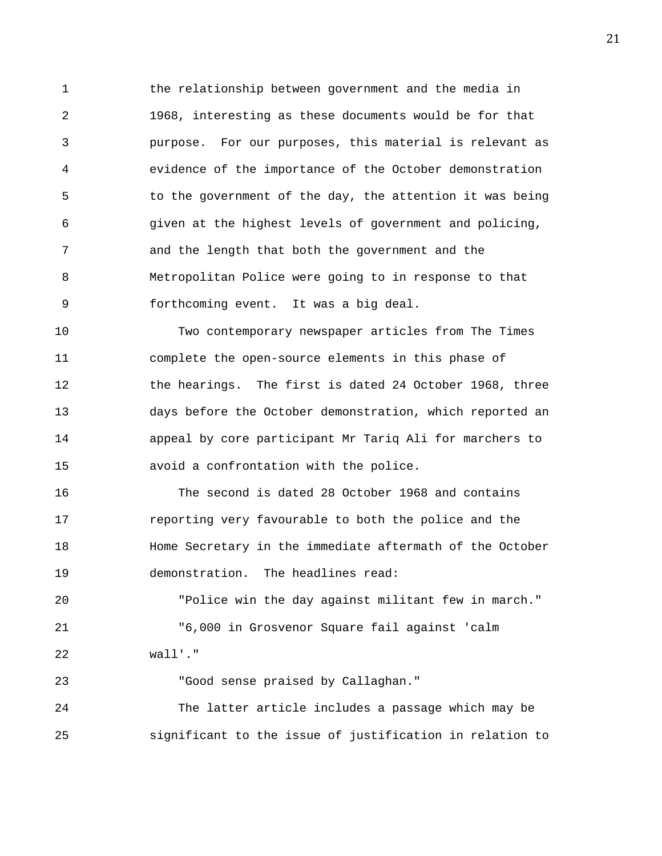1 the relationship between government and the media in 2 1968, interesting as these documents would be for that 3 purpose. For our purposes, this material is relevant as 4 evidence of the importance of the October demonstration 5 to the government of the day, the attention it was being 6 given at the highest levels of government and policing, 7 and the length that both the government and the 8 Metropolitan Police were going to in response to that 9 forthcoming event. It was a big deal.

10 Two contemporary newspaper articles from The Times 11 complete the open-source elements in this phase of 12 the hearings. The first is dated 24 October 1968, three 13 days before the October demonstration, which reported an 14 appeal by core participant Mr Tariq Ali for marchers to 15 avoid a confrontation with the police.

16 The second is dated 28 October 1968 and contains 17 reporting very favourable to both the police and the 18 Home Secretary in the immediate aftermath of the October 19 demonstration. The headlines read:

20 "Police win the day against militant few in march." 21 "6,000 in Grosvenor Square fail against 'calm 22 wall'."

23 "Good sense praised by Callaghan." 24 The latter article includes a passage which may be 25 significant to the issue of justification in relation to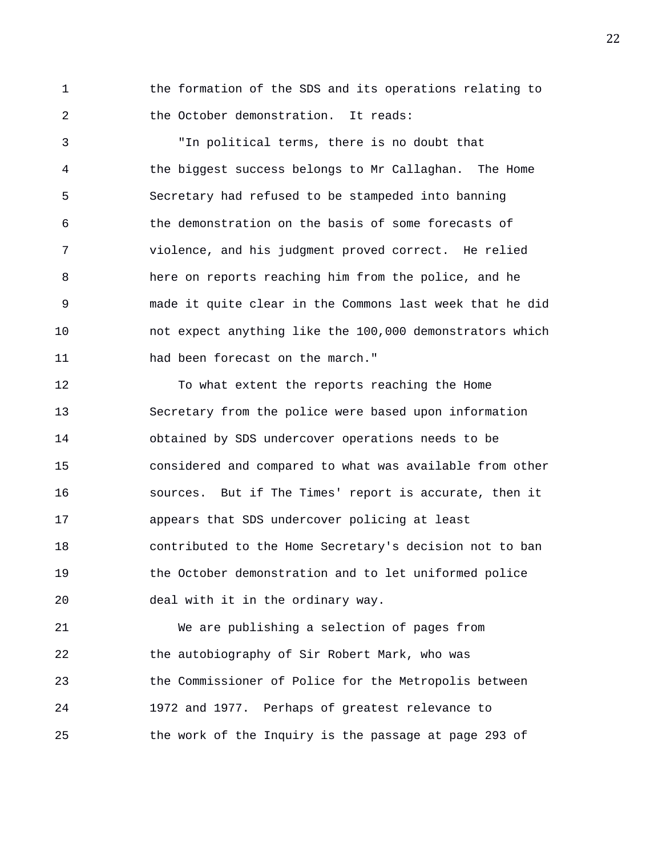1 the formation of the SDS and its operations relating to 2 the October demonstration. It reads:

3 "In political terms, there is no doubt that 4 the biggest success belongs to Mr Callaghan. The Home 5 Secretary had refused to be stampeded into banning 6 the demonstration on the basis of some forecasts of 7 violence, and his judgment proved correct. He relied 8 here on reports reaching him from the police, and he 9 made it quite clear in the Commons last week that he did 10 not expect anything like the 100,000 demonstrators which 11 had been forecast on the march."

12 To what extent the reports reaching the Home 13 Secretary from the police were based upon information 14 obtained by SDS undercover operations needs to be 15 considered and compared to what was available from other 16 sources. But if The Times' report is accurate, then it 17 appears that SDS undercover policing at least 18 contributed to the Home Secretary's decision not to ban 19 the October demonstration and to let uniformed police 20 deal with it in the ordinary way.

21 We are publishing a selection of pages from 22 the autobiography of Sir Robert Mark, who was 23 the Commissioner of Police for the Metropolis between 24 1972 and 1977. Perhaps of greatest relevance to 25 the work of the Inquiry is the passage at page 293 of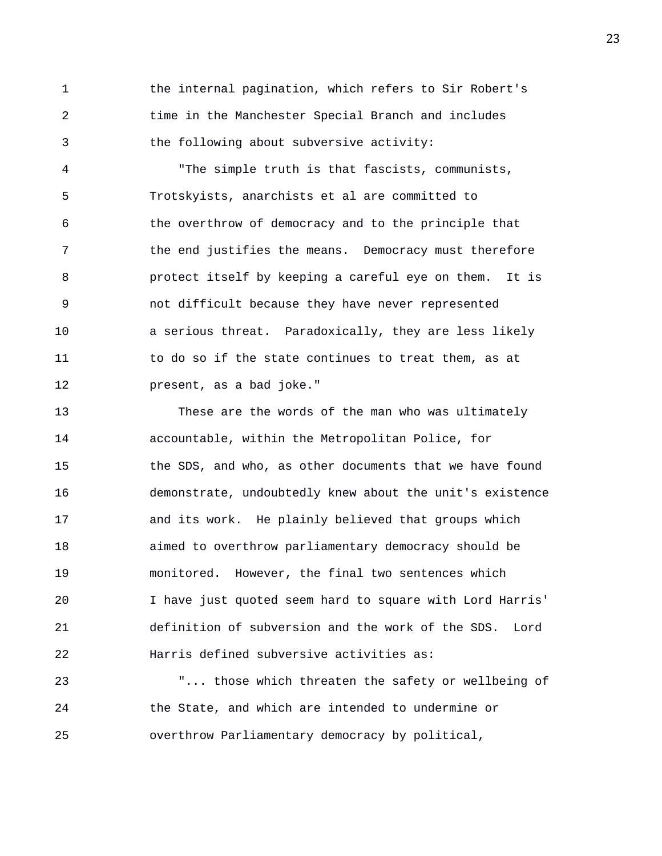1 the internal pagination, which refers to Sir Robert's 2 time in the Manchester Special Branch and includes 3 the following about subversive activity:

4 "The simple truth is that fascists, communists, 5 Trotskyists, anarchists et al are committed to 6 the overthrow of democracy and to the principle that 7 the end justifies the means. Democracy must therefore 8 protect itself by keeping a careful eye on them. It is 9 not difficult because they have never represented 10 a serious threat. Paradoxically, they are less likely 11 to do so if the state continues to treat them, as at 12 present, as a bad joke."

13 These are the words of the man who was ultimately 14 accountable, within the Metropolitan Police, for 15 the SDS, and who, as other documents that we have found 16 demonstrate, undoubtedly knew about the unit's existence 17 and its work. He plainly believed that groups which 18 aimed to overthrow parliamentary democracy should be 19 monitored. However, the final two sentences which 20 I have just quoted seem hard to square with Lord Harris' 21 definition of subversion and the work of the SDS. Lord 22 Harris defined subversive activities as:

23 "... those which threaten the safety or wellbeing of 24 the State, and which are intended to undermine or 25 overthrow Parliamentary democracy by political,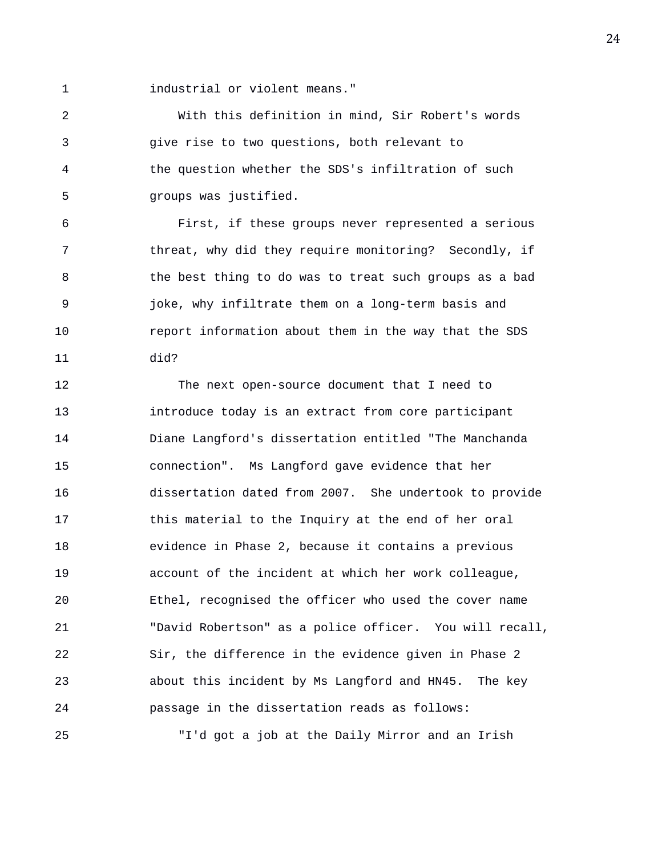1 industrial or violent means."

2 With this definition in mind, Sir Robert's words 3 give rise to two questions, both relevant to 4 the question whether the SDS's infiltration of such 5 groups was justified.

6 First, if these groups never represented a serious 7 threat, why did they require monitoring? Secondly, if 8 the best thing to do was to treat such groups as a bad 9 joke, why infiltrate them on a long-term basis and 10 report information about them in the way that the SDS 11 did?

12 The next open-source document that I need to 13 introduce today is an extract from core participant 14 Diane Langford's dissertation entitled "The Manchanda 15 connection". Ms Langford gave evidence that her 16 dissertation dated from 2007. She undertook to provide 17 this material to the Inquiry at the end of her oral 18 evidence in Phase 2, because it contains a previous 19 account of the incident at which her work colleague, 20 Ethel, recognised the officer who used the cover name 21 "David Robertson" as a police officer. You will recall, 22 Sir, the difference in the evidence given in Phase 2 23 about this incident by Ms Langford and HN45. The key 24 passage in the dissertation reads as follows: 25 "I'd got a job at the Daily Mirror and an Irish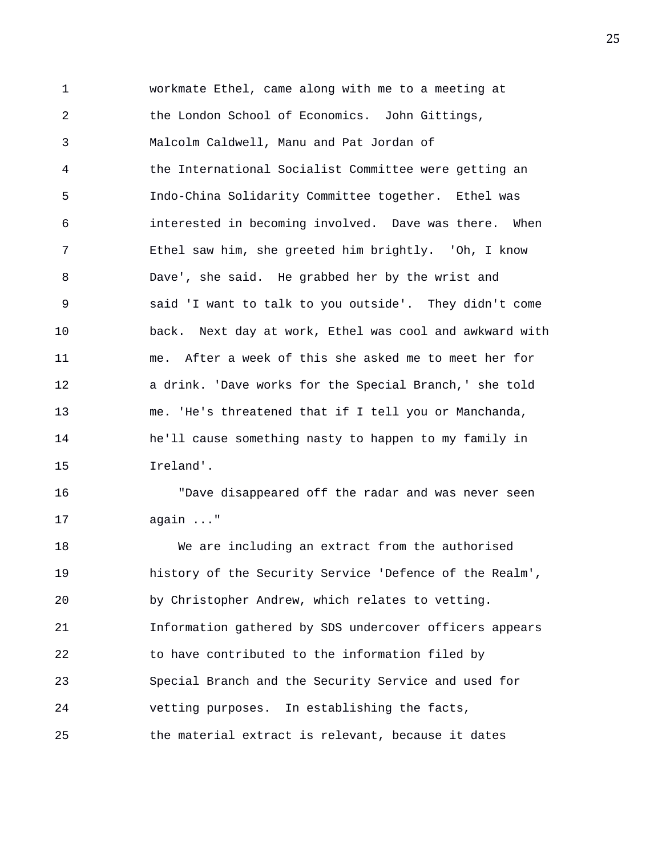1 workmate Ethel, came along with me to a meeting at 2 the London School of Economics. John Gittings, 3 Malcolm Caldwell, Manu and Pat Jordan of 4 the International Socialist Committee were getting an 5 Indo-China Solidarity Committee together. Ethel was 6 interested in becoming involved. Dave was there. When 7 Ethel saw him, she greeted him brightly. 'Oh, I know 8 Dave', she said. He grabbed her by the wrist and 9 said 'I want to talk to you outside'. They didn't come 10 back. Next day at work, Ethel was cool and awkward with 11 me. After a week of this she asked me to meet her for 12 a drink. 'Dave works for the Special Branch,' she told 13 me. 'He's threatened that if I tell you or Manchanda, 14 he'll cause something nasty to happen to my family in 15 Ireland'.

16 "Dave disappeared off the radar and was never seen 17 again ..."

18 We are including an extract from the authorised 19 history of the Security Service 'Defence of the Realm', 20 by Christopher Andrew, which relates to vetting. 21 Information gathered by SDS undercover officers appears 22 to have contributed to the information filed by 23 Special Branch and the Security Service and used for 24 vetting purposes. In establishing the facts, 25 the material extract is relevant, because it dates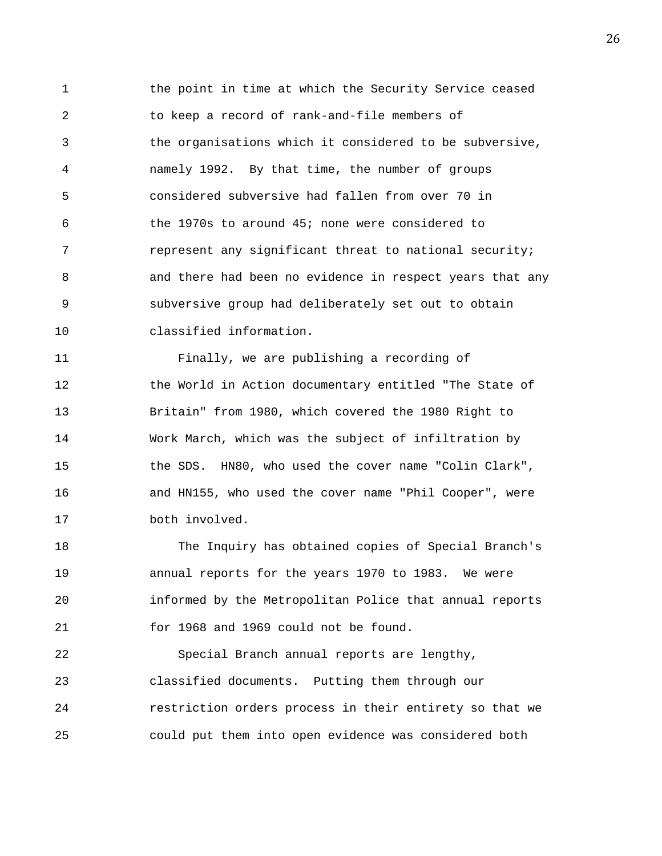1 the point in time at which the Security Service ceased 2 to keep a record of rank-and-file members of 3 the organisations which it considered to be subversive, 4 namely 1992. By that time, the number of groups 5 considered subversive had fallen from over 70 in 6 the 1970s to around 45; none were considered to 7 represent any significant threat to national security; 8 and there had been no evidence in respect years that any 9 subversive group had deliberately set out to obtain 10 classified information.

11 Finally, we are publishing a recording of 12 the World in Action documentary entitled "The State of 13 Britain" from 1980, which covered the 1980 Right to 14 Work March, which was the subject of infiltration by 15 the SDS. HN80, who used the cover name "Colin Clark", 16 and HN155, who used the cover name "Phil Cooper", were 17 both involved.

18 The Inquiry has obtained copies of Special Branch's 19 annual reports for the years 1970 to 1983. We were 20 informed by the Metropolitan Police that annual reports 21 for 1968 and 1969 could not be found.

22 Special Branch annual reports are lengthy, 23 classified documents. Putting them through our 24 restriction orders process in their entirety so that we 25 could put them into open evidence was considered both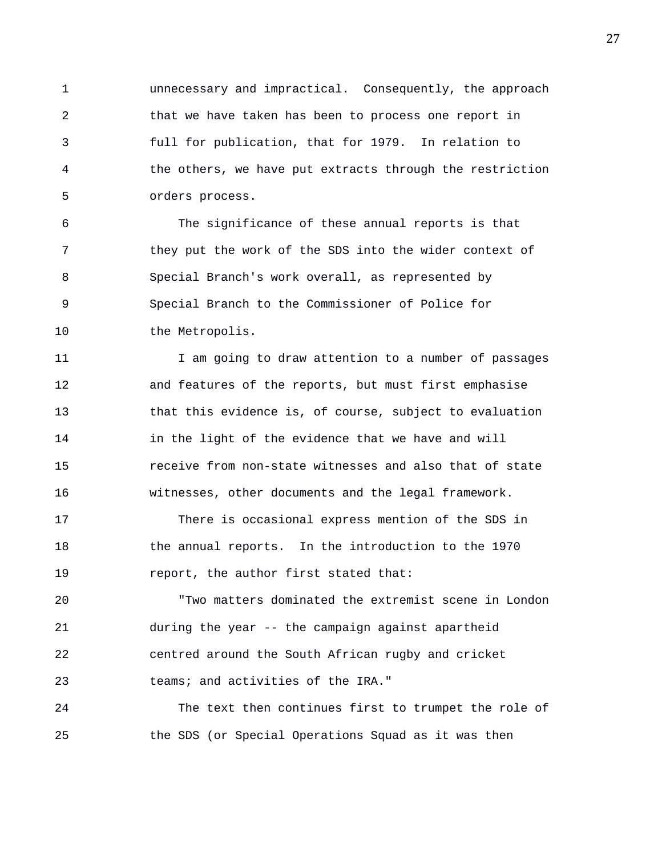1 unnecessary and impractical. Consequently, the approach 2 that we have taken has been to process one report in 3 full for publication, that for 1979. In relation to 4 the others, we have put extracts through the restriction 5 orders process.

6 The significance of these annual reports is that 7 they put the work of the SDS into the wider context of 8 Special Branch's work overall, as represented by 9 Special Branch to the Commissioner of Police for 10 the Metropolis.

11 11 I am going to draw attention to a number of passages 12 and features of the reports, but must first emphasise 13 that this evidence is, of course, subject to evaluation 14 in the light of the evidence that we have and will 15 receive from non-state witnesses and also that of state 16 witnesses, other documents and the legal framework.

17 There is occasional express mention of the SDS in 18 the annual reports. In the introduction to the 1970 19 **report, the author first stated that:** 

20 "Two matters dominated the extremist scene in London 21 during the year -- the campaign against apartheid 22 centred around the South African rugby and cricket 23 teams; and activities of the IRA."

24 The text then continues first to trumpet the role of 25 the SDS (or Special Operations Squad as it was then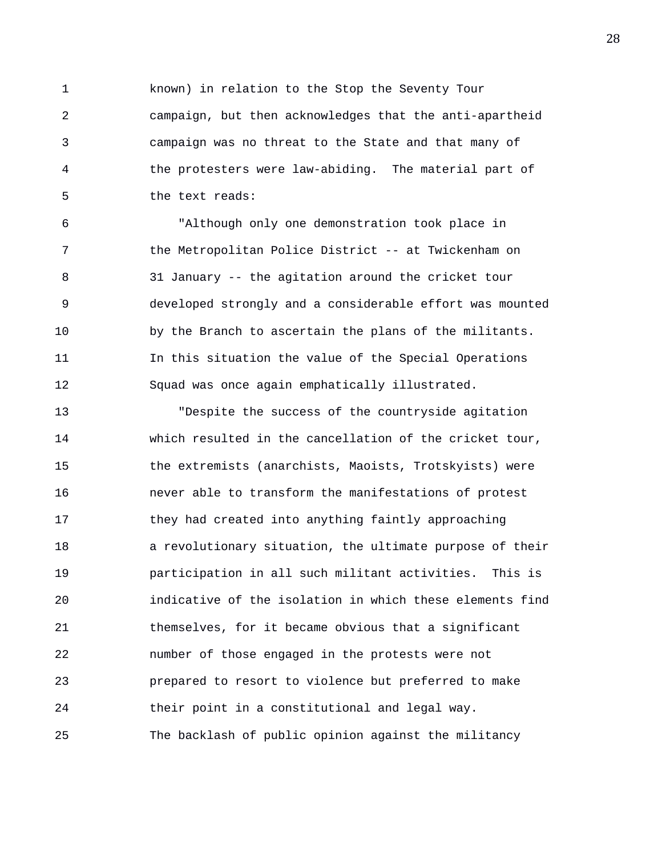1 known) in relation to the Stop the Seventy Tour 2 campaign, but then acknowledges that the anti-apartheid 3 campaign was no threat to the State and that many of 4 the protesters were law-abiding. The material part of 5 the text reads:

6 "Although only one demonstration took place in 7 the Metropolitan Police District -- at Twickenham on 8 31 January -- the agitation around the cricket tour 9 developed strongly and a considerable effort was mounted 10 by the Branch to ascertain the plans of the militants. 11 In this situation the value of the Special Operations 12 Squad was once again emphatically illustrated.

13 "Despite the success of the countryside agitation 14 which resulted in the cancellation of the cricket tour, 15 the extremists (anarchists, Maoists, Trotskyists) were 16 never able to transform the manifestations of protest 17 they had created into anything faintly approaching 18 a revolutionary situation, the ultimate purpose of their 19 participation in all such militant activities. This is 20 indicative of the isolation in which these elements find 21 themselves, for it became obvious that a significant 22 number of those engaged in the protests were not 23 prepared to resort to violence but preferred to make 24 their point in a constitutional and legal way. 25 The backlash of public opinion against the militancy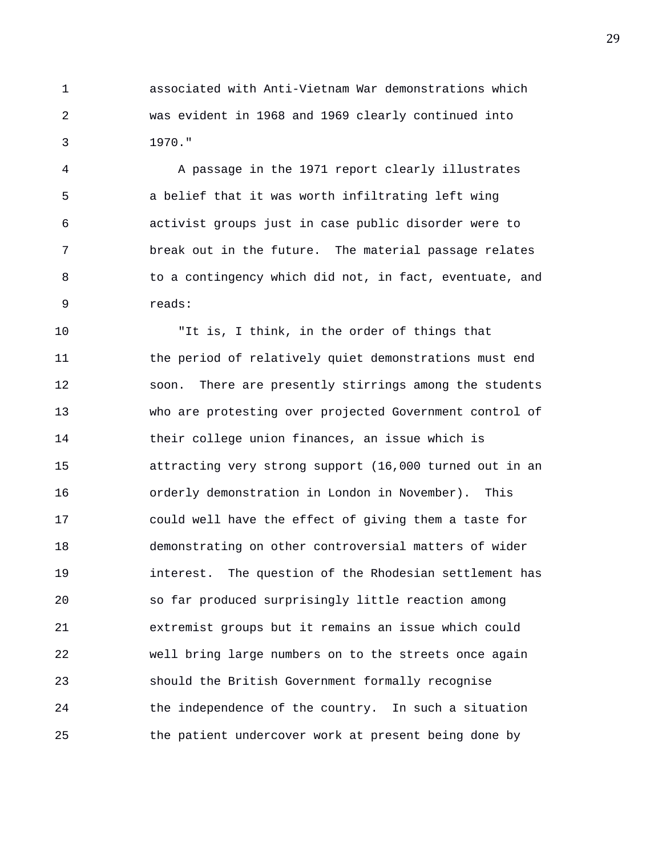1 associated with Anti-Vietnam War demonstrations which 2 was evident in 1968 and 1969 clearly continued into 3 1970."

4 A passage in the 1971 report clearly illustrates 5 a belief that it was worth infiltrating left wing 6 activist groups just in case public disorder were to 7 break out in the future. The material passage relates 8 to a contingency which did not, in fact, eventuate, and 9 reads:

10 "It is, I think, in the order of things that 11 the period of relatively quiet demonstrations must end 12 soon. There are presently stirrings among the students 13 who are protesting over projected Government control of 14 their college union finances, an issue which is 15 attracting very strong support (16,000 turned out in an 16 orderly demonstration in London in November). This 17 could well have the effect of giving them a taste for 18 demonstrating on other controversial matters of wider 19 interest. The question of the Rhodesian settlement has 20 so far produced surprisingly little reaction among 21 extremist groups but it remains an issue which could 22 well bring large numbers on to the streets once again 23 should the British Government formally recognise 24 the independence of the country. In such a situation 25 the patient undercover work at present being done by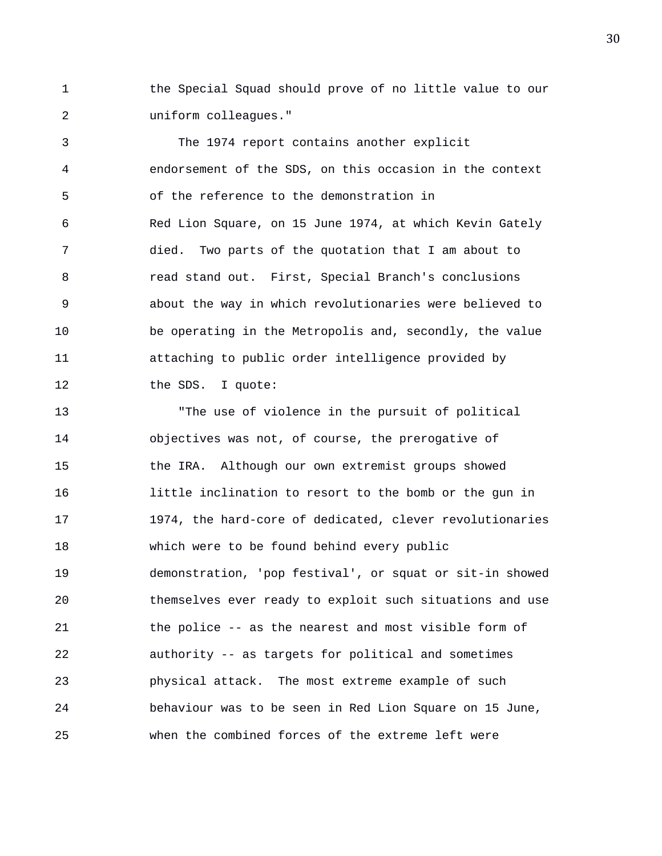1 the Special Squad should prove of no little value to our 2 uniform colleagues."

3 The 1974 report contains another explicit 4 endorsement of the SDS, on this occasion in the context 5 of the reference to the demonstration in 6 Red Lion Square, on 15 June 1974, at which Kevin Gately 7 died. Two parts of the quotation that I am about to 8 read stand out. First, Special Branch's conclusions 9 about the way in which revolutionaries were believed to 10 be operating in the Metropolis and, secondly, the value 11 attaching to public order intelligence provided by 12 the SDS. I quote:

13 "The use of violence in the pursuit of political 14 objectives was not, of course, the prerogative of 15 the IRA. Although our own extremist groups showed 16 little inclination to resort to the bomb or the gun in 17 1974, the hard-core of dedicated, clever revolutionaries 18 which were to be found behind every public 19 demonstration, 'pop festival', or squat or sit-in showed 20 themselves ever ready to exploit such situations and use 21 the police -- as the nearest and most visible form of 22 authority -- as targets for political and sometimes 23 physical attack. The most extreme example of such 24 behaviour was to be seen in Red Lion Square on 15 June, 25 when the combined forces of the extreme left were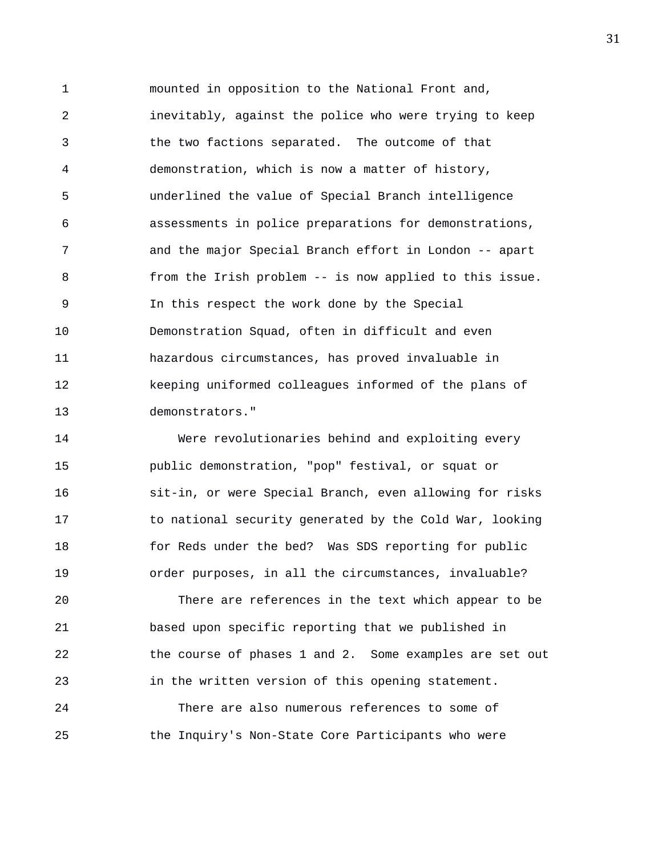1 mounted in opposition to the National Front and, 2 inevitably, against the police who were trying to keep 3 the two factions separated. The outcome of that 4 demonstration, which is now a matter of history, 5 underlined the value of Special Branch intelligence 6 assessments in police preparations for demonstrations, 7 and the major Special Branch effort in London -- apart 8 from the Irish problem -- is now applied to this issue. 9 In this respect the work done by the Special 10 Demonstration Squad, often in difficult and even 11 hazardous circumstances, has proved invaluable in 12 keeping uniformed colleagues informed of the plans of 13 demonstrators."

14 Were revolutionaries behind and exploiting every 15 public demonstration, "pop" festival, or squat or 16 sit-in, or were Special Branch, even allowing for risks 17 to national security generated by the Cold War, looking 18 for Reds under the bed? Was SDS reporting for public 19 order purposes, in all the circumstances, invaluable?

20 There are references in the text which appear to be 21 based upon specific reporting that we published in 22 the course of phases 1 and 2. Some examples are set out 23 in the written version of this opening statement.

24 There are also numerous references to some of 25 the Inquiry's Non-State Core Participants who were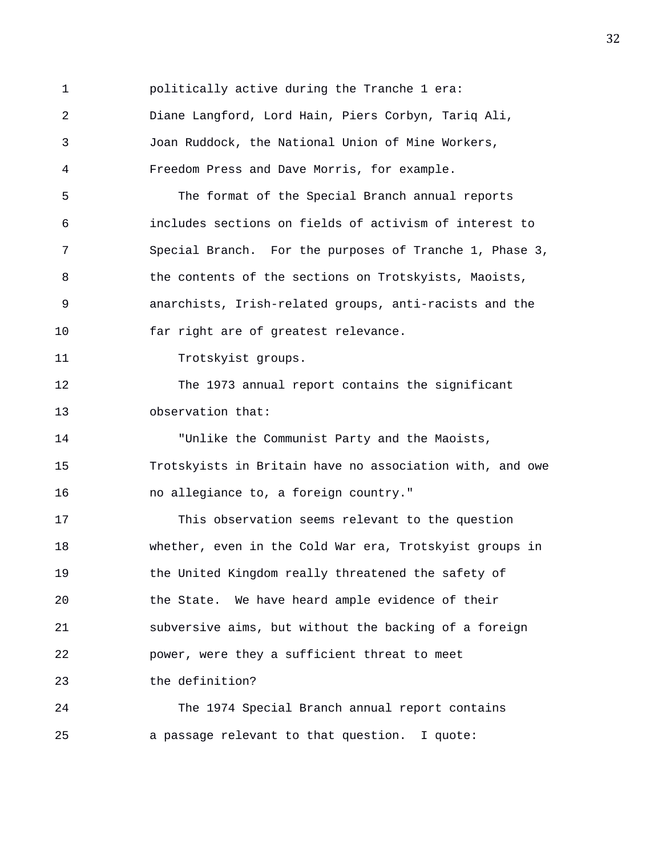1 politically active during the Tranche 1 era: 2 Diane Langford, Lord Hain, Piers Corbyn, Tariq Ali, 3 Joan Ruddock, the National Union of Mine Workers, 4 Freedom Press and Dave Morris, for example. 5 The format of the Special Branch annual reports 6 includes sections on fields of activism of interest to 7 Special Branch. For the purposes of Tranche 1, Phase 3, 8 the contents of the sections on Trotskyists, Maoists, 9 anarchists, Irish-related groups, anti-racists and the 10 far right are of greatest relevance. 11 Trotskyist groups. 12 The 1973 annual report contains the significant 13 observation that: 14 "Unlike the Communist Party and the Maoists, 15 Trotskyists in Britain have no association with, and owe 16 no allegiance to, a foreign country." 17 This observation seems relevant to the question 18 whether, even in the Cold War era, Trotskyist groups in 19 the United Kingdom really threatened the safety of 20 the State. We have heard ample evidence of their 21 subversive aims, but without the backing of a foreign 22 power, were they a sufficient threat to meet 23 the definition? 24 The 1974 Special Branch annual report contains 25 a passage relevant to that question. I quote: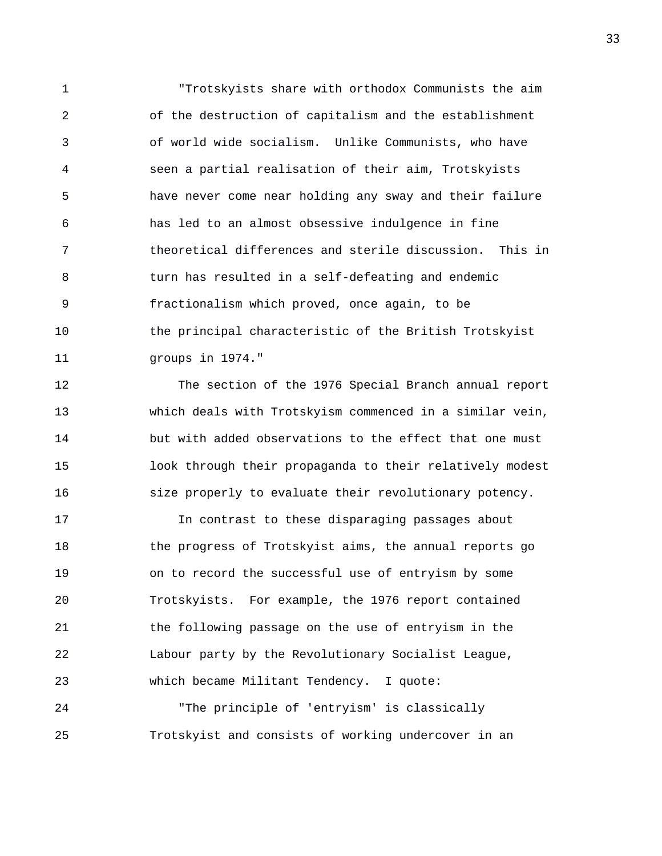1 "Trotskyists share with orthodox Communists the aim 2 of the destruction of capitalism and the establishment 3 of world wide socialism. Unlike Communists, who have 4 seen a partial realisation of their aim, Trotskyists 5 have never come near holding any sway and their failure 6 has led to an almost obsessive indulgence in fine 7 theoretical differences and sterile discussion. This in 8 turn has resulted in a self-defeating and endemic 9 fractionalism which proved, once again, to be 10 the principal characteristic of the British Trotskyist 11 groups in 1974."

12 The section of the 1976 Special Branch annual report 13 which deals with Trotskyism commenced in a similar vein, 14 but with added observations to the effect that one must 15 look through their propaganda to their relatively modest 16 size properly to evaluate their revolutionary potency.

17 In contrast to these disparaging passages about 18 the progress of Trotskyist aims, the annual reports go 19 on to record the successful use of entryism by some 20 Trotskyists. For example, the 1976 report contained 21 the following passage on the use of entryism in the 22 Labour party by the Revolutionary Socialist League, 23 which became Militant Tendency. I quote: 24 "The principle of 'entryism' is classically

25 Trotskyist and consists of working undercover in an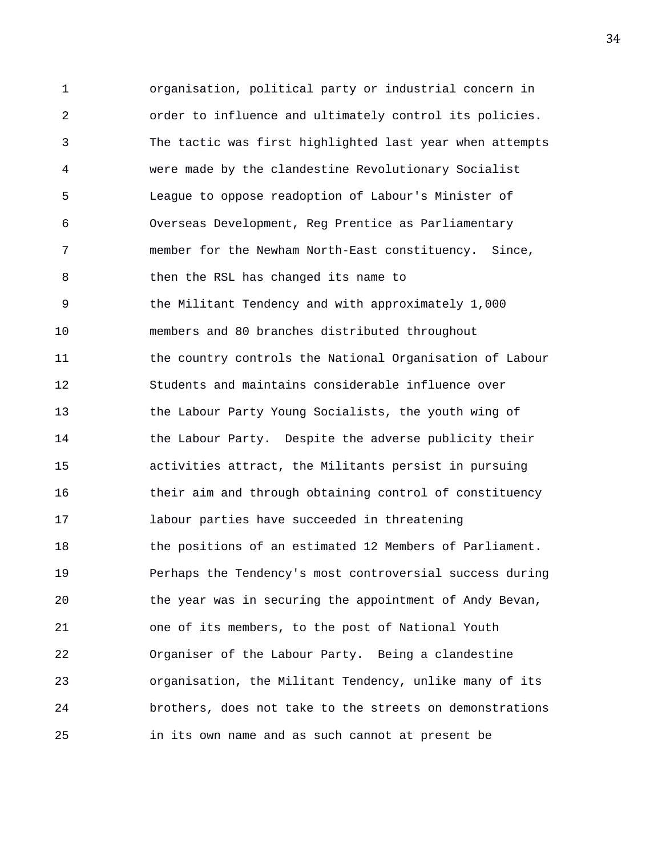1 organisation, political party or industrial concern in 2 order to influence and ultimately control its policies. 3 The tactic was first highlighted last year when attempts 4 were made by the clandestine Revolutionary Socialist 5 League to oppose readoption of Labour's Minister of 6 Overseas Development, Reg Prentice as Parliamentary 7 member for the Newham North-East constituency. Since, 8 then the RSL has changed its name to 9 the Militant Tendency and with approximately 1,000 10 members and 80 branches distributed throughout 11 the country controls the National Organisation of Labour 12 Students and maintains considerable influence over 13 the Labour Party Young Socialists, the youth wing of 14 the Labour Party. Despite the adverse publicity their 15 activities attract, the Militants persist in pursuing 16 their aim and through obtaining control of constituency 17 labour parties have succeeded in threatening 18 the positions of an estimated 12 Members of Parliament. 19 Perhaps the Tendency's most controversial success during 20 the year was in securing the appointment of Andy Bevan, 21 one of its members, to the post of National Youth 22 Organiser of the Labour Party. Being a clandestine 23 organisation, the Militant Tendency, unlike many of its 24 brothers, does not take to the streets on demonstrations 25 in its own name and as such cannot at present be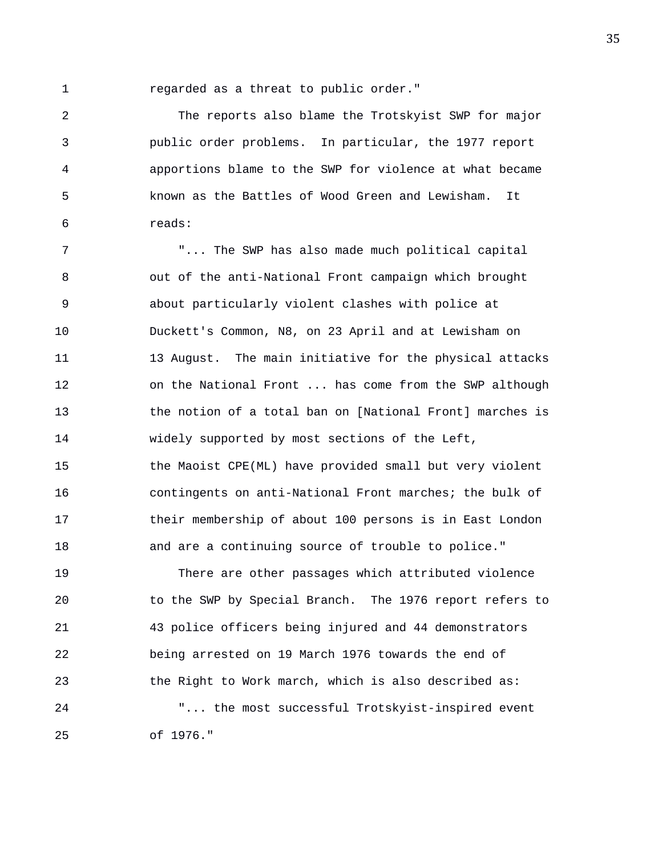1 regarded as a threat to public order."

2 The reports also blame the Trotskyist SWP for major 3 public order problems. In particular, the 1977 report 4 apportions blame to the SWP for violence at what became 5 known as the Battles of Wood Green and Lewisham. It 6 reads:

7 "... The SWP has also made much political capital 8 out of the anti-National Front campaign which brought 9 about particularly violent clashes with police at 10 Duckett's Common, N8, on 23 April and at Lewisham on 11 13 August. The main initiative for the physical attacks 12 on the National Front ... has come from the SWP although 13 the notion of a total ban on [National Front] marches is 14 widely supported by most sections of the Left, 15 the Maoist CPE(ML) have provided small but very violent 16 contingents on anti-National Front marches; the bulk of 17 their membership of about 100 persons is in East London 18 and are a continuing source of trouble to police." 19 There are other passages which attributed violence

20 to the SWP by Special Branch. The 1976 report refers to 21 43 police officers being injured and 44 demonstrators 22 being arrested on 19 March 1976 towards the end of 23 the Right to Work march, which is also described as: 24 "... the most successful Trotskyist-inspired event 25 of 1976."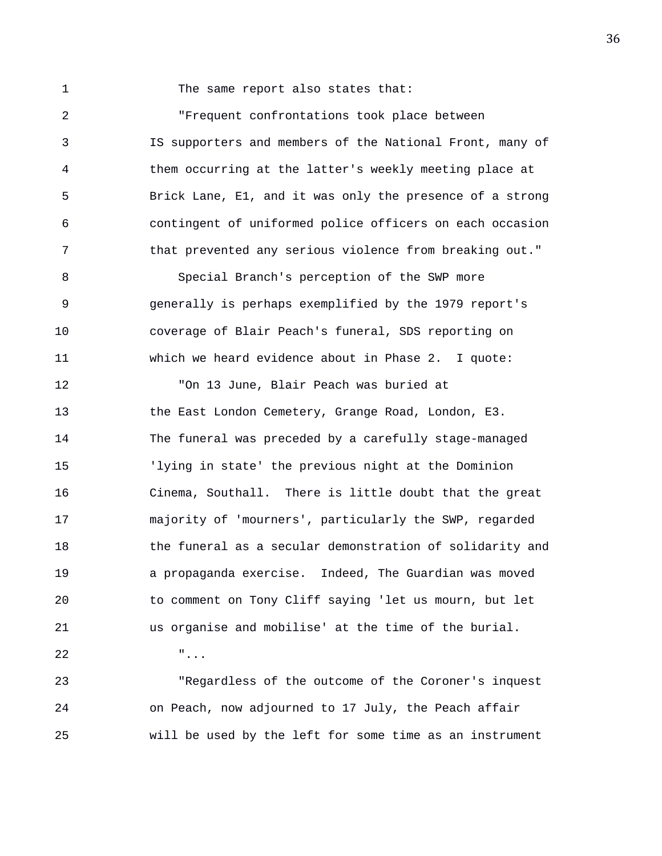1 The same report also states that:

2 "Frequent confrontations took place between 3 IS supporters and members of the National Front, many of 4 them occurring at the latter's weekly meeting place at 5 Brick Lane, E1, and it was only the presence of a strong 6 contingent of uniformed police officers on each occasion 7 that prevented any serious violence from breaking out." 8 Special Branch's perception of the SWP more 9 generally is perhaps exemplified by the 1979 report's 10 coverage of Blair Peach's funeral, SDS reporting on 11 which we heard evidence about in Phase 2. I quote: 12 "On 13 June, Blair Peach was buried at 13 the East London Cemetery, Grange Road, London, E3. 14 The funeral was preceded by a carefully stage-managed 15 'lying in state' the previous night at the Dominion 16 Cinema, Southall. There is little doubt that the great 17 majority of 'mourners', particularly the SWP, regarded 18 the funeral as a secular demonstration of solidarity and 19 a propaganda exercise. Indeed, The Guardian was moved 20 to comment on Tony Cliff saying 'let us mourn, but let 21 us organise and mobilise' at the time of the burial. 22 "... 23 "Regardless of the outcome of the Coroner's inquest

24 on Peach, now adjourned to 17 July, the Peach affair 25 will be used by the left for some time as an instrument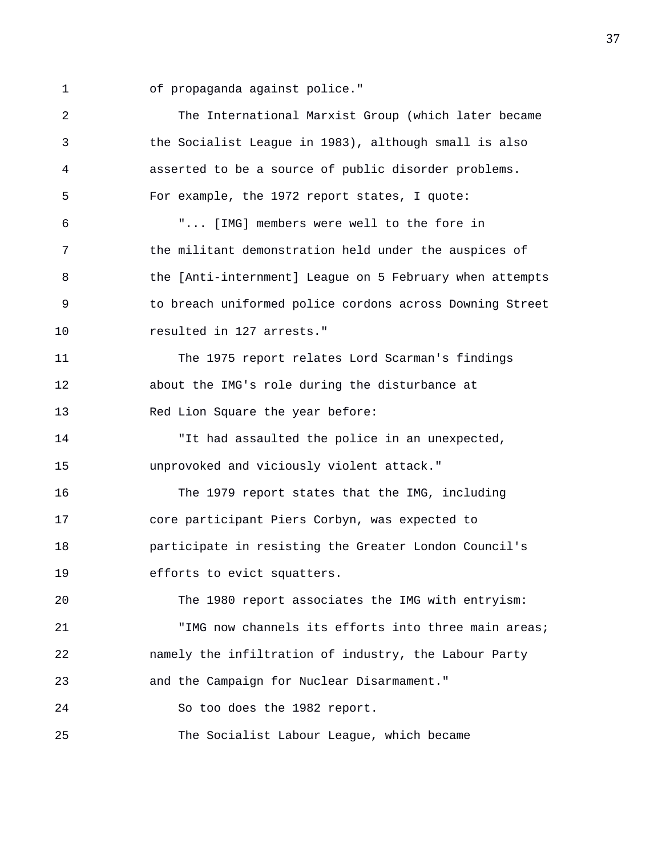1 of propaganda against police."

| 2  | The International Marxist Group (which later became      |
|----|----------------------------------------------------------|
| 3  | the Socialist League in 1983), although small is also    |
| 4  | asserted to be a source of public disorder problems.     |
| 5  | For example, the 1972 report states, I quote:            |
| 6  | " [IMG] members were well to the fore in                 |
| 7  | the militant demonstration held under the auspices of    |
| 8  | the [Anti-internment] League on 5 February when attempts |
| 9  | to breach uniformed police cordons across Downing Street |
| 10 | resulted in 127 arrests."                                |
| 11 | The 1975 report relates Lord Scarman's findings          |
| 12 | about the IMG's role during the disturbance at           |
| 13 | Red Lion Square the year before:                         |
| 14 | "It had assaulted the police in an unexpected,           |
| 15 | unprovoked and viciously violent attack."                |
| 16 | The 1979 report states that the IMG, including           |
| 17 | core participant Piers Corbyn, was expected to           |
| 18 | participate in resisting the Greater London Council's    |
| 19 | efforts to evict squatters.                              |
| 20 | The 1980 report associates the IMG with entryism:        |
| 21 | "IMG now channels its efforts into three main areas;     |
| 22 | namely the infiltration of industry, the Labour Party    |
| 23 | and the Campaign for Nuclear Disarmament."               |
| 24 | So too does the 1982 report.                             |
| 25 | The Socialist Labour League, which became                |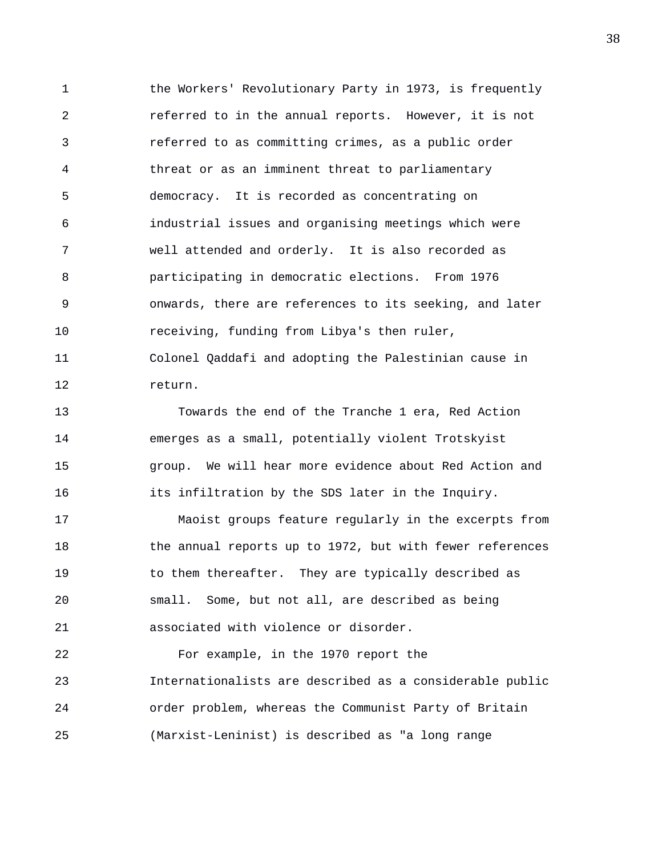1 the Workers' Revolutionary Party in 1973, is frequently 2 referred to in the annual reports. However, it is not 3 referred to as committing crimes, as a public order 4 threat or as an imminent threat to parliamentary 5 democracy. It is recorded as concentrating on 6 industrial issues and organising meetings which were 7 well attended and orderly. It is also recorded as 8 participating in democratic elections. From 1976 9 onwards, there are references to its seeking, and later 10 receiving, funding from Libya's then ruler, 11 Colonel Qaddafi and adopting the Palestinian cause in 12 return. 13 Towards the end of the Tranche 1 era, Red Action 14 emerges as a small, potentially violent Trotskyist

15 group. We will hear more evidence about Red Action and 16 **its infiltration by the SDS later in the Inquiry.** 

17 Maoist groups feature regularly in the excerpts from 18 the annual reports up to 1972, but with fewer references 19 to them thereafter. They are typically described as 20 small. Some, but not all, are described as being 21 associated with violence or disorder.

22 For example, in the 1970 report the 23 Internationalists are described as a considerable public 24 order problem, whereas the Communist Party of Britain 25 (Marxist-Leninist) is described as "a long range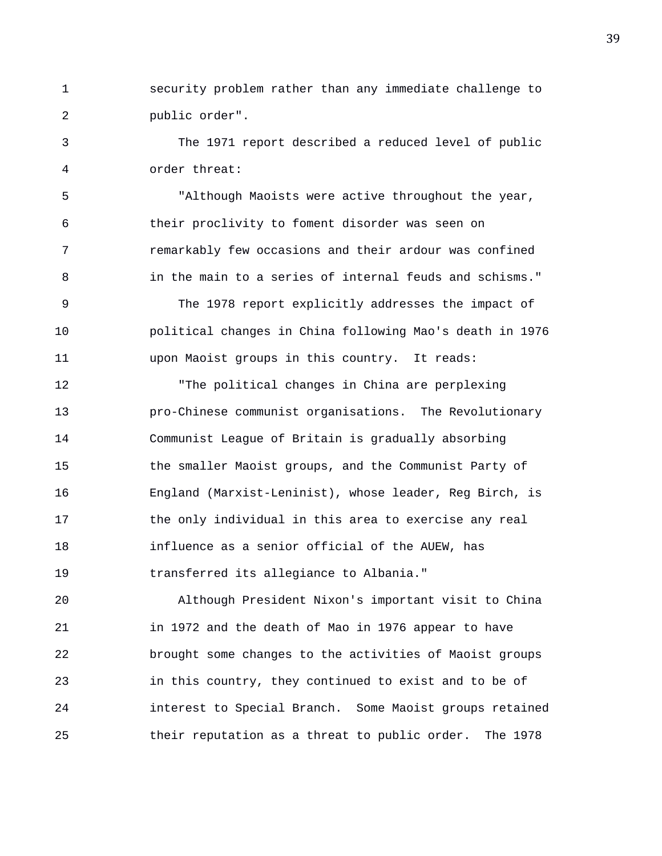1 security problem rather than any immediate challenge to 2 public order".

3 The 1971 report described a reduced level of public 4 order threat:

5 "Although Maoists were active throughout the year, 6 their proclivity to foment disorder was seen on 7 remarkably few occasions and their ardour was confined 8 in the main to a series of internal feuds and schisms."

9 The 1978 report explicitly addresses the impact of 10 political changes in China following Mao's death in 1976 11 upon Maoist groups in this country. It reads:

12 "The political changes in China are perplexing 13 pro-Chinese communist organisations. The Revolutionary 14 Communist League of Britain is gradually absorbing 15 the smaller Maoist groups, and the Communist Party of 16 England (Marxist-Leninist), whose leader, Reg Birch, is 17 the only individual in this area to exercise any real 18 influence as a senior official of the AUEW, has 19 transferred its allegiance to Albania."

20 Although President Nixon's important visit to China 21 in 1972 and the death of Mao in 1976 appear to have 22 brought some changes to the activities of Maoist groups 23 in this country, they continued to exist and to be of 24 interest to Special Branch. Some Maoist groups retained 25 their reputation as a threat to public order. The 1978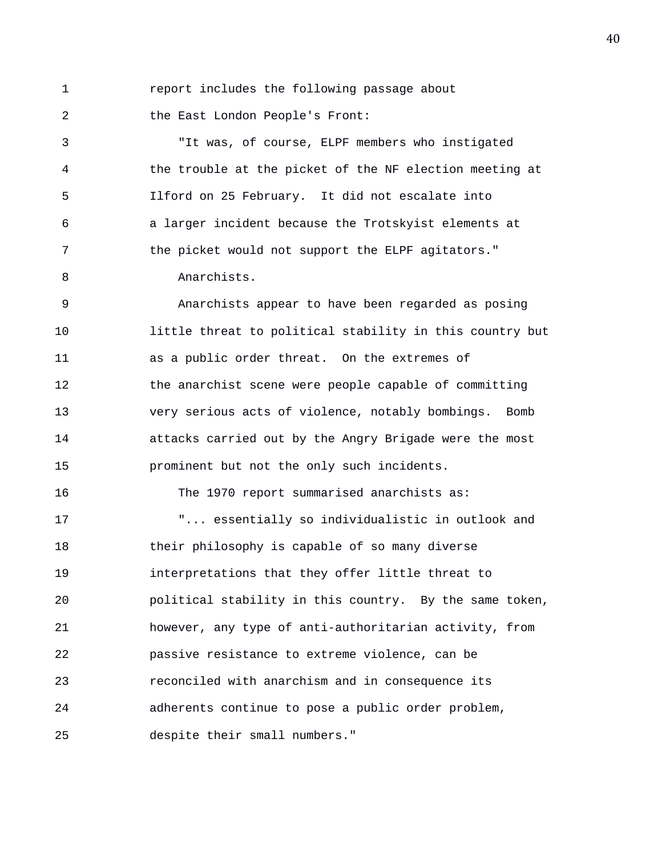1 report includes the following passage about

2 the East London People's Front:

3 "It was, of course, ELPF members who instigated 4 the trouble at the picket of the NF election meeting at 5 Ilford on 25 February. It did not escalate into 6 a larger incident because the Trotskyist elements at 7 the picket would not support the ELPF agitators." 8 Anarchists.

9 Anarchists appear to have been regarded as posing 10 little threat to political stability in this country but 11 as a public order threat. On the extremes of 12 the anarchist scene were people capable of committing 13 very serious acts of violence, notably bombings. Bomb 14 attacks carried out by the Angry Brigade were the most 15 prominent but not the only such incidents.

16 The 1970 report summarised anarchists as:

17 "... essentially so individualistic in outlook and 18 their philosophy is capable of so many diverse 19 interpretations that they offer little threat to 20 political stability in this country. By the same token, 21 however, any type of anti-authoritarian activity, from 22 passive resistance to extreme violence, can be 23 reconciled with anarchism and in consequence its 24 adherents continue to pose a public order problem, 25 despite their small numbers."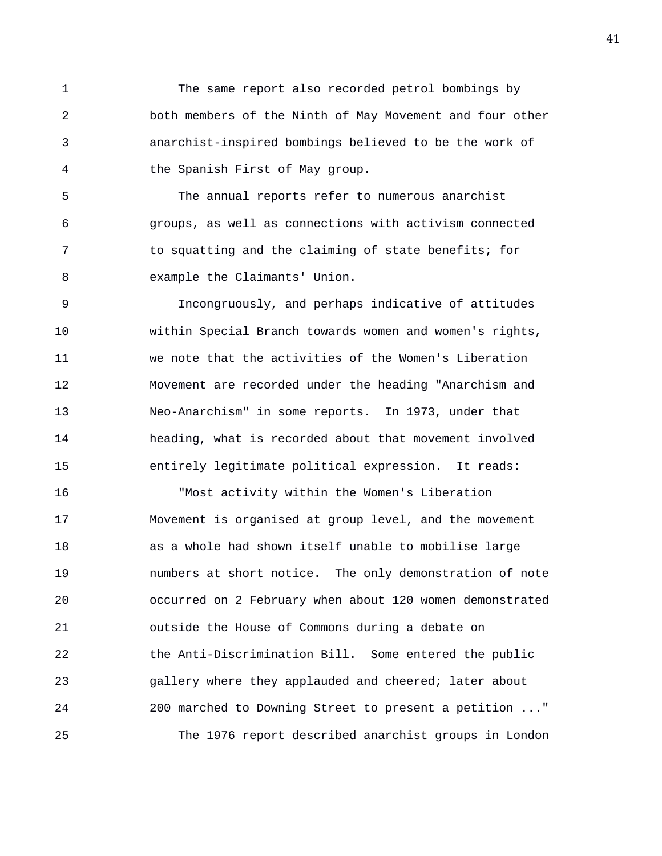1 The same report also recorded petrol bombings by 2 both members of the Ninth of May Movement and four other 3 anarchist-inspired bombings believed to be the work of 4 the Spanish First of May group.

5 The annual reports refer to numerous anarchist 6 groups, as well as connections with activism connected 7 to squatting and the claiming of state benefits; for 8 example the Claimants' Union.

9 Incongruously, and perhaps indicative of attitudes 10 within Special Branch towards women and women's rights, 11 we note that the activities of the Women's Liberation 12 Movement are recorded under the heading "Anarchism and 13 Neo-Anarchism" in some reports. In 1973, under that 14 heading, what is recorded about that movement involved 15 entirely legitimate political expression. It reads:

16 "Most activity within the Women's Liberation 17 Movement is organised at group level, and the movement 18 as a whole had shown itself unable to mobilise large 19 numbers at short notice. The only demonstration of note 20 occurred on 2 February when about 120 women demonstrated 21 outside the House of Commons during a debate on 22 the Anti-Discrimination Bill. Some entered the public 23 gallery where they applauded and cheered; later about 24 200 marched to Downing Street to present a petition ..." 25 The 1976 report described anarchist groups in London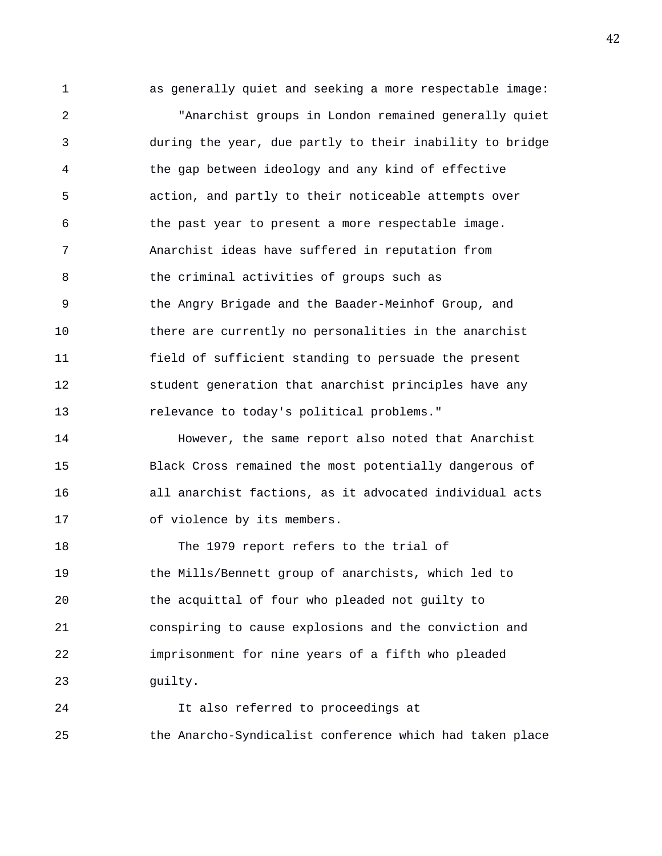1 as generally quiet and seeking a more respectable image: 2 "Anarchist groups in London remained generally quiet 3 during the year, due partly to their inability to bridge 4 the gap between ideology and any kind of effective 5 action, and partly to their noticeable attempts over 6 the past year to present a more respectable image. 7 Anarchist ideas have suffered in reputation from 8 the criminal activities of groups such as 9 the Angry Brigade and the Baader-Meinhof Group, and 10 there are currently no personalities in the anarchist 11 field of sufficient standing to persuade the present 12 student generation that anarchist principles have any 13 relevance to today's political problems."

14 However, the same report also noted that Anarchist 15 Black Cross remained the most potentially dangerous of 16 all anarchist factions, as it advocated individual acts 17 of violence by its members.

18 The 1979 report refers to the trial of 19 the Mills/Bennett group of anarchists, which led to 20 the acquittal of four who pleaded not guilty to 21 conspiring to cause explosions and the conviction and 22 imprisonment for nine years of a fifth who pleaded 23 guilty.

24 It also referred to proceedings at 25 the Anarcho-Syndicalist conference which had taken place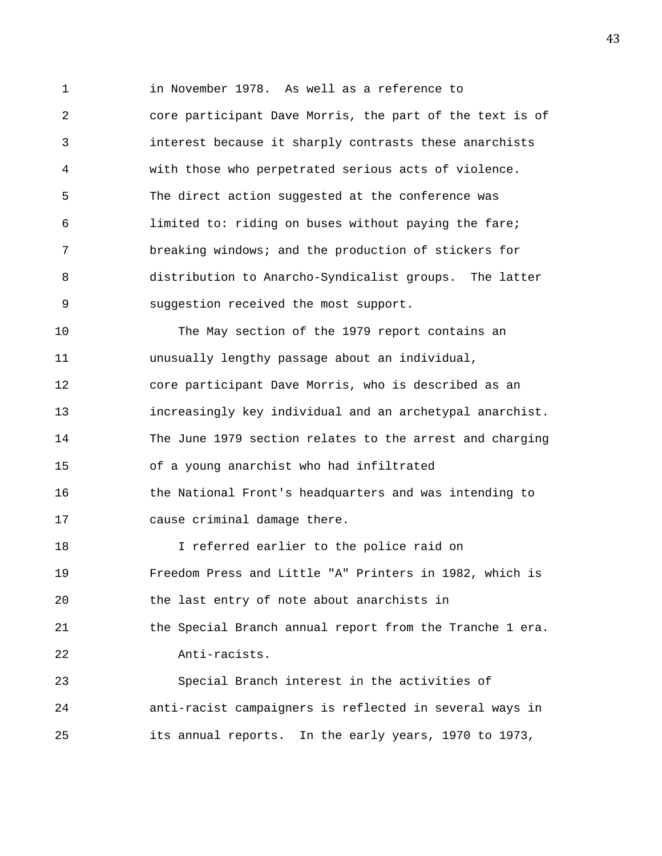1 in November 1978. As well as a reference to 2 core participant Dave Morris, the part of the text is of 3 interest because it sharply contrasts these anarchists 4 with those who perpetrated serious acts of violence. 5 The direct action suggested at the conference was 6 limited to: riding on buses without paying the fare; 7 breaking windows; and the production of stickers for 8 distribution to Anarcho-Syndicalist groups. The latter 9 suggestion received the most support.

10 The May section of the 1979 report contains an 11 unusually lengthy passage about an individual, 12 core participant Dave Morris, who is described as an 13 increasingly key individual and an archetypal anarchist. 14 The June 1979 section relates to the arrest and charging 15 of a young anarchist who had infiltrated 16 the National Front's headquarters and was intending to 17 cause criminal damage there.

18 I referred earlier to the police raid on 19 Freedom Press and Little "A" Printers in 1982, which is 20 the last entry of note about anarchists in 21 the Special Branch annual report from the Tranche 1 era. 22 Anti-racists. 23 Special Branch interest in the activities of

24 anti-racist campaigners is reflected in several ways in 25 its annual reports. In the early years, 1970 to 1973,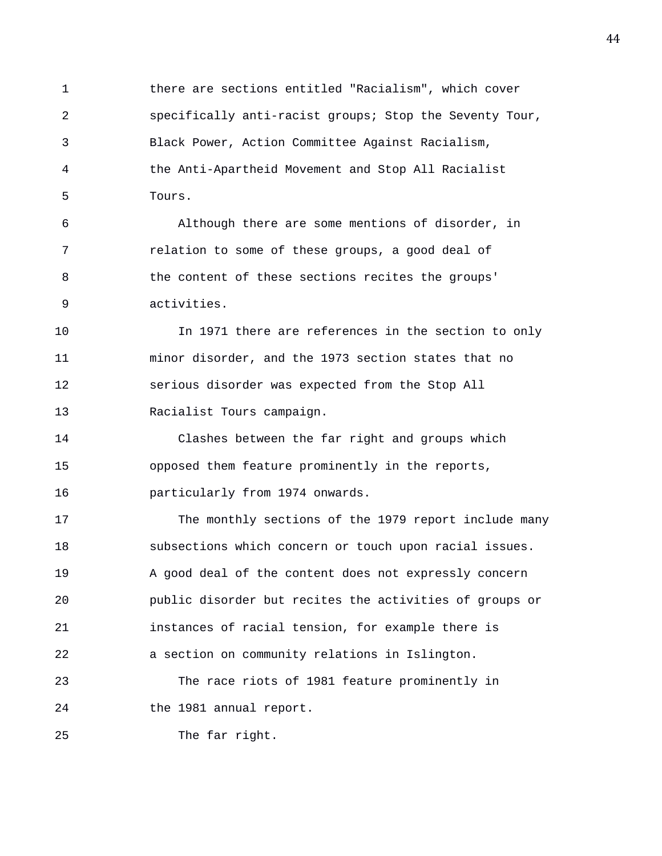1 there are sections entitled "Racialism", which cover 2 specifically anti-racist groups; Stop the Seventy Tour, 3 Black Power, Action Committee Against Racialism, 4 the Anti-Apartheid Movement and Stop All Racialist 5 Tours.

6 Although there are some mentions of disorder, in 7 relation to some of these groups, a good deal of 8 the content of these sections recites the groups' 9 activities.

10 In 1971 there are references in the section to only 11 minor disorder, and the 1973 section states that no 12 serious disorder was expected from the Stop All 13 Racialist Tours campaign.

14 Clashes between the far right and groups which 15 opposed them feature prominently in the reports, 16 particularly from 1974 onwards.

17 The monthly sections of the 1979 report include many 18 subsections which concern or touch upon racial issues. 19 A good deal of the content does not expressly concern 20 public disorder but recites the activities of groups or 21 instances of racial tension, for example there is 22 a section on community relations in Islington.

23 The race riots of 1981 feature prominently in 24 the 1981 annual report.

25 The far right.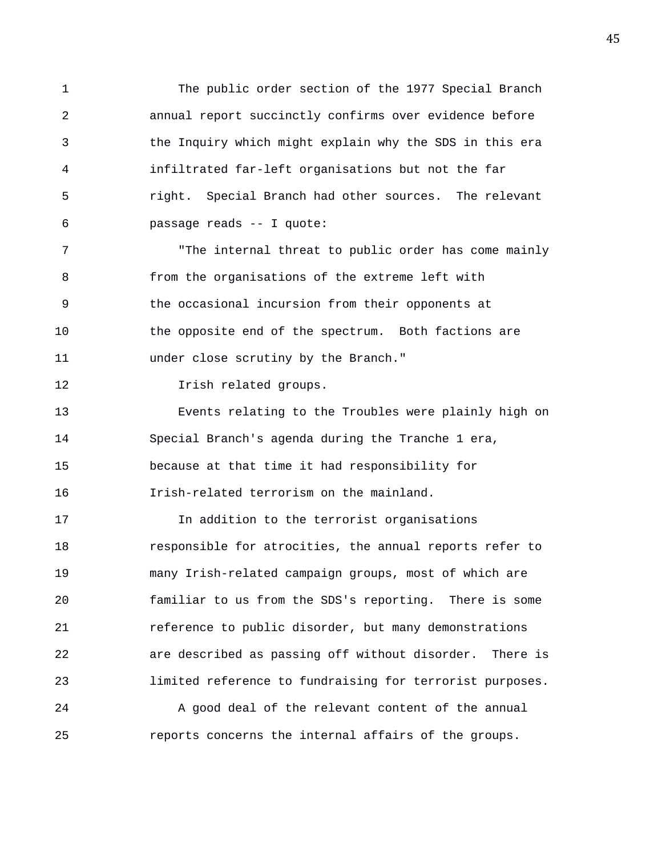1 The public order section of the 1977 Special Branch 2 annual report succinctly confirms over evidence before 3 the Inquiry which might explain why the SDS in this era 4 infiltrated far-left organisations but not the far 5 right. Special Branch had other sources. The relevant 6 passage reads -- I quote:

7 The internal threat to public order has come mainly 8 from the organisations of the extreme left with 9 the occasional incursion from their opponents at 10 the opposite end of the spectrum. Both factions are 11 under close scrutiny by the Branch."

12 Irish related groups.

13 Events relating to the Troubles were plainly high on 14 Special Branch's agenda during the Tranche 1 era, 15 because at that time it had responsibility for 16 Irish-related terrorism on the mainland.

17 In addition to the terrorist organisations 18 responsible for atrocities, the annual reports refer to 19 many Irish-related campaign groups, most of which are 20 familiar to us from the SDS's reporting. There is some 21 reference to public disorder, but many demonstrations 22 are described as passing off without disorder. There is 23 limited reference to fundraising for terrorist purposes.

24 A good deal of the relevant content of the annual 25 reports concerns the internal affairs of the groups.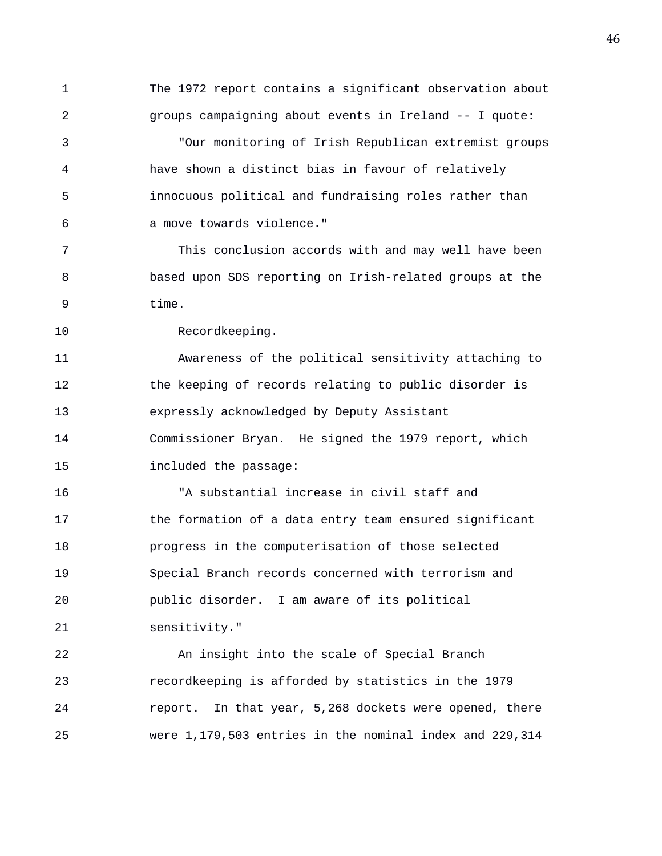1 The 1972 report contains a significant observation about 2 groups campaigning about events in Ireland -- I quote: 3 "Our monitoring of Irish Republican extremist groups 4 have shown a distinct bias in favour of relatively 5 innocuous political and fundraising roles rather than 6 a move towards violence." 7 This conclusion accords with and may well have been 8 based upon SDS reporting on Irish-related groups at the 9 time. 10 Recordkeeping. 11 Awareness of the political sensitivity attaching to 12 the keeping of records relating to public disorder is 13 expressly acknowledged by Deputy Assistant 14 Commissioner Bryan. He signed the 1979 report, which 15 included the passage: 16 "A substantial increase in civil staff and 17 the formation of a data entry team ensured significant 18 progress in the computerisation of those selected 19 Special Branch records concerned with terrorism and 20 public disorder. I am aware of its political 21 sensitivity." 22 An insight into the scale of Special Branch 23 recordkeeping is afforded by statistics in the 1979 24 report. In that year, 5,268 dockets were opened, there 25 were 1,179,503 entries in the nominal index and 229,314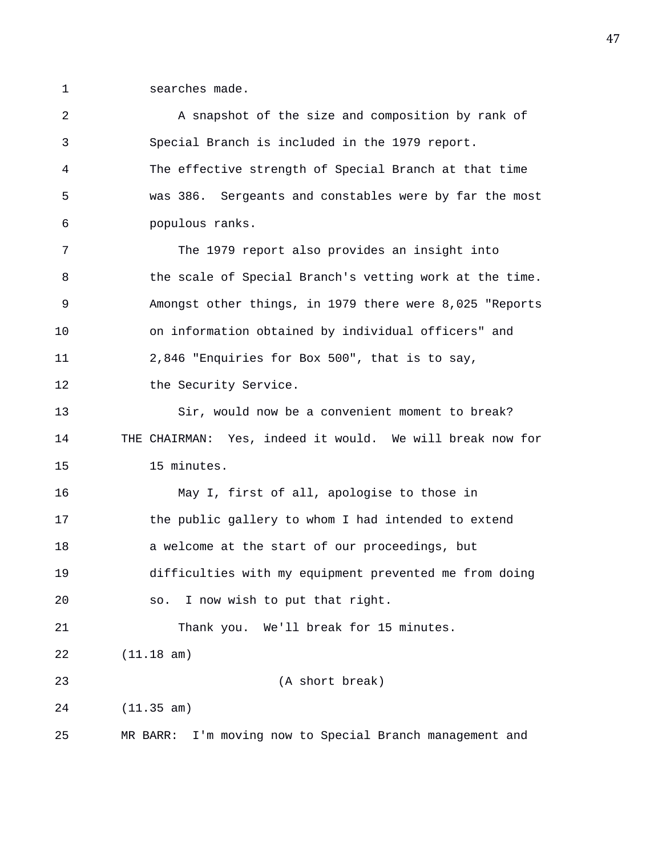1 searches made.

| $\overline{2}$ | A snapshot of the size and composition by rank of           |
|----------------|-------------------------------------------------------------|
| $\mathfrak{Z}$ | Special Branch is included in the 1979 report.              |
| 4              | The effective strength of Special Branch at that time       |
| 5              | was 386. Sergeants and constables were by far the most      |
| 6              | populous ranks.                                             |
| 7              | The 1979 report also provides an insight into               |
| 8              | the scale of Special Branch's vetting work at the time.     |
| 9              | Amongst other things, in 1979 there were 8,025 "Reports     |
| 10             | on information obtained by individual officers" and         |
| 11             | 2,846 "Enquiries for Box 500", that is to say,              |
| 12             | the Security Service.                                       |
| 13             | Sir, would now be a convenient moment to break?             |
| 14             | THE CHAIRMAN: Yes, indeed it would. We will break now for   |
| 15             | 15 minutes.                                                 |
| 16             | May I, first of all, apologise to those in                  |
| 17             | the public gallery to whom I had intended to extend         |
| 18             | a welcome at the start of our proceedings, but              |
| 19             | difficulties with my equipment prevented me from doing      |
| 20             | I now wish to put that right.<br>SO.                        |
| 21             | Thank you. We'll break for 15 minutes.                      |
| 22             | (11.18 am)                                                  |
| 23             | (A short break)                                             |
| 24             | (11.35 am)                                                  |
| 25             | I'm moving now to Special Branch management and<br>MR BARR: |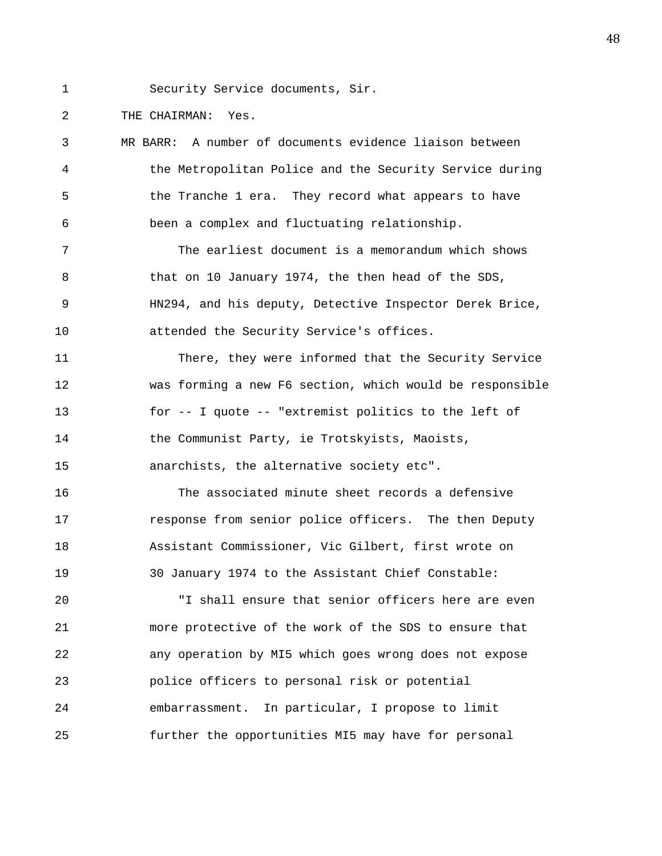1 Security Service documents, Sir.

2 THE CHAIRMAN: Yes.

3 MR BARR: A number of documents evidence liaison between 4 the Metropolitan Police and the Security Service during 5 the Tranche 1 era. They record what appears to have 6 been a complex and fluctuating relationship. 7 The earliest document is a memorandum which shows 8 that on 10 January 1974, the then head of the SDS, 9 HN294, and his deputy, Detective Inspector Derek Brice, 10 attended the Security Service's offices. 11 There, they were informed that the Security Service 12 was forming a new F6 section, which would be responsible 13 for -- I quote -- "extremist politics to the left of 14 the Communist Party, ie Trotskyists, Maoists, 15 anarchists, the alternative society etc". 16 The associated minute sheet records a defensive 17 response from senior police officers. The then Deputy 18 Assistant Commissioner, Vic Gilbert, first wrote on 19 30 January 1974 to the Assistant Chief Constable: 20 "I shall ensure that senior officers here are even 21 more protective of the work of the SDS to ensure that 22 any operation by MI5 which goes wrong does not expose 23 police officers to personal risk or potential 24 embarrassment. In particular, I propose to limit 25 further the opportunities MI5 may have for personal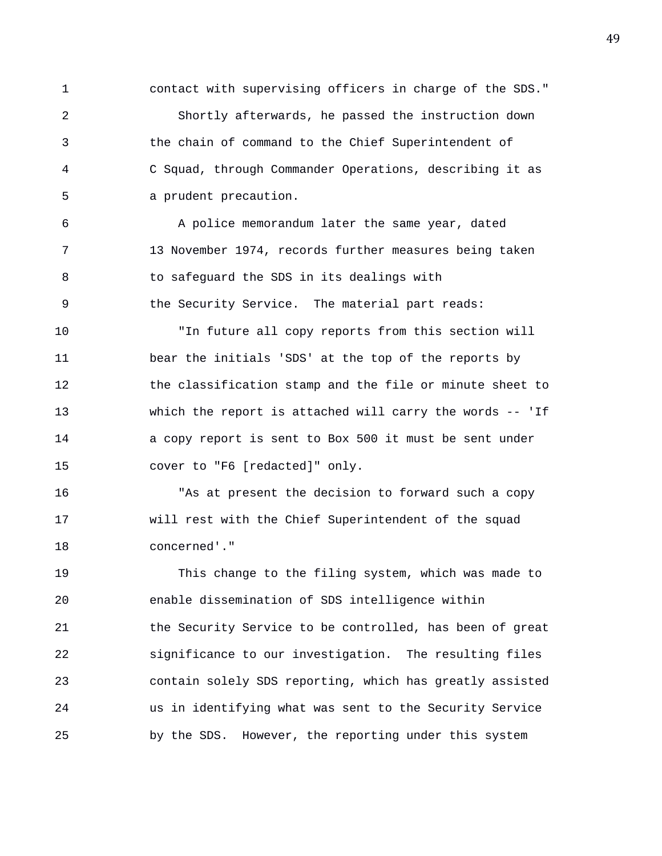1 contact with supervising officers in charge of the SDS." 2 Shortly afterwards, he passed the instruction down 3 the chain of command to the Chief Superintendent of 4 C Squad, through Commander Operations, describing it as 5 a prudent precaution.

6 A police memorandum later the same year, dated 7 13 November 1974, records further measures being taken 8 to safeguard the SDS in its dealings with 9 the Security Service. The material part reads:

10 "In future all copy reports from this section will 11 bear the initials 'SDS' at the top of the reports by 12 the classification stamp and the file or minute sheet to 13 which the report is attached will carry the words -- 'If 14 a copy report is sent to Box 500 it must be sent under 15 cover to "F6 [redacted]" only.

16 "As at present the decision to forward such a copy 17 will rest with the Chief Superintendent of the squad 18 concerned'."

19 This change to the filing system, which was made to 20 enable dissemination of SDS intelligence within 21 the Security Service to be controlled, has been of great 22 significance to our investigation. The resulting files 23 contain solely SDS reporting, which has greatly assisted 24 us in identifying what was sent to the Security Service 25 by the SDS. However, the reporting under this system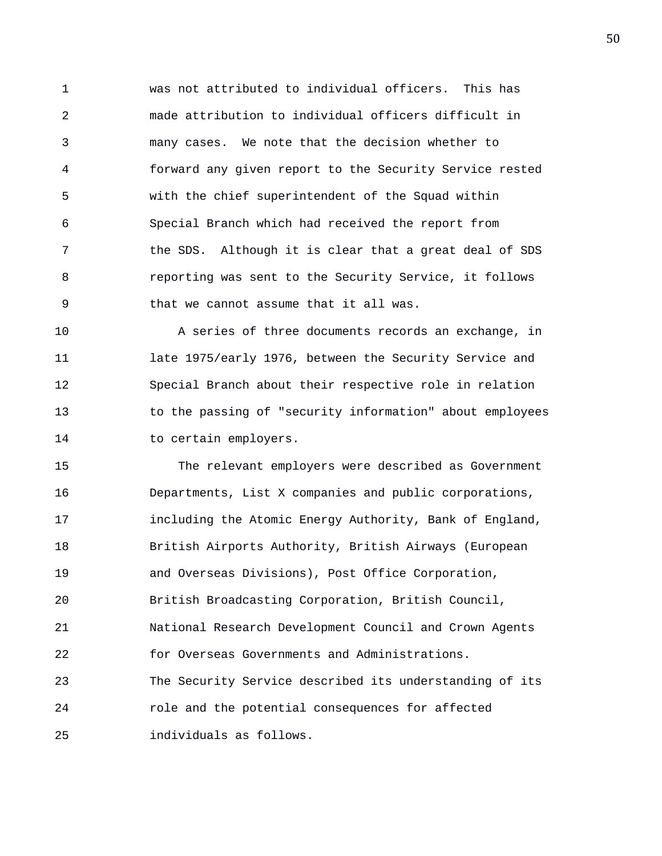1 was not attributed to individual officers. This has 2 made attribution to individual officers difficult in 3 many cases. We note that the decision whether to 4 forward any given report to the Security Service rested 5 with the chief superintendent of the Squad within 6 Special Branch which had received the report from 7 the SDS. Although it is clear that a great deal of SDS 8 reporting was sent to the Security Service, it follows 9 that we cannot assume that it all was.

10 A series of three documents records an exchange, in 11 late 1975/early 1976, between the Security Service and 12 Special Branch about their respective role in relation 13 to the passing of "security information" about employees 14 to certain employers.

15 The relevant employers were described as Government 16 Departments, List X companies and public corporations, 17 including the Atomic Energy Authority, Bank of England, 18 British Airports Authority, British Airways (European 19 and Overseas Divisions), Post Office Corporation, 20 British Broadcasting Corporation, British Council, 21 National Research Development Council and Crown Agents 22 for Overseas Governments and Administrations. 23 The Security Service described its understanding of its 24 role and the potential consequences for affected 25 individuals as follows.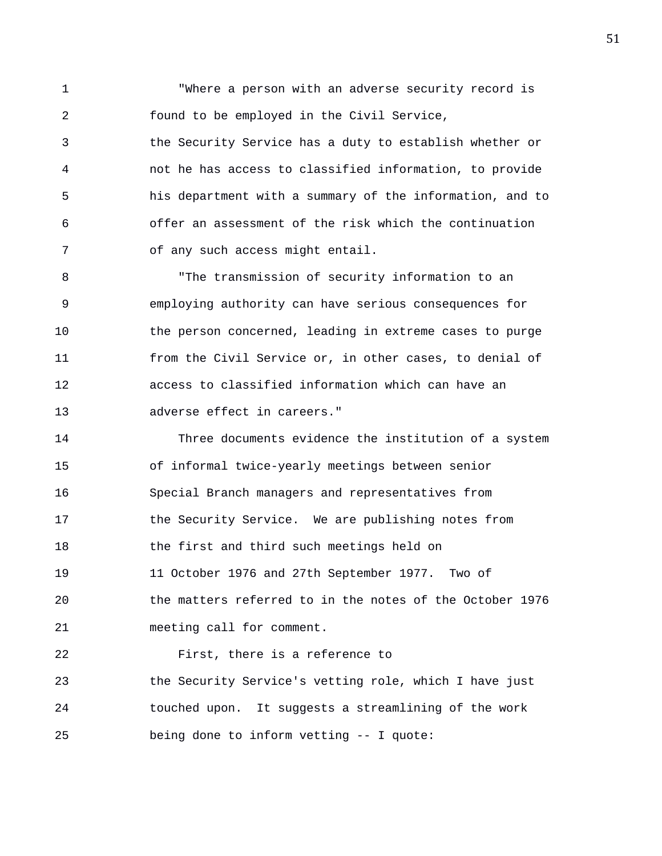1 "Where a person with an adverse security record is 2 found to be employed in the Civil Service,

3 the Security Service has a duty to establish whether or 4 not he has access to classified information, to provide 5 his department with a summary of the information, and to 6 offer an assessment of the risk which the continuation 7 of any such access might entail.

8 The transmission of security information to an 9 employing authority can have serious consequences for 10 the person concerned, leading in extreme cases to purge 11 from the Civil Service or, in other cases, to denial of 12 access to classified information which can have an 13 adverse effect in careers."

14 Three documents evidence the institution of a system 15 of informal twice-yearly meetings between senior 16 Special Branch managers and representatives from 17 the Security Service. We are publishing notes from 18 the first and third such meetings held on 19 11 October 1976 and 27th September 1977. Two of 20 the matters referred to in the notes of the October 1976 21 meeting call for comment.

22 First, there is a reference to 23 the Security Service's vetting role, which I have just 24 touched upon. It suggests a streamlining of the work 25 being done to inform vetting -- I quote: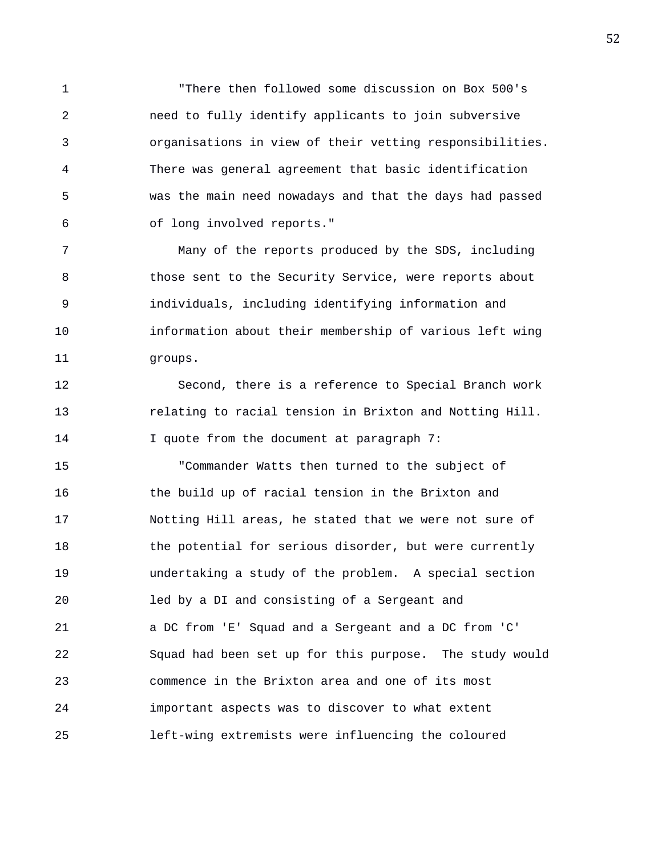1 "There then followed some discussion on Box 500's 2 need to fully identify applicants to join subversive 3 organisations in view of their vetting responsibilities. 4 There was general agreement that basic identification 5 was the main need nowadays and that the days had passed 6 of long involved reports."

7 Many of the reports produced by the SDS, including 8 those sent to the Security Service, were reports about 9 individuals, including identifying information and 10 information about their membership of various left wing 11 groups.

12 Second, there is a reference to Special Branch work 13 relating to racial tension in Brixton and Notting Hill. 14 I quote from the document at paragraph 7:

15 "Commander Watts then turned to the subject of 16 the build up of racial tension in the Brixton and 17 Notting Hill areas, he stated that we were not sure of 18 the potential for serious disorder, but were currently 19 undertaking a study of the problem. A special section 20 led by a DI and consisting of a Sergeant and 21 a DC from 'E' Squad and a Sergeant and a DC from 'C' 22 Squad had been set up for this purpose. The study would 23 commence in the Brixton area and one of its most 24 important aspects was to discover to what extent 25 left-wing extremists were influencing the coloured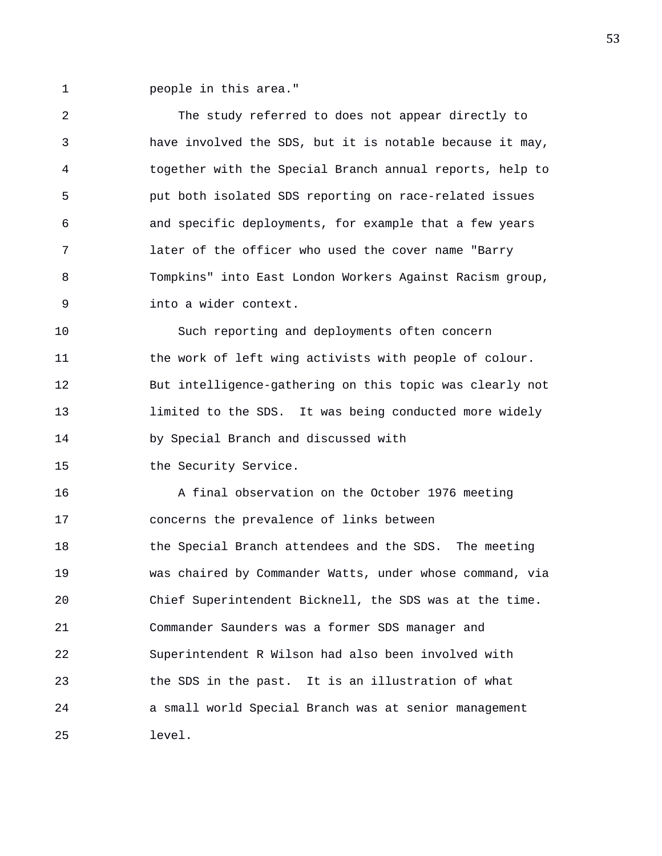1 people in this area."

| 2  | The study referred to does not appear directly to        |
|----|----------------------------------------------------------|
| 3  | have involved the SDS, but it is notable because it may, |
| 4  | together with the Special Branch annual reports, help to |
| 5  | put both isolated SDS reporting on race-related issues   |
| 6  | and specific deployments, for example that a few years   |
| 7  | later of the officer who used the cover name "Barry      |
| 8  | Tompkins" into East London Workers Against Racism group, |
| 9  | into a wider context.                                    |
| 10 | Such reporting and deployments often concern             |
| 11 | the work of left wing activists with people of colour.   |
| 12 | But intelligence-gathering on this topic was clearly not |
| 13 | limited to the SDS. It was being conducted more widely   |
|    |                                                          |
| 14 | by Special Branch and discussed with                     |
| 15 | the Security Service.                                    |
| 16 | A final observation on the October 1976 meeting          |
| 17 | concerns the prevalence of links between                 |
| 18 | the Special Branch attendees and the SDS. The meeting    |
| 19 | was chaired by Commander Watts, under whose command, via |
| 20 | Chief Superintendent Bicknell, the SDS was at the time.  |
| 21 | Commander Saunders was a former SDS manager and          |
| 22 | Superintendent R Wilson had also been involved with      |
| 23 | the SDS in the past. It is an illustration of what       |
| 24 | a small world Special Branch was at senior management    |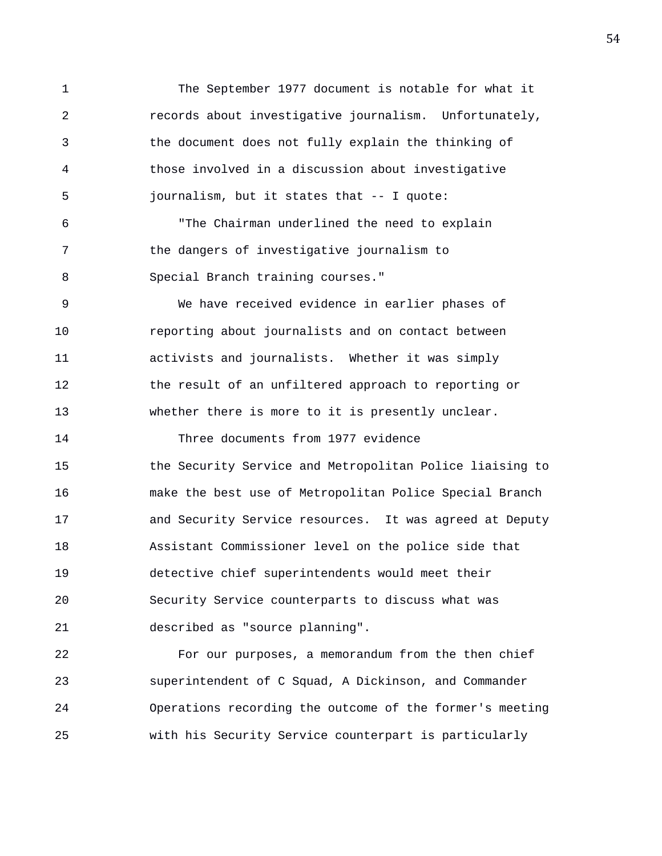1 The September 1977 document is notable for what it 2 records about investigative journalism. Unfortunately, 3 the document does not fully explain the thinking of 4 those involved in a discussion about investigative 5 journalism, but it states that -- I quote: 6 "The Chairman underlined the need to explain 7 the dangers of investigative journalism to 8 Special Branch training courses." 9 We have received evidence in earlier phases of 10 reporting about journalists and on contact between 11 activists and journalists. Whether it was simply 12 the result of an unfiltered approach to reporting or 13 whether there is more to it is presently unclear. 14 Three documents from 1977 evidence 15 the Security Service and Metropolitan Police liaising to 16 make the best use of Metropolitan Police Special Branch 17 and Security Service resources. It was agreed at Deputy 18 Assistant Commissioner level on the police side that 19 detective chief superintendents would meet their 20 Security Service counterparts to discuss what was 21 described as "source planning". 22 For our purposes, a memorandum from the then chief

23 superintendent of C Squad, A Dickinson, and Commander

24 Operations recording the outcome of the former's meeting

25 with his Security Service counterpart is particularly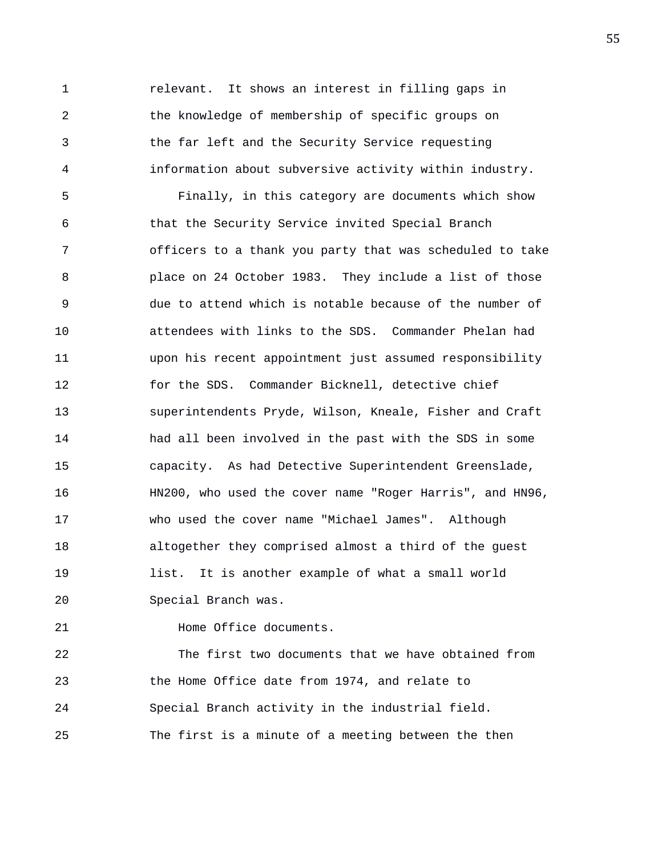1 relevant. It shows an interest in filling gaps in 2 the knowledge of membership of specific groups on 3 the far left and the Security Service requesting 4 information about subversive activity within industry.

5 Finally, in this category are documents which show 6 that the Security Service invited Special Branch 7 officers to a thank you party that was scheduled to take 8 place on 24 October 1983. They include a list of those 9 due to attend which is notable because of the number of 10 attendees with links to the SDS. Commander Phelan had 11 upon his recent appointment just assumed responsibility 12 for the SDS. Commander Bicknell, detective chief 13 superintendents Pryde, Wilson, Kneale, Fisher and Craft 14 had all been involved in the past with the SDS in some 15 capacity. As had Detective Superintendent Greenslade, 16 HN200, who used the cover name "Roger Harris", and HN96, 17 who used the cover name "Michael James". Although 18 altogether they comprised almost a third of the guest 19 list. It is another example of what a small world 20 Special Branch was.

21 **Home Office documents.** 

22 The first two documents that we have obtained from 23 the Home Office date from 1974, and relate to 24 Special Branch activity in the industrial field. 25 The first is a minute of a meeting between the then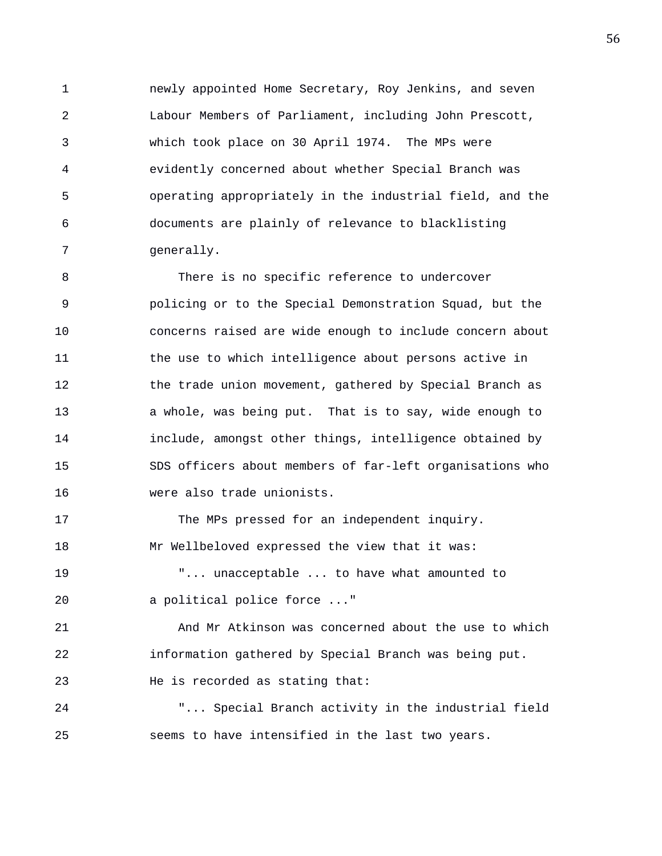1 newly appointed Home Secretary, Roy Jenkins, and seven 2 Labour Members of Parliament, including John Prescott, 3 which took place on 30 April 1974. The MPs were 4 evidently concerned about whether Special Branch was 5 operating appropriately in the industrial field, and the 6 documents are plainly of relevance to blacklisting 7 generally.

8 There is no specific reference to undercover 9 policing or to the Special Demonstration Squad, but the 10 concerns raised are wide enough to include concern about 11 the use to which intelligence about persons active in 12 the trade union movement, gathered by Special Branch as 13 a whole, was being put. That is to say, wide enough to 14 include, amongst other things, intelligence obtained by 15 SDS officers about members of far-left organisations who 16 were also trade unionists.

17 The MPs pressed for an independent inquiry. 18 Mr Wellbeloved expressed the view that it was: 19 "... unacceptable ... to have what amounted to 20 a political police force ..."

21 And Mr Atkinson was concerned about the use to which 22 information gathered by Special Branch was being put. 23 He is recorded as stating that:

24 "... Special Branch activity in the industrial field 25 seems to have intensified in the last two years.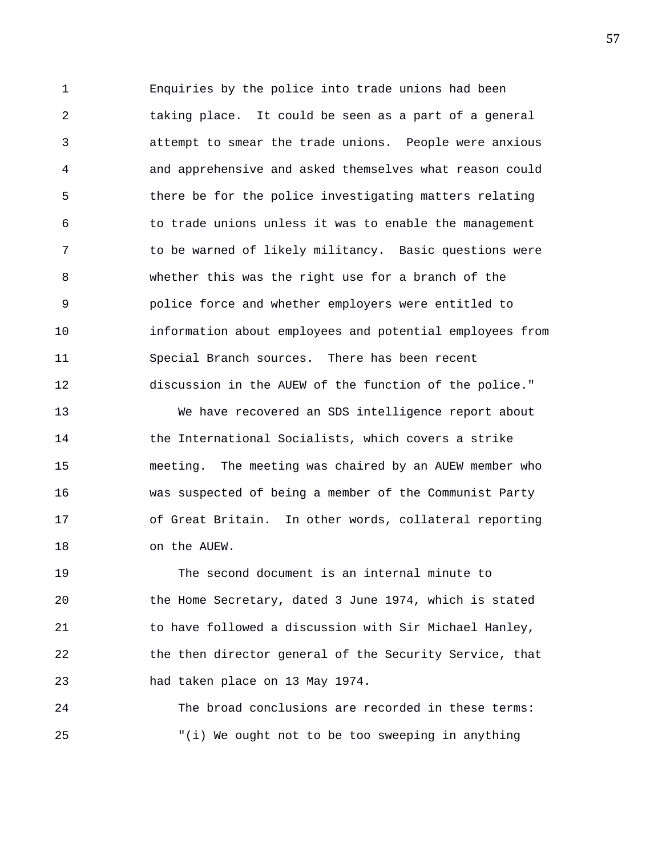1 Enquiries by the police into trade unions had been 2 taking place. It could be seen as a part of a general 3 attempt to smear the trade unions. People were anxious 4 and apprehensive and asked themselves what reason could 5 there be for the police investigating matters relating 6 to trade unions unless it was to enable the management 7 to be warned of likely militancy. Basic questions were 8 whether this was the right use for a branch of the 9 police force and whether employers were entitled to 10 information about employees and potential employees from 11 Special Branch sources. There has been recent 12 discussion in the AUEW of the function of the police."

13 We have recovered an SDS intelligence report about 14 the International Socialists, which covers a strike 15 meeting. The meeting was chaired by an AUEW member who 16 was suspected of being a member of the Communist Party 17 of Great Britain. In other words, collateral reporting 18 on the AUEW.

19 The second document is an internal minute to 20 the Home Secretary, dated 3 June 1974, which is stated 21 to have followed a discussion with Sir Michael Hanley, 22 the then director general of the Security Service, that 23 had taken place on 13 May 1974.

24 The broad conclusions are recorded in these terms: 25 "(i) We ought not to be too sweeping in anything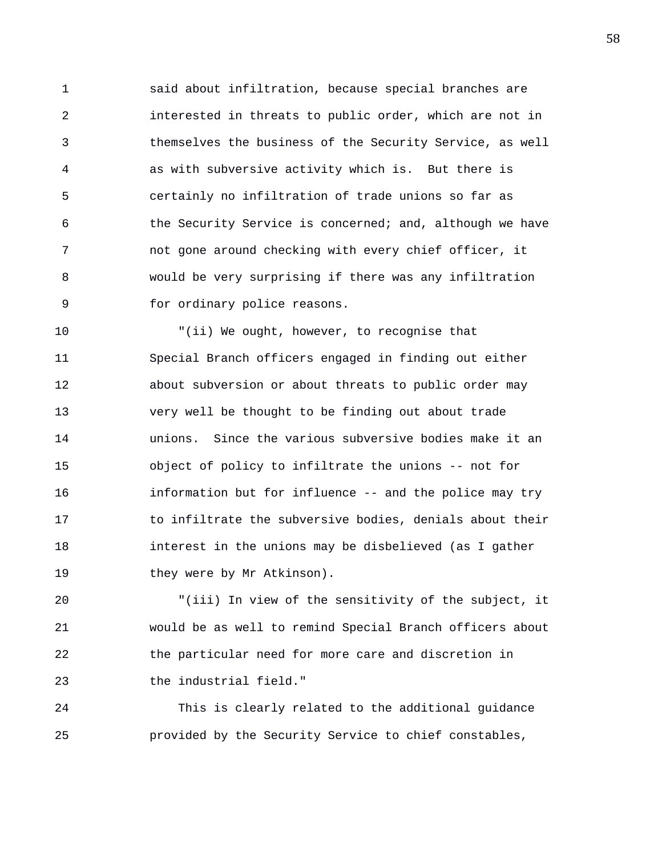1 said about infiltration, because special branches are 2 interested in threats to public order, which are not in 3 themselves the business of the Security Service, as well 4 as with subversive activity which is. But there is 5 certainly no infiltration of trade unions so far as 6 the Security Service is concerned; and, although we have 7 not gone around checking with every chief officer, it 8 would be very surprising if there was any infiltration 9 for ordinary police reasons.

10 "(ii) We ought, however, to recognise that 11 Special Branch officers engaged in finding out either 12 about subversion or about threats to public order may 13 very well be thought to be finding out about trade 14 unions. Since the various subversive bodies make it an 15 object of policy to infiltrate the unions -- not for 16 information but for influence -- and the police may try 17 to infiltrate the subversive bodies, denials about their 18 interest in the unions may be disbelieved (as I gather 19 they were by Mr Atkinson).

20 "(iii) In view of the sensitivity of the subject, it 21 would be as well to remind Special Branch officers about 22 the particular need for more care and discretion in 23 the industrial field."

24 This is clearly related to the additional guidance 25 provided by the Security Service to chief constables,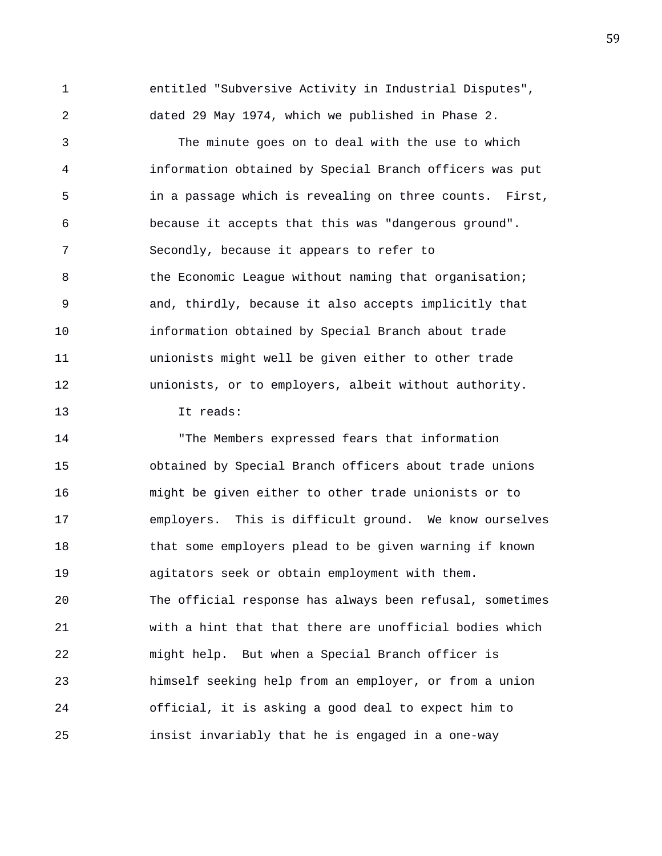1 entitled "Subversive Activity in Industrial Disputes", 2 dated 29 May 1974, which we published in Phase 2.

3 The minute goes on to deal with the use to which 4 information obtained by Special Branch officers was put 5 in a passage which is revealing on three counts. First, 6 because it accepts that this was "dangerous ground". 7 Secondly, because it appears to refer to 8 the Economic League without naming that organisation; 9 and, thirdly, because it also accepts implicitly that 10 information obtained by Special Branch about trade 11 unionists might well be given either to other trade 12 unionists, or to employers, albeit without authority. 13 It reads:

14 "The Members expressed fears that information 15 obtained by Special Branch officers about trade unions 16 might be given either to other trade unionists or to 17 employers. This is difficult ground. We know ourselves 18 that some employers plead to be given warning if known 19 agitators seek or obtain employment with them. 20 The official response has always been refusal, sometimes 21 with a hint that that there are unofficial bodies which 22 might help. But when a Special Branch officer is 23 himself seeking help from an employer, or from a union 24 official, it is asking a good deal to expect him to 25 insist invariably that he is engaged in a one-way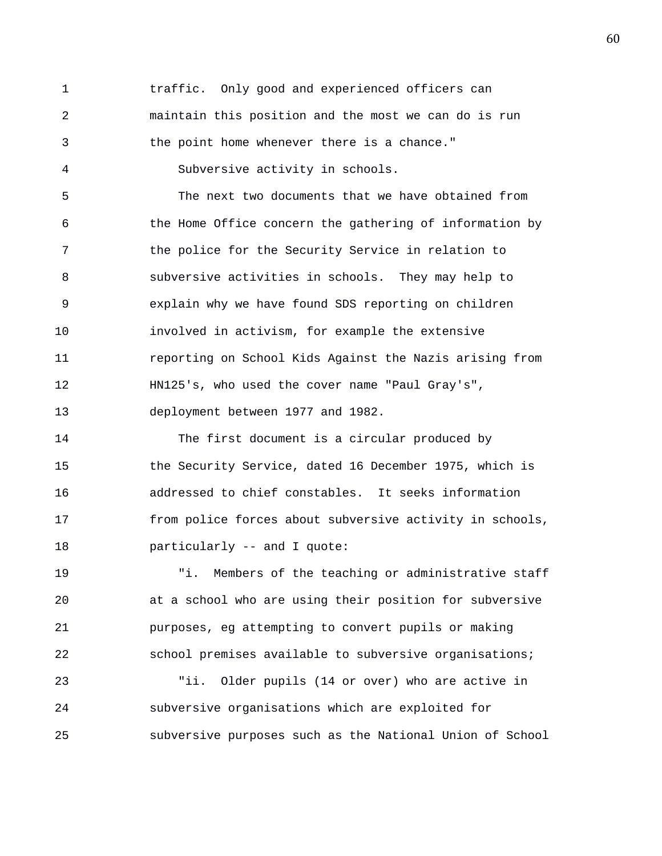1 traffic. Only good and experienced officers can 2 maintain this position and the most we can do is run 3 the point home whenever there is a chance." 4 Subversive activity in schools. 5 The next two documents that we have obtained from 6 the Home Office concern the gathering of information by 7 the police for the Security Service in relation to 8 subversive activities in schools. They may help to 9 explain why we have found SDS reporting on children 10 involved in activism, for example the extensive 11 reporting on School Kids Against the Nazis arising from 12 HN125's, who used the cover name "Paul Gray's", 13 deployment between 1977 and 1982. 14 The first document is a circular produced by 15 the Security Service, dated 16 December 1975, which is 16 addressed to chief constables. It seeks information 17 from police forces about subversive activity in schools, 18 **particularly** -- and I quote:

19 "i. Members of the teaching or administrative staff 20 at a school who are using their position for subversive 21 purposes, eg attempting to convert pupils or making 22 school premises available to subversive organisations;

23 "ii. Older pupils (14 or over) who are active in 24 subversive organisations which are exploited for 25 subversive purposes such as the National Union of School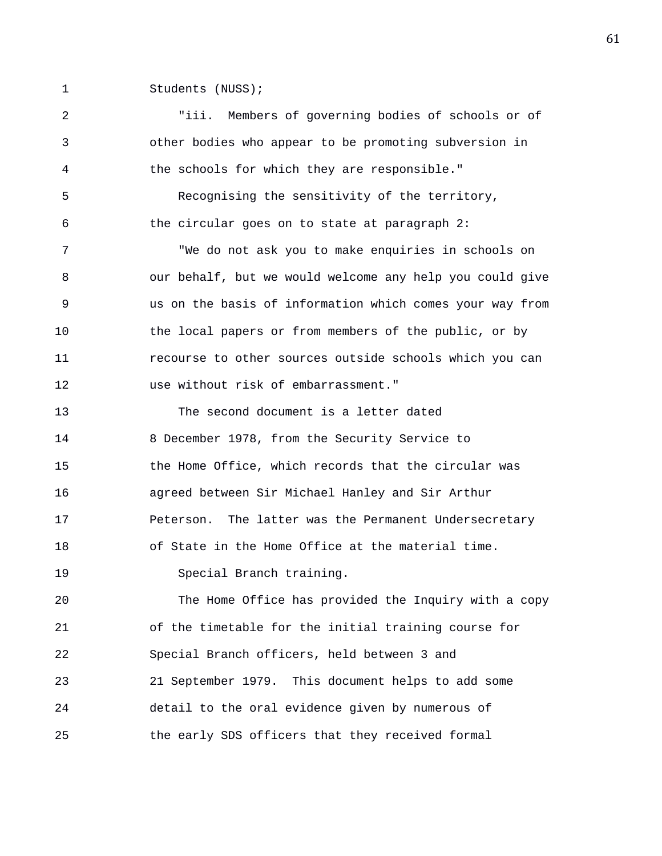1 Students (NUSS);

2 "iii. Members of governing bodies of schools or of 3 other bodies who appear to be promoting subversion in 4 the schools for which they are responsible." 5 Recognising the sensitivity of the territory, 6 the circular goes on to state at paragraph 2: 7 "We do not ask you to make enquiries in schools on 8 our behalf, but we would welcome any help you could give 9 us on the basis of information which comes your way from 10 the local papers or from members of the public, or by 11 recourse to other sources outside schools which you can 12 use without risk of embarrassment." 13 The second document is a letter dated 14 8 December 1978, from the Security Service to 15 the Home Office, which records that the circular was 16 agreed between Sir Michael Hanley and Sir Arthur 17 Peterson. The latter was the Permanent Undersecretary 18 of State in the Home Office at the material time. 19 Special Branch training. 20 The Home Office has provided the Inquiry with a copy 21 of the timetable for the initial training course for 22 Special Branch officers, held between 3 and 23 21 September 1979. This document helps to add some 24 detail to the oral evidence given by numerous of 25 the early SDS officers that they received formal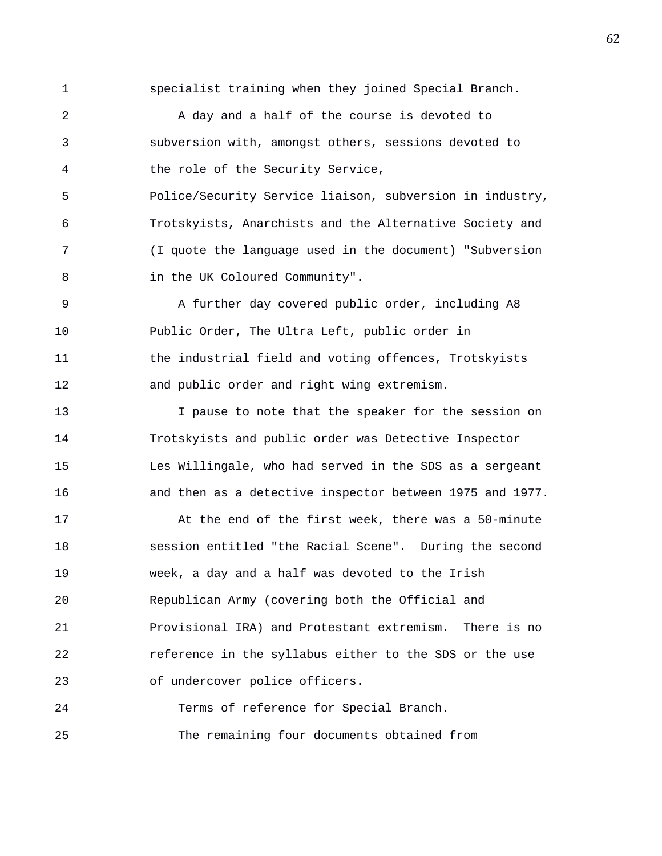1 specialist training when they joined Special Branch.

2 A day and a half of the course is devoted to 3 subversion with, amongst others, sessions devoted to 4 the role of the Security Service,

5 Police/Security Service liaison, subversion in industry, 6 Trotskyists, Anarchists and the Alternative Society and 7 (I quote the language used in the document) "Subversion 8 in the UK Coloured Community".

9 A further day covered public order, including A8 10 Public Order, The Ultra Left, public order in 11 the industrial field and voting offences, Trotskyists 12 and public order and right wing extremism.

13 I pause to note that the speaker for the session on 14 Trotskyists and public order was Detective Inspector 15 Les Willingale, who had served in the SDS as a sergeant 16 and then as a detective inspector between 1975 and 1977.

17 At the end of the first week, there was a 50-minute 18 session entitled "the Racial Scene". During the second 19 week, a day and a half was devoted to the Irish 20 Republican Army (covering both the Official and 21 Provisional IRA) and Protestant extremism. There is no 22 reference in the syllabus either to the SDS or the use 23 of undercover police officers.

24 Terms of reference for Special Branch. 25 The remaining four documents obtained from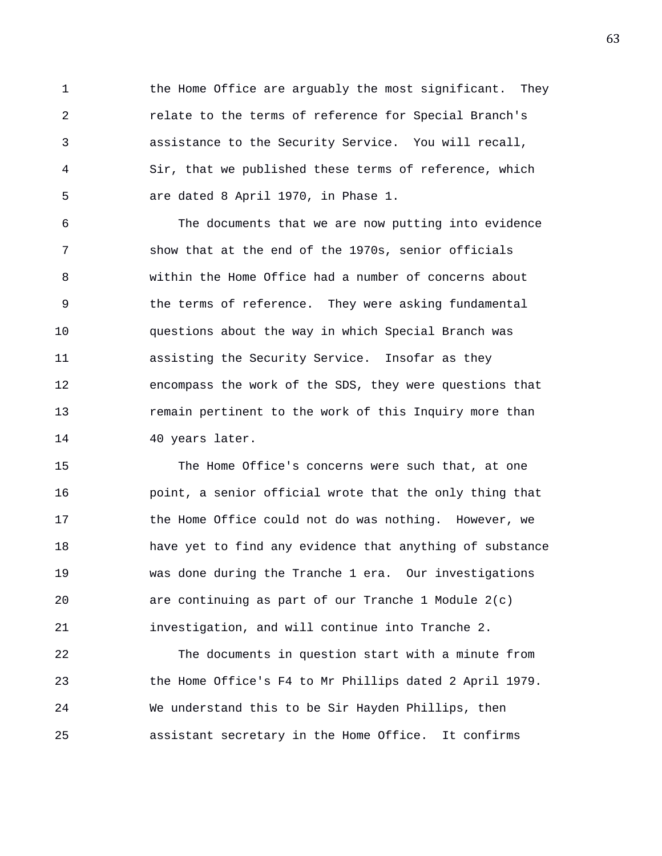1 the Home Office are arguably the most significant. They 2 relate to the terms of reference for Special Branch's 3 assistance to the Security Service. You will recall, 4 Sir, that we published these terms of reference, which 5 are dated 8 April 1970, in Phase 1.

6 The documents that we are now putting into evidence 7 show that at the end of the 1970s, senior officials 8 within the Home Office had a number of concerns about 9 the terms of reference. They were asking fundamental 10 questions about the way in which Special Branch was 11 assisting the Security Service. Insofar as they 12 encompass the work of the SDS, they were questions that 13 remain pertinent to the work of this Inquiry more than 14 40 years later.

15 The Home Office's concerns were such that, at one 16 point, a senior official wrote that the only thing that 17 the Home Office could not do was nothing. However, we 18 have yet to find any evidence that anything of substance 19 was done during the Tranche 1 era. Our investigations 20 are continuing as part of our Tranche 1 Module 2(c) 21 investigation, and will continue into Tranche 2.

22 The documents in question start with a minute from 23 the Home Office's F4 to Mr Phillips dated 2 April 1979. 24 We understand this to be Sir Hayden Phillips, then 25 assistant secretary in the Home Office. It confirms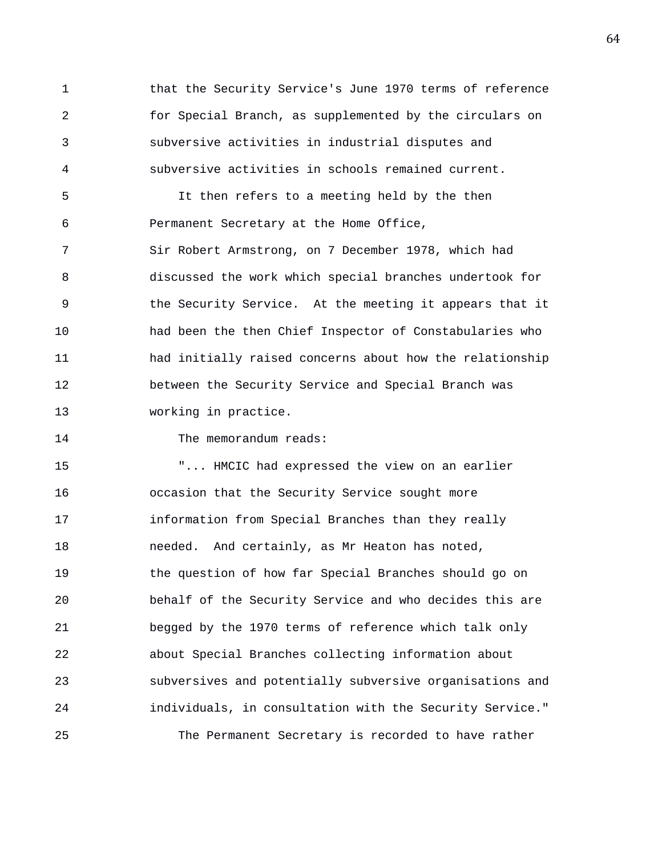1 that the Security Service's June 1970 terms of reference 2 for Special Branch, as supplemented by the circulars on 3 subversive activities in industrial disputes and 4 subversive activities in schools remained current.

5 It then refers to a meeting held by the then 6 Permanent Secretary at the Home Office, 7 Sir Robert Armstrong, on 7 December 1978, which had 8 discussed the work which special branches undertook for 9 the Security Service. At the meeting it appears that it 10 had been the then Chief Inspector of Constabularies who 11 had initially raised concerns about how the relationship 12 between the Security Service and Special Branch was 13 working in practice.

14 The memorandum reads:

15 "... HMCIC had expressed the view on an earlier 16 occasion that the Security Service sought more 17 information from Special Branches than they really 18 needed. And certainly, as Mr Heaton has noted, 19 the question of how far Special Branches should go on 20 behalf of the Security Service and who decides this are 21 begged by the 1970 terms of reference which talk only 22 about Special Branches collecting information about 23 subversives and potentially subversive organisations and 24 individuals, in consultation with the Security Service." 25 The Permanent Secretary is recorded to have rather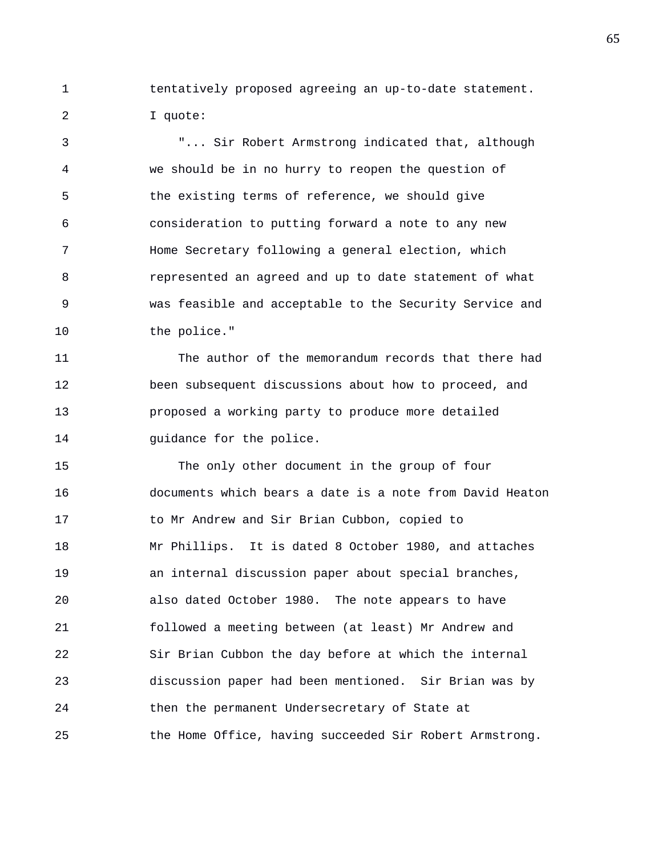1 tentatively proposed agreeing an up-to-date statement. 2 I quote:

3 "... Sir Robert Armstrong indicated that, although 4 we should be in no hurry to reopen the question of 5 the existing terms of reference, we should give 6 consideration to putting forward a note to any new 7 Home Secretary following a general election, which 8 represented an agreed and up to date statement of what 9 was feasible and acceptable to the Security Service and 10 the police."

11 The author of the memorandum records that there had 12 been subsequent discussions about how to proceed, and 13 proposed a working party to produce more detailed 14 guidance for the police.

15 The only other document in the group of four 16 documents which bears a date is a note from David Heaton 17 to Mr Andrew and Sir Brian Cubbon, copied to 18 Mr Phillips. It is dated 8 October 1980, and attaches 19 an internal discussion paper about special branches, 20 also dated October 1980. The note appears to have 21 followed a meeting between (at least) Mr Andrew and 22 Sir Brian Cubbon the day before at which the internal 23 discussion paper had been mentioned. Sir Brian was by 24 then the permanent Undersecretary of State at 25 the Home Office, having succeeded Sir Robert Armstrong.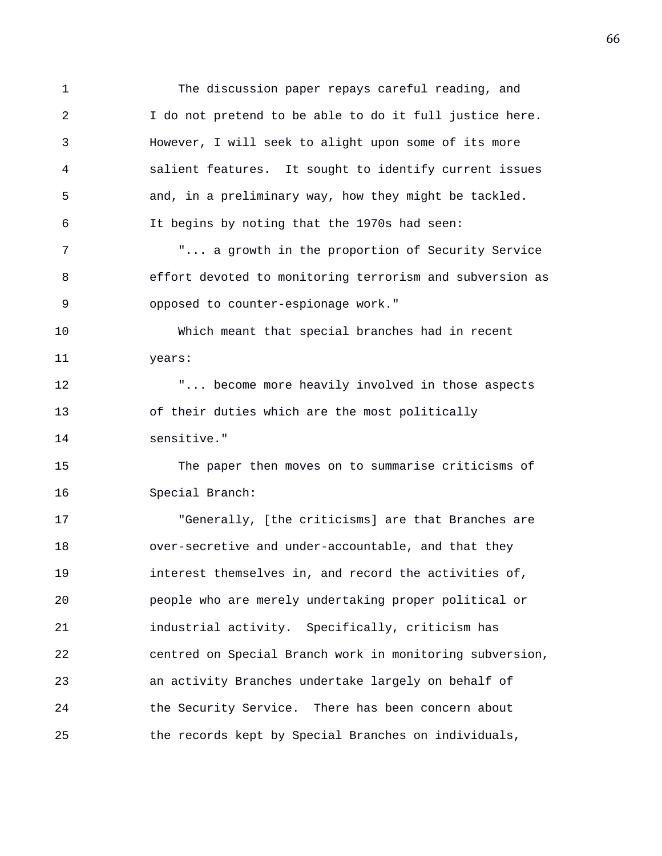1 The discussion paper repays careful reading, and 2 I do not pretend to be able to do it full justice here. 3 However, I will seek to alight upon some of its more 4 salient features. It sought to identify current issues 5 and, in a preliminary way, how they might be tackled. 6 It begins by noting that the 1970s had seen: 7 "... a growth in the proportion of Security Service 8 effort devoted to monitoring terrorism and subversion as 9 opposed to counter-espionage work." 10 Which meant that special branches had in recent 11 years: 12 "... become more heavily involved in those aspects 13 of their duties which are the most politically 14 sensitive." 15 The paper then moves on to summarise criticisms of 16 Special Branch: 17 "Generally, [the criticisms] are that Branches are 18 over-secretive and under-accountable, and that they 19 interest themselves in, and record the activities of, 20 people who are merely undertaking proper political or 21 industrial activity. Specifically, criticism has 22 centred on Special Branch work in monitoring subversion, 23 an activity Branches undertake largely on behalf of 24 the Security Service. There has been concern about 25 the records kept by Special Branches on individuals,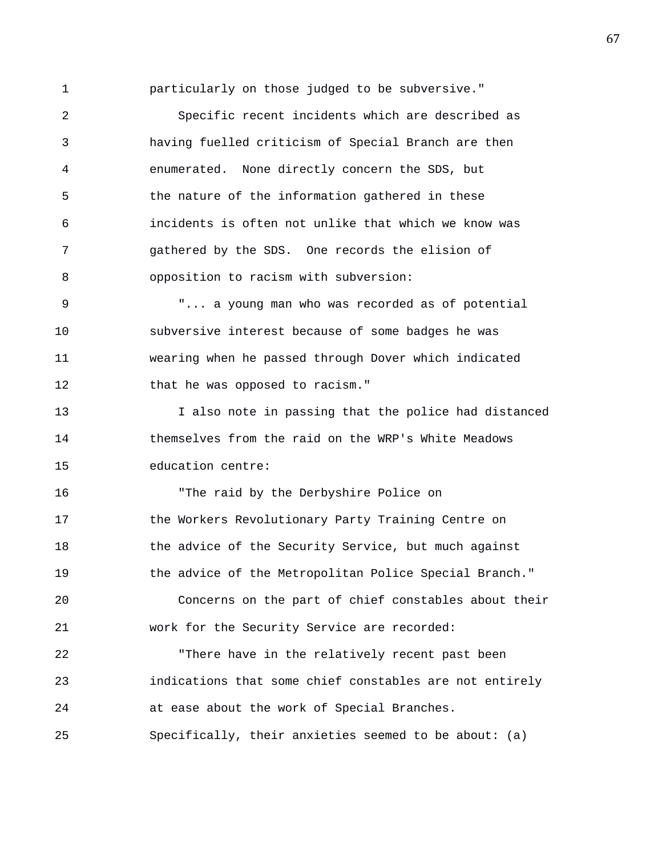1 particularly on those judged to be subversive."

2 Specific recent incidents which are described as 3 having fuelled criticism of Special Branch are then 4 enumerated. None directly concern the SDS, but 5 the nature of the information gathered in these 6 incidents is often not unlike that which we know was 7 gathered by the SDS. One records the elision of 8 opposition to racism with subversion:

9 "... a young man who was recorded as of potential 10 subversive interest because of some badges he was 11 wearing when he passed through Dover which indicated 12 that he was opposed to racism."

13 I also note in passing that the police had distanced 14 themselves from the raid on the WRP's White Meadows 15 education centre:

16 "The raid by the Derbyshire Police on 17 the Workers Revolutionary Party Training Centre on 18 the advice of the Security Service, but much against 19 the advice of the Metropolitan Police Special Branch." 20 Concerns on the part of chief constables about their 21 work for the Security Service are recorded:

22 "There have in the relatively recent past been 23 indications that some chief constables are not entirely 24 at ease about the work of Special Branches. 25 Specifically, their anxieties seemed to be about: (a)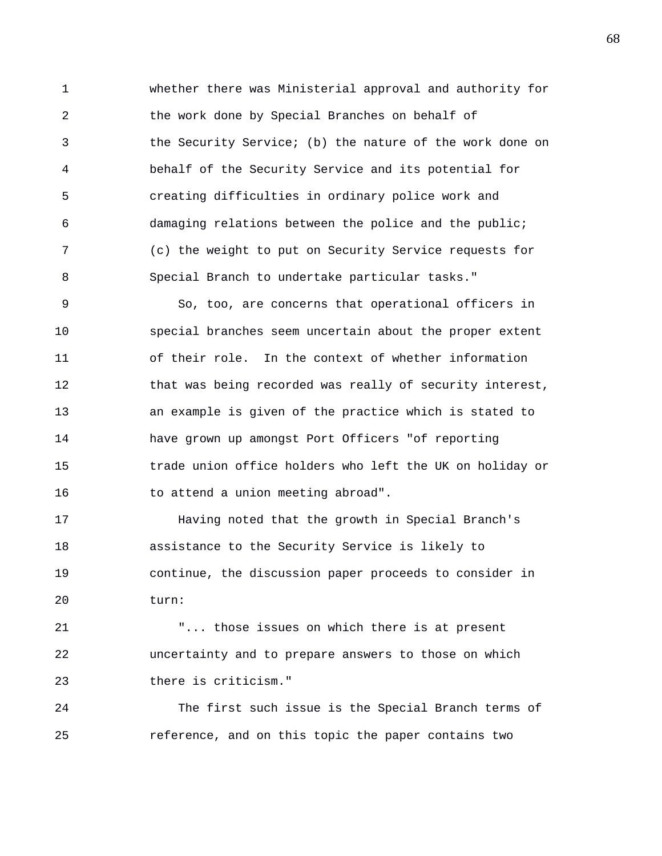1 whether there was Ministerial approval and authority for 2 the work done by Special Branches on behalf of 3 the Security Service; (b) the nature of the work done on 4 behalf of the Security Service and its potential for 5 creating difficulties in ordinary police work and 6 damaging relations between the police and the public; 7 (c) the weight to put on Security Service requests for 8 Special Branch to undertake particular tasks."

9 So, too, are concerns that operational officers in 10 special branches seem uncertain about the proper extent 11 of their role. In the context of whether information 12 that was being recorded was really of security interest, 13 an example is given of the practice which is stated to 14 have grown up amongst Port Officers "of reporting 15 trade union office holders who left the UK on holiday or 16 to attend a union meeting abroad".

17 Having noted that the growth in Special Branch's 18 assistance to the Security Service is likely to 19 continue, the discussion paper proceeds to consider in 20 turn:

21 "... those issues on which there is at present 22 uncertainty and to prepare answers to those on which 23 there is criticism."

24 The first such issue is the Special Branch terms of 25 reference, and on this topic the paper contains two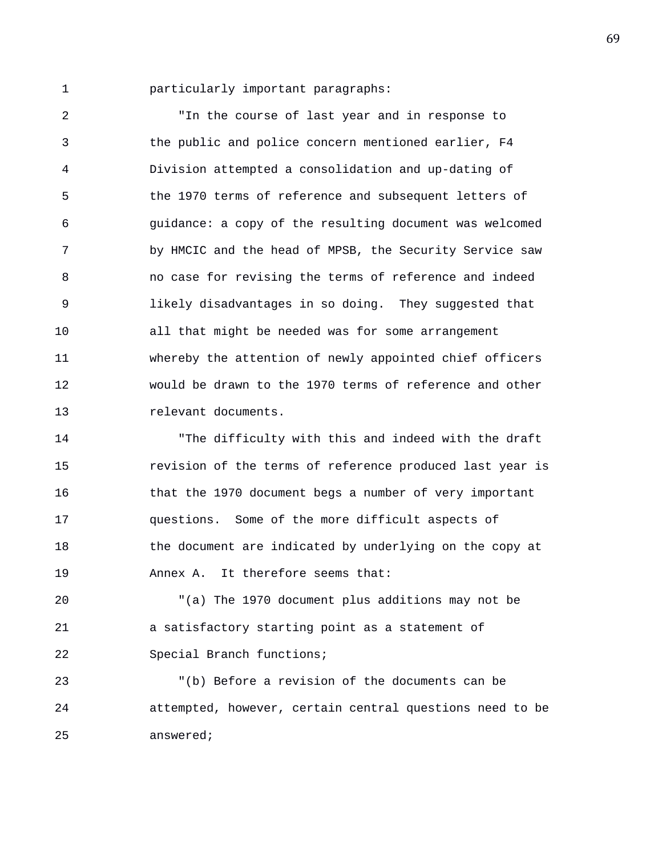1 particularly important paragraphs:

2 "In the course of last year and in response to 3 the public and police concern mentioned earlier, F4 4 Division attempted a consolidation and up-dating of 5 the 1970 terms of reference and subsequent letters of 6 guidance: a copy of the resulting document was welcomed 7 by HMCIC and the head of MPSB, the Security Service saw 8 no case for revising the terms of reference and indeed 9 likely disadvantages in so doing. They suggested that 10 all that might be needed was for some arrangement 11 whereby the attention of newly appointed chief officers 12 would be drawn to the 1970 terms of reference and other 13 relevant documents.

14 "The difficulty with this and indeed with the draft 15 revision of the terms of reference produced last year is 16 that the 1970 document begs a number of very important 17 questions. Some of the more difficult aspects of 18 the document are indicated by underlying on the copy at 19 Annex A. It therefore seems that:

20 "(a) The 1970 document plus additions may not be 21 a satisfactory starting point as a statement of 22 Special Branch functions;

23 "(b) Before a revision of the documents can be 24 attempted, however, certain central questions need to be 25 answered;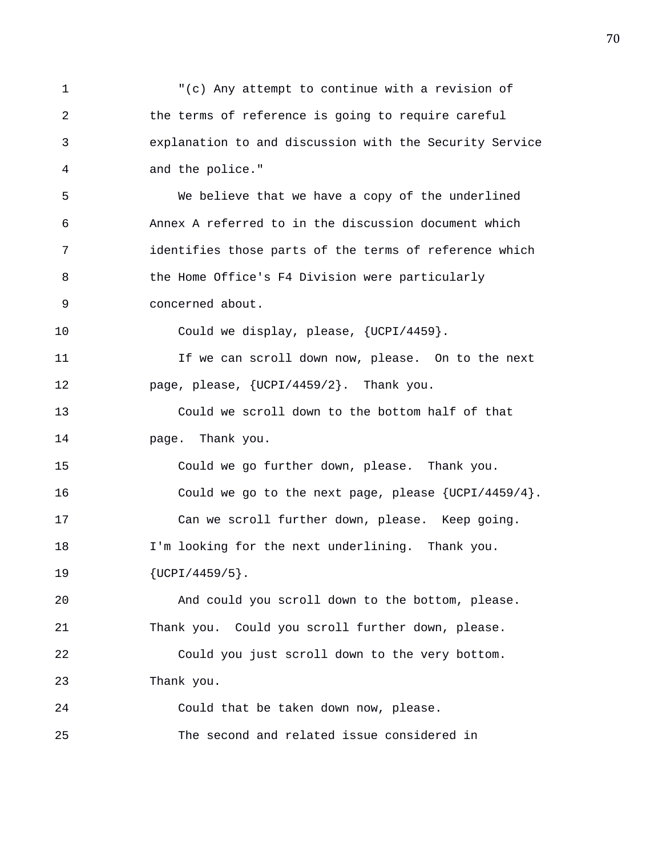1 "(c) Any attempt to continue with a revision of 2 the terms of reference is going to require careful 3 explanation to and discussion with the Security Service 4 and the police." 5 We believe that we have a copy of the underlined 6 Annex A referred to in the discussion document which 7 identifies those parts of the terms of reference which 8 the Home Office's F4 Division were particularly 9 concerned about. 10 Could we display, please, {UCPI/4459}. 11 If we can scroll down now, please. On to the next 12 page, please, {UCPI/4459/2}. Thank you. 13 Could we scroll down to the bottom half of that 14 page. Thank you. 15 Could we go further down, please. Thank you. 16 Could we go to the next page, please {UCPI/4459/4}. 17 Can we scroll further down, please. Keep going. 18 I'm looking for the next underlining. Thank you. 19 {UCPI/4459/5}. 20 And could you scroll down to the bottom, please. 21 Thank you. Could you scroll further down, please. 22 Could you just scroll down to the very bottom. 23 Thank you. 24 Could that be taken down now, please. 25 The second and related issue considered in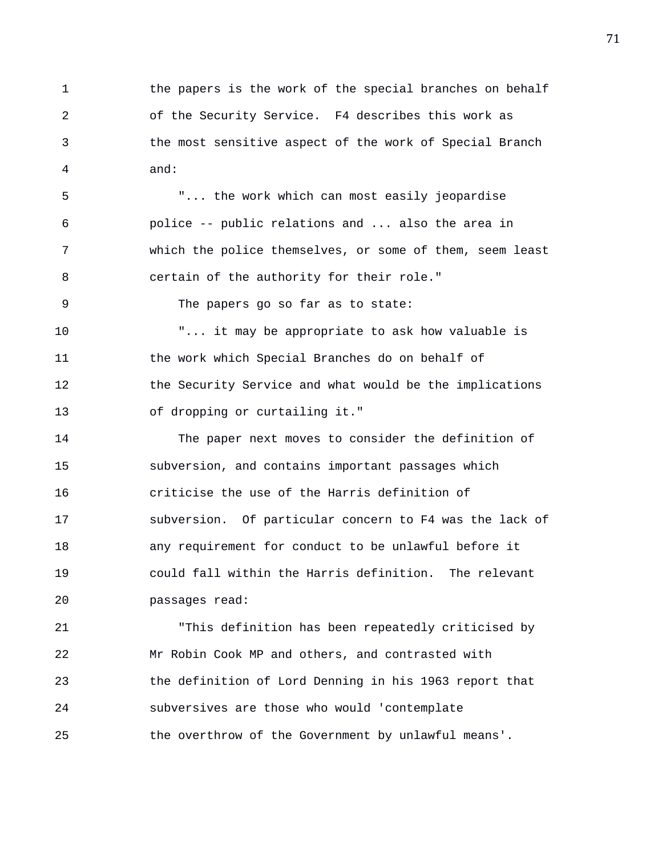1 the papers is the work of the special branches on behalf 2 of the Security Service. F4 describes this work as 3 the most sensitive aspect of the work of Special Branch 4 and:

5 "... the work which can most easily jeopardise 6 police -- public relations and ... also the area in 7 which the police themselves, or some of them, seem least 8 certain of the authority for their role."

9 The papers go so far as to state:

10 "... it may be appropriate to ask how valuable is 11 the work which Special Branches do on behalf of 12 the Security Service and what would be the implications 13 of dropping or curtailing it."

14 The paper next moves to consider the definition of 15 subversion, and contains important passages which 16 criticise the use of the Harris definition of 17 subversion. Of particular concern to F4 was the lack of 18 any requirement for conduct to be unlawful before it 19 could fall within the Harris definition. The relevant 20 passages read:

21 "This definition has been repeatedly criticised by 22 Mr Robin Cook MP and others, and contrasted with 23 the definition of Lord Denning in his 1963 report that 24 subversives are those who would 'contemplate 25 the overthrow of the Government by unlawful means'.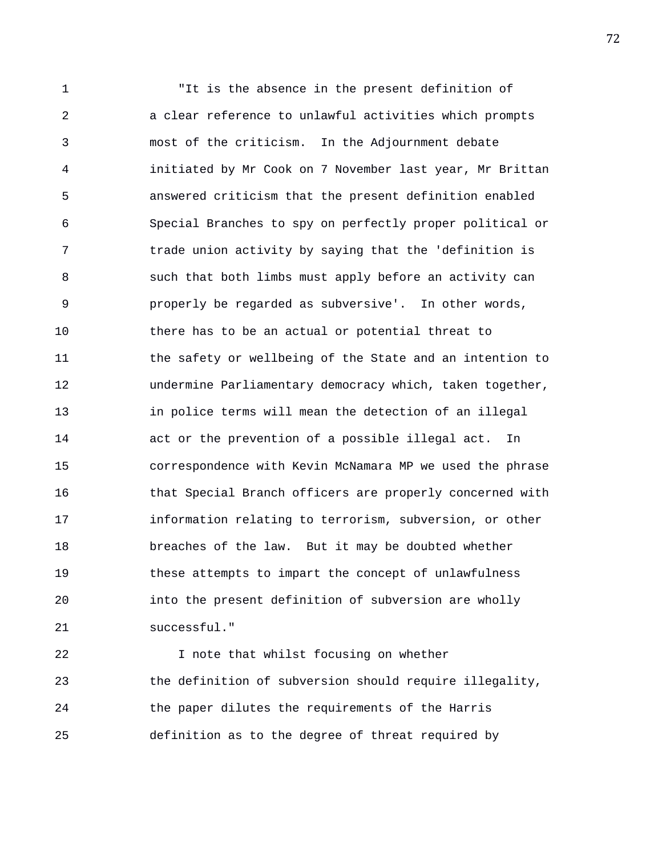1 "It is the absence in the present definition of 2 a clear reference to unlawful activities which prompts 3 most of the criticism. In the Adjournment debate 4 initiated by Mr Cook on 7 November last year, Mr Brittan 5 answered criticism that the present definition enabled 6 Special Branches to spy on perfectly proper political or 7 trade union activity by saying that the 'definition is 8 such that both limbs must apply before an activity can 9 properly be regarded as subversive'. In other words, 10 there has to be an actual or potential threat to 11 the safety or wellbeing of the State and an intention to 12 undermine Parliamentary democracy which, taken together, 13 in police terms will mean the detection of an illegal 14 act or the prevention of a possible illegal act. In 15 correspondence with Kevin McNamara MP we used the phrase 16 that Special Branch officers are properly concerned with 17 information relating to terrorism, subversion, or other 18 breaches of the law. But it may be doubted whether 19 these attempts to impart the concept of unlawfulness 20 into the present definition of subversion are wholly 21 successful."

22 I note that whilst focusing on whether 23 the definition of subversion should require illegality, 24 the paper dilutes the requirements of the Harris 25 definition as to the degree of threat required by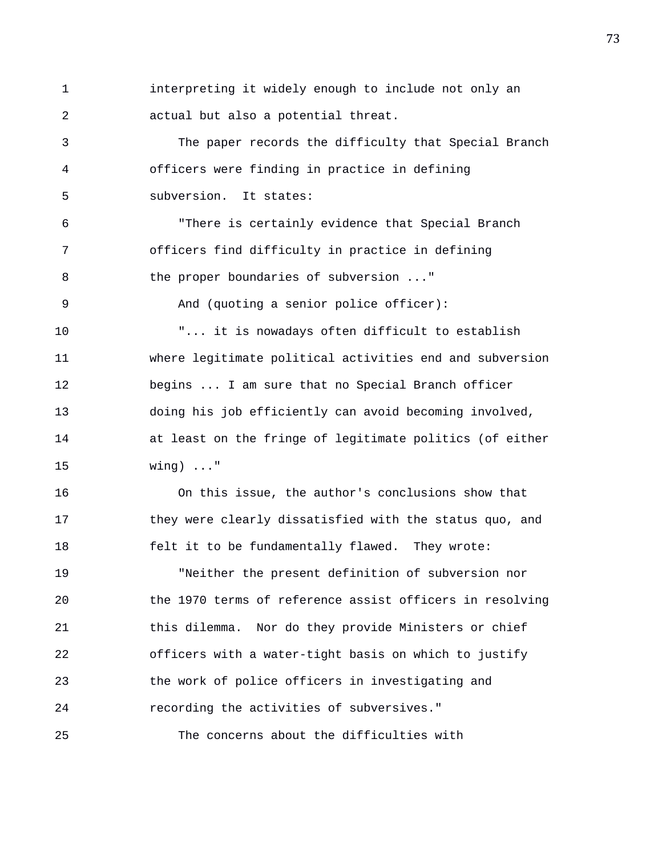1 interpreting it widely enough to include not only an 2 actual but also a potential threat.

3 The paper records the difficulty that Special Branch 4 officers were finding in practice in defining 5 subversion. It states:

6 "There is certainly evidence that Special Branch 7 officers find difficulty in practice in defining 8 the proper boundaries of subversion ..." 9 And (quoting a senior police officer): 10 "... it is nowadays often difficult to establish 11 where legitimate political activities end and subversion

12 begins ... I am sure that no Special Branch officer 13 doing his job efficiently can avoid becoming involved, 14 at least on the fringe of legitimate politics (of either 15 wing) ..."

16 On this issue, the author's conclusions show that 17 they were clearly dissatisfied with the status quo, and 18 felt it to be fundamentally flawed. They wrote:

19 "Neither the present definition of subversion nor 20 the 1970 terms of reference assist officers in resolving 21 this dilemma. Nor do they provide Ministers or chief 22 officers with a water-tight basis on which to justify 23 the work of police officers in investigating and 24 recording the activities of subversives."

25 The concerns about the difficulties with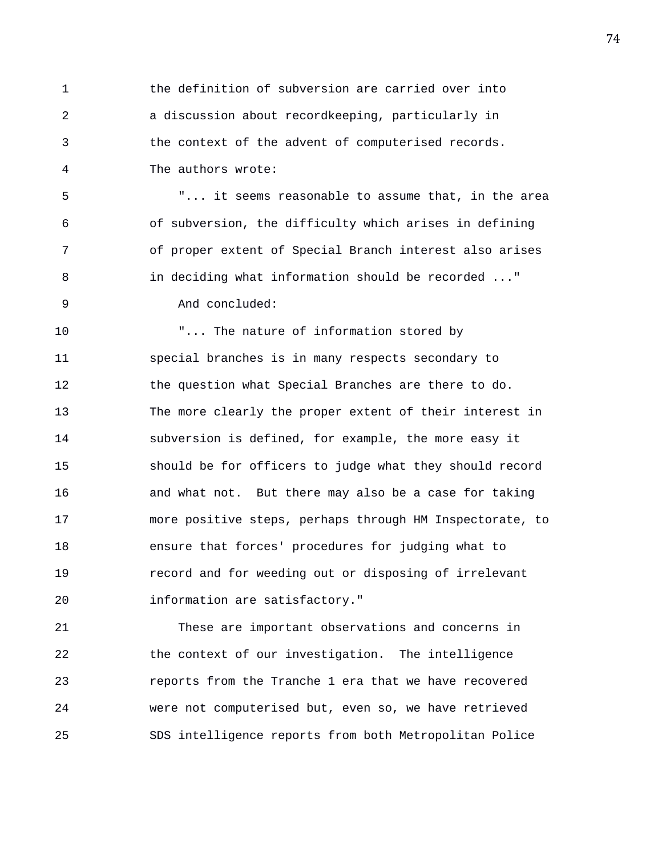1 the definition of subversion are carried over into 2 a discussion about recordkeeping, particularly in 3 the context of the advent of computerised records. 4 The authors wrote:

5 "... it seems reasonable to assume that, in the area 6 of subversion, the difficulty which arises in defining 7 of proper extent of Special Branch interest also arises 8 in deciding what information should be recorded ..." 9 And concluded:

10 "... The nature of information stored by 11 special branches is in many respects secondary to 12 the question what Special Branches are there to do. 13 The more clearly the proper extent of their interest in 14 subversion is defined, for example, the more easy it 15 should be for officers to judge what they should record 16 and what not. But there may also be a case for taking 17 more positive steps, perhaps through HM Inspectorate, to 18 ensure that forces' procedures for judging what to 19 record and for weeding out or disposing of irrelevant 20 information are satisfactory."

21 These are important observations and concerns in 22 the context of our investigation. The intelligence 23 reports from the Tranche 1 era that we have recovered 24 were not computerised but, even so, we have retrieved 25 SDS intelligence reports from both Metropolitan Police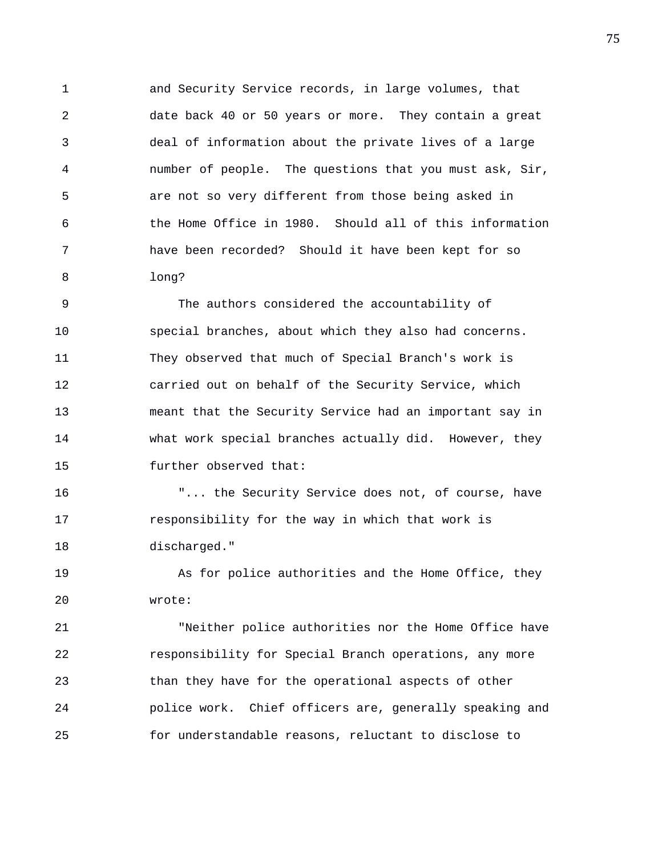1 and Security Service records, in large volumes, that 2 date back 40 or 50 years or more. They contain a great 3 deal of information about the private lives of a large 4 number of people. The questions that you must ask, Sir, 5 are not so very different from those being asked in 6 the Home Office in 1980. Should all of this information 7 have been recorded? Should it have been kept for so 8 long?

9 The authors considered the accountability of 10 special branches, about which they also had concerns. 11 They observed that much of Special Branch's work is 12 carried out on behalf of the Security Service, which 13 meant that the Security Service had an important say in 14 what work special branches actually did. However, they 15 further observed that:

16 "... the Security Service does not, of course, have 17 responsibility for the way in which that work is 18 discharged."

19 As for police authorities and the Home Office, they 20 wrote:

21 "Neither police authorities nor the Home Office have 22 responsibility for Special Branch operations, any more 23 than they have for the operational aspects of other 24 police work. Chief officers are, generally speaking and 25 for understandable reasons, reluctant to disclose to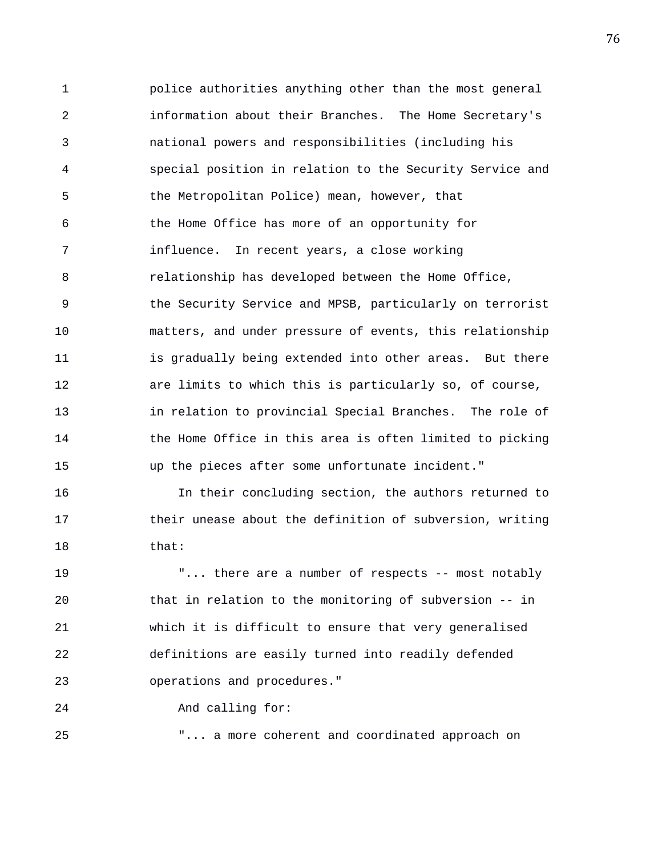1 police authorities anything other than the most general 2 information about their Branches. The Home Secretary's 3 national powers and responsibilities (including his 4 special position in relation to the Security Service and 5 the Metropolitan Police) mean, however, that 6 the Home Office has more of an opportunity for 7 influence. In recent years, a close working 8 relationship has developed between the Home Office, 9 the Security Service and MPSB, particularly on terrorist 10 matters, and under pressure of events, this relationship 11 is gradually being extended into other areas. But there 12 are limits to which this is particularly so, of course, 13 in relation to provincial Special Branches. The role of 14 the Home Office in this area is often limited to picking 15 up the pieces after some unfortunate incident."

16 In their concluding section, the authors returned to 17 their unease about the definition of subversion, writing 18 that:

19 "... there are a number of respects -- most notably 20 that in relation to the monitoring of subversion -- in 21 which it is difficult to ensure that very generalised 22 definitions are easily turned into readily defended 23 operations and procedures."

24 And calling for:

25 "... a more coherent and coordinated approach on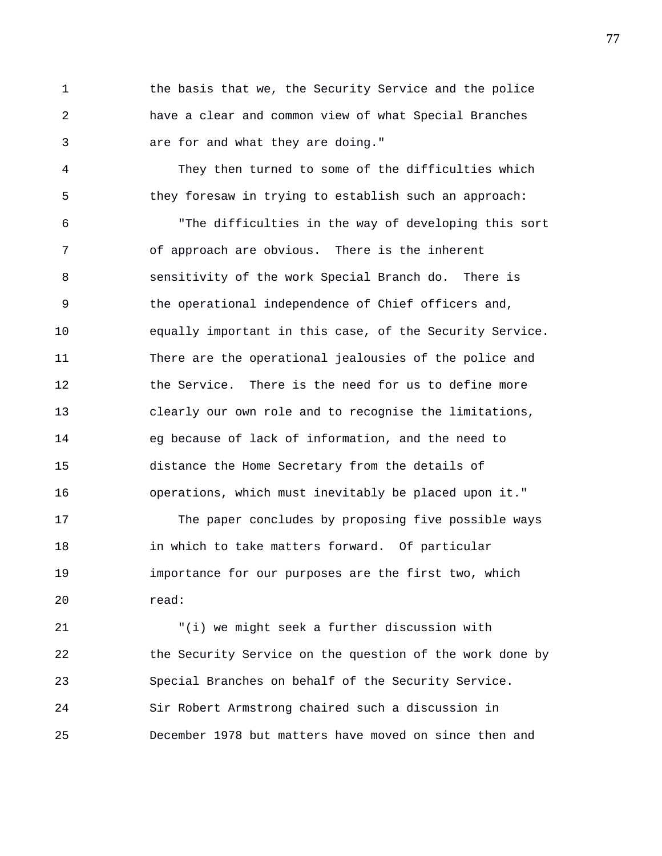1 the basis that we, the Security Service and the police 2 have a clear and common view of what Special Branches 3 are for and what they are doing."

4 They then turned to some of the difficulties which 5 they foresaw in trying to establish such an approach:

6 "The difficulties in the way of developing this sort 7 of approach are obvious. There is the inherent 8 sensitivity of the work Special Branch do. There is 9 the operational independence of Chief officers and, 10 equally important in this case, of the Security Service. 11 There are the operational jealousies of the police and 12 the Service. There is the need for us to define more 13 clearly our own role and to recognise the limitations, 14 eg because of lack of information, and the need to 15 distance the Home Secretary from the details of 16 operations, which must inevitably be placed upon it."

17 The paper concludes by proposing five possible ways 18 in which to take matters forward. Of particular 19 importance for our purposes are the first two, which 20 read:

21 "(i) we might seek a further discussion with 22 the Security Service on the question of the work done by 23 Special Branches on behalf of the Security Service. 24 Sir Robert Armstrong chaired such a discussion in 25 December 1978 but matters have moved on since then and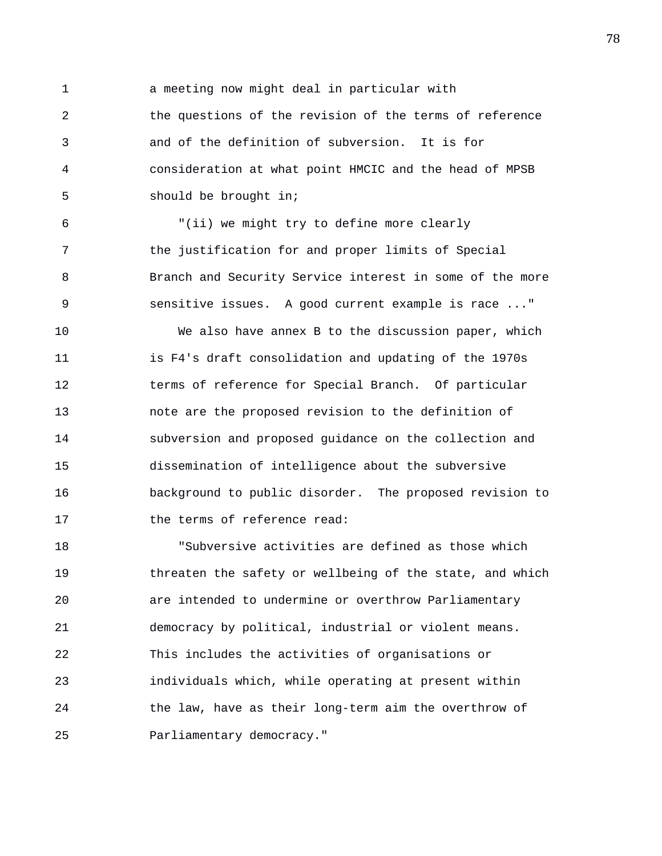1 a meeting now might deal in particular with 2 the questions of the revision of the terms of reference 3 and of the definition of subversion. It is for 4 consideration at what point HMCIC and the head of MPSB 5 should be brought in;

6 "(ii) we might try to define more clearly 7 the justification for and proper limits of Special 8 Branch and Security Service interest in some of the more 9 sensitive issues. A good current example is race ..."

10 We also have annex B to the discussion paper, which 11 is F4's draft consolidation and updating of the 1970s 12 terms of reference for Special Branch. Of particular 13 note are the proposed revision to the definition of 14 subversion and proposed guidance on the collection and 15 dissemination of intelligence about the subversive 16 background to public disorder. The proposed revision to 17 the terms of reference read:

18 "Subversive activities are defined as those which 19 threaten the safety or wellbeing of the state, and which 20 are intended to undermine or overthrow Parliamentary 21 democracy by political, industrial or violent means. 22 This includes the activities of organisations or 23 individuals which, while operating at present within 24 the law, have as their long-term aim the overthrow of 25 Parliamentary democracy."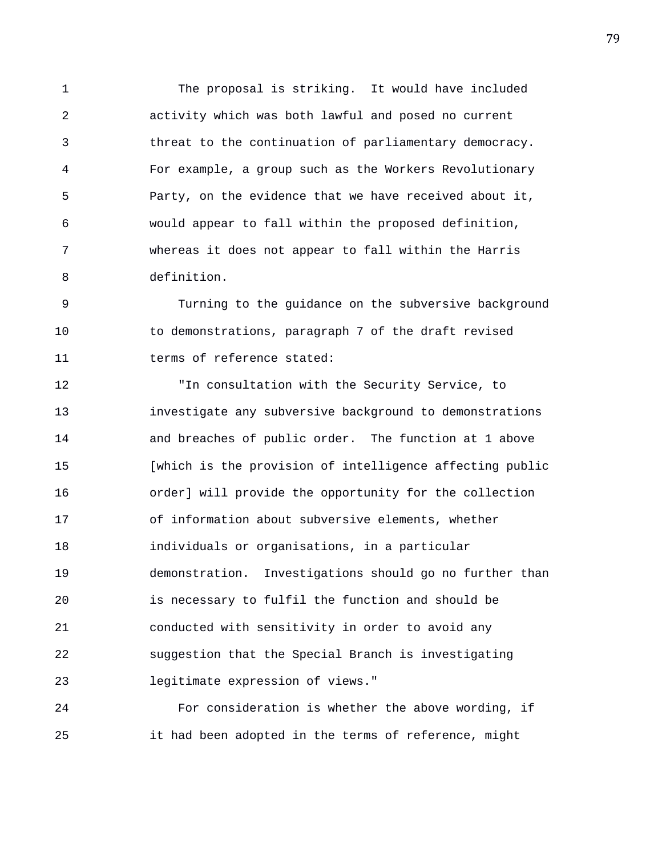1 The proposal is striking. It would have included 2 activity which was both lawful and posed no current 3 threat to the continuation of parliamentary democracy. 4 For example, a group such as the Workers Revolutionary 5 Party, on the evidence that we have received about it, 6 would appear to fall within the proposed definition, 7 whereas it does not appear to fall within the Harris 8 definition.

9 Turning to the guidance on the subversive background 10 to demonstrations, paragraph 7 of the draft revised 11 terms of reference stated:

12 "In consultation with the Security Service, to 13 investigate any subversive background to demonstrations 14 and breaches of public order. The function at 1 above 15 [which is the provision of intelligence affecting public 16 order] will provide the opportunity for the collection 17 of information about subversive elements, whether 18 individuals or organisations, in a particular 19 demonstration. Investigations should go no further than 20 is necessary to fulfil the function and should be 21 conducted with sensitivity in order to avoid any 22 suggestion that the Special Branch is investigating 23 legitimate expression of views."

24 For consideration is whether the above wording, if 25 it had been adopted in the terms of reference, might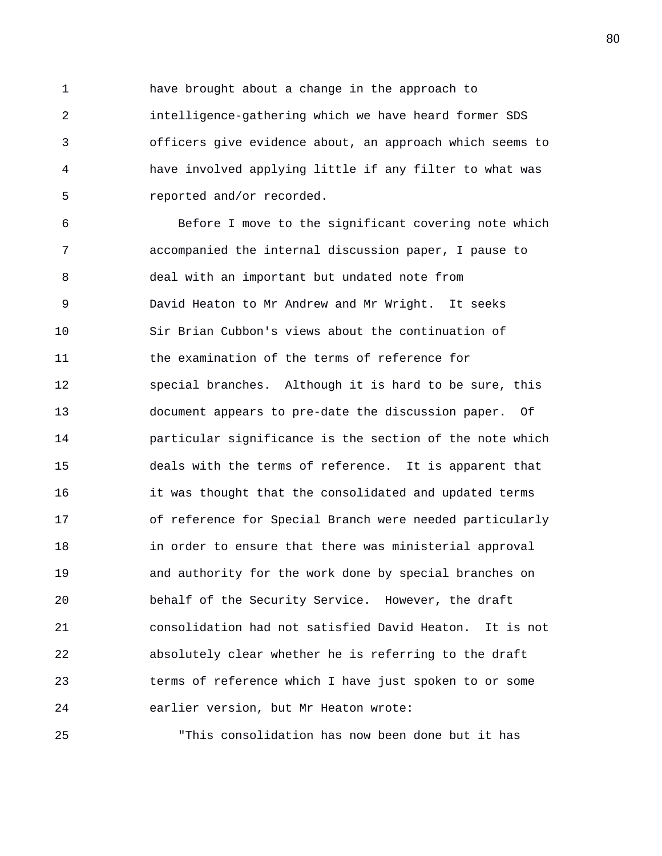1 have brought about a change in the approach to 2 intelligence-gathering which we have heard former SDS 3 officers give evidence about, an approach which seems to 4 have involved applying little if any filter to what was 5 reported and/or recorded.

6 Before I move to the significant covering note which 7 accompanied the internal discussion paper, I pause to 8 deal with an important but undated note from 9 David Heaton to Mr Andrew and Mr Wright. It seeks 10 Sir Brian Cubbon's views about the continuation of 11 the examination of the terms of reference for 12 special branches. Although it is hard to be sure, this 13 document appears to pre-date the discussion paper. Of 14 particular significance is the section of the note which 15 deals with the terms of reference. It is apparent that 16 it was thought that the consolidated and updated terms 17 of reference for Special Branch were needed particularly 18 in order to ensure that there was ministerial approval 19 and authority for the work done by special branches on 20 behalf of the Security Service. However, the draft 21 consolidation had not satisfied David Heaton. It is not 22 absolutely clear whether he is referring to the draft 23 terms of reference which I have just spoken to or some 24 earlier version, but Mr Heaton wrote:

25 "This consolidation has now been done but it has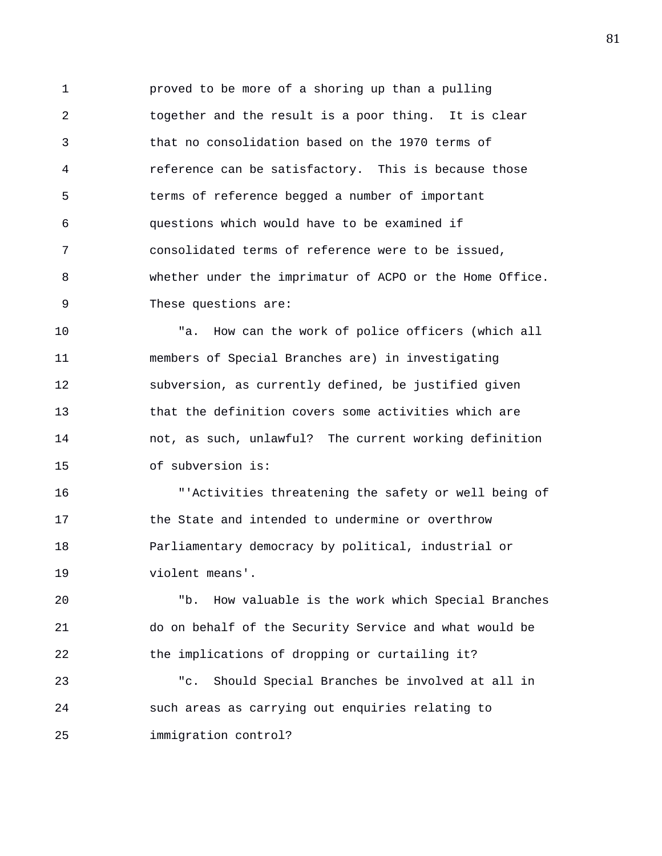1 proved to be more of a shoring up than a pulling 2 together and the result is a poor thing. It is clear 3 that no consolidation based on the 1970 terms of 4 reference can be satisfactory. This is because those 5 terms of reference begged a number of important 6 questions which would have to be examined if 7 consolidated terms of reference were to be issued, 8 whether under the imprimatur of ACPO or the Home Office. 9 These questions are:

10 "a. How can the work of police officers (which all 11 members of Special Branches are) in investigating 12 subversion, as currently defined, be justified given 13 that the definition covers some activities which are 14 not, as such, unlawful? The current working definition 15 of subversion is:

16 "'Activities threatening the safety or well being of 17 the State and intended to undermine or overthrow 18 Parliamentary democracy by political, industrial or 19 violent means'.

20 "b. How valuable is the work which Special Branches 21 do on behalf of the Security Service and what would be 22 the implications of dropping or curtailing it?

23 "c. Should Special Branches be involved at all in 24 such areas as carrying out enquiries relating to 25 immigration control?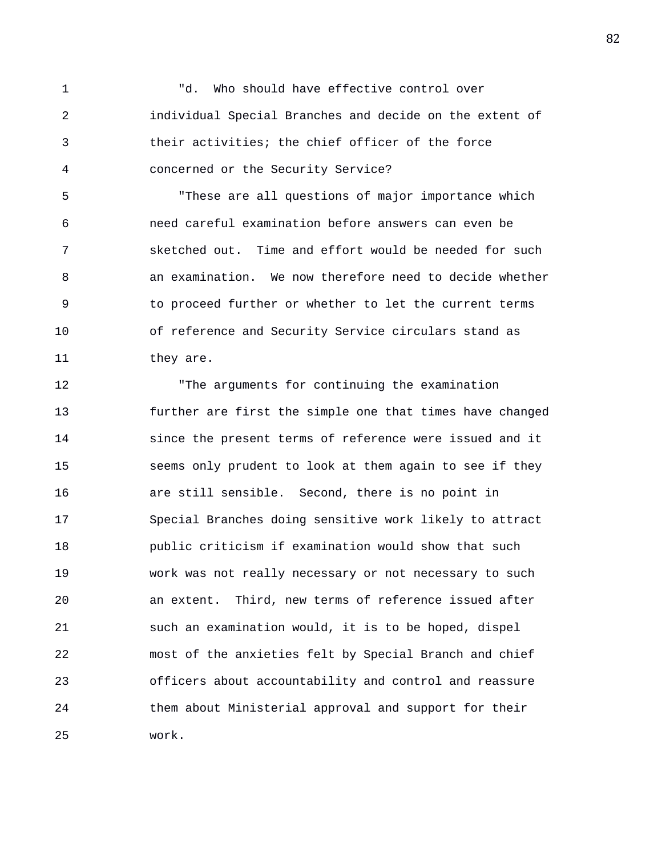1 "d. Who should have effective control over 2 individual Special Branches and decide on the extent of 3 their activities; the chief officer of the force 4 concerned or the Security Service?

5 "These are all questions of major importance which 6 need careful examination before answers can even be 7 sketched out. Time and effort would be needed for such 8 an examination. We now therefore need to decide whether 9 to proceed further or whether to let the current terms 10 of reference and Security Service circulars stand as 11 they are.

12 "The arguments for continuing the examination 13 further are first the simple one that times have changed 14 since the present terms of reference were issued and it 15 seems only prudent to look at them again to see if they 16 are still sensible. Second, there is no point in 17 Special Branches doing sensitive work likely to attract 18 public criticism if examination would show that such 19 work was not really necessary or not necessary to such 20 an extent. Third, new terms of reference issued after 21 such an examination would, it is to be hoped, dispel 22 most of the anxieties felt by Special Branch and chief 23 officers about accountability and control and reassure 24 them about Ministerial approval and support for their 25 work.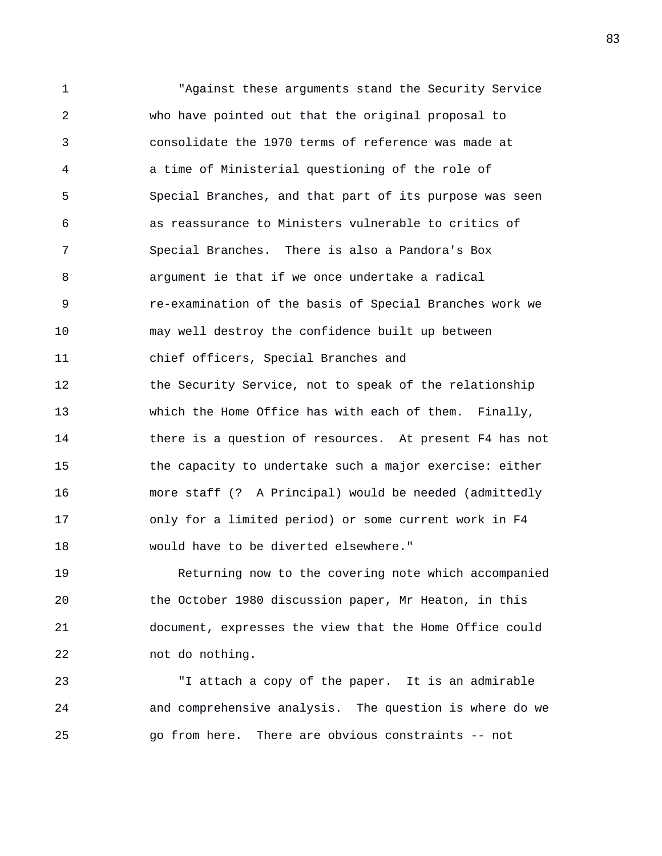1 "Against these arguments stand the Security Service 2 who have pointed out that the original proposal to 3 consolidate the 1970 terms of reference was made at 4 a time of Ministerial questioning of the role of 5 Special Branches, and that part of its purpose was seen 6 as reassurance to Ministers vulnerable to critics of 7 Special Branches. There is also a Pandora's Box 8 argument ie that if we once undertake a radical 9 re-examination of the basis of Special Branches work we 10 may well destroy the confidence built up between 11 chief officers, Special Branches and 12 the Security Service, not to speak of the relationship 13 which the Home Office has with each of them. Finally, 14 there is a question of resources. At present F4 has not 15 the capacity to undertake such a major exercise: either 16 more staff (? A Principal) would be needed (admittedly 17 only for a limited period) or some current work in F4 18 would have to be diverted elsewhere."

19 Returning now to the covering note which accompanied 20 the October 1980 discussion paper, Mr Heaton, in this 21 document, expresses the view that the Home Office could 22 not do nothing.

23 "I attach a copy of the paper. It is an admirable 24 and comprehensive analysis. The question is where do we 25 go from here. There are obvious constraints -- not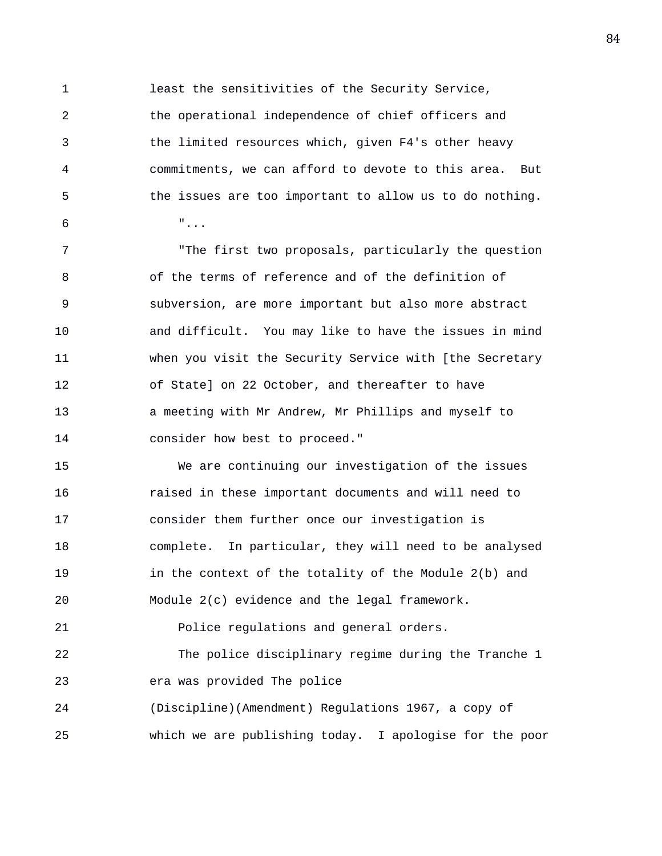1 least the sensitivities of the Security Service, 2 the operational independence of chief officers and 3 the limited resources which, given F4's other heavy 4 commitments, we can afford to devote to this area. But 5 the issues are too important to allow us to do nothing.  $\overline{6}$  "...

7 "The first two proposals, particularly the question 8 of the terms of reference and of the definition of 9 subversion, are more important but also more abstract 10 and difficult. You may like to have the issues in mind 11 when you visit the Security Service with [the Secretary 12 of State] on 22 October, and thereafter to have 13 a meeting with Mr Andrew, Mr Phillips and myself to 14 consider how best to proceed."

15 We are continuing our investigation of the issues 16 raised in these important documents and will need to 17 consider them further once our investigation is 18 complete. In particular, they will need to be analysed 19 in the context of the totality of the Module 2(b) and 20 Module 2(c) evidence and the legal framework. 21 Police regulations and general orders. 22 The police disciplinary regime during the Tranche 1 23 era was provided The police 24 (Discipline)(Amendment) Regulations 1967, a copy of

25 which we are publishing today. I apologise for the poor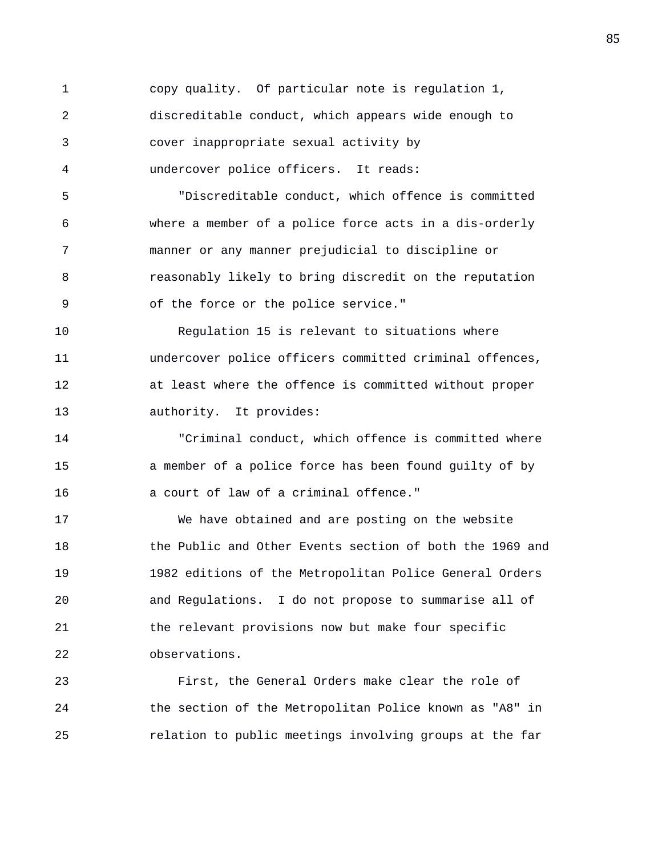1 copy quality. Of particular note is regulation 1, 2 discreditable conduct, which appears wide enough to 3 cover inappropriate sexual activity by 4 undercover police officers. It reads: 5 "Discreditable conduct, which offence is committed 6 where a member of a police force acts in a dis-orderly 7 manner or any manner prejudicial to discipline or 8 reasonably likely to bring discredit on the reputation 9 of the force or the police service." 10 Regulation 15 is relevant to situations where 11 undercover police officers committed criminal offences, 12 at least where the offence is committed without proper 13 authority. It provides: 14 "Criminal conduct, which offence is committed where 15 a member of a police force has been found guilty of by 16 a court of law of a criminal offence." 17 We have obtained and are posting on the website 18 the Public and Other Events section of both the 1969 and 19 1982 editions of the Metropolitan Police General Orders 20 and Regulations. I do not propose to summarise all of 21 the relevant provisions now but make four specific 22 observations. 23 First, the General Orders make clear the role of

24 the section of the Metropolitan Police known as "A8" in 25 relation to public meetings involving groups at the far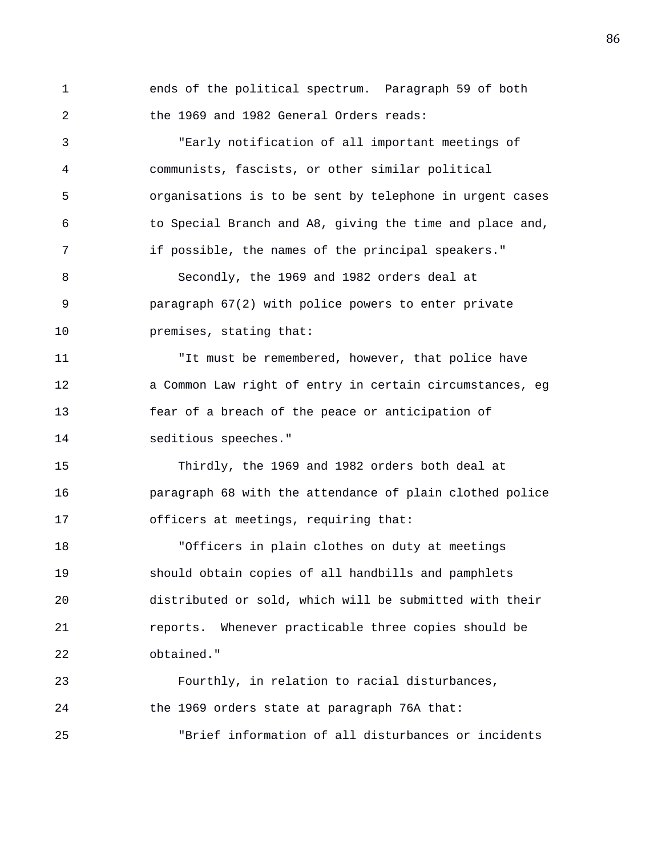1 ends of the political spectrum. Paragraph 59 of both 2 the 1969 and 1982 General Orders reads: 3 "Early notification of all important meetings of

4 communists, fascists, or other similar political 5 organisations is to be sent by telephone in urgent cases 6 to Special Branch and A8, giving the time and place and, 7 if possible, the names of the principal speakers." 8 Secondly, the 1969 and 1982 orders deal at 9 paragraph 67(2) with police powers to enter private 10 **premises**, stating that:

11 "It must be remembered, however, that police have 12 a Common Law right of entry in certain circumstances, eg 13 fear of a breach of the peace or anticipation of 14 seditious speeches."

15 Thirdly, the 1969 and 1982 orders both deal at 16 paragraph 68 with the attendance of plain clothed police 17 officers at meetings, requiring that:

18 "Officers in plain clothes on duty at meetings 19 should obtain copies of all handbills and pamphlets 20 distributed or sold, which will be submitted with their 21 reports. Whenever practicable three copies should be 22 obtained."

23 Fourthly, in relation to racial disturbances, 24 the 1969 orders state at paragraph 76A that: 25 "Brief information of all disturbances or incidents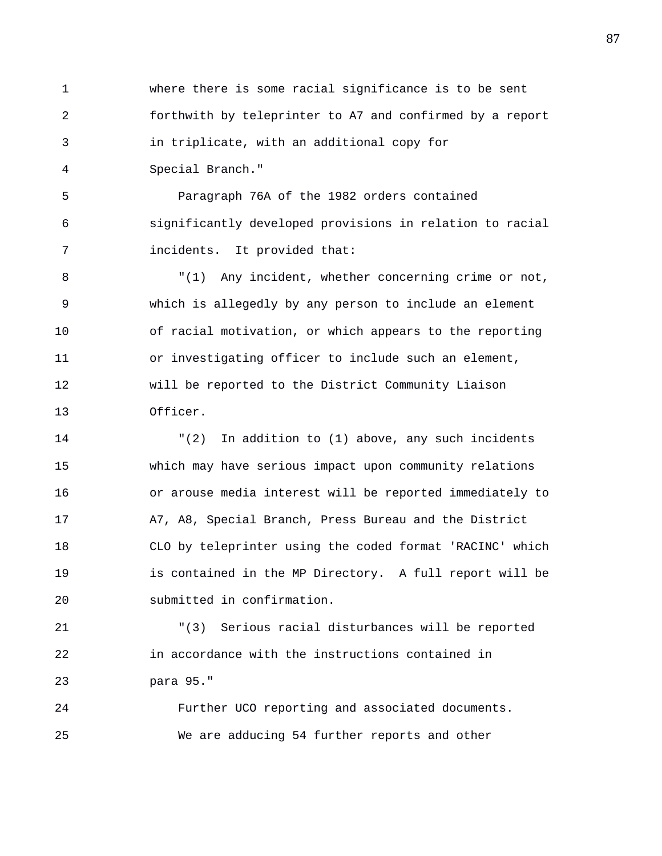1 where there is some racial significance is to be sent 2 forthwith by teleprinter to A7 and confirmed by a report 3 in triplicate, with an additional copy for 4 Special Branch."

5 Paragraph 76A of the 1982 orders contained 6 significantly developed provisions in relation to racial 7 incidents. It provided that:

8 "(1) Any incident, whether concerning crime or not, 9 which is allegedly by any person to include an element 10 of racial motivation, or which appears to the reporting 11 or investigating officer to include such an element, 12 will be reported to the District Community Liaison 13 Officer.

14 "(2) In addition to (1) above, any such incidents 15 which may have serious impact upon community relations 16 or arouse media interest will be reported immediately to 17 A7, A8, Special Branch, Press Bureau and the District 18 CLO by teleprinter using the coded format 'RACINC' which 19 is contained in the MP Directory. A full report will be 20 submitted in confirmation.

21 "(3) Serious racial disturbances will be reported 22 in accordance with the instructions contained in 23 para 95."

24 Further UCO reporting and associated documents. 25 We are adducing 54 further reports and other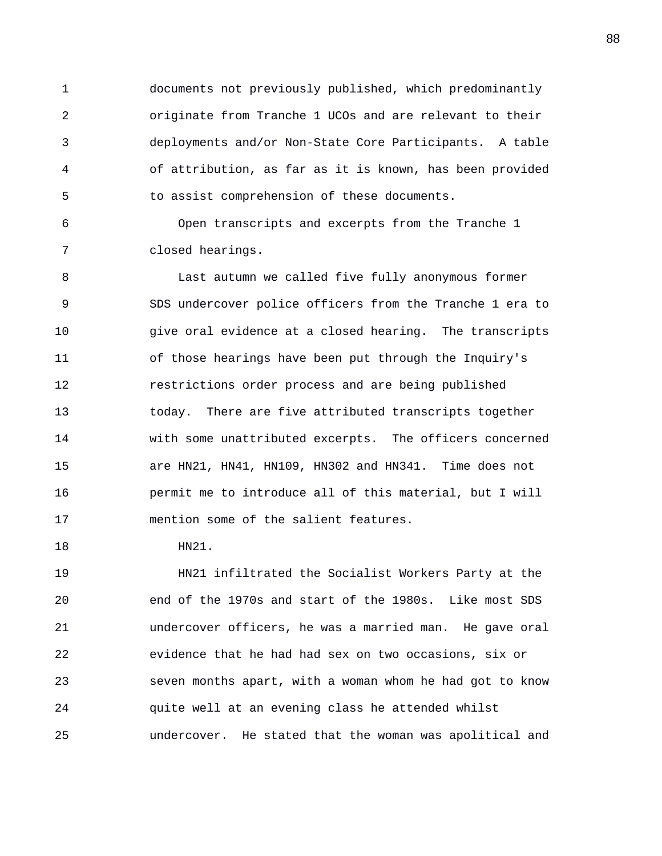1 documents not previously published, which predominantly 2 originate from Tranche 1 UCOs and are relevant to their 3 deployments and/or Non-State Core Participants. A table 4 of attribution, as far as it is known, has been provided 5 to assist comprehension of these documents.

6 Open transcripts and excerpts from the Tranche 1 7 closed hearings.

8 Last autumn we called five fully anonymous former 9 SDS undercover police officers from the Tranche 1 era to 10 give oral evidence at a closed hearing. The transcripts 11 of those hearings have been put through the Inquiry's 12 restrictions order process and are being published 13 today. There are five attributed transcripts together 14 with some unattributed excerpts. The officers concerned 15 are HN21, HN41, HN109, HN302 and HN341. Time does not 16 permit me to introduce all of this material, but I will 17 mention some of the salient features.

18 HN21.

19 HN21 infiltrated the Socialist Workers Party at the 20 end of the 1970s and start of the 1980s. Like most SDS 21 undercover officers, he was a married man. He gave oral 22 evidence that he had had sex on two occasions, six or 23 seven months apart, with a woman whom he had got to know 24 quite well at an evening class he attended whilst 25 undercover. He stated that the woman was apolitical and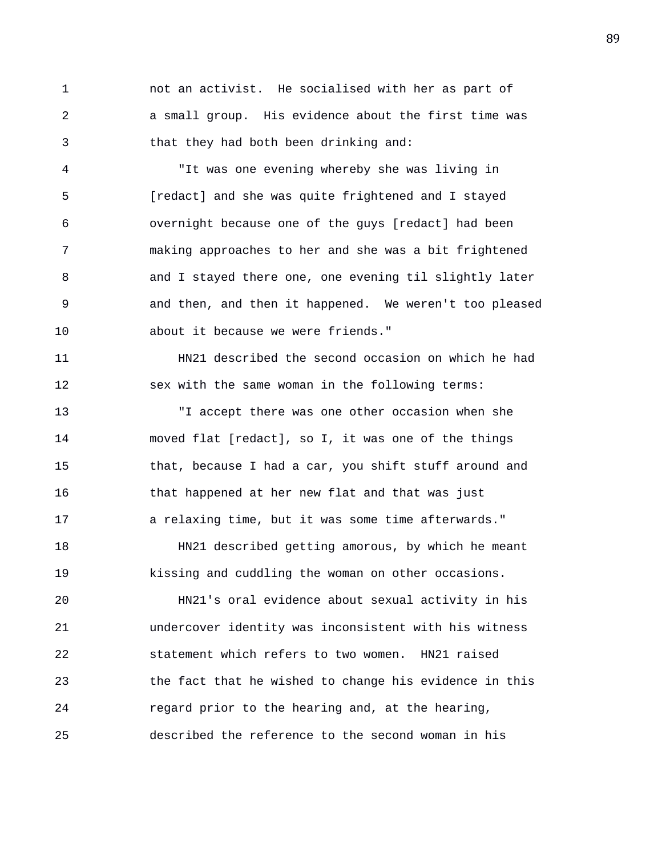1 not an activist. He socialised with her as part of 2 a small group. His evidence about the first time was 3 that they had both been drinking and:

4 "It was one evening whereby she was living in 5 [redact] and she was quite frightened and I stayed 6 overnight because one of the guys [redact] had been 7 making approaches to her and she was a bit frightened 8 and I stayed there one, one evening til slightly later 9 and then, and then it happened. We weren't too pleased 10 about it because we were friends."

11 HN21 described the second occasion on which he had 12 sex with the same woman in the following terms:

13 "I accept there was one other occasion when she 14 moved flat [redact], so I, it was one of the things 15 that, because I had a car, you shift stuff around and 16 that happened at her new flat and that was just 17 a relaxing time, but it was some time afterwards."

18 HN21 described getting amorous, by which he meant 19 kissing and cuddling the woman on other occasions.

20 HN21's oral evidence about sexual activity in his 21 undercover identity was inconsistent with his witness 22 statement which refers to two women. HN21 raised 23 the fact that he wished to change his evidence in this 24 regard prior to the hearing and, at the hearing, 25 described the reference to the second woman in his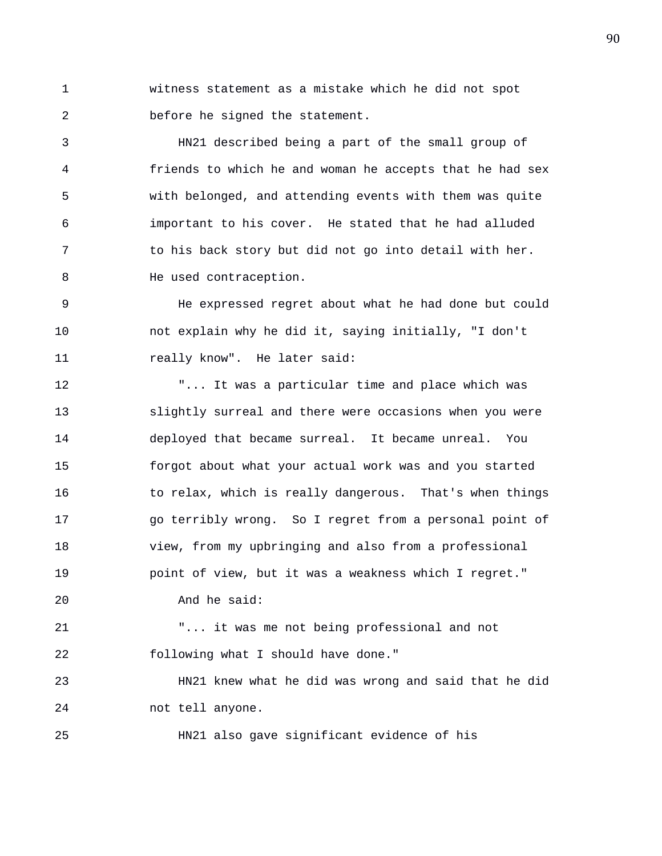1 witness statement as a mistake which he did not spot 2 before he signed the statement.

3 HN21 described being a part of the small group of 4 friends to which he and woman he accepts that he had sex 5 with belonged, and attending events with them was quite 6 important to his cover. He stated that he had alluded 7 to his back story but did not go into detail with her. 8 He used contraception.

9 He expressed regret about what he had done but could 10 not explain why he did it, saying initially, "I don't 11 really know". He later said:

12 "... It was a particular time and place which was 13 slightly surreal and there were occasions when you were 14 deployed that became surreal. It became unreal. You 15 forgot about what your actual work was and you started 16 to relax, which is really dangerous. That's when things 17 go terribly wrong. So I regret from a personal point of 18 view, from my upbringing and also from a professional 19 point of view, but it was a weakness which I regret." 20 And he said:

21 "... it was me not being professional and not 22 following what I should have done."

23 HN21 knew what he did was wrong and said that he did 24 not tell anyone.

25 HN21 also gave significant evidence of his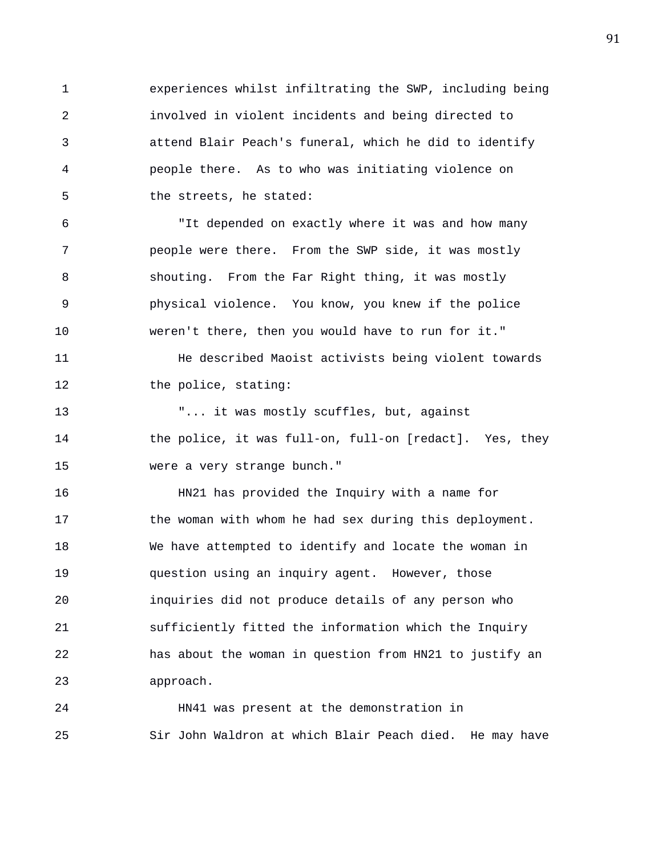1 experiences whilst infiltrating the SWP, including being 2 involved in violent incidents and being directed to 3 attend Blair Peach's funeral, which he did to identify 4 people there. As to who was initiating violence on 5 the streets, he stated:

6 "It depended on exactly where it was and how many 7 people were there. From the SWP side, it was mostly 8 shouting. From the Far Right thing, it was mostly 9 physical violence. You know, you knew if the police 10 weren't there, then you would have to run for it."

11 He described Maoist activists being violent towards 12 the police, stating:

13 "... it was mostly scuffles, but, against 14 the police, it was full-on, full-on [redact]. Yes, they 15 were a very strange bunch."

16 HN21 has provided the Inquiry with a name for 17 the woman with whom he had sex during this deployment. 18 We have attempted to identify and locate the woman in 19 question using an inquiry agent. However, those 20 inquiries did not produce details of any person who 21 sufficiently fitted the information which the Inquiry 22 has about the woman in question from HN21 to justify an 23 approach.

24 HN41 was present at the demonstration in 25 Sir John Waldron at which Blair Peach died. He may have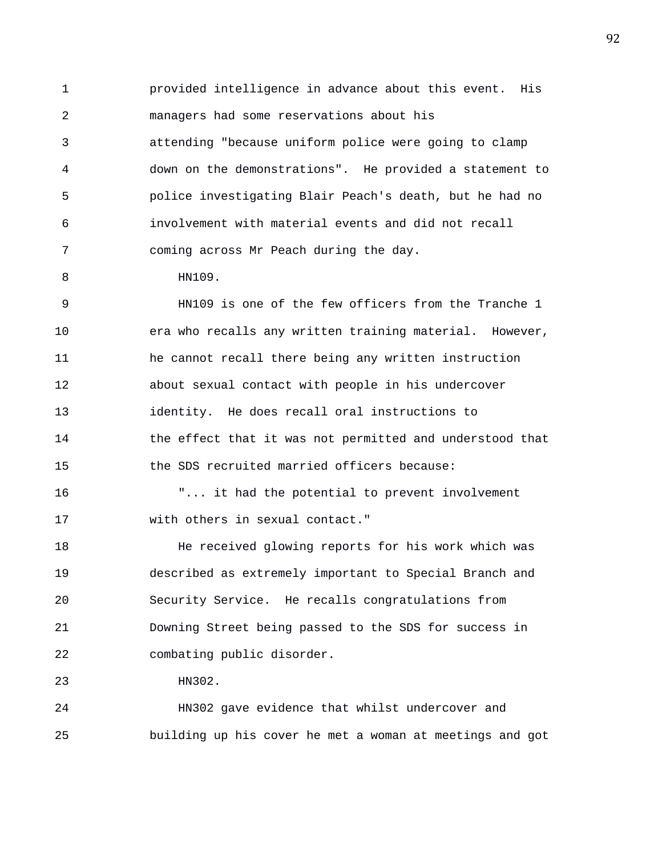1 provided intelligence in advance about this event. His 2 managers had some reservations about his 3 attending "because uniform police were going to clamp 4 down on the demonstrations". He provided a statement to 5 police investigating Blair Peach's death, but he had no 6 involvement with material events and did not recall 7 coming across Mr Peach during the day.

8 HN109.

9 HN109 is one of the few officers from the Tranche 1 10 era who recalls any written training material. However, 11 he cannot recall there being any written instruction 12 about sexual contact with people in his undercover 13 identity. He does recall oral instructions to 14 the effect that it was not permitted and understood that 15 the SDS recruited married officers because:

16 "... it had the potential to prevent involvement 17 with others in sexual contact."

18 He received glowing reports for his work which was 19 described as extremely important to Special Branch and 20 Security Service. He recalls congratulations from 21 Downing Street being passed to the SDS for success in 22 combating public disorder.

23 HN302.

24 HN302 gave evidence that whilst undercover and 25 building up his cover he met a woman at meetings and got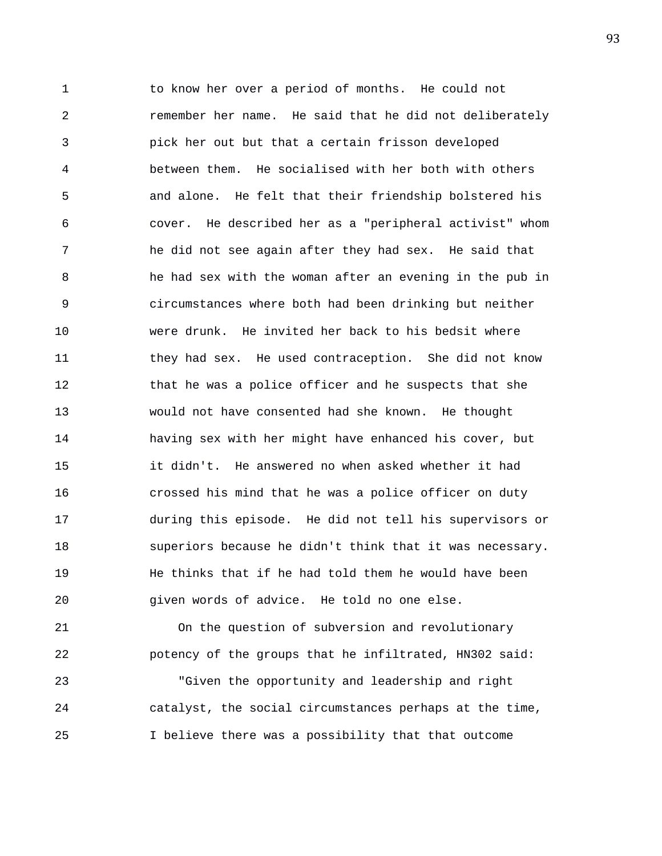1 to know her over a period of months. He could not 2 remember her name. He said that he did not deliberately 3 pick her out but that a certain frisson developed 4 between them. He socialised with her both with others 5 and alone. He felt that their friendship bolstered his 6 cover. He described her as a "peripheral activist" whom 7 he did not see again after they had sex. He said that 8 he had sex with the woman after an evening in the pub in 9 circumstances where both had been drinking but neither 10 were drunk. He invited her back to his bedsit where 11 they had sex. He used contraception. She did not know 12 that he was a police officer and he suspects that she 13 would not have consented had she known. He thought 14 having sex with her might have enhanced his cover, but 15 it didn't. He answered no when asked whether it had 16 crossed his mind that he was a police officer on duty 17 during this episode. He did not tell his supervisors or 18 superiors because he didn't think that it was necessary. 19 He thinks that if he had told them he would have been 20 given words of advice. He told no one else.

21 On the question of subversion and revolutionary 22 potency of the groups that he infiltrated, HN302 said:

23 "Given the opportunity and leadership and right 24 catalyst, the social circumstances perhaps at the time, 25 I believe there was a possibility that that outcome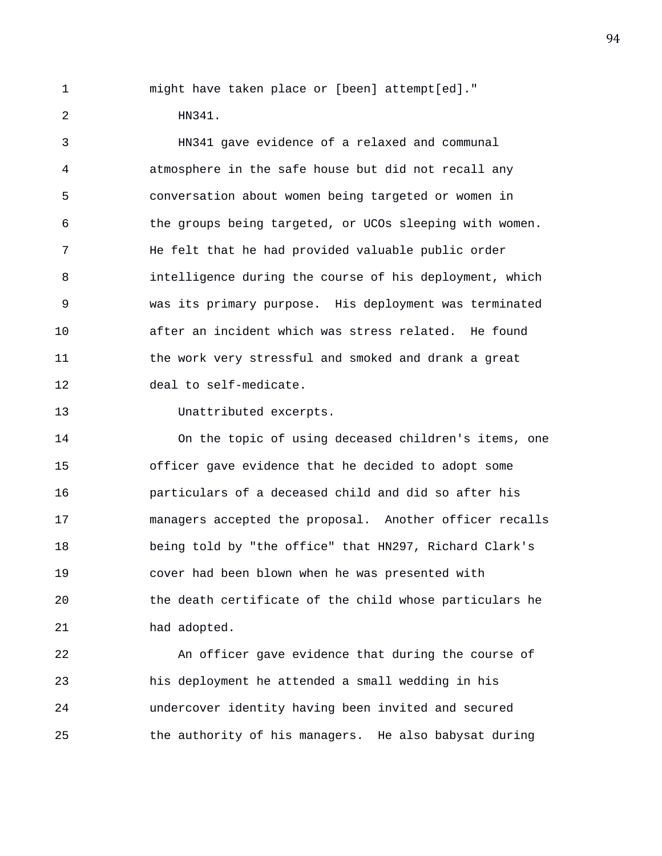1 might have taken place or [been] attempt[ed]."

2 HN341.

3 HN341 gave evidence of a relaxed and communal 4 atmosphere in the safe house but did not recall any 5 conversation about women being targeted or women in 6 the groups being targeted, or UCOs sleeping with women. 7 He felt that he had provided valuable public order 8 intelligence during the course of his deployment, which 9 was its primary purpose. His deployment was terminated 10 after an incident which was stress related. He found 11 the work very stressful and smoked and drank a great 12 deal to self-medicate.

13 Unattributed excerpts.

14 On the topic of using deceased children's items, one 15 officer gave evidence that he decided to adopt some 16 particulars of a deceased child and did so after his 17 managers accepted the proposal. Another officer recalls 18 being told by "the office" that HN297, Richard Clark's 19 cover had been blown when he was presented with 20 the death certificate of the child whose particulars he 21 had adopted.

22 An officer gave evidence that during the course of 23 his deployment he attended a small wedding in his 24 undercover identity having been invited and secured 25 the authority of his managers. He also babysat during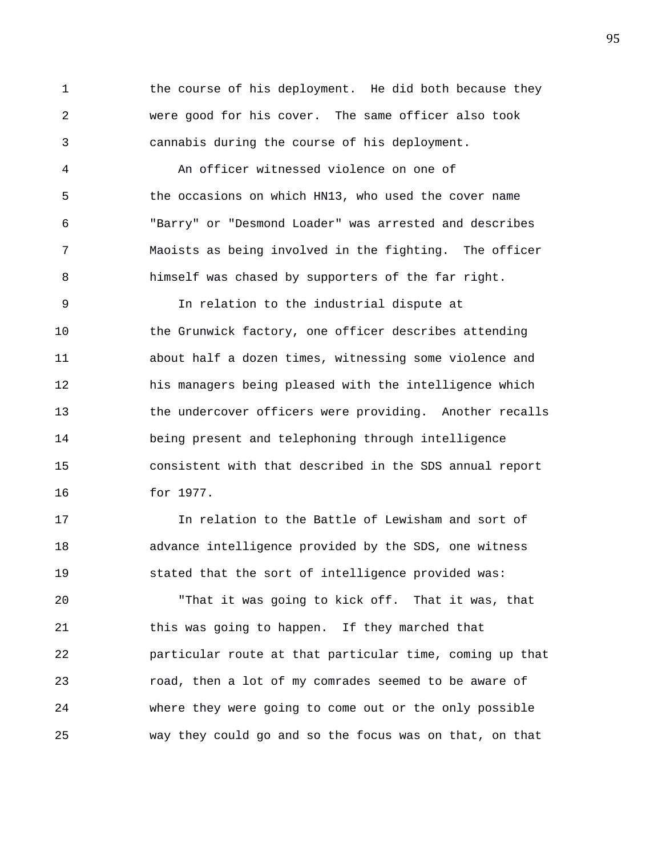1 the course of his deployment. He did both because they 2 were good for his cover. The same officer also took 3 cannabis during the course of his deployment.

4 An officer witnessed violence on one of 5 the occasions on which HN13, who used the cover name 6 "Barry" or "Desmond Loader" was arrested and describes 7 Maoists as being involved in the fighting. The officer 8 himself was chased by supporters of the far right.

9 In relation to the industrial dispute at 10 the Grunwick factory, one officer describes attending 11 about half a dozen times, witnessing some violence and 12 his managers being pleased with the intelligence which 13 the undercover officers were providing. Another recalls 14 being present and telephoning through intelligence 15 consistent with that described in the SDS annual report 16 for 1977.

17 In relation to the Battle of Lewisham and sort of 18 advance intelligence provided by the SDS, one witness 19 stated that the sort of intelligence provided was:

20 "That it was going to kick off. That it was, that 21 this was going to happen. If they marched that 22 particular route at that particular time, coming up that 23 road, then a lot of my comrades seemed to be aware of 24 where they were going to come out or the only possible 25 way they could go and so the focus was on that, on that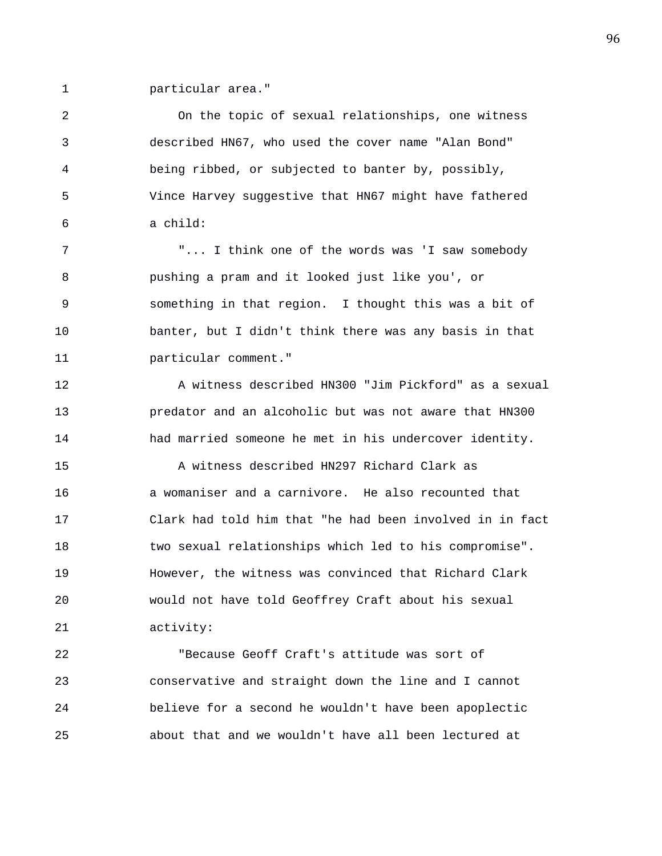1 particular area."

2 On the topic of sexual relationships, one witness 3 described HN67, who used the cover name "Alan Bond" 4 being ribbed, or subjected to banter by, possibly, 5 Vince Harvey suggestive that HN67 might have fathered 6 a child: 7 "... I think one of the words was 'I saw somebody 8 pushing a pram and it looked just like you', or 9 something in that region. I thought this was a bit of 10 banter, but I didn't think there was any basis in that 11 particular comment." 12 A witness described HN300 "Jim Pickford" as a sexual 13 predator and an alcoholic but was not aware that HN300 14 had married someone he met in his undercover identity. 15 A witness described HN297 Richard Clark as 16 a womaniser and a carnivore. He also recounted that 17 Clark had told him that "he had been involved in in fact 18 two sexual relationships which led to his compromise". 19 However, the witness was convinced that Richard Clark 20 would not have told Geoffrey Craft about his sexual 21 activity:

22 "Because Geoff Craft's attitude was sort of 23 conservative and straight down the line and I cannot 24 believe for a second he wouldn't have been apoplectic 25 about that and we wouldn't have all been lectured at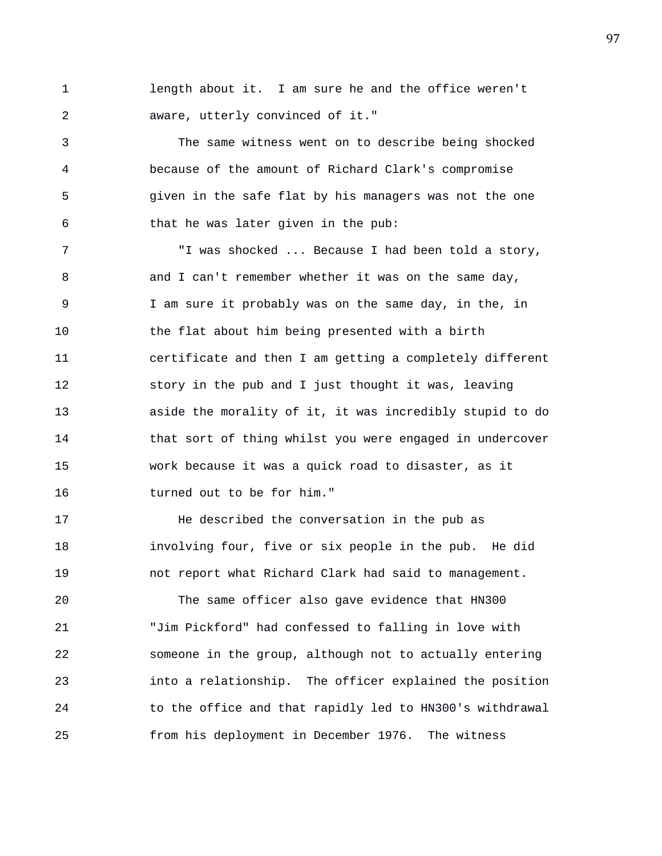1 length about it. I am sure he and the office weren't 2 aware, utterly convinced of it."

3 The same witness went on to describe being shocked 4 because of the amount of Richard Clark's compromise 5 given in the safe flat by his managers was not the one 6 that he was later given in the pub:

7 "I was shocked ... Because I had been told a story, 8 and I can't remember whether it was on the same day, 9 I am sure it probably was on the same day, in the, in 10 the flat about him being presented with a birth 11 certificate and then I am getting a completely different 12 story in the pub and I just thought it was, leaving 13 aside the morality of it, it was incredibly stupid to do 14 that sort of thing whilst you were engaged in undercover 15 work because it was a quick road to disaster, as it 16 turned out to be for him."

17 He described the conversation in the pub as 18 involving four, five or six people in the pub. He did 19 not report what Richard Clark had said to management.

20 The same officer also gave evidence that HN300 21 "Jim Pickford" had confessed to falling in love with 22 someone in the group, although not to actually entering 23 into a relationship. The officer explained the position 24 to the office and that rapidly led to HN300's withdrawal 25 from his deployment in December 1976. The witness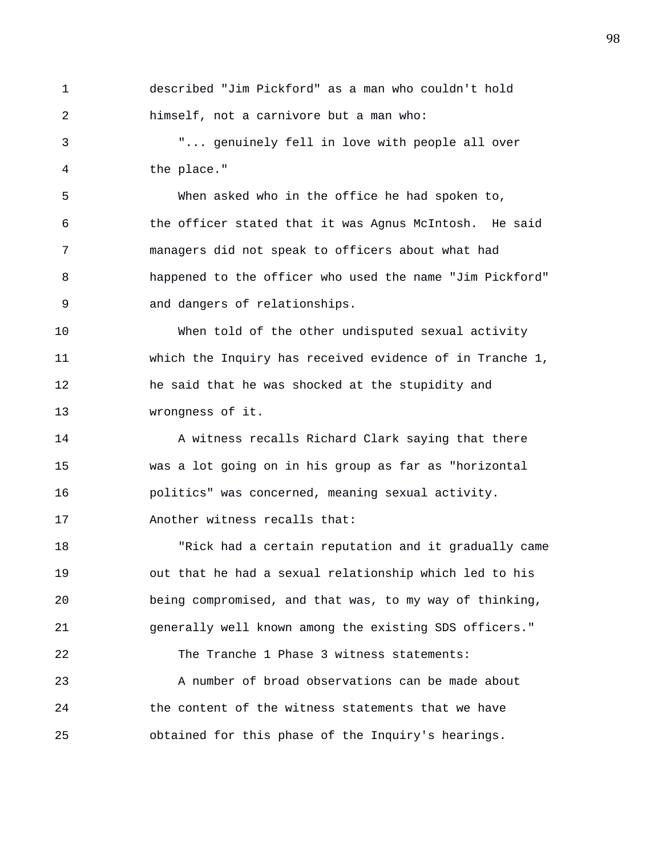1 described "Jim Pickford" as a man who couldn't hold 2 himself, not a carnivore but a man who:

3 "... genuinely fell in love with people all over 4 the place."

5 When asked who in the office he had spoken to, 6 the officer stated that it was Agnus McIntosh. He said 7 managers did not speak to officers about what had 8 happened to the officer who used the name "Jim Pickford" 9 and dangers of relationships.

10 When told of the other undisputed sexual activity 11 which the Inquiry has received evidence of in Tranche 1, 12 he said that he was shocked at the stupidity and 13 wrongness of it.

14 A witness recalls Richard Clark saying that there 15 was a lot going on in his group as far as "horizontal 16 politics" was concerned, meaning sexual activity. 17 Another witness recalls that:

18 "Rick had a certain reputation and it gradually came 19 out that he had a sexual relationship which led to his 20 being compromised, and that was, to my way of thinking, 21 generally well known among the existing SDS officers." 22 The Tranche 1 Phase 3 witness statements: 23 A number of broad observations can be made about 24 the content of the witness statements that we have 25 obtained for this phase of the Inquiry's hearings.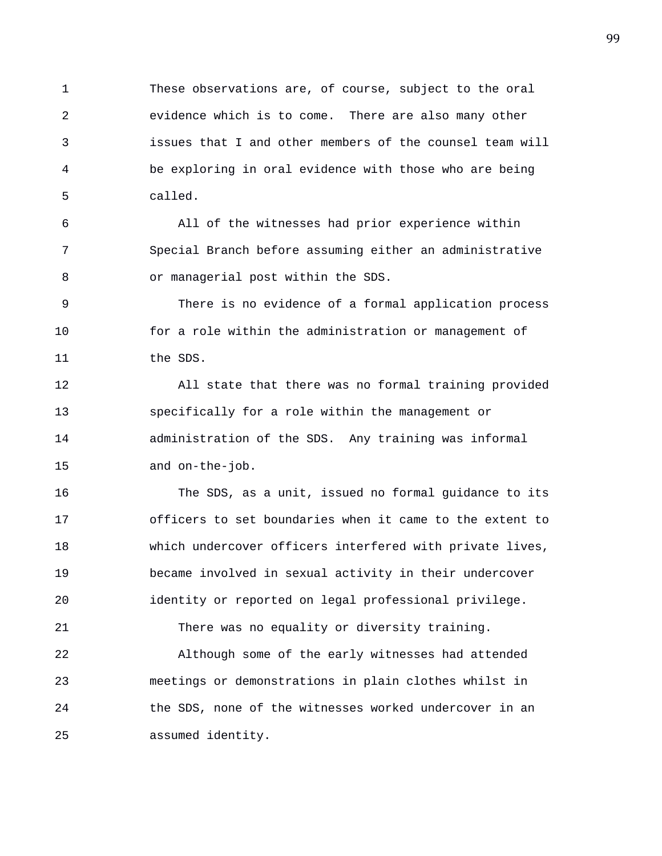1 These observations are, of course, subject to the oral 2 evidence which is to come. There are also many other 3 issues that I and other members of the counsel team will 4 be exploring in oral evidence with those who are being 5 called.

6 All of the witnesses had prior experience within 7 Special Branch before assuming either an administrative 8 or managerial post within the SDS.

9 There is no evidence of a formal application process 10 for a role within the administration or management of 11 the SDS.

12 All state that there was no formal training provided 13 specifically for a role within the management or 14 administration of the SDS. Any training was informal 15 and on-the-job.

16 The SDS, as a unit, issued no formal guidance to its 17 officers to set boundaries when it came to the extent to 18 which undercover officers interfered with private lives, 19 became involved in sexual activity in their undercover 20 identity or reported on legal professional privilege. 21 There was no equality or diversity training. 22 Although some of the early witnesses had attended 23 meetings or demonstrations in plain clothes whilst in 24 the SDS, none of the witnesses worked undercover in an 25 assumed identity.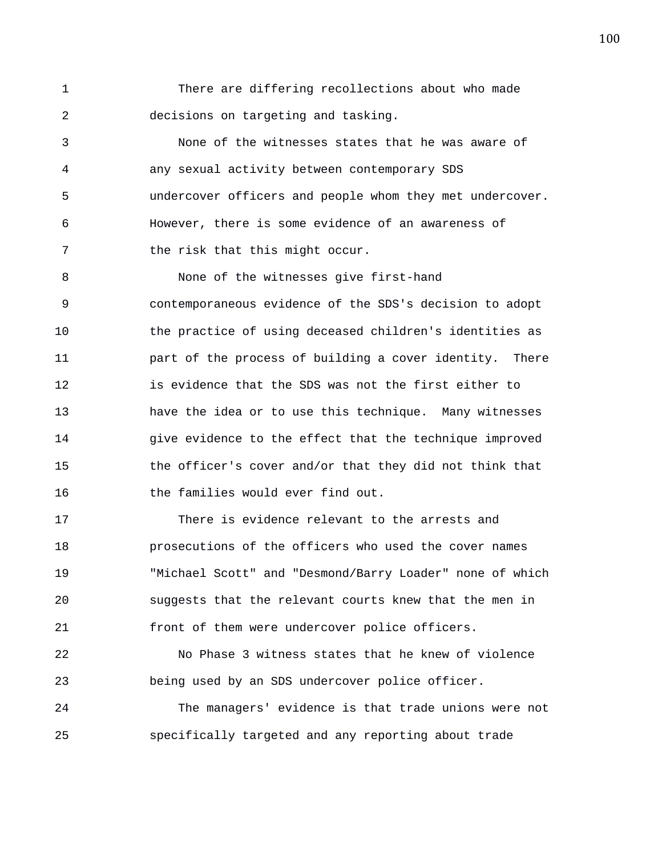1 There are differing recollections about who made 2 decisions on targeting and tasking.

3 None of the witnesses states that he was aware of 4 any sexual activity between contemporary SDS 5 undercover officers and people whom they met undercover. 6 However, there is some evidence of an awareness of 7 the risk that this might occur.

8 None of the witnesses give first-hand 9 contemporaneous evidence of the SDS's decision to adopt 10 the practice of using deceased children's identities as 11 part of the process of building a cover identity. There 12 is evidence that the SDS was not the first either to 13 have the idea or to use this technique. Many witnesses 14 give evidence to the effect that the technique improved 15 the officer's cover and/or that they did not think that 16 the families would ever find out.

17 There is evidence relevant to the arrests and 18 prosecutions of the officers who used the cover names 19 "Michael Scott" and "Desmond/Barry Loader" none of which 20 suggests that the relevant courts knew that the men in 21 front of them were undercover police officers.

22 No Phase 3 witness states that he knew of violence 23 being used by an SDS undercover police officer.

24 The managers' evidence is that trade unions were not 25 specifically targeted and any reporting about trade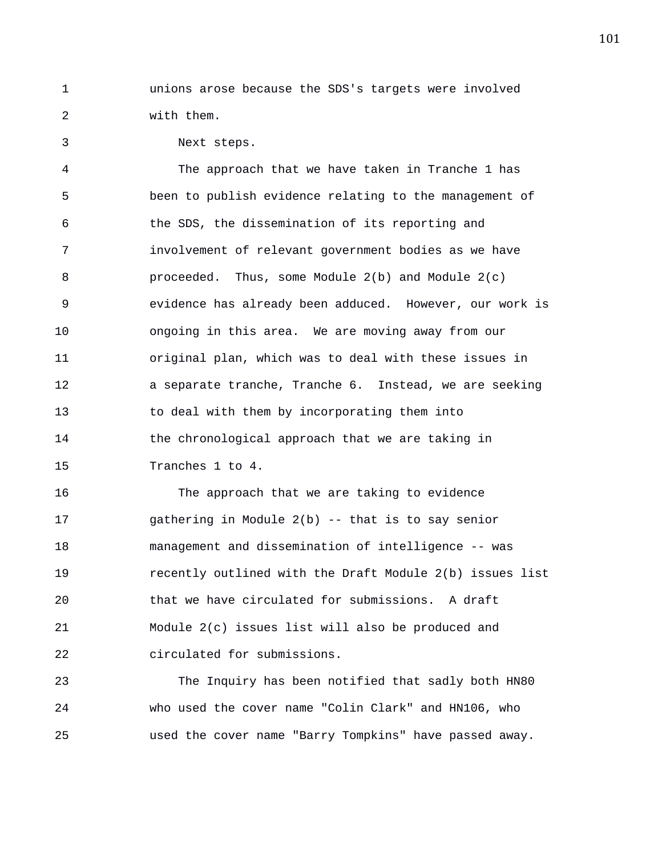1 unions arose because the SDS's targets were involved 2 with them.

3 Next steps.

4 The approach that we have taken in Tranche 1 has 5 been to publish evidence relating to the management of 6 the SDS, the dissemination of its reporting and 7 involvement of relevant government bodies as we have 8 proceeded. Thus, some Module 2(b) and Module 2(c) 9 evidence has already been adduced. However, our work is 10 ongoing in this area. We are moving away from our 11 original plan, which was to deal with these issues in 12 a separate tranche, Tranche 6. Instead, we are seeking 13 to deal with them by incorporating them into 14 the chronological approach that we are taking in 15 Tranches 1 to 4.

16 The approach that we are taking to evidence 17 gathering in Module 2(b) -- that is to say senior 18 management and dissemination of intelligence -- was 19 recently outlined with the Draft Module 2(b) issues list 20 that we have circulated for submissions. A draft 21 Module 2(c) issues list will also be produced and 22 circulated for submissions.

23 The Inquiry has been notified that sadly both HN80 24 who used the cover name "Colin Clark" and HN106, who 25 used the cover name "Barry Tompkins" have passed away.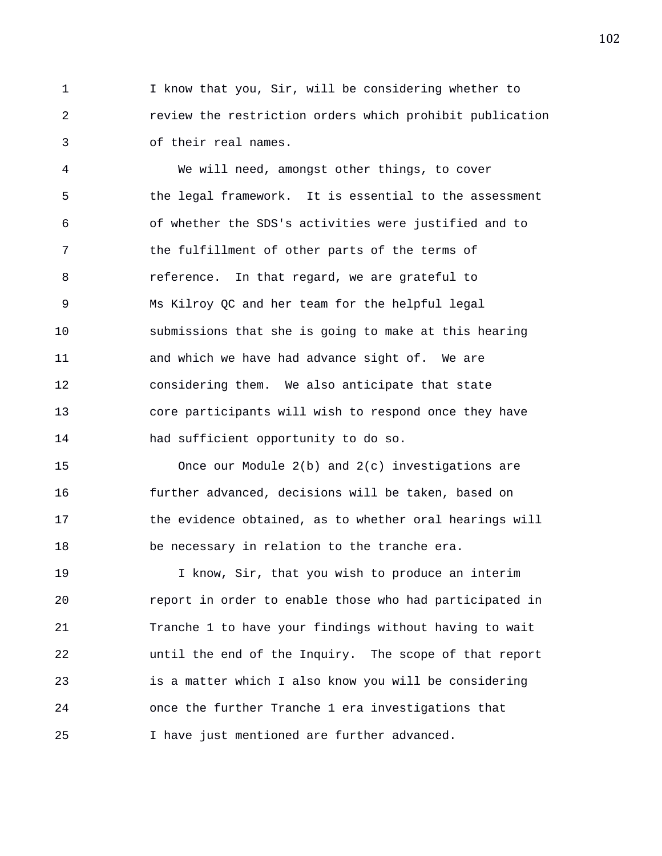1 I know that you, Sir, will be considering whether to 2 review the restriction orders which prohibit publication 3 of their real names.

4 We will need, amongst other things, to cover 5 the legal framework. It is essential to the assessment 6 of whether the SDS's activities were justified and to 7 the fulfillment of other parts of the terms of 8 reference. In that regard, we are grateful to 9 Ms Kilroy QC and her team for the helpful legal 10 submissions that she is going to make at this hearing 11 and which we have had advance sight of. We are 12 considering them. We also anticipate that state 13 core participants will wish to respond once they have 14 had sufficient opportunity to do so.

15 Once our Module 2(b) and 2(c) investigations are 16 further advanced, decisions will be taken, based on 17 the evidence obtained, as to whether oral hearings will 18 be necessary in relation to the tranche era.

19 I know, Sir, that you wish to produce an interim 20 report in order to enable those who had participated in 21 Tranche 1 to have your findings without having to wait 22 until the end of the Inquiry. The scope of that report 23 is a matter which I also know you will be considering 24 once the further Tranche 1 era investigations that 25 I have just mentioned are further advanced.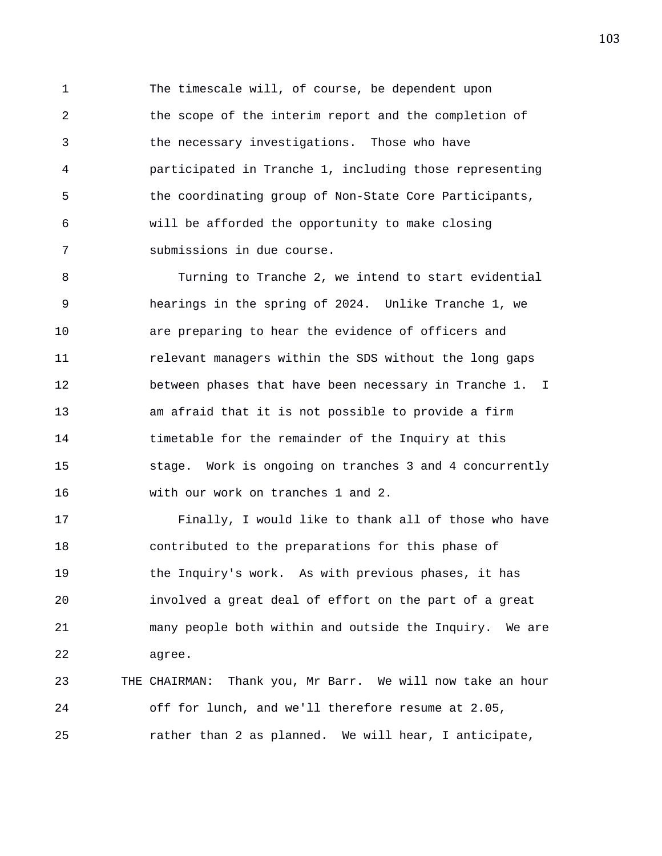1 The timescale will, of course, be dependent upon 2 the scope of the interim report and the completion of 3 the necessary investigations. Those who have 4 participated in Tranche 1, including those representing 5 the coordinating group of Non-State Core Participants, 6 will be afforded the opportunity to make closing 7 submissions in due course.

8 Turning to Tranche 2, we intend to start evidential 9 hearings in the spring of 2024. Unlike Tranche 1, we 10 are preparing to hear the evidence of officers and 11 relevant managers within the SDS without the long gaps 12 between phases that have been necessary in Tranche 1. I 13 am afraid that it is not possible to provide a firm 14 timetable for the remainder of the Inquiry at this 15 stage. Work is ongoing on tranches 3 and 4 concurrently 16 with our work on tranches 1 and 2.

17 Finally, I would like to thank all of those who have 18 contributed to the preparations for this phase of 19 the Inquiry's work. As with previous phases, it has 20 involved a great deal of effort on the part of a great 21 many people both within and outside the Inquiry. We are 22 agree.

23 THE CHAIRMAN: Thank you, Mr Barr. We will now take an hour 24 off for lunch, and we'll therefore resume at 2.05, 25 rather than 2 as planned. We will hear, I anticipate,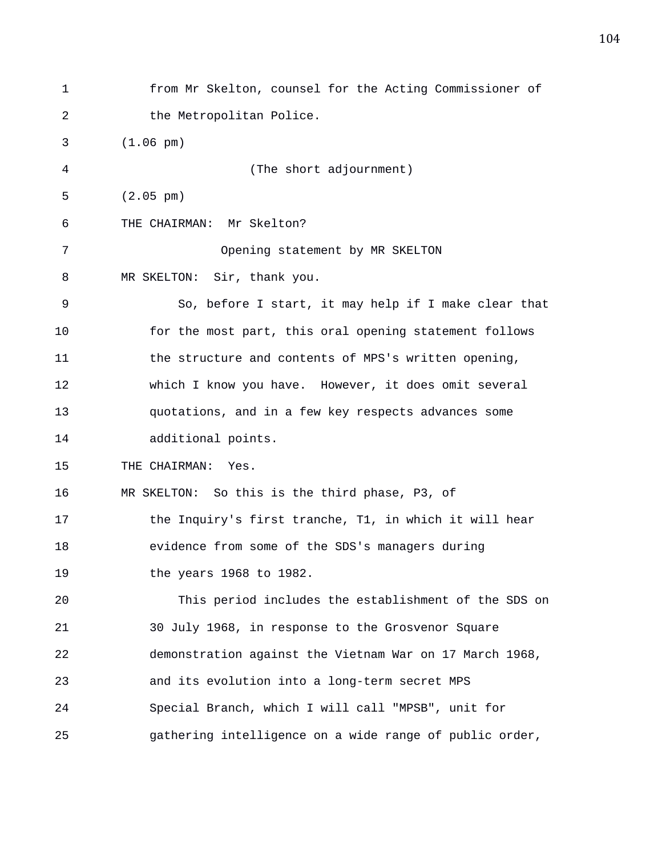1 from Mr Skelton, counsel for the Acting Commissioner of 2 the Metropolitan Police. 3 (1.06 pm) 4 (The short adjournment) 5 (2.05 pm) 6 THE CHAIRMAN: Mr Skelton? 7 Opening statement by MR SKELTON 8 MR SKELTON: Sir, thank you. 9 So, before I start, it may help if I make clear that 10 for the most part, this oral opening statement follows 11 the structure and contents of MPS's written opening, 12 which I know you have. However, it does omit several 13 quotations, and in a few key respects advances some 14 additional points. 15 THE CHAIRMAN: Yes. 16 MR SKELTON: So this is the third phase, P3, of 17 the Inquiry's first tranche, T1, in which it will hear 18 evidence from some of the SDS's managers during 19 the years 1968 to 1982. 20 This period includes the establishment of the SDS on 21 30 July 1968, in response to the Grosvenor Square 22 demonstration against the Vietnam War on 17 March 1968, 23 and its evolution into a long-term secret MPS 24 Special Branch, which I will call "MPSB", unit for 25 gathering intelligence on a wide range of public order,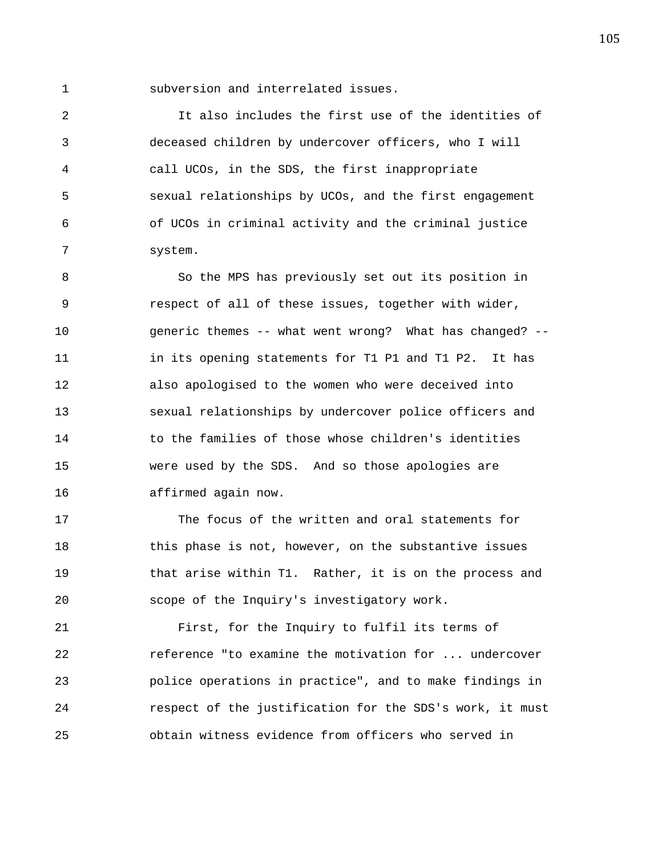1 subversion and interrelated issues.

2 It also includes the first use of the identities of 3 deceased children by undercover officers, who I will 4 call UCOs, in the SDS, the first inappropriate 5 sexual relationships by UCOs, and the first engagement 6 of UCOs in criminal activity and the criminal justice 7 system.

8 So the MPS has previously set out its position in 9 respect of all of these issues, together with wider, 10 generic themes -- what went wrong? What has changed? -- 11 in its opening statements for T1 P1 and T1 P2. It has 12 also apologised to the women who were deceived into 13 sexual relationships by undercover police officers and 14 to the families of those whose children's identities 15 were used by the SDS. And so those apologies are 16 affirmed again now.

17 The focus of the written and oral statements for 18 this phase is not, however, on the substantive issues 19 that arise within T1. Rather, it is on the process and 20 scope of the Inquiry's investigatory work.

21 First, for the Inquiry to fulfil its terms of 22 reference "to examine the motivation for ... undercover 23 police operations in practice", and to make findings in 24 respect of the justification for the SDS's work, it must 25 obtain witness evidence from officers who served in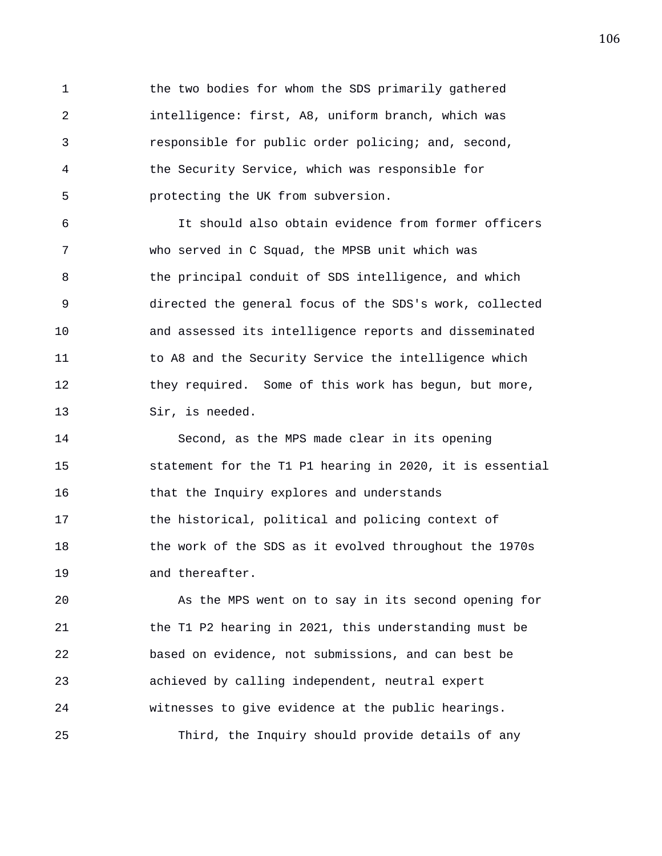1 the two bodies for whom the SDS primarily gathered 2 intelligence: first, A8, uniform branch, which was 3 responsible for public order policing; and, second, 4 the Security Service, which was responsible for 5 protecting the UK from subversion.

6 It should also obtain evidence from former officers 7 who served in C Squad, the MPSB unit which was 8 the principal conduit of SDS intelligence, and which 9 directed the general focus of the SDS's work, collected 10 and assessed its intelligence reports and disseminated 11 to A8 and the Security Service the intelligence which 12 they required. Some of this work has begun, but more, 13 Sir, is needed.

14 Second, as the MPS made clear in its opening 15 statement for the T1 P1 hearing in 2020, it is essential 16 that the Inquiry explores and understands 17 the historical, political and policing context of 18 the work of the SDS as it evolved throughout the 1970s 19 and thereafter.

20 As the MPS went on to say in its second opening for 21 the T1 P2 hearing in 2021, this understanding must be 22 based on evidence, not submissions, and can best be 23 achieved by calling independent, neutral expert 24 witnesses to give evidence at the public hearings. 25 Third, the Inquiry should provide details of any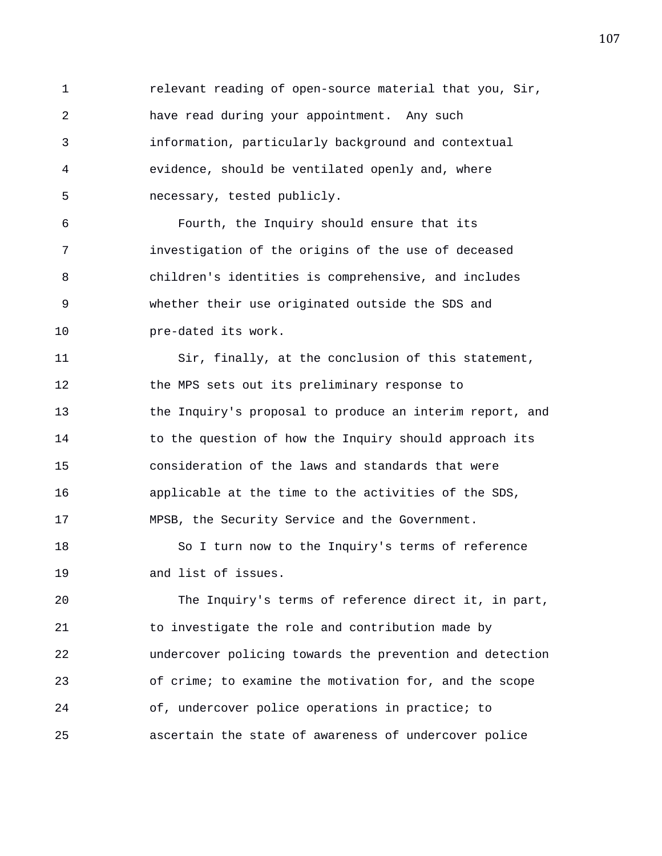1 relevant reading of open-source material that you, Sir, 2 have read during your appointment. Any such 3 information, particularly background and contextual 4 evidence, should be ventilated openly and, where 5 necessary, tested publicly.

6 Fourth, the Inquiry should ensure that its 7 investigation of the origins of the use of deceased 8 children's identities is comprehensive, and includes 9 whether their use originated outside the SDS and 10 pre-dated its work.

11 Sir, finally, at the conclusion of this statement, 12 the MPS sets out its preliminary response to 13 the Inquiry's proposal to produce an interim report, and 14 to the question of how the Inquiry should approach its 15 consideration of the laws and standards that were 16 applicable at the time to the activities of the SDS, 17 MPSB, the Security Service and the Government.

18 So I turn now to the Inquiry's terms of reference 19 and list of issues.

20 The Inquiry's terms of reference direct it, in part, 21 to investigate the role and contribution made by 22 undercover policing towards the prevention and detection 23 of crime; to examine the motivation for, and the scope 24 of, undercover police operations in practice; to 25 ascertain the state of awareness of undercover police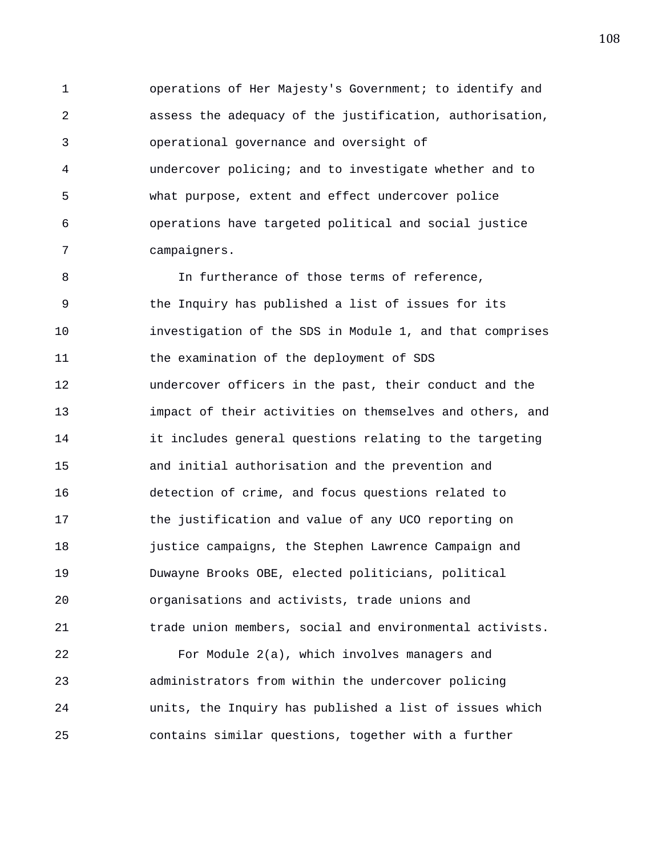1 operations of Her Majesty's Government; to identify and 2 assess the adequacy of the justification, authorisation, 3 operational governance and oversight of 4 undercover policing; and to investigate whether and to 5 what purpose, extent and effect undercover police 6 operations have targeted political and social justice 7 campaigners.

8 In furtherance of those terms of reference, 9 the Inquiry has published a list of issues for its 10 investigation of the SDS in Module 1, and that comprises 11 the examination of the deployment of SDS 12 undercover officers in the past, their conduct and the 13 impact of their activities on themselves and others, and 14 it includes general questions relating to the targeting 15 and initial authorisation and the prevention and 16 detection of crime, and focus questions related to 17 the justification and value of any UCO reporting on 18 justice campaigns, the Stephen Lawrence Campaign and 19 Duwayne Brooks OBE, elected politicians, political 20 organisations and activists, trade unions and 21 trade union members, social and environmental activists.

22 For Module 2(a), which involves managers and 23 administrators from within the undercover policing 24 units, the Inquiry has published a list of issues which 25 contains similar questions, together with a further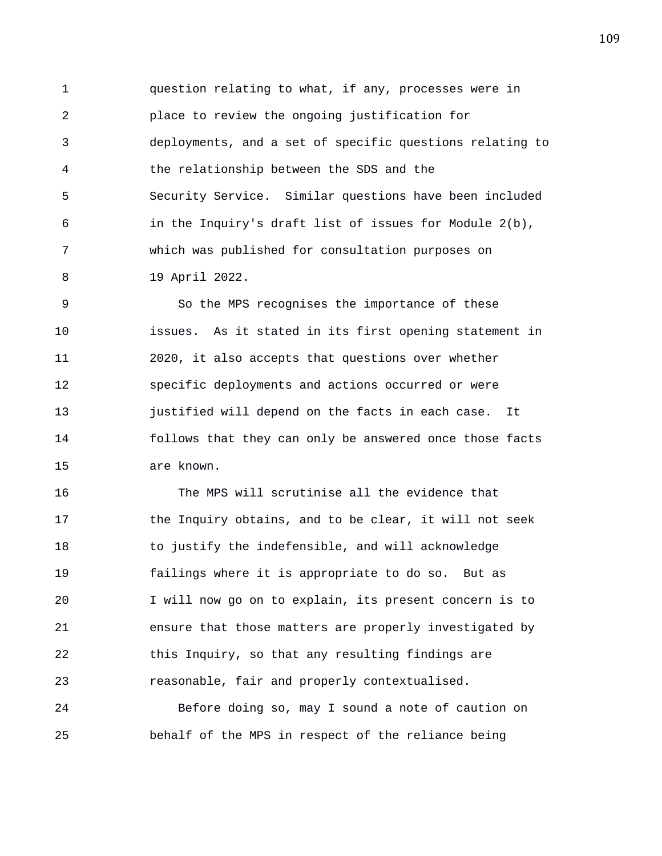1 question relating to what, if any, processes were in 2 place to review the ongoing justification for 3 deployments, and a set of specific questions relating to 4 the relationship between the SDS and the 5 Security Service. Similar questions have been included 6 in the Inquiry's draft list of issues for Module 2(b), 7 which was published for consultation purposes on 8 19 April 2022.

9 So the MPS recognises the importance of these 10 issues. As it stated in its first opening statement in 11 2020, it also accepts that questions over whether 12 specific deployments and actions occurred or were 13 justified will depend on the facts in each case. It 14 follows that they can only be answered once those facts 15 are known.

16 The MPS will scrutinise all the evidence that 17 the Inquiry obtains, and to be clear, it will not seek 18 to justify the indefensible, and will acknowledge 19 failings where it is appropriate to do so. But as 20 I will now go on to explain, its present concern is to 21 ensure that those matters are properly investigated by 22 this Inquiry, so that any resulting findings are 23 reasonable, fair and properly contextualised.

24 Before doing so, may I sound a note of caution on 25 behalf of the MPS in respect of the reliance being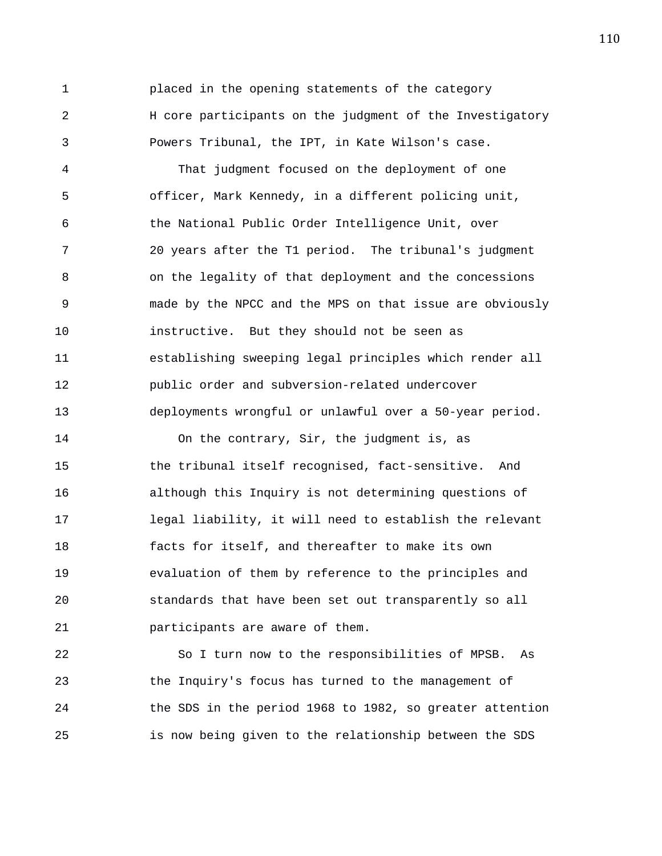1 placed in the opening statements of the category 2 H core participants on the judgment of the Investigatory 3 Powers Tribunal, the IPT, in Kate Wilson's case.

4 That judgment focused on the deployment of one 5 officer, Mark Kennedy, in a different policing unit, 6 the National Public Order Intelligence Unit, over 7 20 years after the T1 period. The tribunal's judgment 8 on the legality of that deployment and the concessions 9 made by the NPCC and the MPS on that issue are obviously 10 instructive. But they should not be seen as 11 establishing sweeping legal principles which render all 12 public order and subversion-related undercover 13 deployments wrongful or unlawful over a 50-year period.

14 On the contrary, Sir, the judgment is, as 15 the tribunal itself recognised, fact-sensitive. And 16 although this Inquiry is not determining questions of 17 legal liability, it will need to establish the relevant 18 facts for itself, and thereafter to make its own 19 evaluation of them by reference to the principles and 20 standards that have been set out transparently so all 21 participants are aware of them.

22 So I turn now to the responsibilities of MPSB. As 23 the Inquiry's focus has turned to the management of 24 the SDS in the period 1968 to 1982, so greater attention 25 is now being given to the relationship between the SDS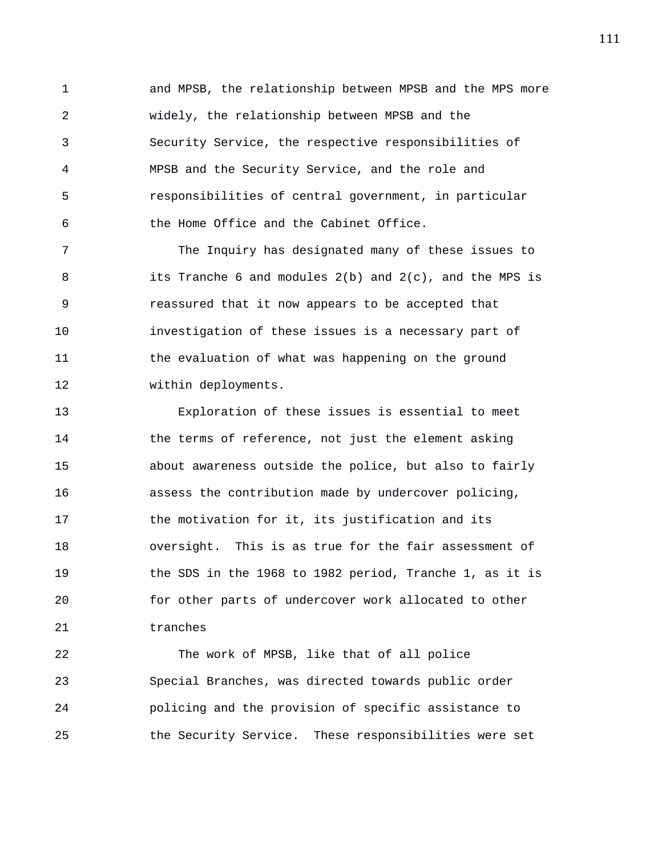1 and MPSB, the relationship between MPSB and the MPS more 2 widely, the relationship between MPSB and the 3 Security Service, the respective responsibilities of 4 MPSB and the Security Service, and the role and 5 responsibilities of central government, in particular 6 the Home Office and the Cabinet Office.

7 The Inquiry has designated many of these issues to 8 its Tranche 6 and modules 2(b) and 2(c), and the MPS is 9 reassured that it now appears to be accepted that 10 investigation of these issues is a necessary part of 11 the evaluation of what was happening on the ground 12 within deployments.

13 Exploration of these issues is essential to meet 14 the terms of reference, not just the element asking 15 about awareness outside the police, but also to fairly 16 assess the contribution made by undercover policing, 17 the motivation for it, its justification and its 18 oversight. This is as true for the fair assessment of 19 the SDS in the 1968 to 1982 period, Tranche 1, as it is 20 for other parts of undercover work allocated to other 21 tranches

22 The work of MPSB, like that of all police 23 Special Branches, was directed towards public order 24 policing and the provision of specific assistance to 25 the Security Service. These responsibilities were set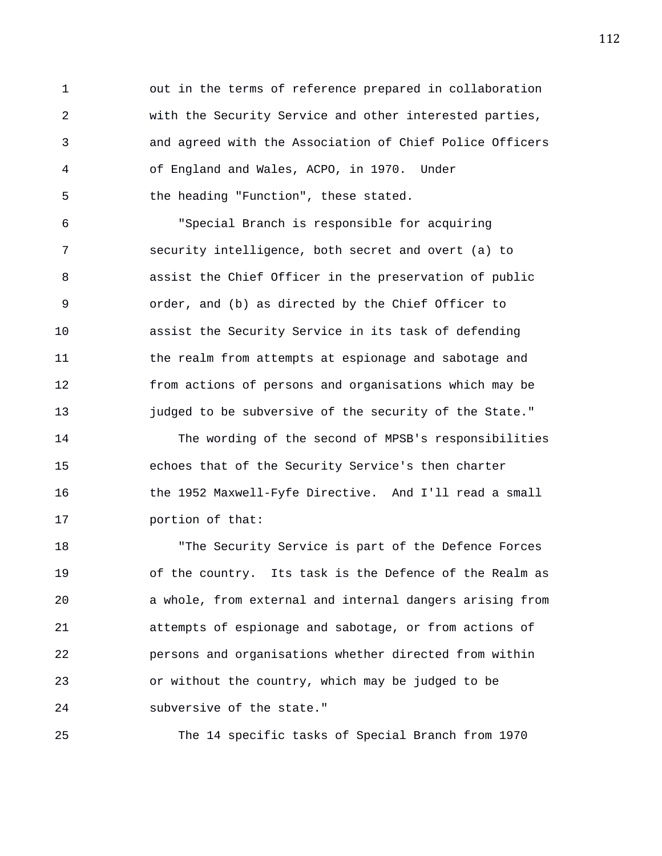1 out in the terms of reference prepared in collaboration 2 with the Security Service and other interested parties, 3 and agreed with the Association of Chief Police Officers 4 of England and Wales, ACPO, in 1970. Under 5 the heading "Function", these stated.

6 "Special Branch is responsible for acquiring 7 security intelligence, both secret and overt (a) to 8 assist the Chief Officer in the preservation of public 9 order, and (b) as directed by the Chief Officer to 10 assist the Security Service in its task of defending 11 the realm from attempts at espionage and sabotage and 12 from actions of persons and organisations which may be 13 judged to be subversive of the security of the State."

14 The wording of the second of MPSB's responsibilities 15 echoes that of the Security Service's then charter 16 the 1952 Maxwell-Fyfe Directive. And I'll read a small 17 portion of that:

18 "The Security Service is part of the Defence Forces 19 of the country. Its task is the Defence of the Realm as 20 a whole, from external and internal dangers arising from 21 attempts of espionage and sabotage, or from actions of 22 persons and organisations whether directed from within 23 or without the country, which may be judged to be 24 subversive of the state."

25 The 14 specific tasks of Special Branch from 1970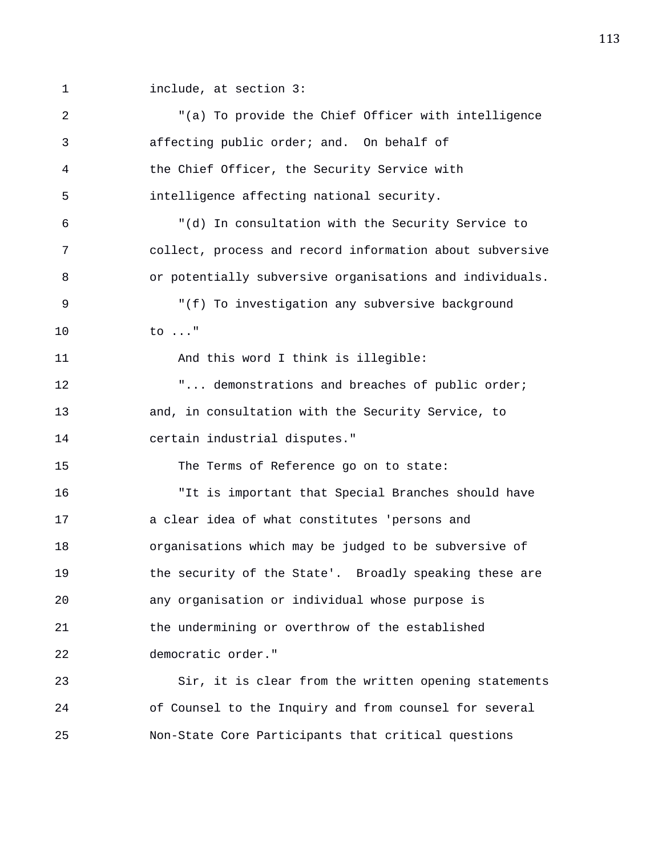1 include, at section 3:

| 2           | "(a) To provide the Chief Officer with intelligence      |
|-------------|----------------------------------------------------------|
| 3           | affecting public order; and. On behalf of                |
| 4           | the Chief Officer, the Security Service with             |
| 5           | intelligence affecting national security.                |
| 6           | "(d) In consultation with the Security Service to        |
| 7           | collect, process and record information about subversive |
| 8           | or potentially subversive organisations and individuals. |
| $\mathsf 9$ | "(f) To investigation any subversive background          |
| 10          | to $\ldots$ "                                            |
| 11          | And this word I think is illegible:                      |
| 12          | " demonstrations and breaches of public order;           |
| 13          | and, in consultation with the Security Service, to       |
| 14          | certain industrial disputes."                            |
| 15          | The Terms of Reference go on to state:                   |
| 16          | "It is important that Special Branches should have       |
| 17          | a clear idea of what constitutes 'persons and            |
| 18          | organisations which may be judged to be subversive of    |
| 19          | the security of the State'. Broadly speaking these are   |
| 20          | any organisation or individual whose purpose is          |
| 21          | the undermining or overthrow of the established          |
| 22          | democratic order."                                       |
| 23          | Sir, it is clear from the written opening statements     |
| 24          | of Counsel to the Inquiry and from counsel for several   |
| 25          | Non-State Core Participants that critical questions      |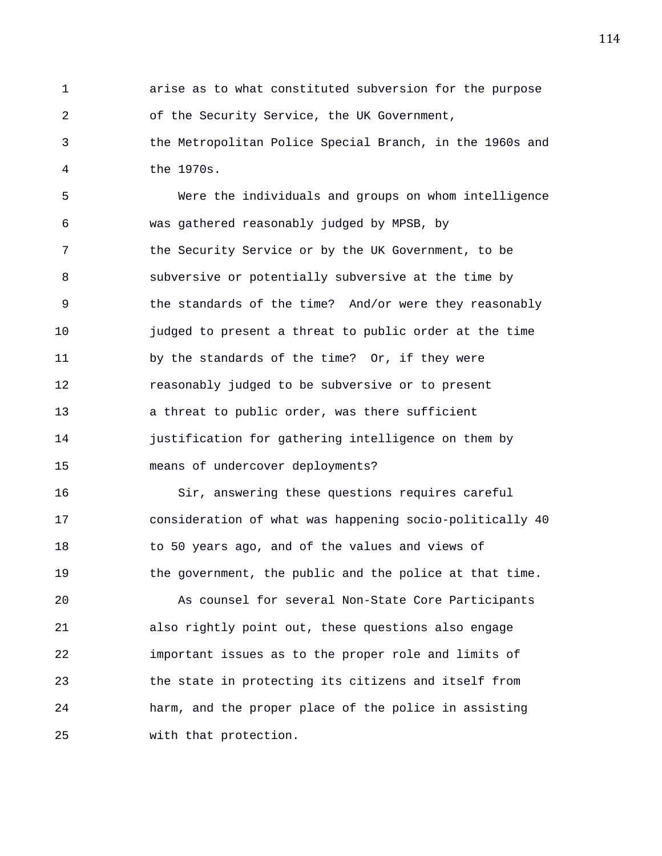1 arise as to what constituted subversion for the purpose 2 of the Security Service, the UK Government,

3 the Metropolitan Police Special Branch, in the 1960s and 4 the 1970s.

5 Were the individuals and groups on whom intelligence 6 was gathered reasonably judged by MPSB, by 7 the Security Service or by the UK Government, to be 8 subversive or potentially subversive at the time by 9 the standards of the time? And/or were they reasonably 10 judged to present a threat to public order at the time 11 by the standards of the time? Or, if they were 12 reasonably judged to be subversive or to present 13 a threat to public order, was there sufficient 14 justification for gathering intelligence on them by 15 means of undercover deployments?

16 Sir, answering these questions requires careful 17 consideration of what was happening socio-politically 40 18 to 50 years ago, and of the values and views of 19 the government, the public and the police at that time.

20 As counsel for several Non-State Core Participants 21 also rightly point out, these questions also engage 22 important issues as to the proper role and limits of 23 the state in protecting its citizens and itself from 24 harm, and the proper place of the police in assisting 25 with that protection.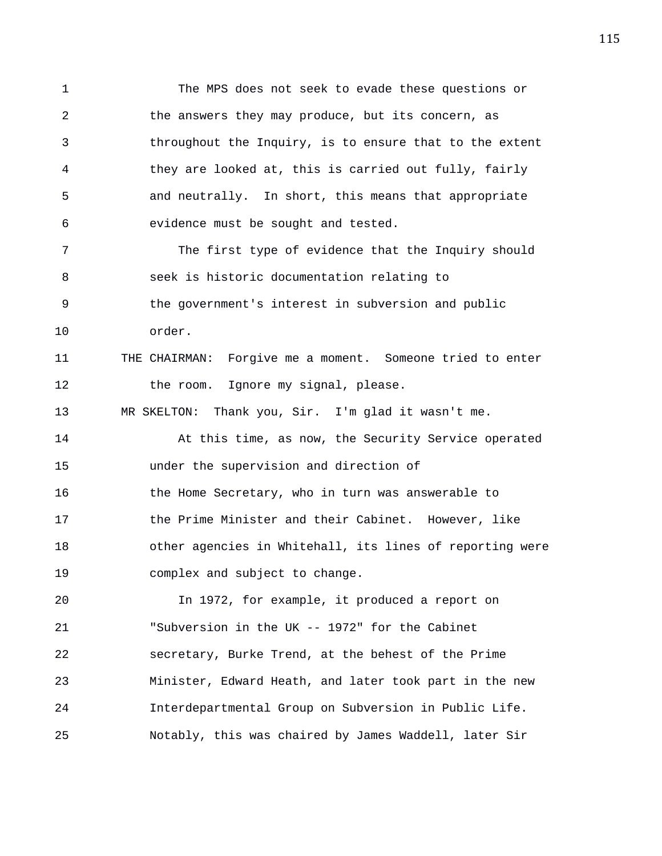1 The MPS does not seek to evade these questions or 2 the answers they may produce, but its concern, as 3 throughout the Inquiry, is to ensure that to the extent 4 they are looked at, this is carried out fully, fairly 5 and neutrally. In short, this means that appropriate 6 evidence must be sought and tested. 7 The first type of evidence that the Inquiry should 8 seek is historic documentation relating to 9 the government's interest in subversion and public 10 order. 11 THE CHAIRMAN: Forgive me a moment. Someone tried to enter 12 the room. Ignore my signal, please. 13 MR SKELTON: Thank you, Sir. I'm glad it wasn't me. 14 At this time, as now, the Security Service operated 15 under the supervision and direction of 16 the Home Secretary, who in turn was answerable to 17 the Prime Minister and their Cabinet. However, like 18 other agencies in Whitehall, its lines of reporting were 19 complex and subject to change. 20 In 1972, for example, it produced a report on 21 "Subversion in the UK -- 1972" for the Cabinet 22 secretary, Burke Trend, at the behest of the Prime 23 Minister, Edward Heath, and later took part in the new 24 Interdepartmental Group on Subversion in Public Life. 25 Notably, this was chaired by James Waddell, later Sir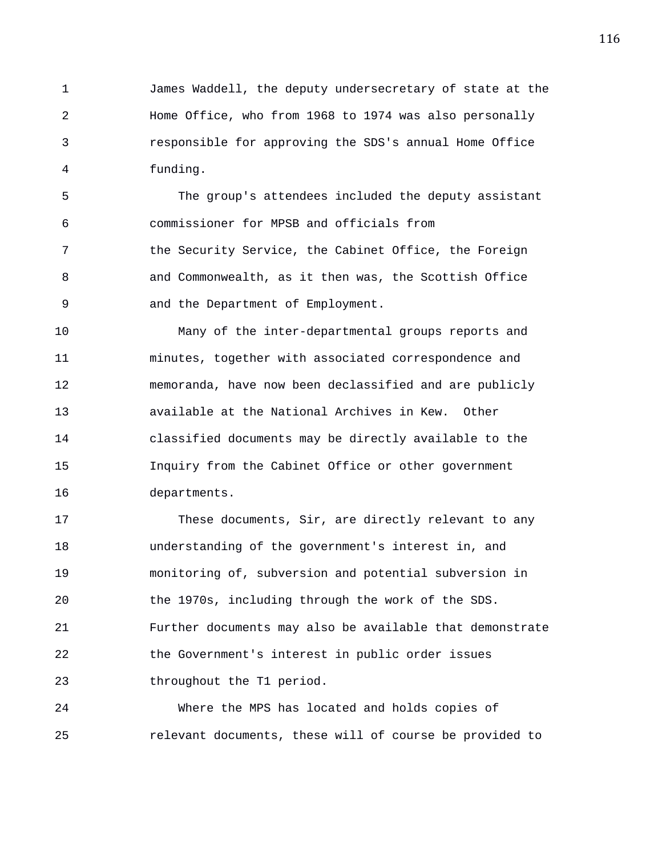1 James Waddell, the deputy undersecretary of state at the 2 Home Office, who from 1968 to 1974 was also personally 3 responsible for approving the SDS's annual Home Office 4 funding.

5 The group's attendees included the deputy assistant 6 commissioner for MPSB and officials from 7 the Security Service, the Cabinet Office, the Foreign 8 and Commonwealth, as it then was, the Scottish Office 9 and the Department of Employment.

10 Many of the inter-departmental groups reports and 11 minutes, together with associated correspondence and 12 memoranda, have now been declassified and are publicly 13 available at the National Archives in Kew. Other 14 classified documents may be directly available to the 15 Inquiry from the Cabinet Office or other government 16 departments.

17 These documents, Sir, are directly relevant to any 18 understanding of the government's interest in, and 19 monitoring of, subversion and potential subversion in 20 the 1970s, including through the work of the SDS. 21 Further documents may also be available that demonstrate 22 the Government's interest in public order issues 23 throughout the T1 period.

24 Where the MPS has located and holds copies of 25 relevant documents, these will of course be provided to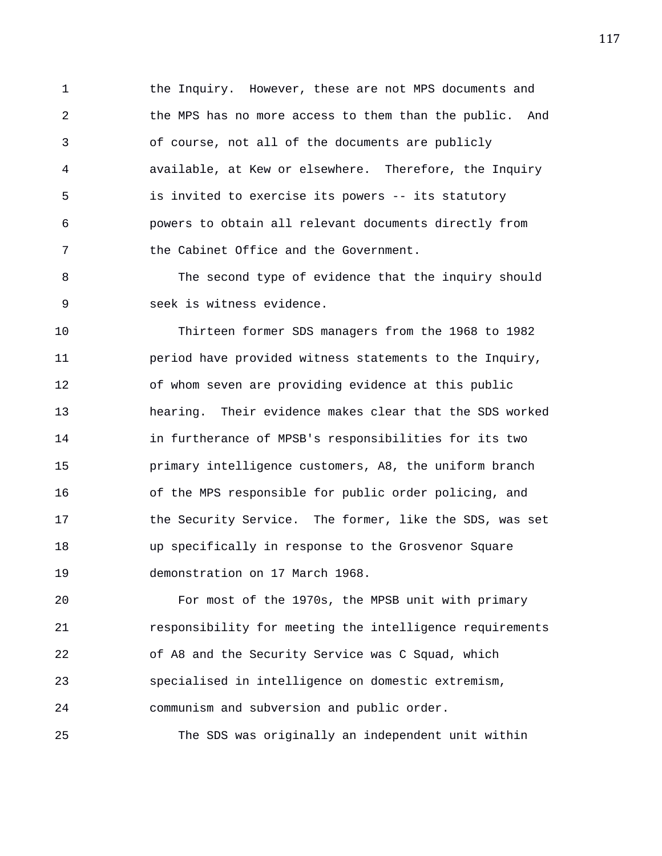1 the Inquiry. However, these are not MPS documents and 2 the MPS has no more access to them than the public. And 3 of course, not all of the documents are publicly 4 available, at Kew or elsewhere. Therefore, the Inquiry 5 is invited to exercise its powers -- its statutory 6 powers to obtain all relevant documents directly from 7 the Cabinet Office and the Government.

8 The second type of evidence that the inquiry should 9 seek is witness evidence.

10 Thirteen former SDS managers from the 1968 to 1982 11 period have provided witness statements to the Inquiry, 12 of whom seven are providing evidence at this public 13 hearing. Their evidence makes clear that the SDS worked 14 in furtherance of MPSB's responsibilities for its two 15 primary intelligence customers, A8, the uniform branch 16 of the MPS responsible for public order policing, and 17 the Security Service. The former, like the SDS, was set 18 up specifically in response to the Grosvenor Square 19 demonstration on 17 March 1968.

20 For most of the 1970s, the MPSB unit with primary 21 responsibility for meeting the intelligence requirements 22 of A8 and the Security Service was C Squad, which 23 specialised in intelligence on domestic extremism, 24 communism and subversion and public order.

25 The SDS was originally an independent unit within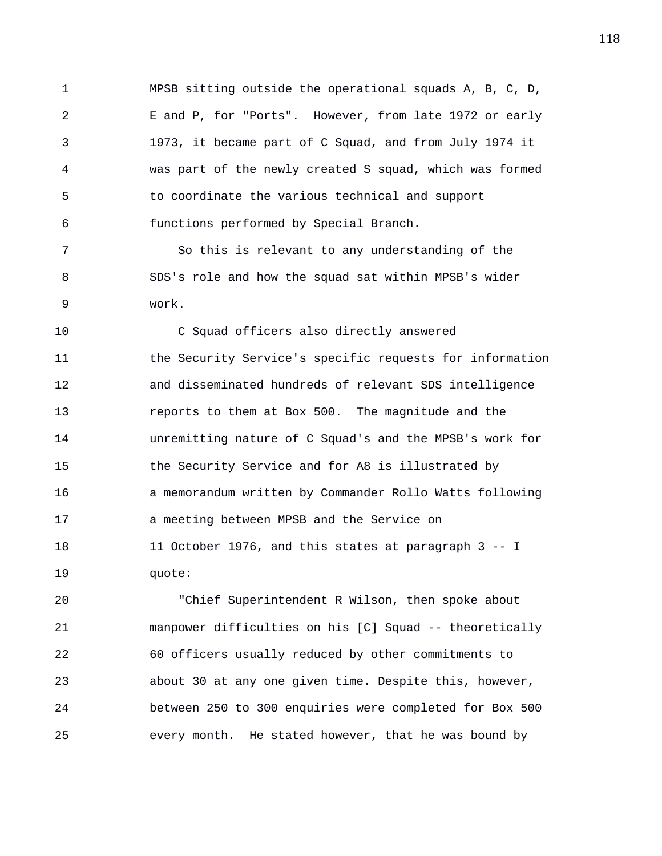1 MPSB sitting outside the operational squads A, B, C, D, 2 E and P, for "Ports". However, from late 1972 or early 3 1973, it became part of C Squad, and from July 1974 it 4 was part of the newly created S squad, which was formed 5 to coordinate the various technical and support 6 functions performed by Special Branch.

7 So this is relevant to any understanding of the 8 SDS's role and how the squad sat within MPSB's wider 9 work.

10 C Squad officers also directly answered 11 the Security Service's specific requests for information 12 and disseminated hundreds of relevant SDS intelligence 13 reports to them at Box 500. The magnitude and the 14 unremitting nature of C Squad's and the MPSB's work for 15 the Security Service and for A8 is illustrated by 16 a memorandum written by Commander Rollo Watts following 17 a meeting between MPSB and the Service on 18 11 October 1976, and this states at paragraph 3 -- I 19 quote:

20 "Chief Superintendent R Wilson, then spoke about 21 manpower difficulties on his [C] Squad -- theoretically 22 60 officers usually reduced by other commitments to 23 about 30 at any one given time. Despite this, however, 24 between 250 to 300 enquiries were completed for Box 500 25 every month. He stated however, that he was bound by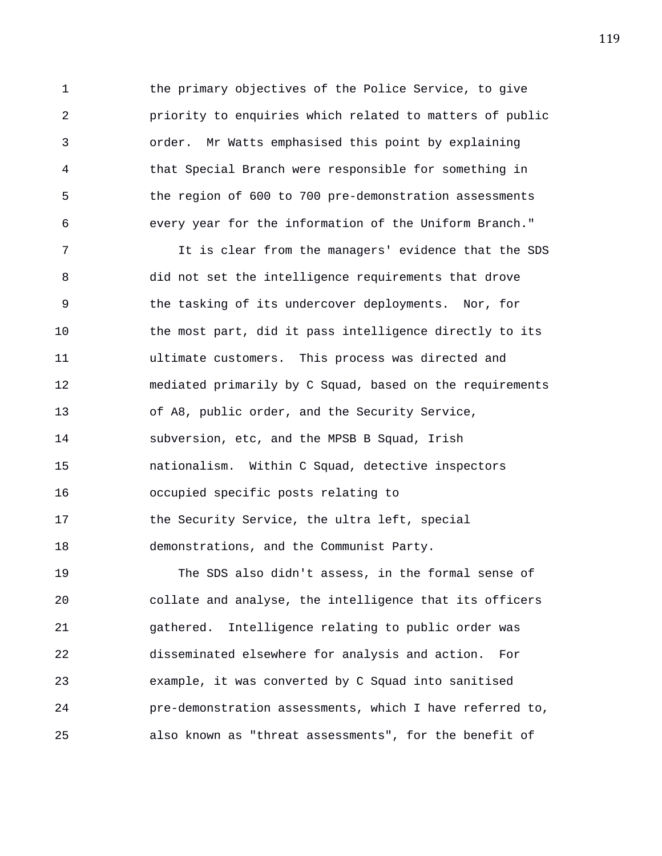1 the primary objectives of the Police Service, to give 2 priority to enquiries which related to matters of public 3 order. Mr Watts emphasised this point by explaining 4 that Special Branch were responsible for something in 5 the region of 600 to 700 pre-demonstration assessments 6 every year for the information of the Uniform Branch."

7 It is clear from the managers' evidence that the SDS 8 did not set the intelligence requirements that drove 9 the tasking of its undercover deployments. Nor, for 10 the most part, did it pass intelligence directly to its 11 ultimate customers. This process was directed and 12 mediated primarily by C Squad, based on the requirements 13 of A8, public order, and the Security Service, 14 subversion, etc, and the MPSB B Squad, Irish 15 nationalism. Within C Squad, detective inspectors 16 occupied specific posts relating to 17 the Security Service, the ultra left, special 18 demonstrations, and the Communist Party.

19 The SDS also didn't assess, in the formal sense of 20 collate and analyse, the intelligence that its officers 21 gathered. Intelligence relating to public order was 22 disseminated elsewhere for analysis and action. For 23 example, it was converted by C Squad into sanitised 24 pre-demonstration assessments, which I have referred to, 25 also known as "threat assessments", for the benefit of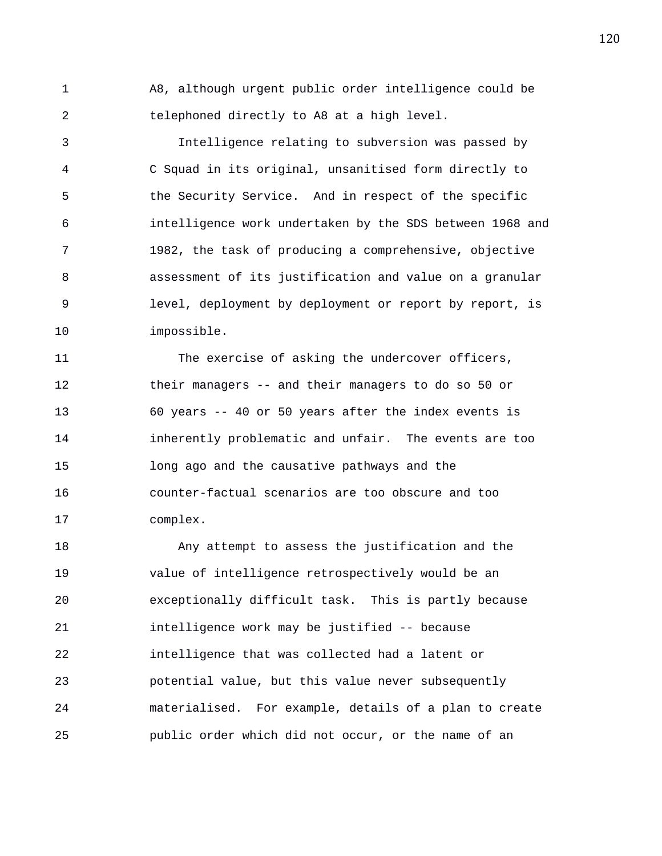1 A8, although urgent public order intelligence could be 2 telephoned directly to A8 at a high level.

3 Intelligence relating to subversion was passed by 4 C Squad in its original, unsanitised form directly to 5 the Security Service. And in respect of the specific 6 intelligence work undertaken by the SDS between 1968 and 7 1982, the task of producing a comprehensive, objective 8 assessment of its justification and value on a granular 9 level, deployment by deployment or report by report, is 10 impossible.

11 The exercise of asking the undercover officers, 12 their managers -- and their managers to do so 50 or 13 60 years -- 40 or 50 years after the index events is 14 inherently problematic and unfair. The events are too 15 long ago and the causative pathways and the 16 counter-factual scenarios are too obscure and too 17 complex.

18 Any attempt to assess the justification and the 19 value of intelligence retrospectively would be an 20 exceptionally difficult task. This is partly because 21 intelligence work may be justified -- because 22 intelligence that was collected had a latent or 23 potential value, but this value never subsequently 24 materialised. For example, details of a plan to create 25 public order which did not occur, or the name of an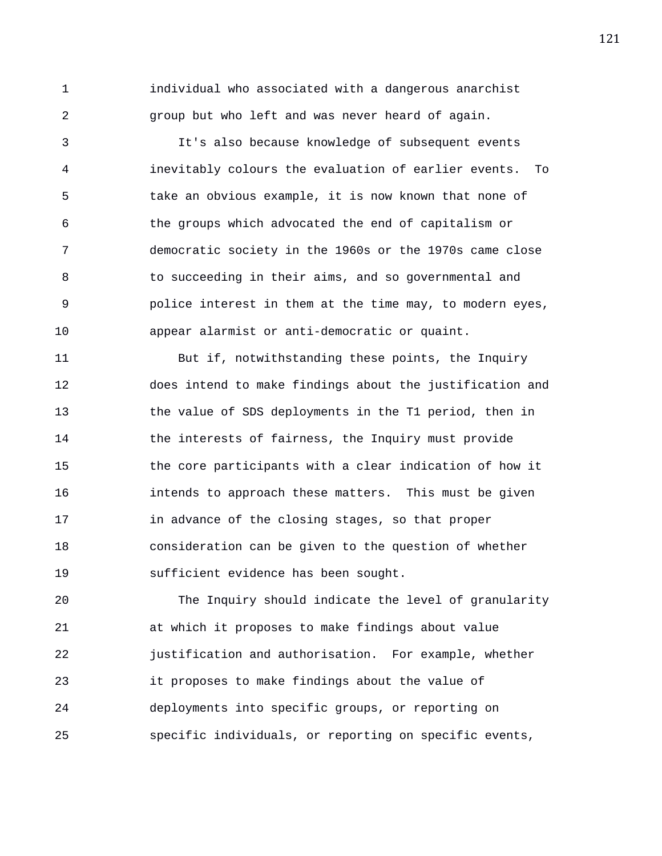1 individual who associated with a dangerous anarchist 2 group but who left and was never heard of again.

3 It's also because knowledge of subsequent events 4 inevitably colours the evaluation of earlier events. To 5 take an obvious example, it is now known that none of 6 the groups which advocated the end of capitalism or 7 democratic society in the 1960s or the 1970s came close 8 to succeeding in their aims, and so governmental and 9 police interest in them at the time may, to modern eyes, 10 appear alarmist or anti-democratic or quaint.

11 But if, notwithstanding these points, the Inquiry 12 does intend to make findings about the justification and 13 the value of SDS deployments in the T1 period, then in 14 the interests of fairness, the Inquiry must provide 15 the core participants with a clear indication of how it 16 intends to approach these matters. This must be given 17 in advance of the closing stages, so that proper 18 consideration can be given to the question of whether 19 sufficient evidence has been sought.

20 The Inquiry should indicate the level of granularity 21 at which it proposes to make findings about value 22 justification and authorisation. For example, whether 23 it proposes to make findings about the value of 24 deployments into specific groups, or reporting on 25 specific individuals, or reporting on specific events,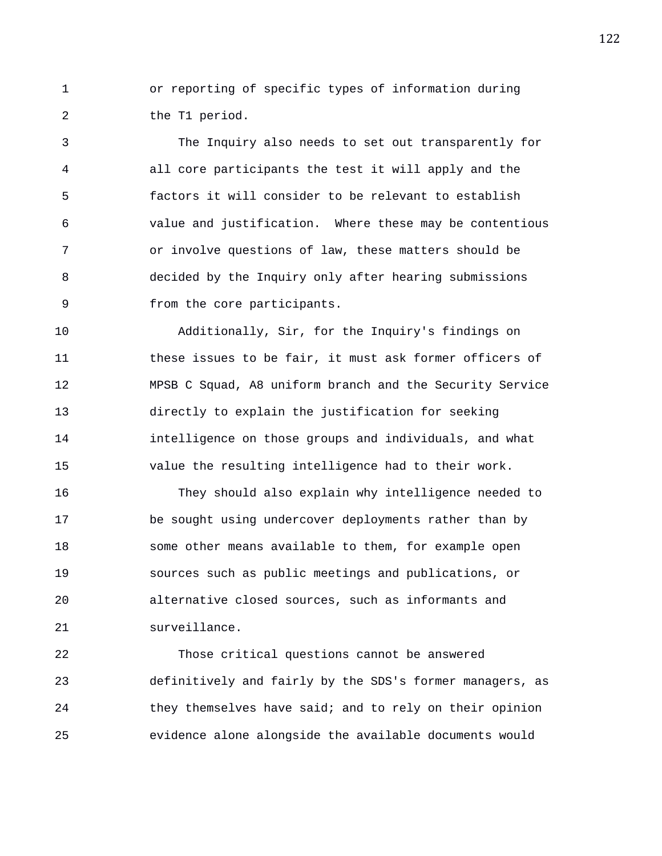1 or reporting of specific types of information during 2 the T1 period.

3 The Inquiry also needs to set out transparently for 4 all core participants the test it will apply and the 5 factors it will consider to be relevant to establish 6 value and justification. Where these may be contentious 7 or involve questions of law, these matters should be 8 decided by the Inquiry only after hearing submissions 9 from the core participants.

10 Additionally, Sir, for the Inquiry's findings on 11 these issues to be fair, it must ask former officers of 12 MPSB C Squad, A8 uniform branch and the Security Service 13 directly to explain the justification for seeking 14 intelligence on those groups and individuals, and what 15 value the resulting intelligence had to their work.

16 They should also explain why intelligence needed to 17 be sought using undercover deployments rather than by 18 some other means available to them, for example open 19 sources such as public meetings and publications, or 20 alternative closed sources, such as informants and 21 surveillance.

22 Those critical questions cannot be answered 23 definitively and fairly by the SDS's former managers, as 24 they themselves have said; and to rely on their opinion 25 evidence alone alongside the available documents would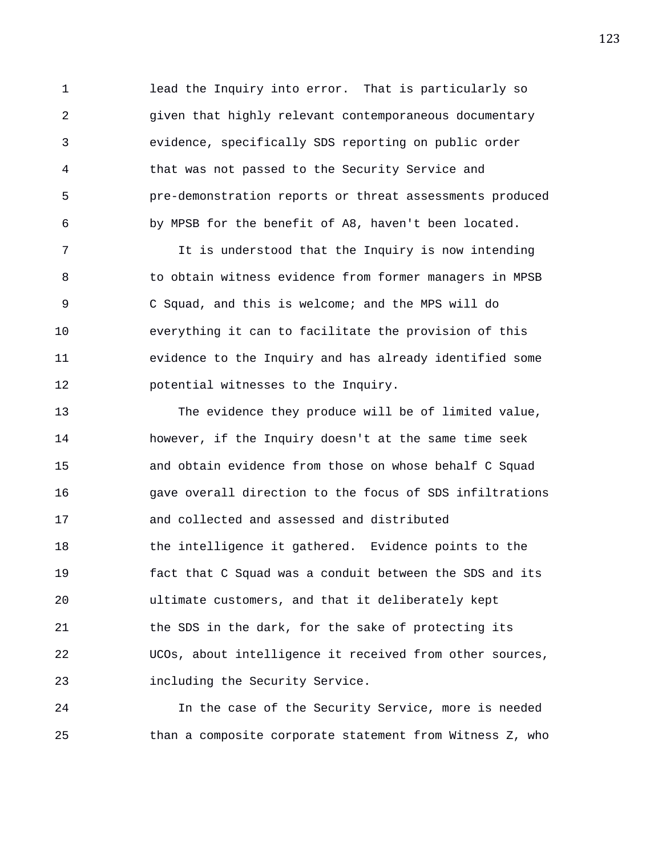1 lead the Inquiry into error. That is particularly so 2 given that highly relevant contemporaneous documentary 3 evidence, specifically SDS reporting on public order 4 that was not passed to the Security Service and 5 pre-demonstration reports or threat assessments produced 6 by MPSB for the benefit of A8, haven't been located.

7 It is understood that the Inquiry is now intending 8 to obtain witness evidence from former managers in MPSB 9 C Squad, and this is welcome; and the MPS will do 10 everything it can to facilitate the provision of this 11 evidence to the Inquiry and has already identified some 12 potential witnesses to the Inquiry.

13 The evidence they produce will be of limited value, 14 however, if the Inquiry doesn't at the same time seek 15 and obtain evidence from those on whose behalf C Squad 16 gave overall direction to the focus of SDS infiltrations 17 and collected and assessed and distributed 18 the intelligence it gathered. Evidence points to the 19 fact that C Squad was a conduit between the SDS and its 20 ultimate customers, and that it deliberately kept 21 the SDS in the dark, for the sake of protecting its 22 UCOs, about intelligence it received from other sources, 23 including the Security Service.

24 In the case of the Security Service, more is needed 25 than a composite corporate statement from Witness Z, who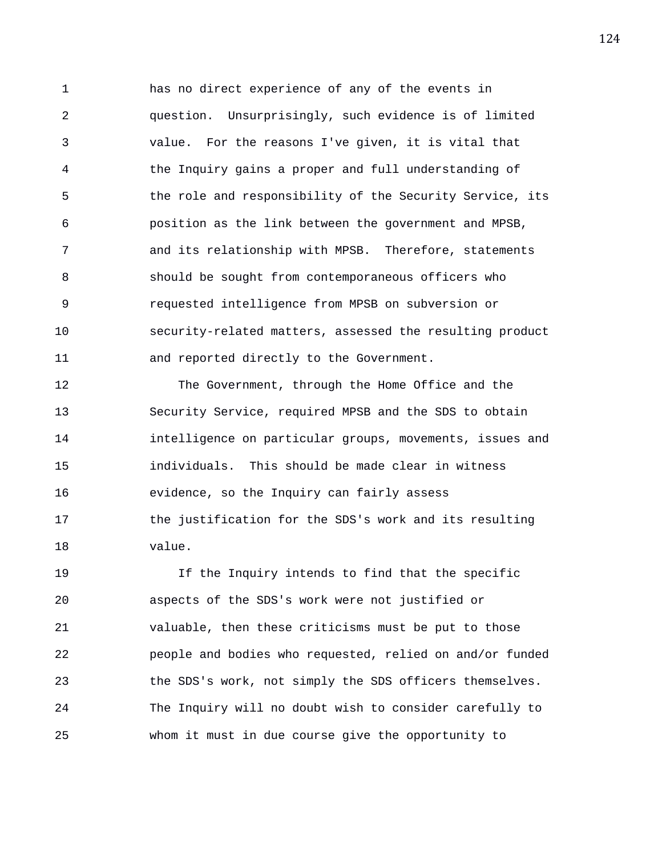1 has no direct experience of any of the events in 2 question. Unsurprisingly, such evidence is of limited 3 value. For the reasons I've given, it is vital that 4 the Inquiry gains a proper and full understanding of 5 the role and responsibility of the Security Service, its 6 position as the link between the government and MPSB, 7 and its relationship with MPSB. Therefore, statements 8 should be sought from contemporaneous officers who 9 requested intelligence from MPSB on subversion or 10 security-related matters, assessed the resulting product 11 and reported directly to the Government.

12 The Government, through the Home Office and the 13 Security Service, required MPSB and the SDS to obtain 14 intelligence on particular groups, movements, issues and 15 individuals. This should be made clear in witness 16 evidence, so the Inquiry can fairly assess 17 the justification for the SDS's work and its resulting 18 value.

19 If the Inquiry intends to find that the specific 20 aspects of the SDS's work were not justified or 21 valuable, then these criticisms must be put to those 22 people and bodies who requested, relied on and/or funded 23 the SDS's work, not simply the SDS officers themselves. 24 The Inquiry will no doubt wish to consider carefully to 25 whom it must in due course give the opportunity to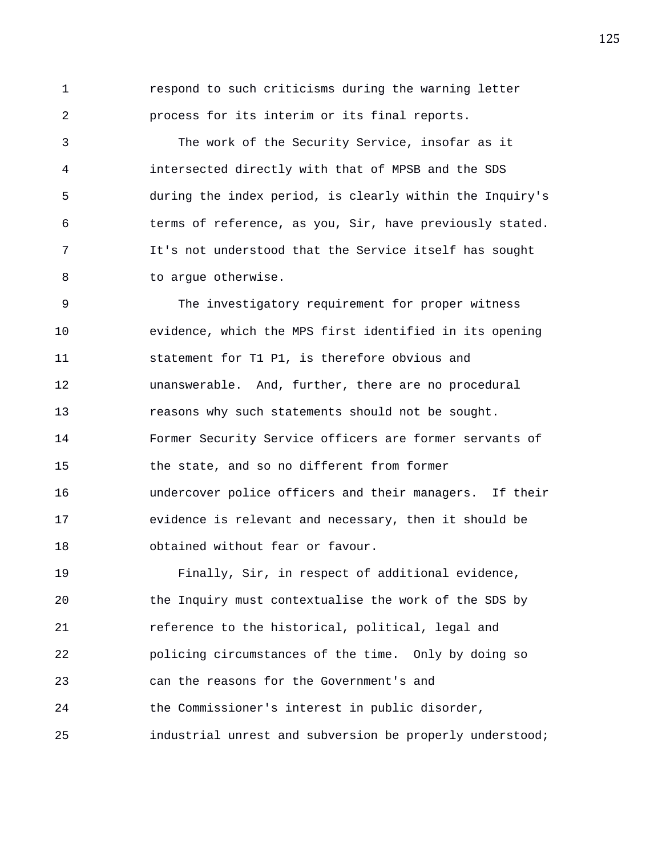1 respond to such criticisms during the warning letter 2 process for its interim or its final reports.

3 The work of the Security Service, insofar as it 4 intersected directly with that of MPSB and the SDS 5 during the index period, is clearly within the Inquiry's 6 terms of reference, as you, Sir, have previously stated. 7 It's not understood that the Service itself has sought 8 to argue otherwise.

9 The investigatory requirement for proper witness 10 evidence, which the MPS first identified in its opening 11 statement for T1 P1, is therefore obvious and 12 unanswerable. And, further, there are no procedural 13 reasons why such statements should not be sought. 14 Former Security Service officers are former servants of 15 the state, and so no different from former 16 undercover police officers and their managers. If their 17 evidence is relevant and necessary, then it should be 18 obtained without fear or favour.

19 Finally, Sir, in respect of additional evidence, 20 the Inquiry must contextualise the work of the SDS by 21 reference to the historical, political, legal and 22 policing circumstances of the time. Only by doing so 23 can the reasons for the Government's and 24 the Commissioner's interest in public disorder, 25 industrial unrest and subversion be properly understood;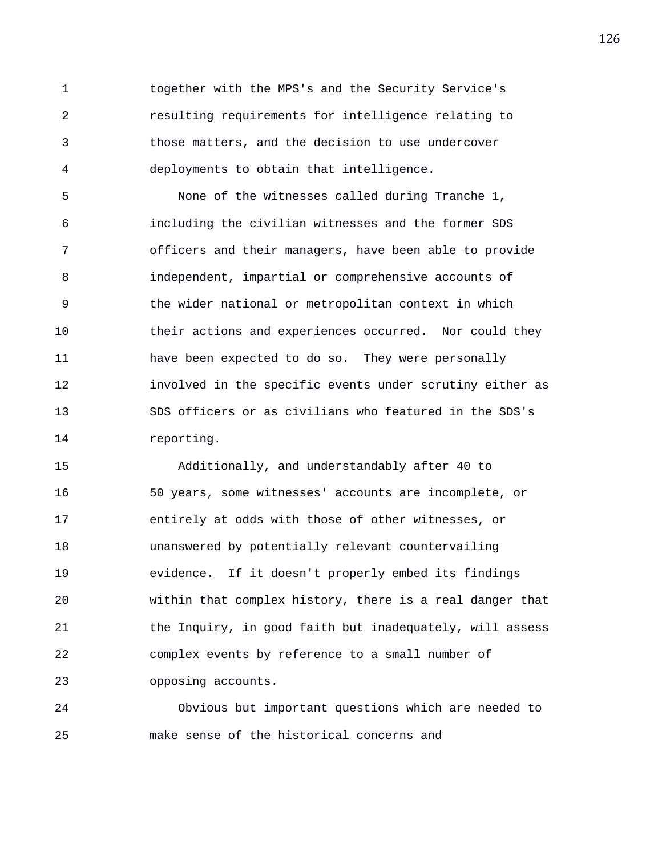1 together with the MPS's and the Security Service's 2 resulting requirements for intelligence relating to 3 those matters, and the decision to use undercover 4 deployments to obtain that intelligence.

5 None of the witnesses called during Tranche 1, 6 including the civilian witnesses and the former SDS 7 officers and their managers, have been able to provide 8 independent, impartial or comprehensive accounts of 9 the wider national or metropolitan context in which 10 their actions and experiences occurred. Nor could they 11 have been expected to do so. They were personally 12 involved in the specific events under scrutiny either as 13 SDS officers or as civilians who featured in the SDS's 14 reporting.

15 Additionally, and understandably after 40 to 16 50 years, some witnesses' accounts are incomplete, or 17 entirely at odds with those of other witnesses, or 18 unanswered by potentially relevant countervailing 19 evidence. If it doesn't properly embed its findings 20 within that complex history, there is a real danger that 21 the Inquiry, in good faith but inadequately, will assess 22 complex events by reference to a small number of 23 opposing accounts.

24 Obvious but important questions which are needed to 25 make sense of the historical concerns and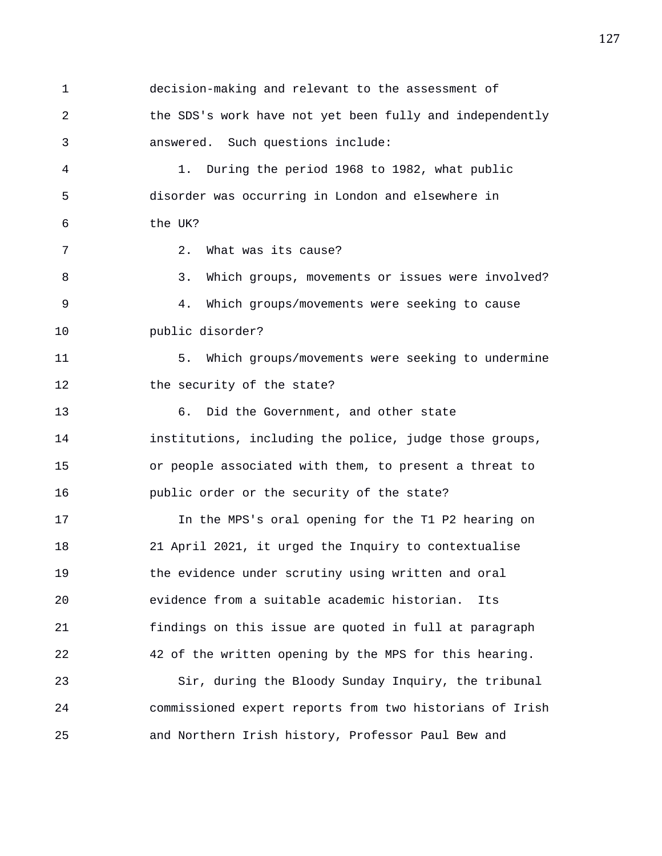1 decision-making and relevant to the assessment of 2 the SDS's work have not yet been fully and independently 3 answered. Such questions include: 4 1. During the period 1968 to 1982, what public 5 disorder was occurring in London and elsewhere in 6 the UK? 7 2. What was its cause? 8 3. Which groups, movements or issues were involved? 9 4. Which groups/movements were seeking to cause 10 public disorder? 11 5. Which groups/movements were seeking to undermine 12 the security of the state? 13 6. Did the Government, and other state 14 institutions, including the police, judge those groups, 15 or people associated with them, to present a threat to 16 public order or the security of the state? 17 In the MPS's oral opening for the T1 P2 hearing on 18 21 April 2021, it urged the Inquiry to contextualise 19 the evidence under scrutiny using written and oral 20 evidence from a suitable academic historian. Its 21 findings on this issue are quoted in full at paragraph 22 42 of the written opening by the MPS for this hearing. 23 Sir, during the Bloody Sunday Inquiry, the tribunal 24 commissioned expert reports from two historians of Irish 25 and Northern Irish history, Professor Paul Bew and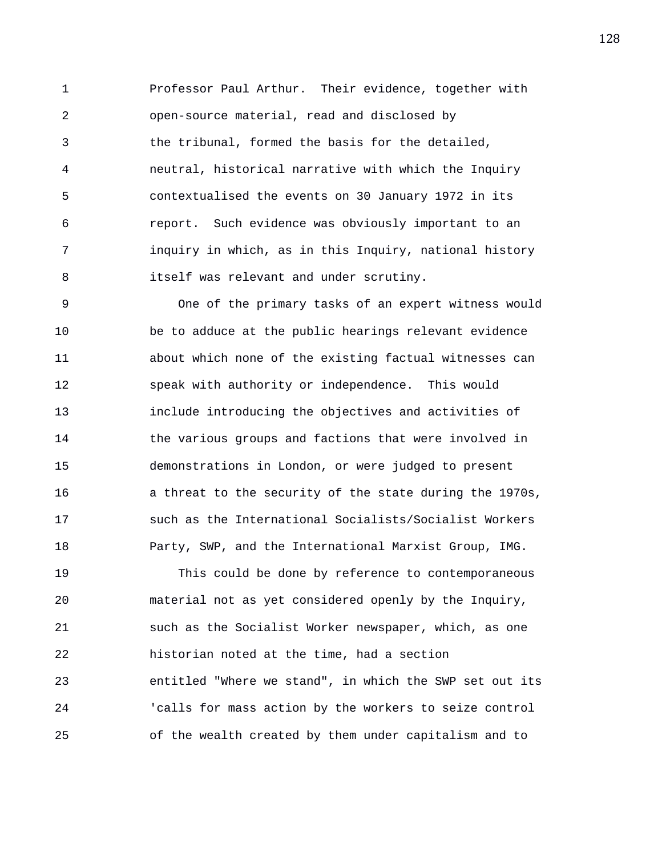1 Professor Paul Arthur. Their evidence, together with 2 open-source material, read and disclosed by 3 the tribunal, formed the basis for the detailed, 4 neutral, historical narrative with which the Inquiry 5 contextualised the events on 30 January 1972 in its 6 report. Such evidence was obviously important to an 7 inquiry in which, as in this Inquiry, national history 8 itself was relevant and under scrutiny.

9 One of the primary tasks of an expert witness would 10 be to adduce at the public hearings relevant evidence 11 about which none of the existing factual witnesses can 12 speak with authority or independence. This would 13 include introducing the objectives and activities of 14 the various groups and factions that were involved in 15 demonstrations in London, or were judged to present 16 a threat to the security of the state during the 1970s, 17 such as the International Socialists/Socialist Workers 18 Party, SWP, and the International Marxist Group, IMG.

19 This could be done by reference to contemporaneous 20 material not as yet considered openly by the Inquiry, 21 such as the Socialist Worker newspaper, which, as one 22 historian noted at the time, had a section 23 entitled "Where we stand", in which the SWP set out its 24 'calls for mass action by the workers to seize control 25 of the wealth created by them under capitalism and to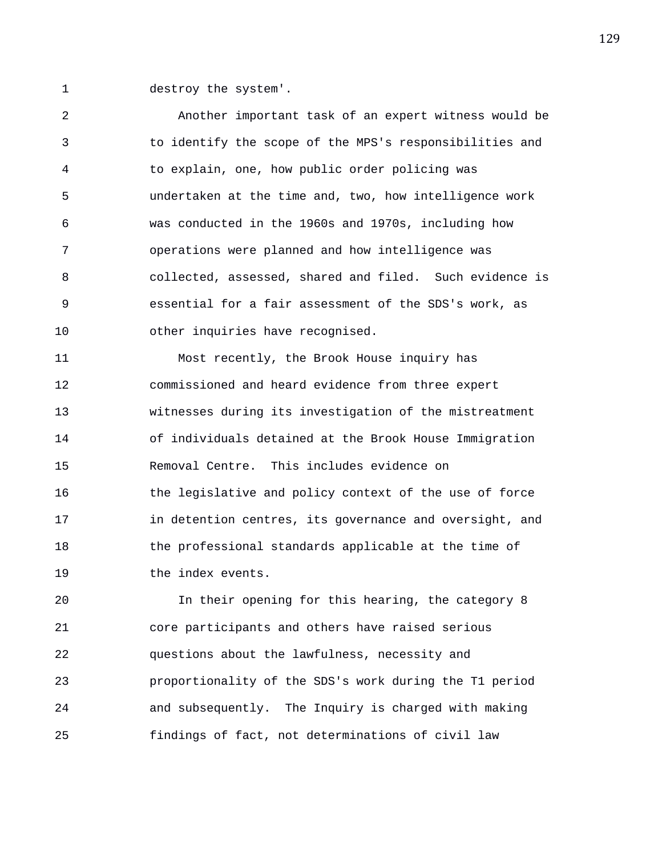1 destroy the system'.

2 Another important task of an expert witness would be 3 to identify the scope of the MPS's responsibilities and 4 to explain, one, how public order policing was 5 undertaken at the time and, two, how intelligence work 6 was conducted in the 1960s and 1970s, including how 7 operations were planned and how intelligence was 8 collected, assessed, shared and filed. Such evidence is 9 essential for a fair assessment of the SDS's work, as 10 other inquiries have recognised. 11 Most recently, the Brook House inquiry has

12 commissioned and heard evidence from three expert 13 witnesses during its investigation of the mistreatment 14 of individuals detained at the Brook House Immigration 15 Removal Centre. This includes evidence on 16 the legislative and policy context of the use of force 17 in detention centres, its governance and oversight, and 18 the professional standards applicable at the time of 19 the index events.

20 In their opening for this hearing, the category 8 21 core participants and others have raised serious 22 questions about the lawfulness, necessity and 23 proportionality of the SDS's work during the T1 period 24 and subsequently. The Inquiry is charged with making 25 findings of fact, not determinations of civil law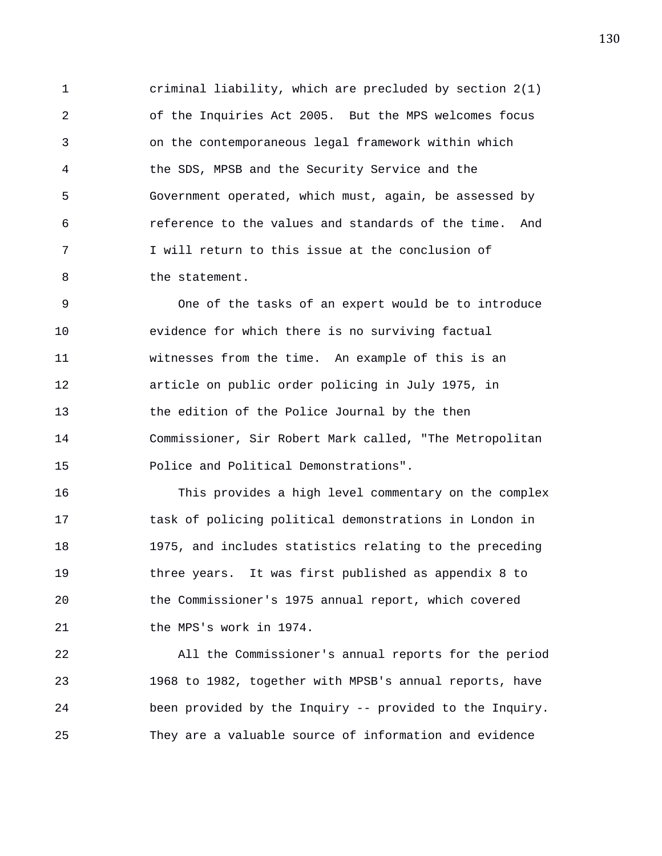1 criminal liability, which are precluded by section 2(1) 2 of the Inquiries Act 2005. But the MPS welcomes focus 3 on the contemporaneous legal framework within which 4 the SDS, MPSB and the Security Service and the 5 Government operated, which must, again, be assessed by 6 reference to the values and standards of the time. And 7 I will return to this issue at the conclusion of 8 the statement.

9 One of the tasks of an expert would be to introduce 10 evidence for which there is no surviving factual 11 witnesses from the time. An example of this is an 12 article on public order policing in July 1975, in 13 the edition of the Police Journal by the then 14 Commissioner, Sir Robert Mark called, "The Metropolitan 15 Police and Political Demonstrations".

16 This provides a high level commentary on the complex 17 task of policing political demonstrations in London in 18 1975, and includes statistics relating to the preceding 19 three years. It was first published as appendix 8 to 20 the Commissioner's 1975 annual report, which covered 21 the MPS's work in 1974.

22 All the Commissioner's annual reports for the period 23 1968 to 1982, together with MPSB's annual reports, have 24 been provided by the Inquiry -- provided to the Inquiry. 25 They are a valuable source of information and evidence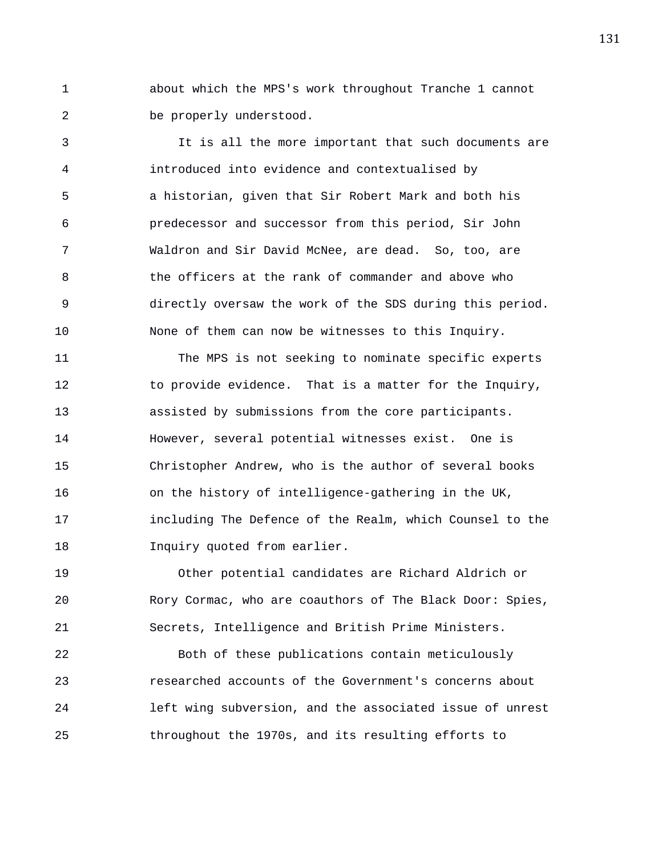1 about which the MPS's work throughout Tranche 1 cannot 2 be properly understood.

3 It is all the more important that such documents are 4 introduced into evidence and contextualised by 5 a historian, given that Sir Robert Mark and both his 6 predecessor and successor from this period, Sir John 7 Waldron and Sir David McNee, are dead. So, too, are 8 the officers at the rank of commander and above who 9 directly oversaw the work of the SDS during this period. 10 None of them can now be witnesses to this Inquiry.

11 The MPS is not seeking to nominate specific experts 12 to provide evidence. That is a matter for the Inquiry, 13 assisted by submissions from the core participants. 14 However, several potential witnesses exist. One is 15 Christopher Andrew, who is the author of several books 16 on the history of intelligence-gathering in the UK, 17 including The Defence of the Realm, which Counsel to the 18 **Inquiry quoted from earlier.** 

19 Other potential candidates are Richard Aldrich or 20 Rory Cormac, who are coauthors of The Black Door: Spies, 21 Secrets, Intelligence and British Prime Ministers.

22 Both of these publications contain meticulously 23 researched accounts of the Government's concerns about 24 left wing subversion, and the associated issue of unrest 25 throughout the 1970s, and its resulting efforts to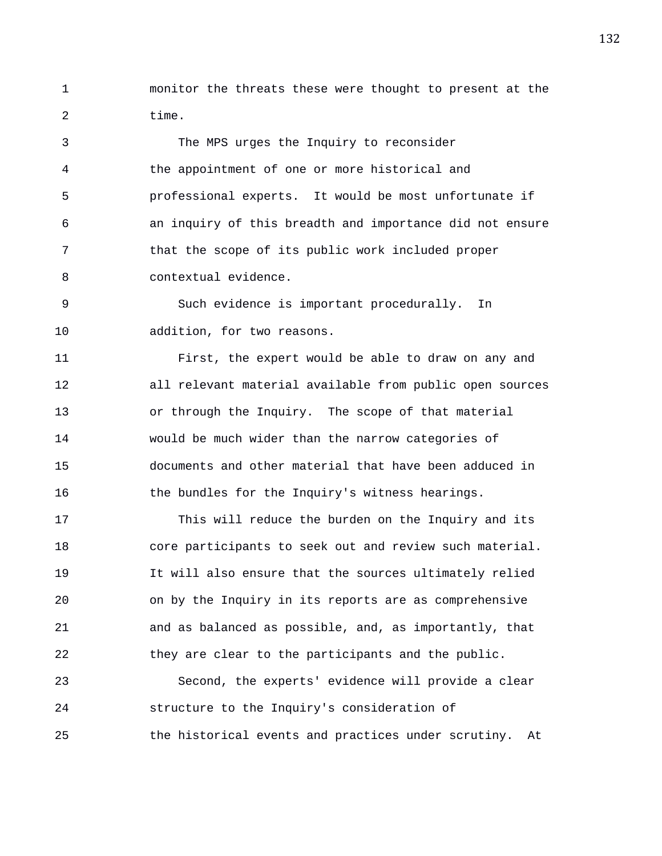1 monitor the threats these were thought to present at the 2 time.

3 The MPS urges the Inquiry to reconsider 4 the appointment of one or more historical and 5 professional experts. It would be most unfortunate if 6 an inquiry of this breadth and importance did not ensure 7 that the scope of its public work included proper 8 contextual evidence.

9 Such evidence is important procedurally. In 10 addition, for two reasons.

11 First, the expert would be able to draw on any and 12 all relevant material available from public open sources 13 or through the Inquiry. The scope of that material 14 would be much wider than the narrow categories of 15 documents and other material that have been adduced in 16 the bundles for the Inquiry's witness hearings.

17 This will reduce the burden on the Inquiry and its 18 core participants to seek out and review such material. 19 It will also ensure that the sources ultimately relied 20 on by the Inquiry in its reports are as comprehensive 21 and as balanced as possible, and, as importantly, that 22 they are clear to the participants and the public.

23 Second, the experts' evidence will provide a clear 24 structure to the Inquiry's consideration of 25 the historical events and practices under scrutiny. At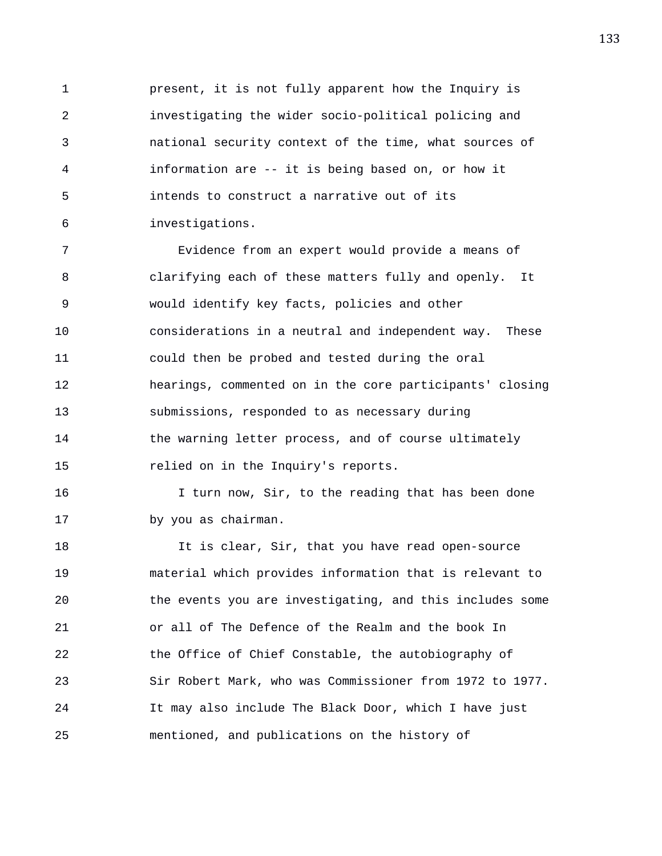1 present, it is not fully apparent how the Inquiry is 2 investigating the wider socio-political policing and 3 national security context of the time, what sources of 4 information are -- it is being based on, or how it 5 intends to construct a narrative out of its 6 investigations.

7 Evidence from an expert would provide a means of 8 clarifying each of these matters fully and openly. It 9 would identify key facts, policies and other 10 considerations in a neutral and independent way. These 11 could then be probed and tested during the oral 12 hearings, commented on in the core participants' closing 13 submissions, responded to as necessary during 14 the warning letter process, and of course ultimately 15 relied on in the Inquiry's reports.

16 I turn now, Sir, to the reading that has been done 17 by you as chairman.

18 It is clear, Sir, that you have read open-source 19 material which provides information that is relevant to 20 the events you are investigating, and this includes some 21 or all of The Defence of the Realm and the book In 22 the Office of Chief Constable, the autobiography of 23 Sir Robert Mark, who was Commissioner from 1972 to 1977. 24 It may also include The Black Door, which I have just 25 mentioned, and publications on the history of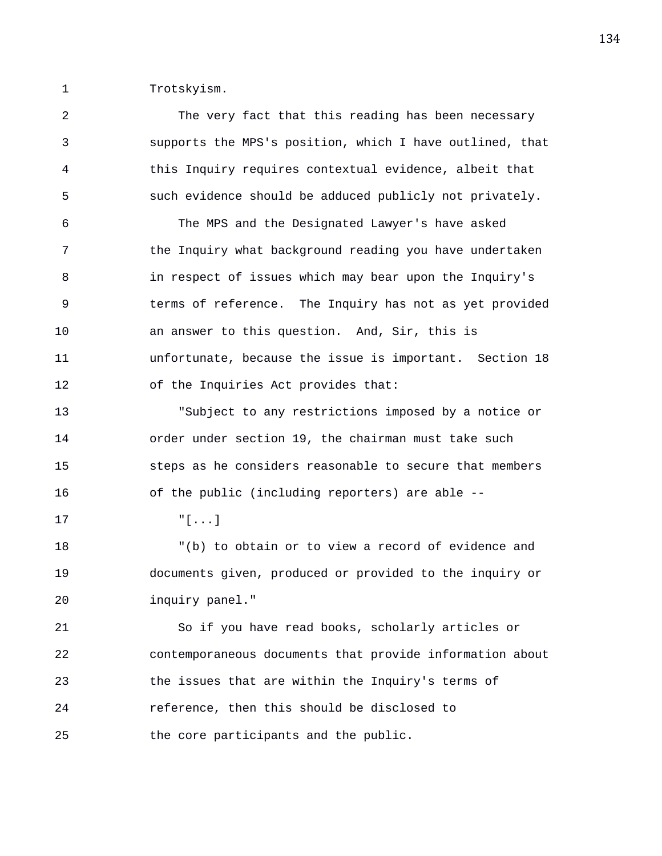1 Trotskyism.

2 The very fact that this reading has been necessary 3 supports the MPS's position, which I have outlined, that 4 this Inquiry requires contextual evidence, albeit that 5 such evidence should be adduced publicly not privately. 6 The MPS and the Designated Lawyer's have asked 7 the Inquiry what background reading you have undertaken 8 in respect of issues which may bear upon the Inquiry's 9 terms of reference. The Inquiry has not as yet provided 10 an answer to this question. And, Sir, this is 11 unfortunate, because the issue is important. Section 18 12 of the Inquiries Act provides that: 13 "Subject to any restrictions imposed by a notice or 14 order under section 19, the chairman must take such 15 steps as he considers reasonable to secure that members 16 of the public (including reporters) are able -- 17 "[...] 18 "(b) to obtain or to view a record of evidence and 19 documents given, produced or provided to the inquiry or 20 inquiry panel." 21 So if you have read books, scholarly articles or 22 contemporaneous documents that provide information about 23 the issues that are within the Inquiry's terms of 24 reference, then this should be disclosed to 25 the core participants and the public.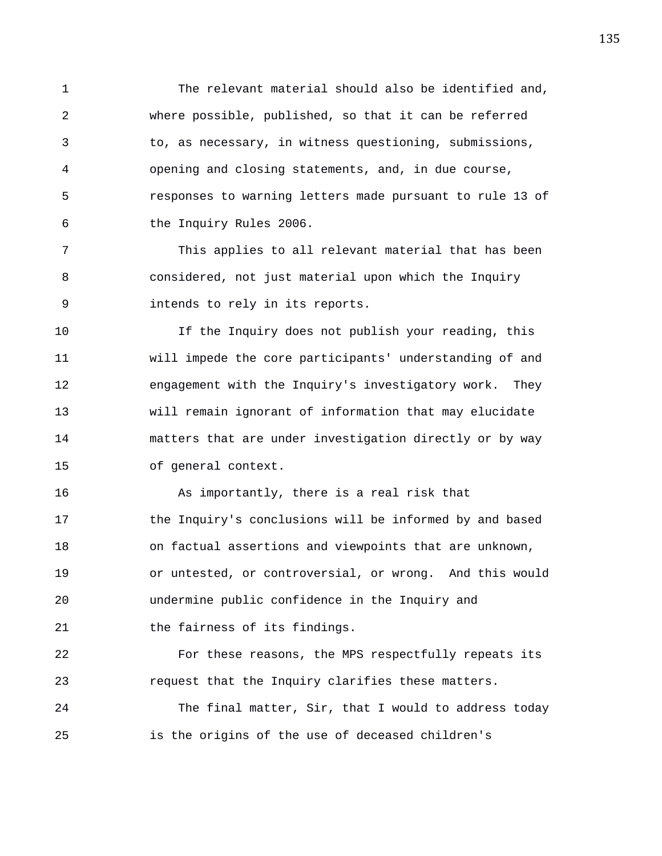1 The relevant material should also be identified and, 2 where possible, published, so that it can be referred 3 to, as necessary, in witness questioning, submissions, 4 opening and closing statements, and, in due course, 5 responses to warning letters made pursuant to rule 13 of 6 the Inquiry Rules 2006.

7 This applies to all relevant material that has been 8 considered, not just material upon which the Inquiry 9 intends to rely in its reports.

10 If the Inquiry does not publish your reading, this 11 will impede the core participants' understanding of and 12 engagement with the Inquiry's investigatory work. They 13 will remain ignorant of information that may elucidate 14 matters that are under investigation directly or by way 15 of general context.

16 As importantly, there is a real risk that 17 the Inquiry's conclusions will be informed by and based 18 on factual assertions and viewpoints that are unknown, 19 or untested, or controversial, or wrong. And this would 20 undermine public confidence in the Inquiry and 21 the fairness of its findings.

22 For these reasons, the MPS respectfully repeats its 23 request that the Inquiry clarifies these matters.

24 The final matter, Sir, that I would to address today 25 is the origins of the use of deceased children's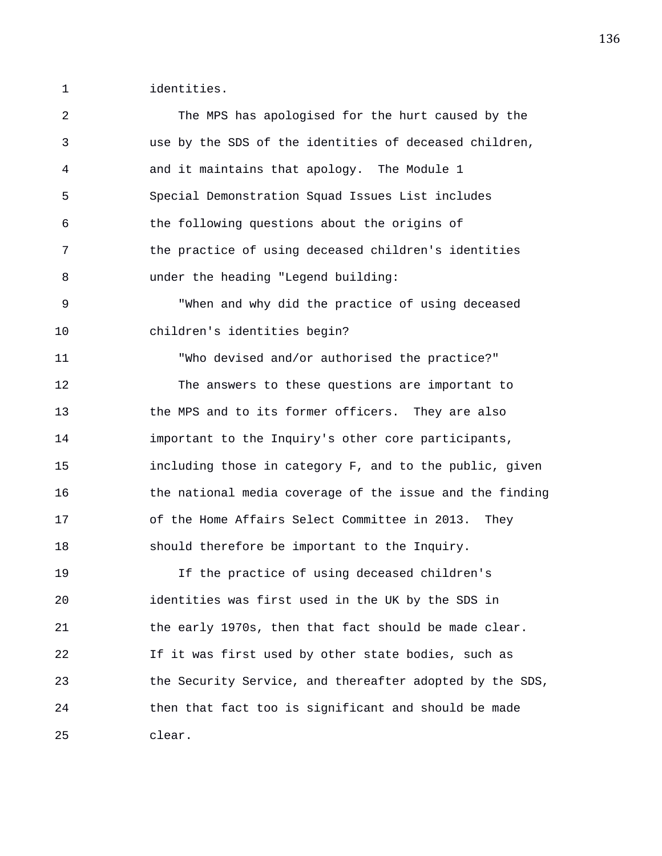1 identities.

| 2  | The MPS has apologised for the hurt caused by the        |
|----|----------------------------------------------------------|
| 3  | use by the SDS of the identities of deceased children,   |
| 4  | and it maintains that apology. The Module 1              |
| 5  | Special Demonstration Squad Issues List includes         |
| 6  | the following questions about the origins of             |
| 7  | the practice of using deceased children's identities     |
| 8  | under the heading "Legend building:                      |
| 9  | "When and why did the practice of using deceased         |
| 10 | children's identities begin?                             |
| 11 | "Who devised and/or authorised the practice?"            |
| 12 | The answers to these questions are important to          |
| 13 | the MPS and to its former officers. They are also        |
| 14 | important to the Inquiry's other core participants,      |
| 15 | including those in category F, and to the public, given  |
| 16 | the national media coverage of the issue and the finding |
| 17 | of the Home Affairs Select Committee in 2013. They       |
| 18 | should therefore be important to the Inquiry.            |
| 19 | If the practice of using deceased children's             |
| 20 | identities was first used in the UK by the SDS in        |
| 21 | the early 1970s, then that fact should be made clear.    |
| 22 | If it was first used by other state bodies, such as      |
| 23 | the Security Service, and thereafter adopted by the SDS, |
| 24 | then that fact too is significant and should be made     |
| 25 | clear.                                                   |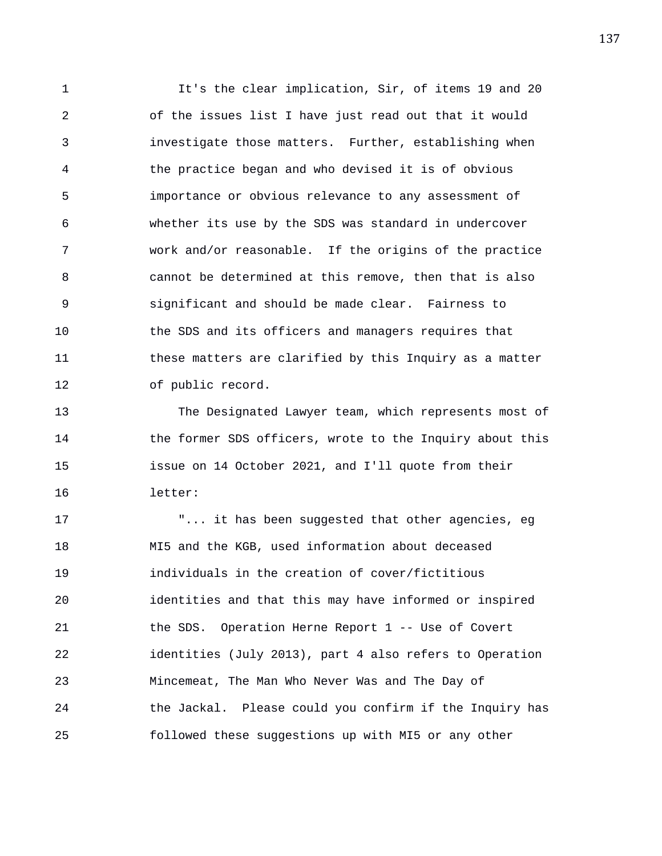1 It's the clear implication, Sir, of items 19 and 20 2 of the issues list I have just read out that it would 3 investigate those matters. Further, establishing when 4 the practice began and who devised it is of obvious 5 importance or obvious relevance to any assessment of 6 whether its use by the SDS was standard in undercover 7 work and/or reasonable. If the origins of the practice 8 cannot be determined at this remove, then that is also 9 significant and should be made clear. Fairness to 10 the SDS and its officers and managers requires that 11 these matters are clarified by this Inquiry as a matter 12 of public record.

13 The Designated Lawyer team, which represents most of 14 the former SDS officers, wrote to the Inquiry about this 15 issue on 14 October 2021, and I'll quote from their 16 letter:

17 The state of the suppose of that other agencies, eg 18 MI5 and the KGB, used information about deceased 19 individuals in the creation of cover/fictitious 20 identities and that this may have informed or inspired 21 the SDS. Operation Herne Report 1 -- Use of Covert 22 identities (July 2013), part 4 also refers to Operation 23 Mincemeat, The Man Who Never Was and The Day of 24 the Jackal. Please could you confirm if the Inquiry has 25 followed these suggestions up with MI5 or any other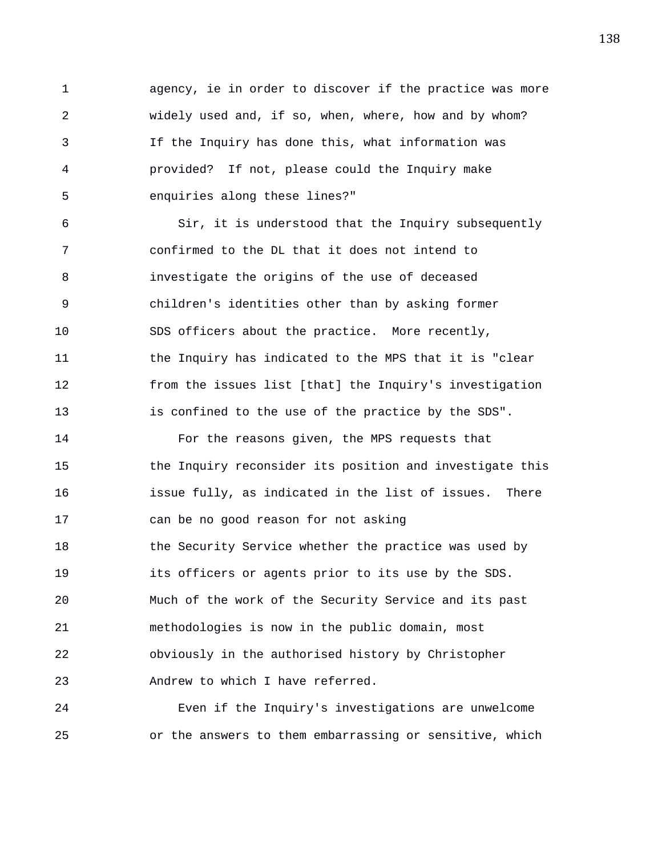1 agency, ie in order to discover if the practice was more 2 widely used and, if so, when, where, how and by whom? 3 If the Inquiry has done this, what information was 4 provided? If not, please could the Inquiry make 5 enquiries along these lines?"

6 Sir, it is understood that the Inquiry subsequently 7 confirmed to the DL that it does not intend to 8 investigate the origins of the use of deceased 9 children's identities other than by asking former 10 SDS officers about the practice. More recently, 11 the Inquiry has indicated to the MPS that it is "clear 12 from the issues list [that] the Inquiry's investigation 13 is confined to the use of the practice by the SDS".

14 For the reasons given, the MPS requests that 15 the Inquiry reconsider its position and investigate this 16 issue fully, as indicated in the list of issues. There 17 can be no good reason for not asking 18 the Security Service whether the practice was used by 19 its officers or agents prior to its use by the SDS. 20 Much of the work of the Security Service and its past 21 methodologies is now in the public domain, most 22 obviously in the authorised history by Christopher 23 Andrew to which I have referred.

24 Even if the Inquiry's investigations are unwelcome 25 or the answers to them embarrassing or sensitive, which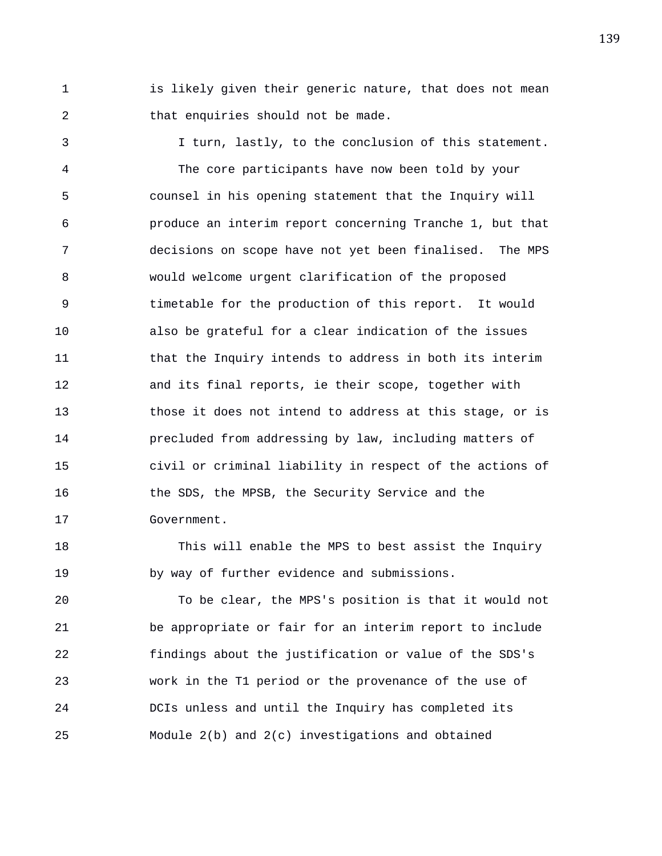1 is likely given their generic nature, that does not mean 2 that enquiries should not be made.

3 I turn, lastly, to the conclusion of this statement. 4 The core participants have now been told by your 5 counsel in his opening statement that the Inquiry will 6 produce an interim report concerning Tranche 1, but that 7 decisions on scope have not yet been finalised. The MPS 8 would welcome urgent clarification of the proposed 9 timetable for the production of this report. It would 10 also be grateful for a clear indication of the issues 11 that the Inquiry intends to address in both its interim 12 and its final reports, ie their scope, together with 13 those it does not intend to address at this stage, or is 14 precluded from addressing by law, including matters of 15 civil or criminal liability in respect of the actions of 16 the SDS, the MPSB, the Security Service and the 17 Government.

18 This will enable the MPS to best assist the Inquiry 19 by way of further evidence and submissions.

20 To be clear, the MPS's position is that it would not 21 be appropriate or fair for an interim report to include 22 findings about the justification or value of the SDS's 23 work in the T1 period or the provenance of the use of 24 DCIs unless and until the Inquiry has completed its 25 Module 2(b) and 2(c) investigations and obtained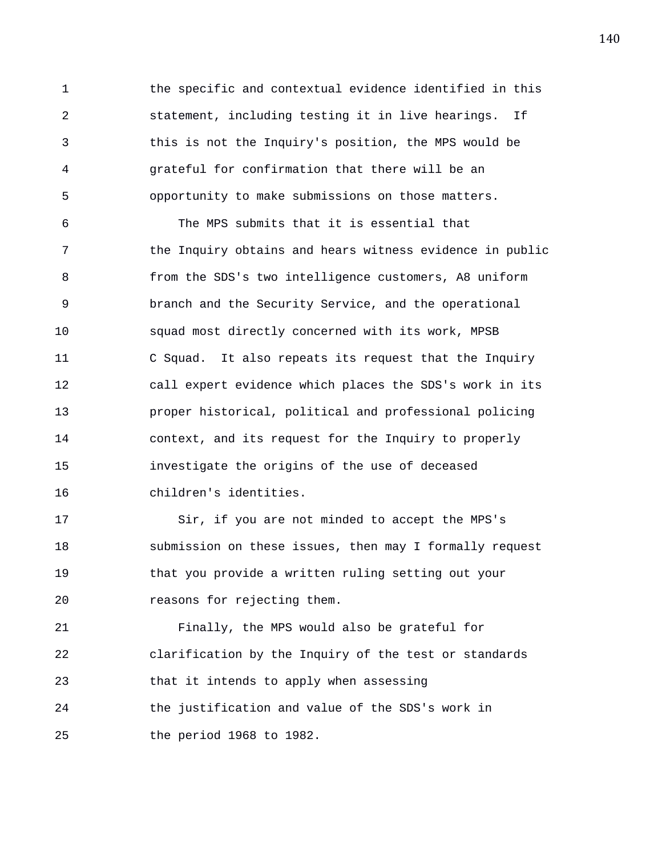1 the specific and contextual evidence identified in this 2 statement, including testing it in live hearings. If 3 this is not the Inquiry's position, the MPS would be 4 grateful for confirmation that there will be an 5 opportunity to make submissions on those matters.

6 The MPS submits that it is essential that 7 the Inquiry obtains and hears witness evidence in public 8 from the SDS's two intelligence customers, A8 uniform 9 branch and the Security Service, and the operational 10 squad most directly concerned with its work, MPSB 11 C Squad. It also repeats its request that the Inquiry 12 call expert evidence which places the SDS's work in its 13 proper historical, political and professional policing 14 context, and its request for the Inquiry to properly 15 investigate the origins of the use of deceased 16 children's identities.

17 Sir, if you are not minded to accept the MPS's 18 submission on these issues, then may I formally request 19 that you provide a written ruling setting out your 20 reasons for rejecting them.

21 Finally, the MPS would also be grateful for 22 clarification by the Inquiry of the test or standards 23 that it intends to apply when assessing 24 the justification and value of the SDS's work in 25 the period 1968 to 1982.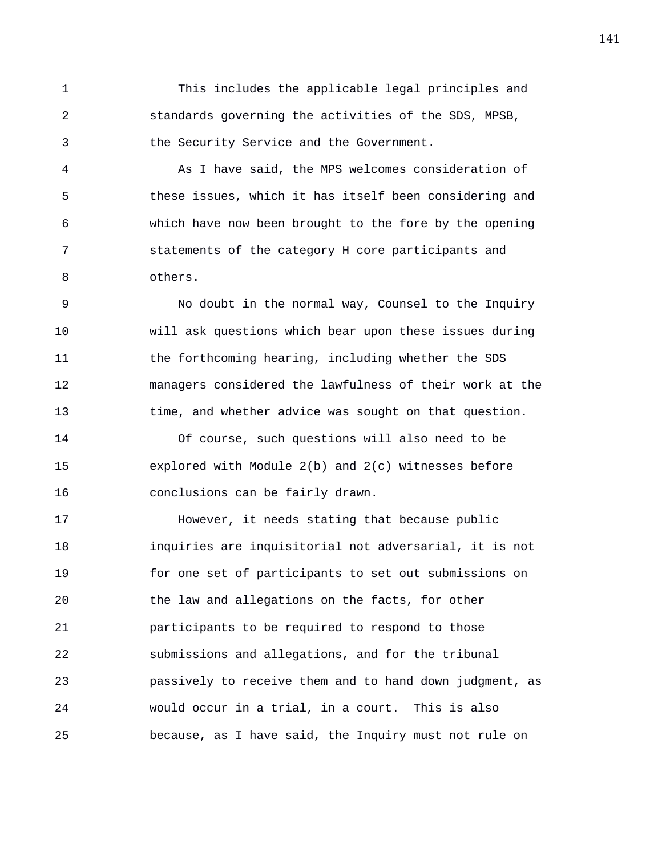1 This includes the applicable legal principles and 2 standards governing the activities of the SDS, MPSB, 3 the Security Service and the Government.

4 As I have said, the MPS welcomes consideration of 5 these issues, which it has itself been considering and 6 which have now been brought to the fore by the opening 7 statements of the category H core participants and 8 others.

9 No doubt in the normal way, Counsel to the Inquiry 10 will ask questions which bear upon these issues during 11 the forthcoming hearing, including whether the SDS 12 managers considered the lawfulness of their work at the 13 time, and whether advice was sought on that question.

14 Of course, such questions will also need to be 15 explored with Module 2(b) and 2(c) witnesses before 16 conclusions can be fairly drawn.

17 However, it needs stating that because public 18 inquiries are inquisitorial not adversarial, it is not 19 for one set of participants to set out submissions on 20 the law and allegations on the facts, for other 21 participants to be required to respond to those 22 submissions and allegations, and for the tribunal 23 passively to receive them and to hand down judgment, as 24 would occur in a trial, in a court. This is also 25 because, as I have said, the Inquiry must not rule on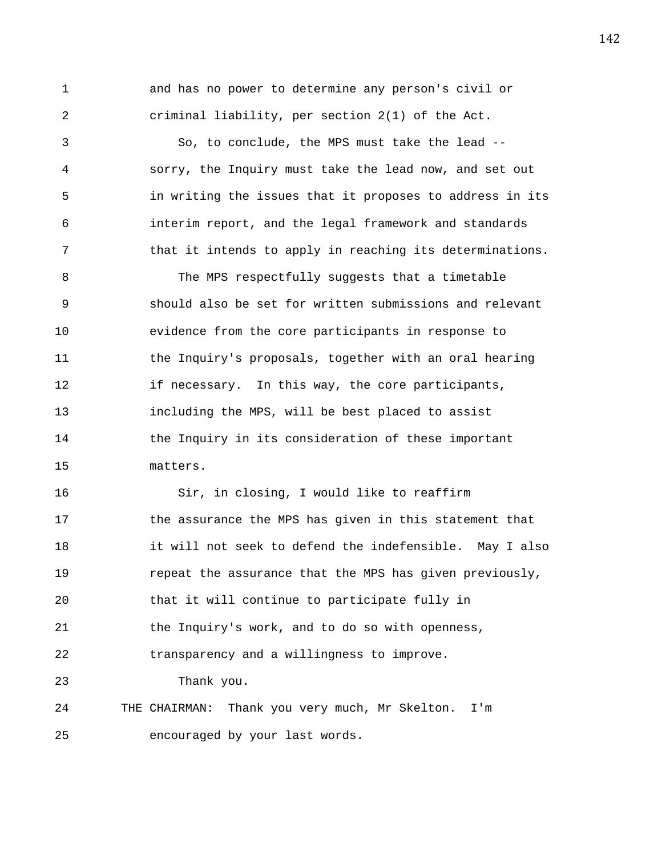1 and has no power to determine any person's civil or 2 criminal liability, per section 2(1) of the Act.

3 So, to conclude, the MPS must take the lead -- 4 sorry, the Inquiry must take the lead now, and set out 5 in writing the issues that it proposes to address in its 6 interim report, and the legal framework and standards 7 that it intends to apply in reaching its determinations.

8 The MPS respectfully suggests that a timetable 9 should also be set for written submissions and relevant 10 evidence from the core participants in response to 11 the Inquiry's proposals, together with an oral hearing 12 if necessary. In this way, the core participants, 13 including the MPS, will be best placed to assist 14 the Inquiry in its consideration of these important 15 matters.

16 Sir, in closing, I would like to reaffirm 17 the assurance the MPS has given in this statement that 18 it will not seek to defend the indefensible. May I also 19 repeat the assurance that the MPS has given previously, 20 that it will continue to participate fully in 21 the Inquiry's work, and to do so with openness, 22 transparency and a willingness to improve. 23 Thank you. 24 THE CHAIRMAN: Thank you very much, Mr Skelton. I'm

25 encouraged by your last words.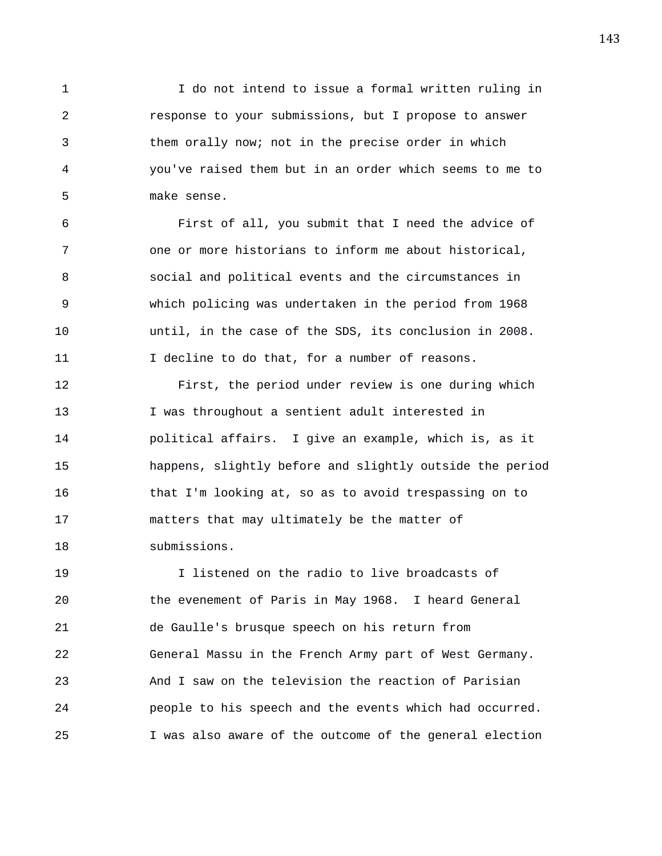1 I do not intend to issue a formal written ruling in 2 response to your submissions, but I propose to answer 3 them orally now; not in the precise order in which 4 you've raised them but in an order which seems to me to 5 make sense.

6 First of all, you submit that I need the advice of 7 one or more historians to inform me about historical, 8 social and political events and the circumstances in 9 which policing was undertaken in the period from 1968 10 until, in the case of the SDS, its conclusion in 2008. 11 I decline to do that, for a number of reasons.

12 First, the period under review is one during which 13 I was throughout a sentient adult interested in 14 political affairs. I give an example, which is, as it 15 happens, slightly before and slightly outside the period 16 that I'm looking at, so as to avoid trespassing on to 17 matters that may ultimately be the matter of 18 submissions.

19 I listened on the radio to live broadcasts of 20 the evenement of Paris in May 1968. I heard General 21 de Gaulle's brusque speech on his return from 22 General Massu in the French Army part of West Germany. 23 And I saw on the television the reaction of Parisian 24 people to his speech and the events which had occurred. 25 I was also aware of the outcome of the general election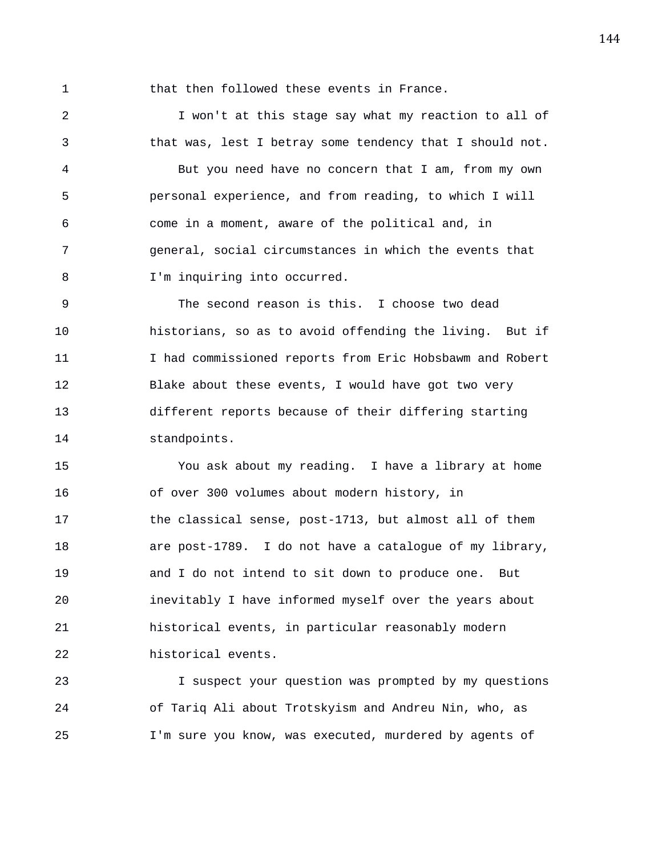1 that then followed these events in France.

2 I won't at this stage say what my reaction to all of 3 that was, lest I betray some tendency that I should not. 4 But you need have no concern that I am, from my own 5 personal experience, and from reading, to which I will 6 come in a moment, aware of the political and, in 7 general, social circumstances in which the events that 8 I'm inquiring into occurred.

9 The second reason is this. I choose two dead 10 historians, so as to avoid offending the living. But if 11 I had commissioned reports from Eric Hobsbawm and Robert 12 Blake about these events, I would have got two very 13 different reports because of their differing starting 14 standpoints.

15 You ask about my reading. I have a library at home 16 of over 300 volumes about modern history, in 17 the classical sense, post-1713, but almost all of them 18 are post-1789. I do not have a catalogue of my library, 19 and I do not intend to sit down to produce one. But 20 inevitably I have informed myself over the years about 21 historical events, in particular reasonably modern 22 historical events.

23 I suspect your question was prompted by my questions 24 of Tariq Ali about Trotskyism and Andreu Nin, who, as 25 I'm sure you know, was executed, murdered by agents of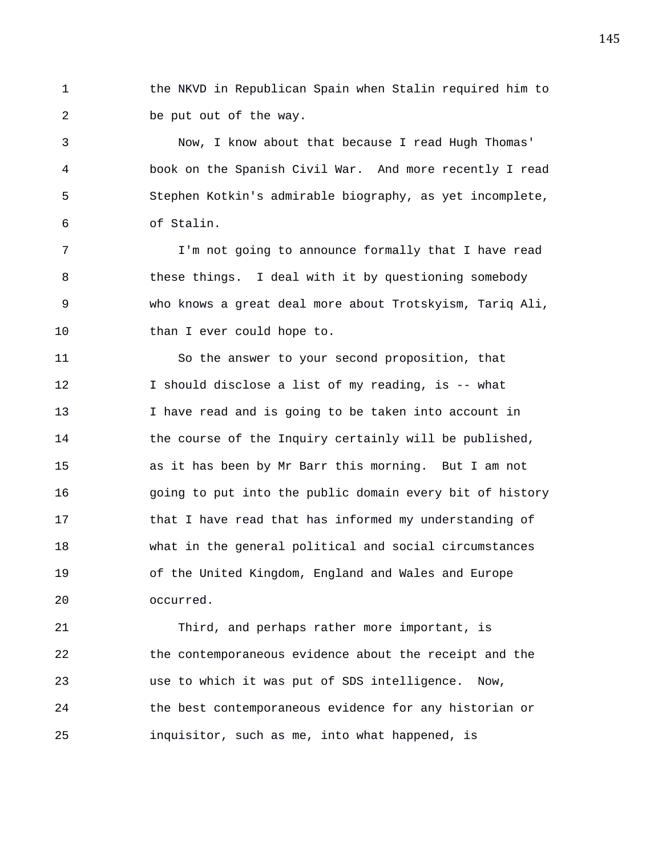1 the NKVD in Republican Spain when Stalin required him to 2 be put out of the way.

3 Now, I know about that because I read Hugh Thomas' 4 book on the Spanish Civil War. And more recently I read 5 Stephen Kotkin's admirable biography, as yet incomplete, 6 of Stalin.

7 I'm not going to announce formally that I have read 8 these things. I deal with it by questioning somebody 9 who knows a great deal more about Trotskyism, Tariq Ali, 10 than I ever could hope to.

11 So the answer to your second proposition, that 12 I should disclose a list of my reading, is -- what 13 I have read and is going to be taken into account in 14 the course of the Inquiry certainly will be published, 15 as it has been by Mr Barr this morning. But I am not 16 going to put into the public domain every bit of history 17 that I have read that has informed my understanding of 18 what in the general political and social circumstances 19 of the United Kingdom, England and Wales and Europe 20 occurred.

21 Third, and perhaps rather more important, is 22 the contemporaneous evidence about the receipt and the 23 use to which it was put of SDS intelligence. Now, 24 the best contemporaneous evidence for any historian or 25 inquisitor, such as me, into what happened, is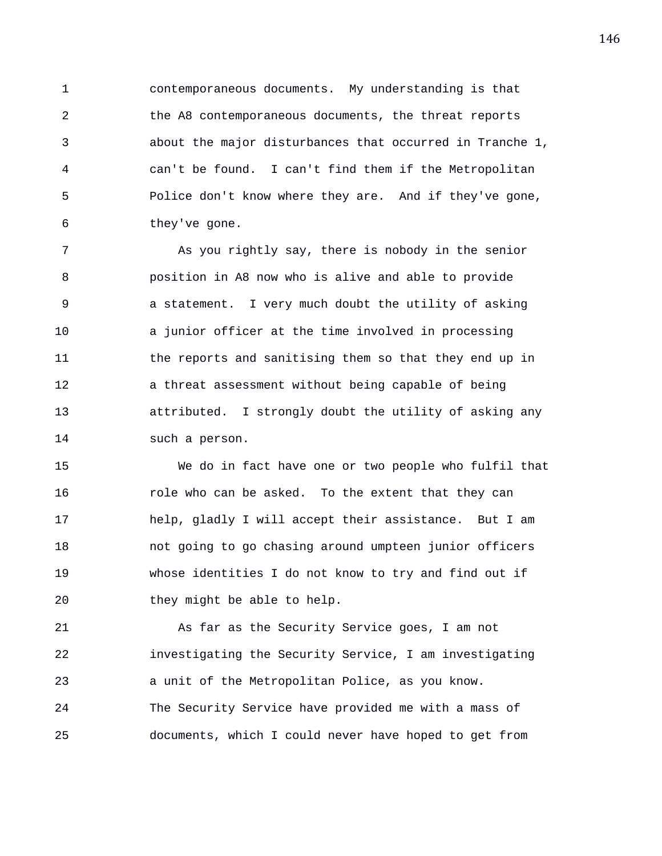1 contemporaneous documents. My understanding is that 2 the A8 contemporaneous documents, the threat reports 3 about the major disturbances that occurred in Tranche 1, 4 can't be found. I can't find them if the Metropolitan 5 Police don't know where they are. And if they've gone, 6 they've gone.

7 As you rightly say, there is nobody in the senior 8 position in A8 now who is alive and able to provide 9 a statement. I very much doubt the utility of asking 10 a junior officer at the time involved in processing 11 the reports and sanitising them so that they end up in 12 a threat assessment without being capable of being 13 attributed. I strongly doubt the utility of asking any 14 such a person.

15 We do in fact have one or two people who fulfil that 16 role who can be asked. To the extent that they can 17 help, gladly I will accept their assistance. But I am 18 not going to go chasing around umpteen junior officers 19 whose identities I do not know to try and find out if 20 they might be able to help.

21 As far as the Security Service goes, I am not 22 investigating the Security Service, I am investigating 23 a unit of the Metropolitan Police, as you know. 24 The Security Service have provided me with a mass of 25 documents, which I could never have hoped to get from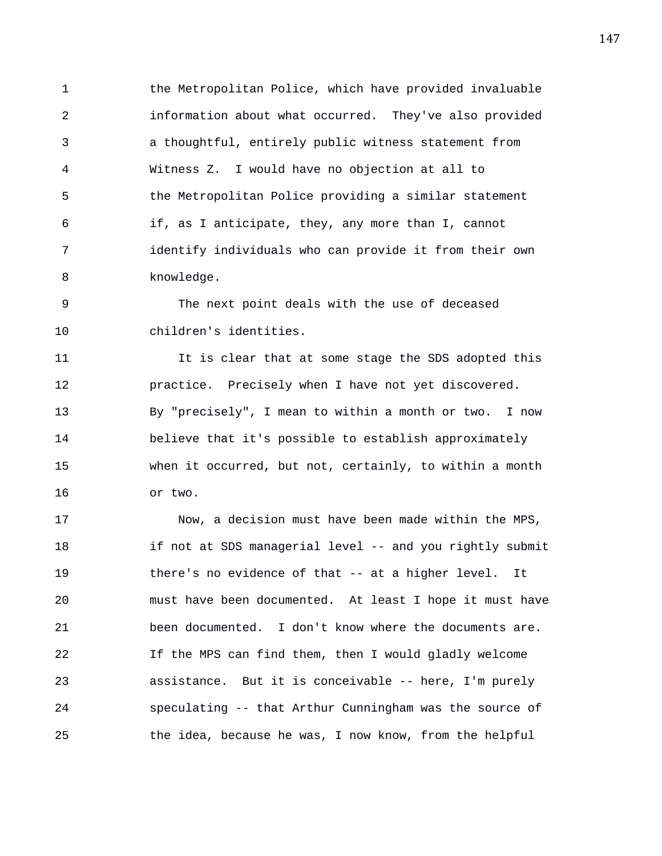1 the Metropolitan Police, which have provided invaluable 2 information about what occurred. They've also provided 3 a thoughtful, entirely public witness statement from 4 Witness Z. I would have no objection at all to 5 the Metropolitan Police providing a similar statement 6 if, as I anticipate, they, any more than I, cannot 7 identify individuals who can provide it from their own 8 knowledge.

9 The next point deals with the use of deceased 10 children's identities.

11 It is clear that at some stage the SDS adopted this 12 practice. Precisely when I have not yet discovered. 13 By "precisely", I mean to within a month or two. I now 14 believe that it's possible to establish approximately 15 when it occurred, but not, certainly, to within a month 16 or two.

17 Now, a decision must have been made within the MPS, 18 if not at SDS managerial level -- and you rightly submit 19 there's no evidence of that -- at a higher level. It 20 must have been documented. At least I hope it must have 21 been documented. I don't know where the documents are. 22 If the MPS can find them, then I would gladly welcome 23 assistance. But it is conceivable -- here, I'm purely 24 speculating -- that Arthur Cunningham was the source of 25 the idea, because he was, I now know, from the helpful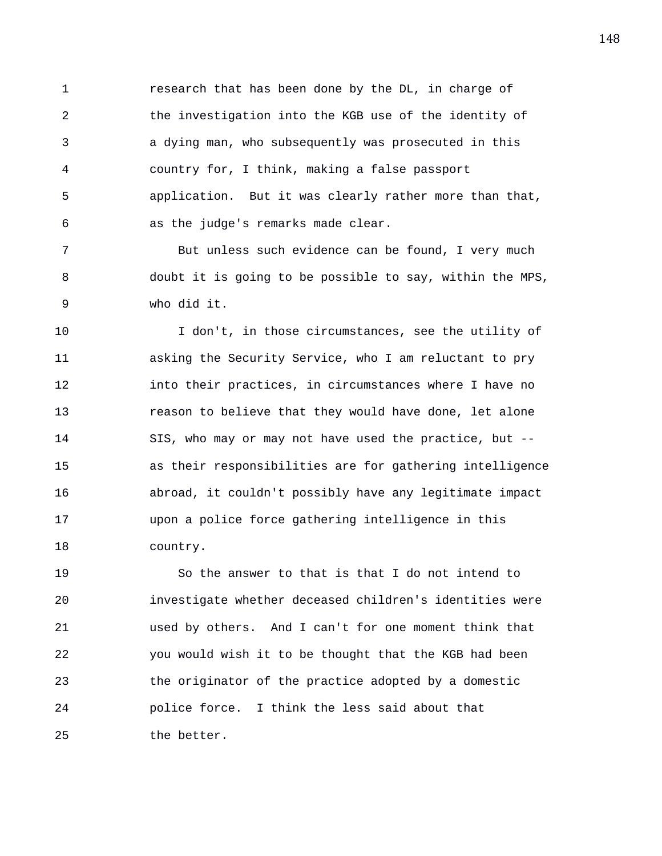1 research that has been done by the DL, in charge of 2 the investigation into the KGB use of the identity of 3 a dying man, who subsequently was prosecuted in this 4 country for, I think, making a false passport 5 application. But it was clearly rather more than that, 6 as the judge's remarks made clear.

7 But unless such evidence can be found, I very much 8 doubt it is going to be possible to say, within the MPS, 9 who did it.

10 I don't, in those circumstances, see the utility of 11 asking the Security Service, who I am reluctant to pry 12 into their practices, in circumstances where I have no 13 reason to believe that they would have done, let alone 14 SIS, who may or may not have used the practice, but -- 15 as their responsibilities are for gathering intelligence 16 abroad, it couldn't possibly have any legitimate impact 17 upon a police force gathering intelligence in this 18 country.

19 So the answer to that is that I do not intend to 20 investigate whether deceased children's identities were 21 used by others. And I can't for one moment think that 22 you would wish it to be thought that the KGB had been 23 the originator of the practice adopted by a domestic 24 police force. I think the less said about that 25 the better.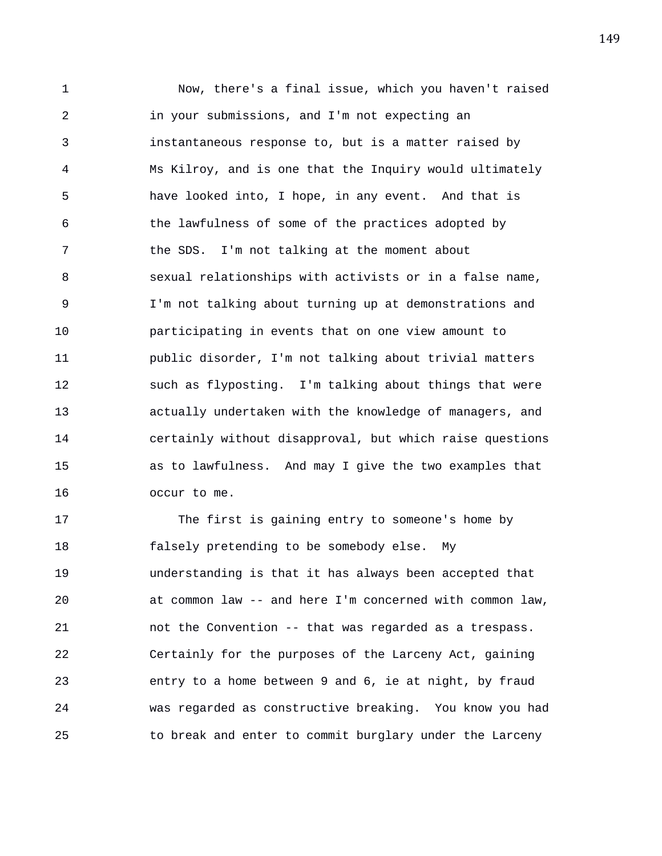1 Now, there's a final issue, which you haven't raised 2 in your submissions, and I'm not expecting an 3 instantaneous response to, but is a matter raised by 4 Ms Kilroy, and is one that the Inquiry would ultimately 5 have looked into, I hope, in any event. And that is 6 the lawfulness of some of the practices adopted by 7 the SDS. I'm not talking at the moment about 8 sexual relationships with activists or in a false name, 9 I'm not talking about turning up at demonstrations and 10 participating in events that on one view amount to 11 public disorder, I'm not talking about trivial matters 12 such as flyposting. I'm talking about things that were 13 actually undertaken with the knowledge of managers, and 14 certainly without disapproval, but which raise questions 15 as to lawfulness. And may I give the two examples that 16 occur to me.

17 The first is gaining entry to someone's home by 18 falsely pretending to be somebody else. My 19 understanding is that it has always been accepted that 20 at common law -- and here I'm concerned with common law, 21 not the Convention -- that was regarded as a trespass. 22 Certainly for the purposes of the Larceny Act, gaining 23 entry to a home between 9 and 6, ie at night, by fraud 24 was regarded as constructive breaking. You know you had 25 to break and enter to commit burglary under the Larceny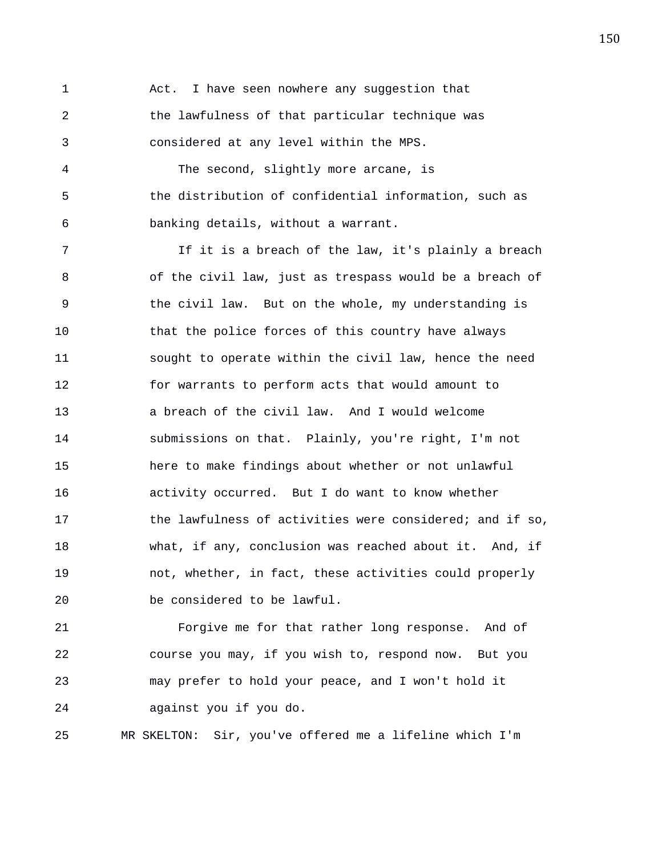1 Act. I have seen nowhere any suggestion that 2 the lawfulness of that particular technique was 3 considered at any level within the MPS.

4 The second, slightly more arcane, is 5 the distribution of confidential information, such as 6 banking details, without a warrant.

7 If it is a breach of the law, it's plainly a breach 8 of the civil law, just as trespass would be a breach of 9 the civil law. But on the whole, my understanding is 10 that the police forces of this country have always 11 sought to operate within the civil law, hence the need 12 for warrants to perform acts that would amount to 13 a breach of the civil law. And I would welcome 14 submissions on that. Plainly, you're right, I'm not 15 here to make findings about whether or not unlawful 16 activity occurred. But I do want to know whether 17 the lawfulness of activities were considered; and if so, 18 what, if any, conclusion was reached about it. And, if 19 not, whether, in fact, these activities could properly 20 be considered to be lawful.

21 Forgive me for that rather long response. And of 22 course you may, if you wish to, respond now. But you 23 may prefer to hold your peace, and I won't hold it 24 against you if you do.

25 MR SKELTON: Sir, you've offered me a lifeline which I'm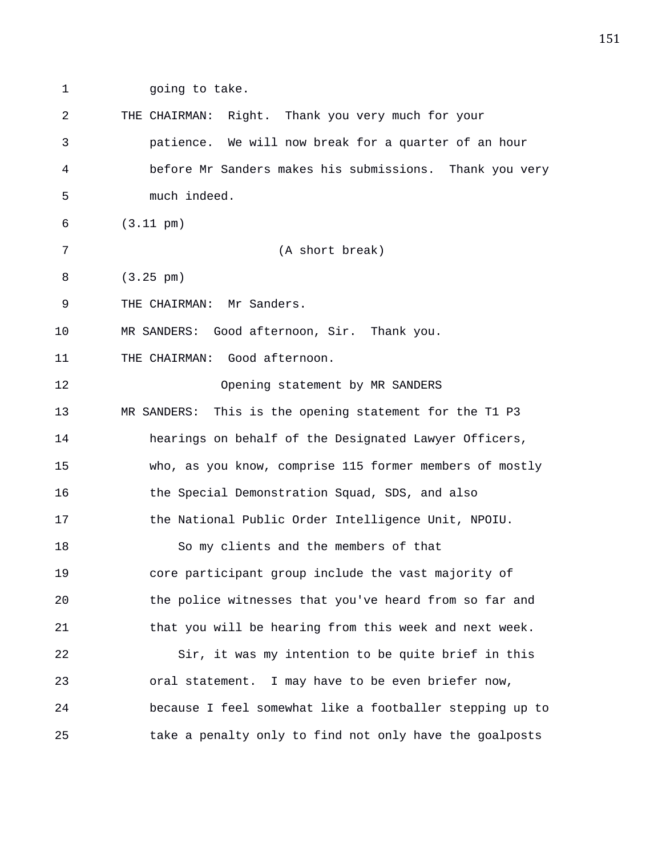1 going to take.

| 2  | THE CHAIRMAN: Right. Thank you very much for your          |
|----|------------------------------------------------------------|
| 3  | patience. We will now break for a quarter of an hour       |
| 4  | before Mr Sanders makes his submissions. Thank you very    |
| 5  | much indeed.                                               |
| 6  | $(3.11 \text{ pm})$                                        |
| 7  | (A short break)                                            |
| 8  | $(3.25 \text{ pm})$                                        |
| 9  | THE CHAIRMAN: Mr Sanders.                                  |
| 10 | MR SANDERS: Good afternoon, Sir. Thank you.                |
| 11 | THE CHAIRMAN: Good afternoon.                              |
| 12 | Opening statement by MR SANDERS                            |
| 13 | This is the opening statement for the T1 P3<br>MR SANDERS: |
| 14 | hearings on behalf of the Designated Lawyer Officers,      |
| 15 | who, as you know, comprise 115 former members of mostly    |
| 16 | the Special Demonstration Squad, SDS, and also             |
| 17 | the National Public Order Intelligence Unit, NPOIU.        |
| 18 | So my clients and the members of that                      |
| 19 | core participant group include the vast majority of        |
| 20 | the police witnesses that you've heard from so far and     |
| 21 | that you will be hearing from this week and next week.     |
| 22 | Sir, it was my intention to be quite brief in this         |
| 23 | oral statement. I may have to be even briefer now,         |
| 24 | because I feel somewhat like a footballer stepping up to   |
| 25 | take a penalty only to find not only have the goalposts    |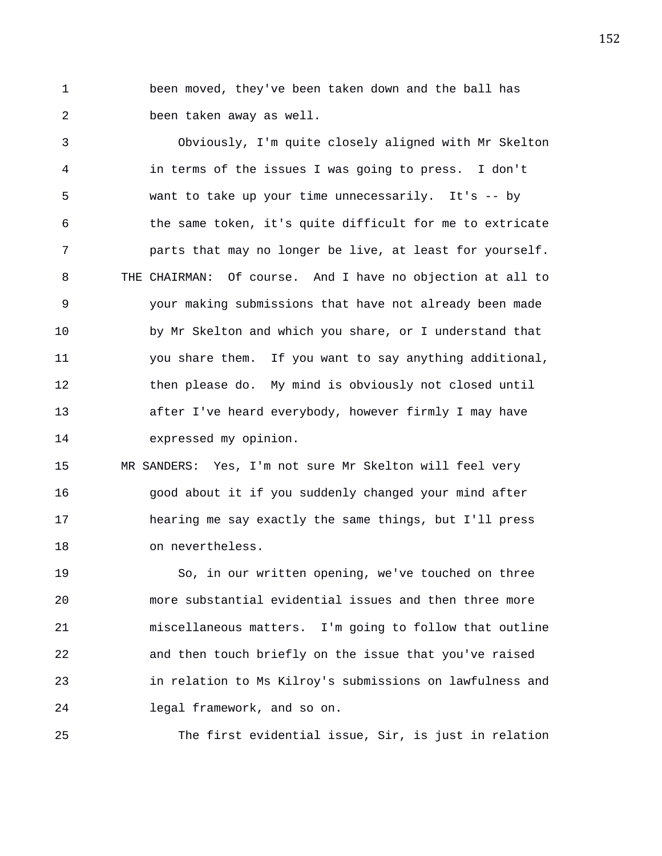1 been moved, they've been taken down and the ball has 2 been taken away as well.

3 Obviously, I'm quite closely aligned with Mr Skelton 4 in terms of the issues I was going to press. I don't 5 want to take up your time unnecessarily. It's -- by 6 the same token, it's quite difficult for me to extricate 7 parts that may no longer be live, at least for yourself. 8 THE CHAIRMAN: Of course. And I have no objection at all to 9 your making submissions that have not already been made 10 by Mr Skelton and which you share, or I understand that 11 you share them. If you want to say anything additional, 12 then please do. My mind is obviously not closed until 13 after I've heard everybody, however firmly I may have 14 expressed my opinion.

15 MR SANDERS: Yes, I'm not sure Mr Skelton will feel very 16 good about it if you suddenly changed your mind after 17 hearing me say exactly the same things, but I'll press 18 on nevertheless.

19 So, in our written opening, we've touched on three 20 more substantial evidential issues and then three more 21 miscellaneous matters. I'm going to follow that outline 22 and then touch briefly on the issue that you've raised 23 in relation to Ms Kilroy's submissions on lawfulness and 24 legal framework, and so on.

25 The first evidential issue, Sir, is just in relation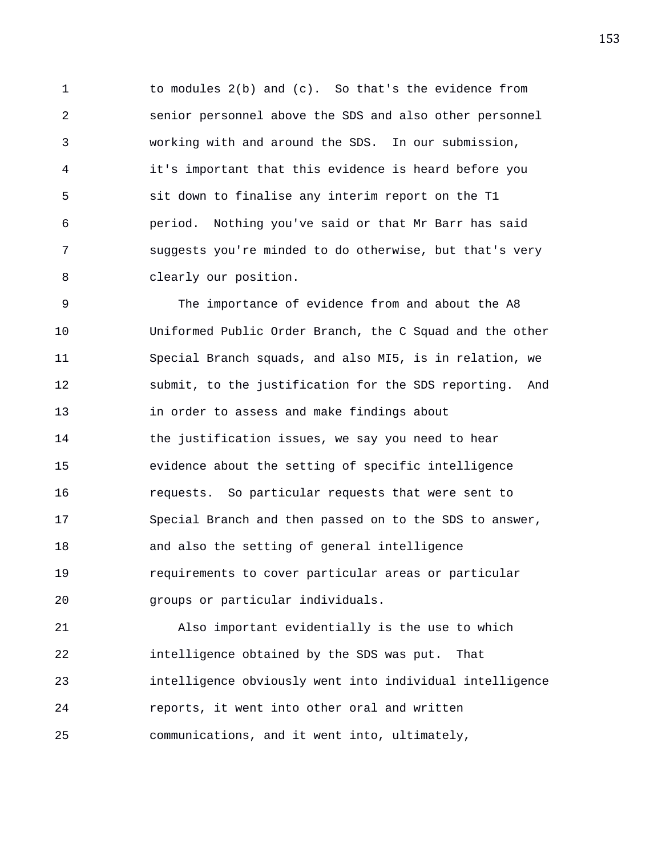1 to modules 2(b) and (c). So that's the evidence from 2 senior personnel above the SDS and also other personnel 3 working with and around the SDS. In our submission, 4 it's important that this evidence is heard before you 5 sit down to finalise any interim report on the T1 6 period. Nothing you've said or that Mr Barr has said 7 suggests you're minded to do otherwise, but that's very 8 clearly our position.

9 The importance of evidence from and about the A8 10 Uniformed Public Order Branch, the C Squad and the other 11 Special Branch squads, and also MI5, is in relation, we 12 submit, to the justification for the SDS reporting. And 13 in order to assess and make findings about 14 the justification issues, we say you need to hear 15 evidence about the setting of specific intelligence 16 requests. So particular requests that were sent to 17 Special Branch and then passed on to the SDS to answer, 18 and also the setting of general intelligence 19 requirements to cover particular areas or particular 20 groups or particular individuals.

21 Also important evidentially is the use to which 22 intelligence obtained by the SDS was put. That 23 intelligence obviously went into individual intelligence 24 reports, it went into other oral and written 25 communications, and it went into, ultimately,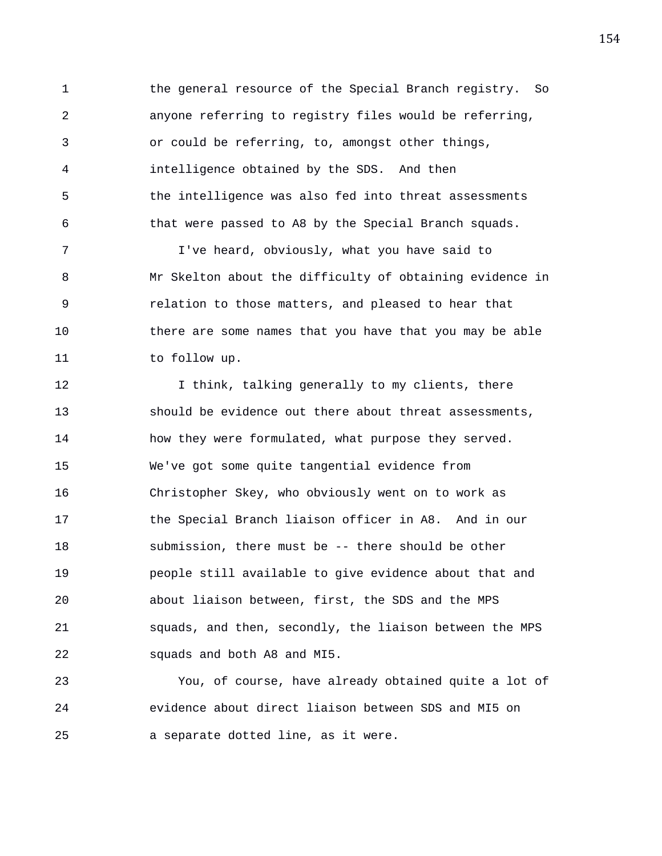1 the general resource of the Special Branch registry. So 2 anyone referring to registry files would be referring, 3 or could be referring, to, amongst other things, 4 intelligence obtained by the SDS. And then 5 the intelligence was also fed into threat assessments 6 that were passed to A8 by the Special Branch squads.

7 I've heard, obviously, what you have said to 8 Mr Skelton about the difficulty of obtaining evidence in 9 relation to those matters, and pleased to hear that 10 there are some names that you have that you may be able 11 to follow up.

12 12 I think, talking generally to my clients, there 13 should be evidence out there about threat assessments, 14 how they were formulated, what purpose they served. 15 We've got some quite tangential evidence from 16 Christopher Skey, who obviously went on to work as 17 the Special Branch liaison officer in A8. And in our 18 submission, there must be -- there should be other 19 people still available to give evidence about that and 20 about liaison between, first, the SDS and the MPS 21 squads, and then, secondly, the liaison between the MPS 22 squads and both A8 and MI5.

23 You, of course, have already obtained quite a lot of 24 evidence about direct liaison between SDS and MI5 on 25 a separate dotted line, as it were.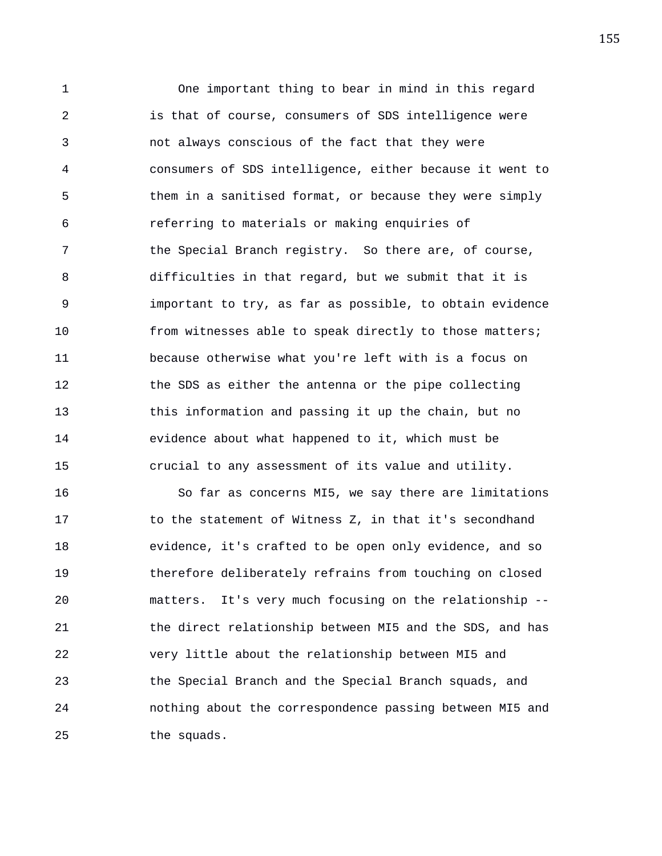1 One important thing to bear in mind in this regard 2 is that of course, consumers of SDS intelligence were 3 not always conscious of the fact that they were 4 consumers of SDS intelligence, either because it went to 5 them in a sanitised format, or because they were simply 6 referring to materials or making enquiries of 7 the Special Branch registry. So there are, of course, 8 difficulties in that regard, but we submit that it is 9 important to try, as far as possible, to obtain evidence 10 from witnesses able to speak directly to those matters; 11 because otherwise what you're left with is a focus on 12 the SDS as either the antenna or the pipe collecting 13 this information and passing it up the chain, but no 14 evidence about what happened to it, which must be 15 crucial to any assessment of its value and utility.

16 So far as concerns MI5, we say there are limitations 17 to the statement of Witness Z, in that it's secondhand 18 evidence, it's crafted to be open only evidence, and so 19 therefore deliberately refrains from touching on closed 20 matters. It's very much focusing on the relationship -- 21 the direct relationship between MI5 and the SDS, and has 22 very little about the relationship between MI5 and 23 the Special Branch and the Special Branch squads, and 24 nothing about the correspondence passing between MI5 and 25 the squads.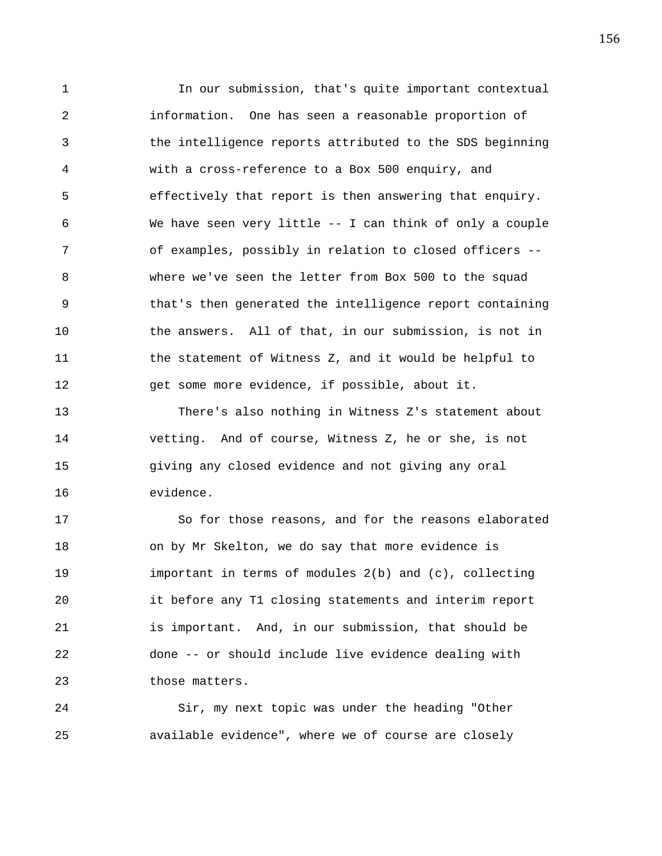1 In our submission, that's quite important contextual 2 information. One has seen a reasonable proportion of 3 the intelligence reports attributed to the SDS beginning 4 with a cross-reference to a Box 500 enquiry, and 5 effectively that report is then answering that enquiry. 6 We have seen very little -- I can think of only a couple 7 of examples, possibly in relation to closed officers -- 8 where we've seen the letter from Box 500 to the squad 9 that's then generated the intelligence report containing 10 the answers. All of that, in our submission, is not in 11 the statement of Witness Z, and it would be helpful to 12 get some more evidence, if possible, about it.

13 There's also nothing in Witness Z's statement about 14 vetting. And of course, Witness Z, he or she, is not 15 giving any closed evidence and not giving any oral 16 evidence.

17 So for those reasons, and for the reasons elaborated 18 on by Mr Skelton, we do say that more evidence is 19 important in terms of modules 2(b) and (c), collecting 20 it before any T1 closing statements and interim report 21 is important. And, in our submission, that should be 22 done -- or should include live evidence dealing with 23 those matters.

24 Sir, my next topic was under the heading "Other 25 available evidence", where we of course are closely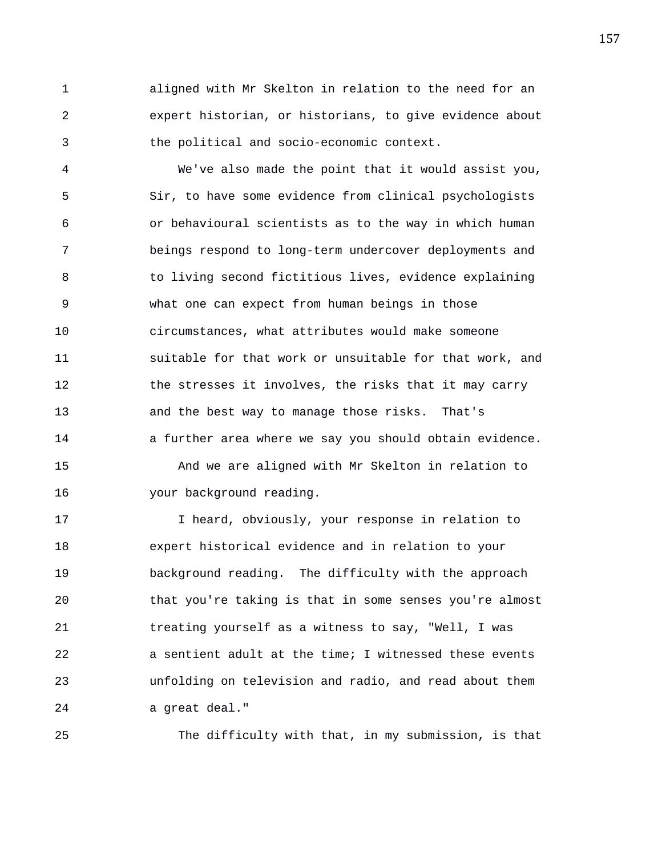1 aligned with Mr Skelton in relation to the need for an 2 expert historian, or historians, to give evidence about 3 the political and socio-economic context.

4 We've also made the point that it would assist you, 5 Sir, to have some evidence from clinical psychologists 6 or behavioural scientists as to the way in which human 7 beings respond to long-term undercover deployments and 8 to living second fictitious lives, evidence explaining 9 what one can expect from human beings in those 10 circumstances, what attributes would make someone 11 suitable for that work or unsuitable for that work, and 12 the stresses it involves, the risks that it may carry 13 and the best way to manage those risks. That's 14 a further area where we say you should obtain evidence. 15 And we are aligned with Mr Skelton in relation to 16 your background reading.

17 I heard, obviously, your response in relation to 18 expert historical evidence and in relation to your 19 background reading. The difficulty with the approach 20 that you're taking is that in some senses you're almost 21 treating yourself as a witness to say, "Well, I was 22 a sentient adult at the time; I witnessed these events 23 unfolding on television and radio, and read about them 24 a great deal."

25 The difficulty with that, in my submission, is that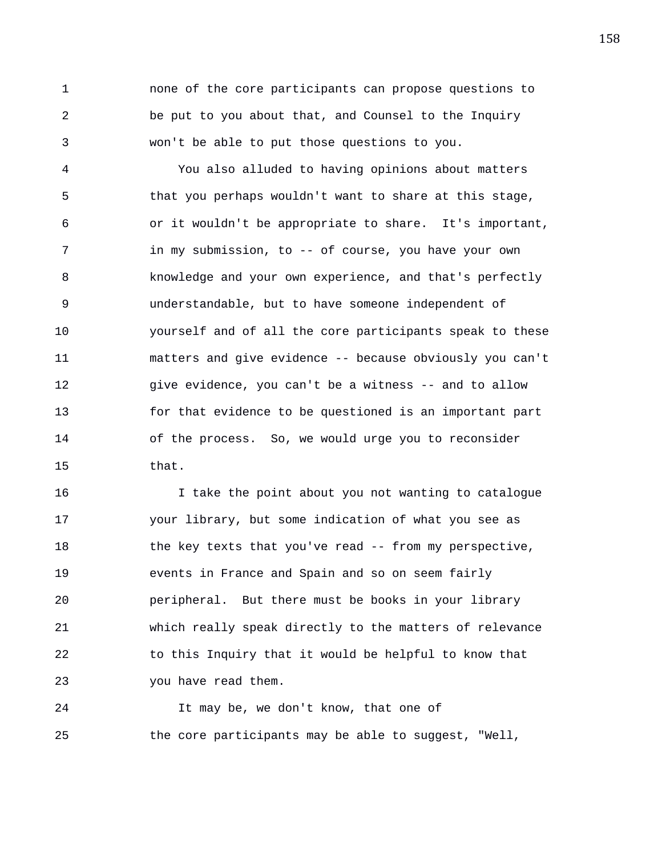1 none of the core participants can propose questions to 2 be put to you about that, and Counsel to the Inquiry 3 won't be able to put those questions to you.

4 You also alluded to having opinions about matters 5 that you perhaps wouldn't want to share at this stage, 6 or it wouldn't be appropriate to share. It's important, 7 in my submission, to -- of course, you have your own 8 knowledge and your own experience, and that's perfectly 9 understandable, but to have someone independent of 10 yourself and of all the core participants speak to these 11 matters and give evidence -- because obviously you can't 12 give evidence, you can't be a witness -- and to allow 13 for that evidence to be questioned is an important part 14 of the process. So, we would urge you to reconsider 15 that.

16 I take the point about you not wanting to catalogue 17 your library, but some indication of what you see as 18 the key texts that you've read -- from my perspective, 19 events in France and Spain and so on seem fairly 20 peripheral. But there must be books in your library 21 which really speak directly to the matters of relevance 22 to this Inquiry that it would be helpful to know that 23 you have read them.

24 It may be, we don't know, that one of 25 the core participants may be able to suggest, "Well,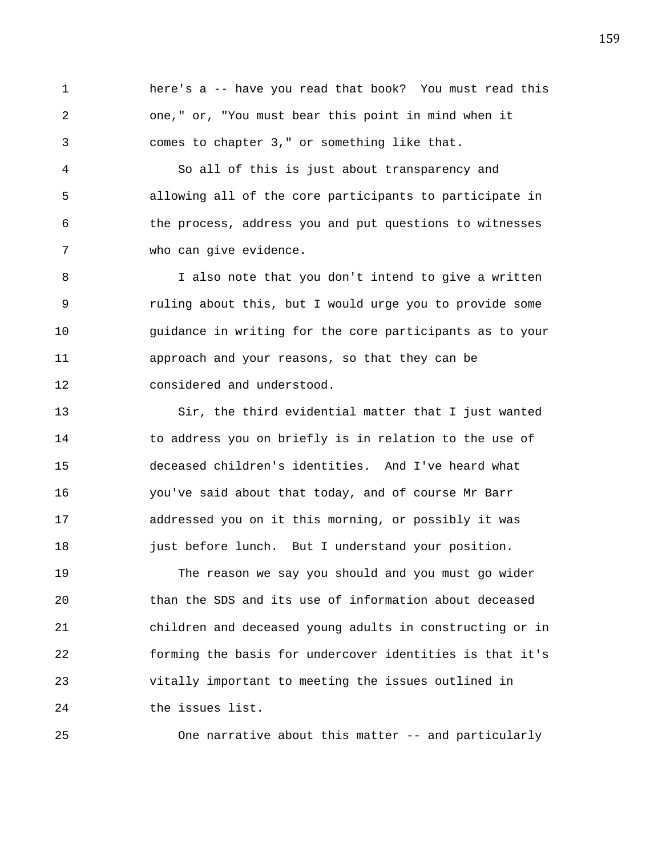1 here's a -- have you read that book? You must read this 2 one," or, "You must bear this point in mind when it 3 comes to chapter 3," or something like that.

4 So all of this is just about transparency and 5 allowing all of the core participants to participate in 6 the process, address you and put questions to witnesses 7 who can give evidence.

8 I also note that you don't intend to give a written 9 ruling about this, but I would urge you to provide some 10 guidance in writing for the core participants as to your 11 approach and your reasons, so that they can be 12 considered and understood.

13 Sir, the third evidential matter that I just wanted 14 to address you on briefly is in relation to the use of 15 deceased children's identities. And I've heard what 16 you've said about that today, and of course Mr Barr 17 addressed you on it this morning, or possibly it was 18 just before lunch. But I understand your position.

19 The reason we say you should and you must go wider 20 than the SDS and its use of information about deceased 21 children and deceased young adults in constructing or in 22 forming the basis for undercover identities is that it's 23 vitally important to meeting the issues outlined in 24 the issues list.

25 One narrative about this matter -- and particularly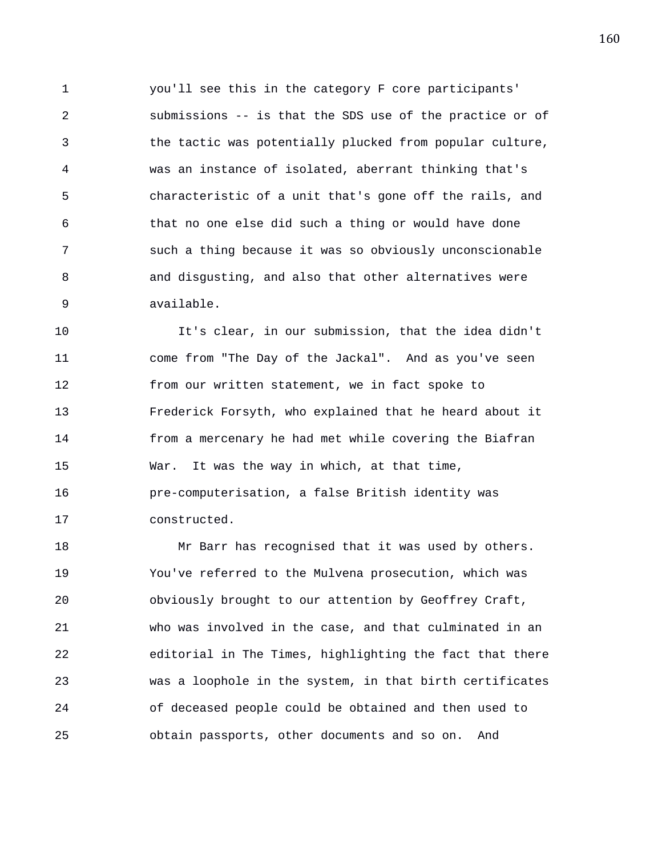1 you'll see this in the category F core participants' 2 submissions -- is that the SDS use of the practice or of 3 the tactic was potentially plucked from popular culture, 4 was an instance of isolated, aberrant thinking that's 5 characteristic of a unit that's gone off the rails, and 6 that no one else did such a thing or would have done 7 such a thing because it was so obviously unconscionable 8 and disgusting, and also that other alternatives were 9 available.

10 It's clear, in our submission, that the idea didn't 11 come from "The Day of the Jackal". And as you've seen 12 from our written statement, we in fact spoke to 13 Frederick Forsyth, who explained that he heard about it 14 from a mercenary he had met while covering the Biafran 15 War. It was the way in which, at that time, 16 pre-computerisation, a false British identity was 17 constructed.

18 Mr Barr has recognised that it was used by others. 19 You've referred to the Mulvena prosecution, which was 20 obviously brought to our attention by Geoffrey Craft, 21 who was involved in the case, and that culminated in an 22 editorial in The Times, highlighting the fact that there 23 was a loophole in the system, in that birth certificates 24 of deceased people could be obtained and then used to 25 obtain passports, other documents and so on. And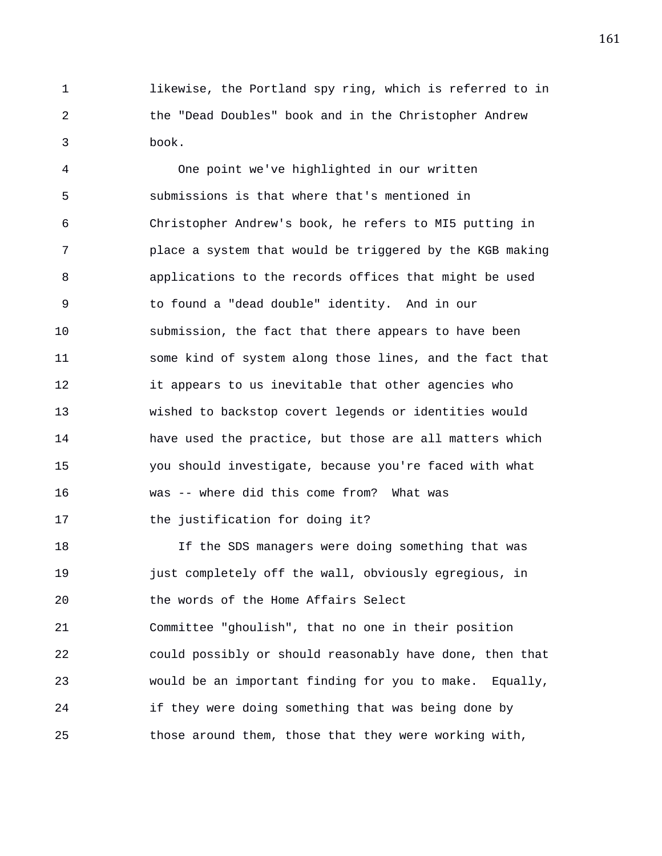1 likewise, the Portland spy ring, which is referred to in 2 the "Dead Doubles" book and in the Christopher Andrew 3 book.

4 One point we've highlighted in our written 5 submissions is that where that's mentioned in 6 Christopher Andrew's book, he refers to MI5 putting in 7 place a system that would be triggered by the KGB making 8 applications to the records offices that might be used 9 to found a "dead double" identity. And in our 10 submission, the fact that there appears to have been 11 some kind of system along those lines, and the fact that 12 it appears to us inevitable that other agencies who 13 wished to backstop covert legends or identities would 14 have used the practice, but those are all matters which 15 you should investigate, because you're faced with what 16 was -- where did this come from? What was 17 the justification for doing it?

18 If the SDS managers were doing something that was 19 just completely off the wall, obviously egregious, in 20 the words of the Home Affairs Select 21 Committee "ghoulish", that no one in their position 22 could possibly or should reasonably have done, then that 23 would be an important finding for you to make. Equally, 24 if they were doing something that was being done by 25 those around them, those that they were working with,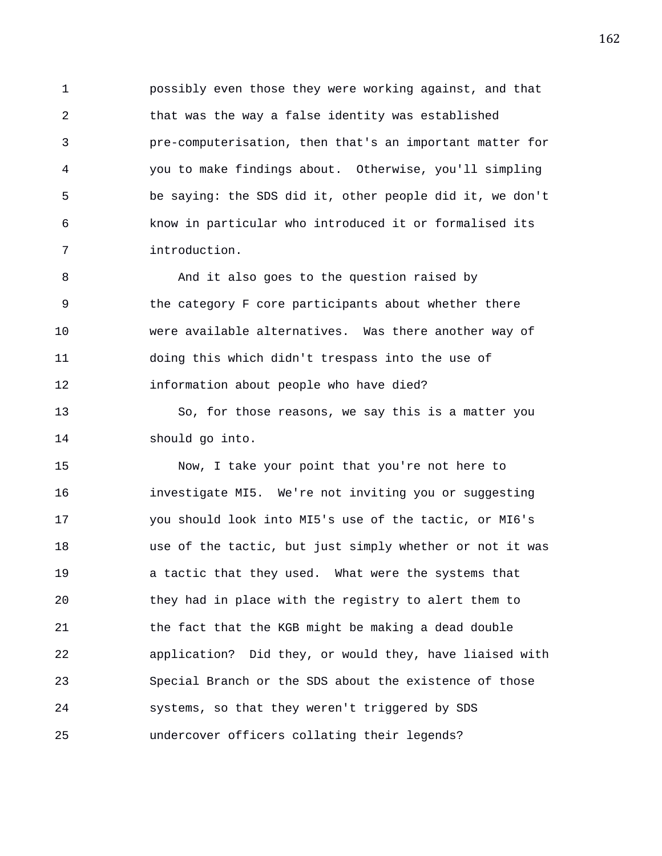1 possibly even those they were working against, and that 2 that was the way a false identity was established 3 pre-computerisation, then that's an important matter for 4 you to make findings about. Otherwise, you'll simpling 5 be saying: the SDS did it, other people did it, we don't 6 know in particular who introduced it or formalised its 7 introduction.

8 And it also goes to the question raised by 9 the category F core participants about whether there 10 were available alternatives. Was there another way of 11 doing this which didn't trespass into the use of 12 information about people who have died?

13 So, for those reasons, we say this is a matter you 14 should go into.

15 Now, I take your point that you're not here to 16 investigate MI5. We're not inviting you or suggesting 17 you should look into MI5's use of the tactic, or MI6's 18 use of the tactic, but just simply whether or not it was 19 a tactic that they used. What were the systems that 20 they had in place with the registry to alert them to 21 the fact that the KGB might be making a dead double 22 application? Did they, or would they, have liaised with 23 Special Branch or the SDS about the existence of those 24 systems, so that they weren't triggered by SDS 25 undercover officers collating their legends?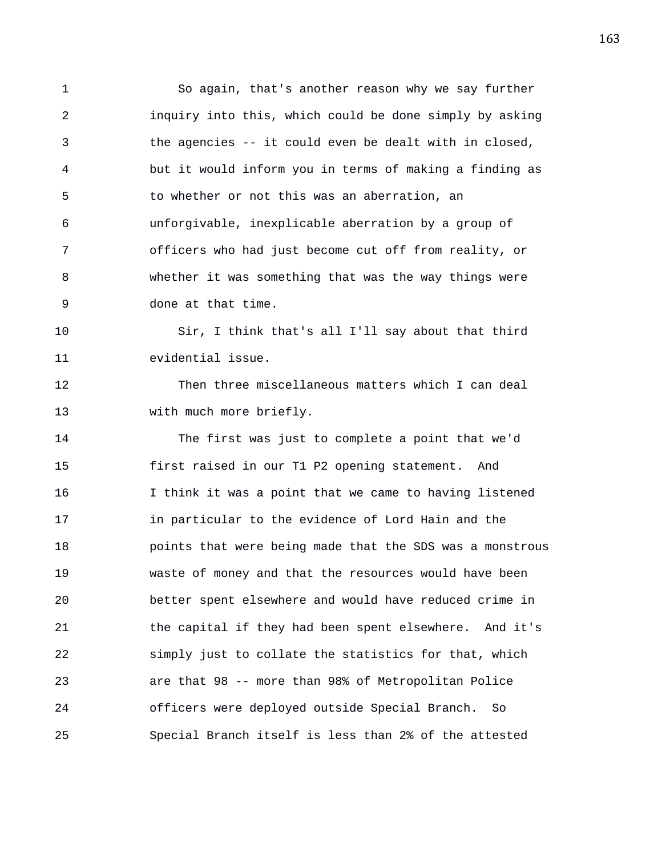1 So again, that's another reason why we say further 2 inquiry into this, which could be done simply by asking 3 the agencies -- it could even be dealt with in closed, 4 but it would inform you in terms of making a finding as 5 to whether or not this was an aberration, an 6 unforgivable, inexplicable aberration by a group of 7 officers who had just become cut off from reality, or 8 whether it was something that was the way things were 9 done at that time.

10 Sir, I think that's all I'll say about that third 11 evidential issue.

12 Then three miscellaneous matters which I can deal 13 with much more briefly.

14 The first was just to complete a point that we'd 15 first raised in our T1 P2 opening statement. And 16 I think it was a point that we came to having listened 17 in particular to the evidence of Lord Hain and the 18 points that were being made that the SDS was a monstrous 19 waste of money and that the resources would have been 20 better spent elsewhere and would have reduced crime in 21 the capital if they had been spent elsewhere. And it's 22 simply just to collate the statistics for that, which 23 are that 98 -- more than 98% of Metropolitan Police 24 officers were deployed outside Special Branch. So 25 Special Branch itself is less than 2% of the attested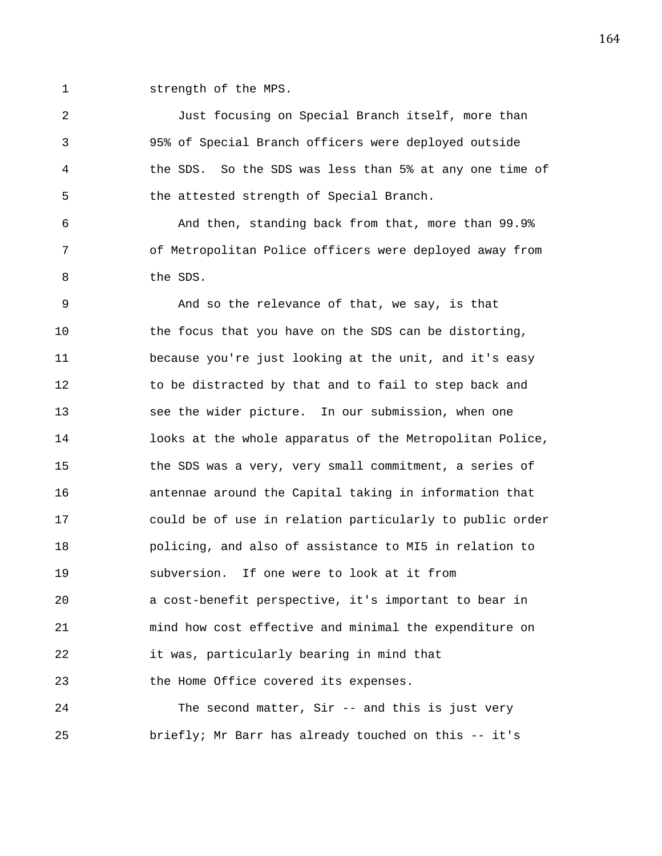1 strength of the MPS.

2 Just focusing on Special Branch itself, more than 3 95% of Special Branch officers were deployed outside 4 the SDS. So the SDS was less than 5% at any one time of 5 the attested strength of Special Branch.

6 And then, standing back from that, more than 99.9% 7 of Metropolitan Police officers were deployed away from 8 the SDS.

9 And so the relevance of that, we say, is that 10 the focus that you have on the SDS can be distorting, 11 because you're just looking at the unit, and it's easy 12 to be distracted by that and to fail to step back and 13 see the wider picture. In our submission, when one 14 looks at the whole apparatus of the Metropolitan Police, 15 the SDS was a very, very small commitment, a series of 16 antennae around the Capital taking in information that 17 could be of use in relation particularly to public order 18 policing, and also of assistance to MI5 in relation to 19 subversion. If one were to look at it from 20 a cost-benefit perspective, it's important to bear in 21 mind how cost effective and minimal the expenditure on 22 it was, particularly bearing in mind that 23 the Home Office covered its expenses.

24 The second matter, Sir -- and this is just very 25 briefly; Mr Barr has already touched on this -- it's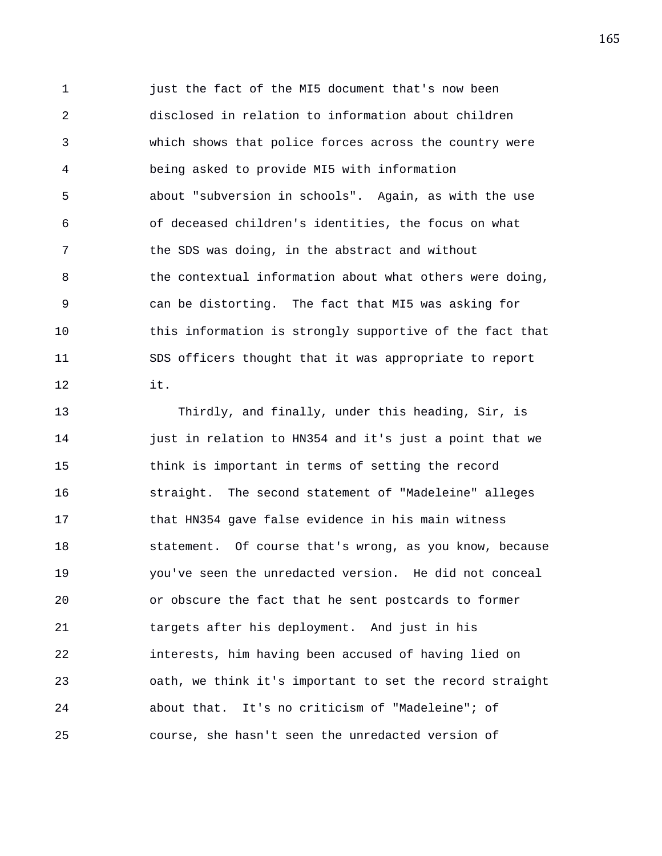1 just the fact of the MI5 document that's now been 2 disclosed in relation to information about children 3 which shows that police forces across the country were 4 being asked to provide MI5 with information 5 about "subversion in schools". Again, as with the use 6 of deceased children's identities, the focus on what 7 the SDS was doing, in the abstract and without 8 the contextual information about what others were doing, 9 can be distorting. The fact that MI5 was asking for 10 this information is strongly supportive of the fact that 11 SDS officers thought that it was appropriate to report 12 it.

13 Thirdly, and finally, under this heading, Sir, is 14 **just in relation to HN354 and it's just a point that we** 15 think is important in terms of setting the record 16 straight. The second statement of "Madeleine" alleges 17 that HN354 gave false evidence in his main witness 18 statement. Of course that's wrong, as you know, because 19 you've seen the unredacted version. He did not conceal 20 or obscure the fact that he sent postcards to former 21 targets after his deployment. And just in his 22 interests, him having been accused of having lied on 23 oath, we think it's important to set the record straight 24 about that. It's no criticism of "Madeleine"; of 25 course, she hasn't seen the unredacted version of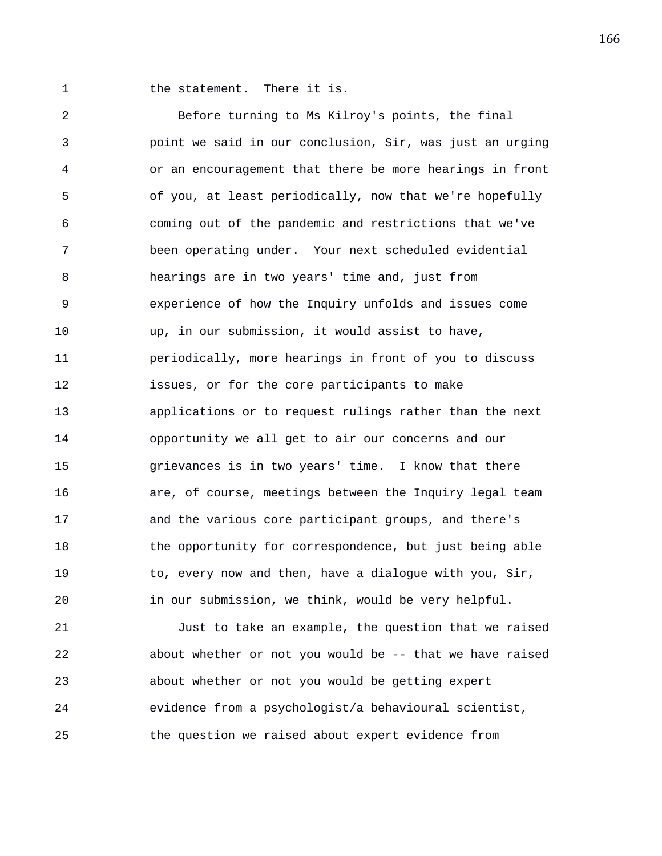1 the statement. There it is.

2 Before turning to Ms Kilroy's points, the final 3 point we said in our conclusion, Sir, was just an urging 4 or an encouragement that there be more hearings in front 5 of you, at least periodically, now that we're hopefully 6 coming out of the pandemic and restrictions that we've 7 been operating under. Your next scheduled evidential 8 hearings are in two years' time and, just from 9 experience of how the Inquiry unfolds and issues come 10 up, in our submission, it would assist to have, 11 periodically, more hearings in front of you to discuss 12 issues, or for the core participants to make 13 applications or to request rulings rather than the next 14 opportunity we all get to air our concerns and our 15 grievances is in two years' time. I know that there 16 are, of course, meetings between the Inquiry legal team 17 and the various core participant groups, and there's 18 the opportunity for correspondence, but just being able 19 to, every now and then, have a dialogue with you, Sir, 20 in our submission, we think, would be very helpful.

21 Just to take an example, the question that we raised 22 about whether or not you would be -- that we have raised 23 about whether or not you would be getting expert 24 evidence from a psychologist/a behavioural scientist, 25 the question we raised about expert evidence from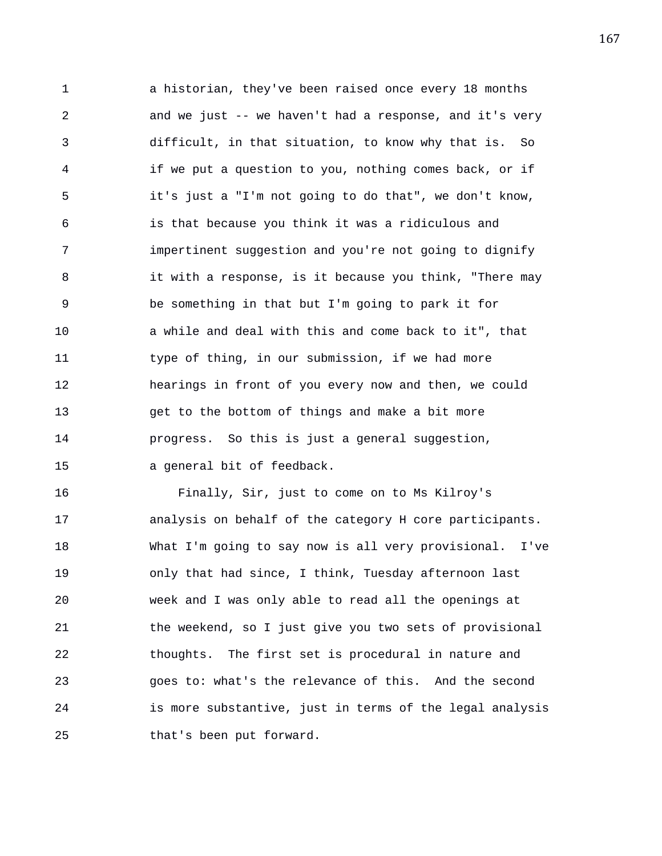1 a historian, they've been raised once every 18 months 2 and we just -- we haven't had a response, and it's very 3 difficult, in that situation, to know why that is. So 4 if we put a question to you, nothing comes back, or if 5 it's just a "I'm not going to do that", we don't know, 6 is that because you think it was a ridiculous and 7 impertinent suggestion and you're not going to dignify 8 it with a response, is it because you think, "There may 9 be something in that but I'm going to park it for 10 a while and deal with this and come back to it", that 11 type of thing, in our submission, if we had more 12 hearings in front of you every now and then, we could 13 get to the bottom of things and make a bit more 14 progress. So this is just a general suggestion, 15 a general bit of feedback.

16 Finally, Sir, just to come on to Ms Kilroy's 17 analysis on behalf of the category H core participants. 18 What I'm going to say now is all very provisional. I've 19 only that had since, I think, Tuesday afternoon last 20 week and I was only able to read all the openings at 21 the weekend, so I just give you two sets of provisional 22 thoughts. The first set is procedural in nature and 23 goes to: what's the relevance of this. And the second 24 is more substantive, just in terms of the legal analysis 25 that's been put forward.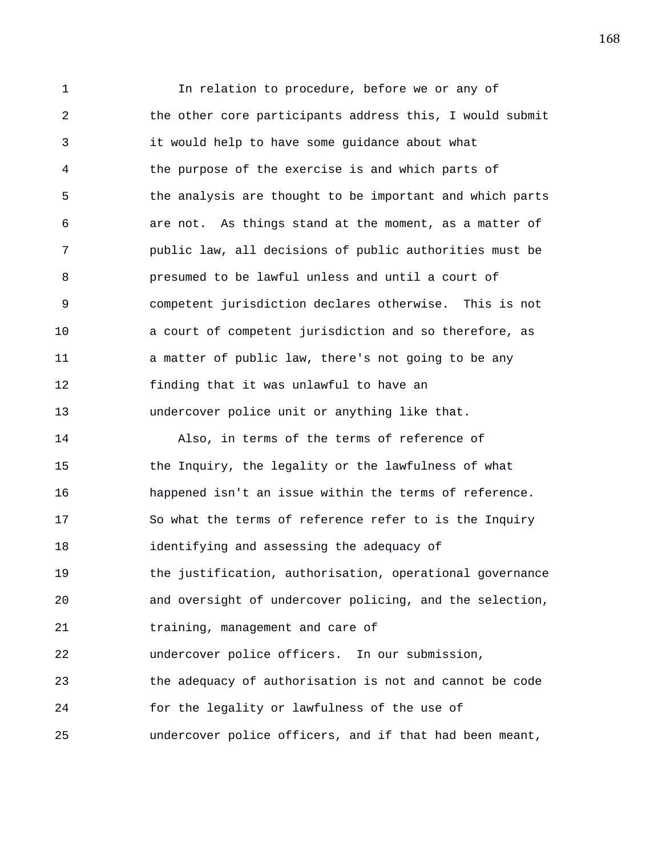1 In relation to procedure, before we or any of 2 the other core participants address this, I would submit 3 it would help to have some guidance about what 4 the purpose of the exercise is and which parts of 5 the analysis are thought to be important and which parts 6 are not. As things stand at the moment, as a matter of 7 public law, all decisions of public authorities must be 8 presumed to be lawful unless and until a court of 9 competent jurisdiction declares otherwise. This is not 10 a court of competent jurisdiction and so therefore, as 11 a matter of public law, there's not going to be any 12 finding that it was unlawful to have an 13 undercover police unit or anything like that. 14 Also, in terms of the terms of reference of 15 the Inquiry, the legality or the lawfulness of what 16 happened isn't an issue within the terms of reference. 17 So what the terms of reference refer to is the Inquiry 18 identifying and assessing the adequacy of 19 the justification, authorisation, operational governance 20 and oversight of undercover policing, and the selection, 21 training, management and care of 22 undercover police officers. In our submission, 23 the adequacy of authorisation is not and cannot be code 24 for the legality or lawfulness of the use of 25 undercover police officers, and if that had been meant,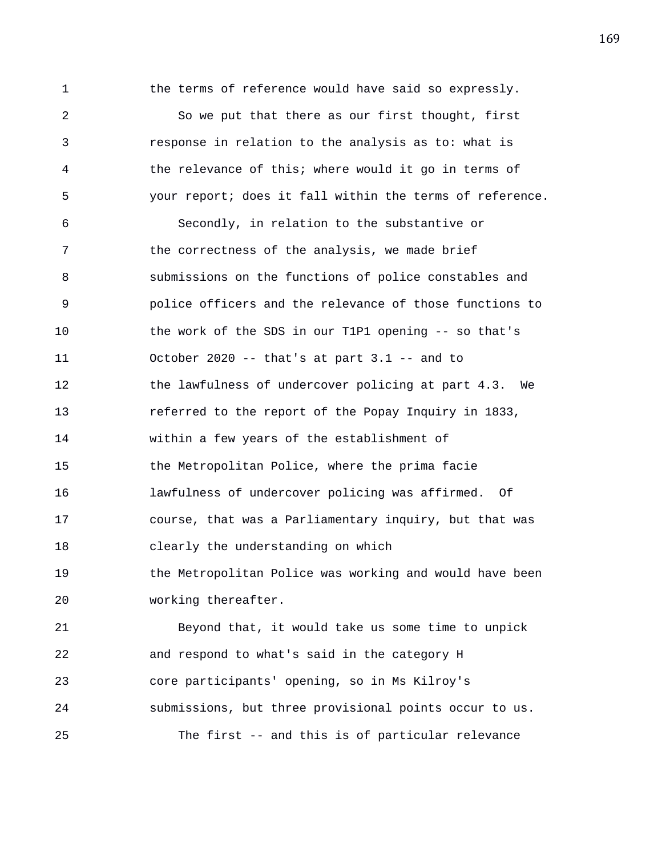1 the terms of reference would have said so expressly. 2 So we put that there as our first thought, first 3 response in relation to the analysis as to: what is 4 the relevance of this; where would it go in terms of 5 your report; does it fall within the terms of reference. 6 Secondly, in relation to the substantive or 7 the correctness of the analysis, we made brief 8 submissions on the functions of police constables and 9 police officers and the relevance of those functions to 10 the work of the SDS in our T1P1 opening -- so that's 11 October 2020 -- that's at part 3.1 -- and to 12 the lawfulness of undercover policing at part 4.3. We 13 referred to the report of the Popay Inquiry in 1833, 14 within a few years of the establishment of 15 the Metropolitan Police, where the prima facie 16 lawfulness of undercover policing was affirmed. Of 17 course, that was a Parliamentary inquiry, but that was 18 clearly the understanding on which 19 **the Metropolitan Police was working and would have been** 20 working thereafter. 21 Beyond that, it would take us some time to unpick 22 and respond to what's said in the category H

23 core participants' opening, so in Ms Kilroy's 24 submissions, but three provisional points occur to us. 25 The first -- and this is of particular relevance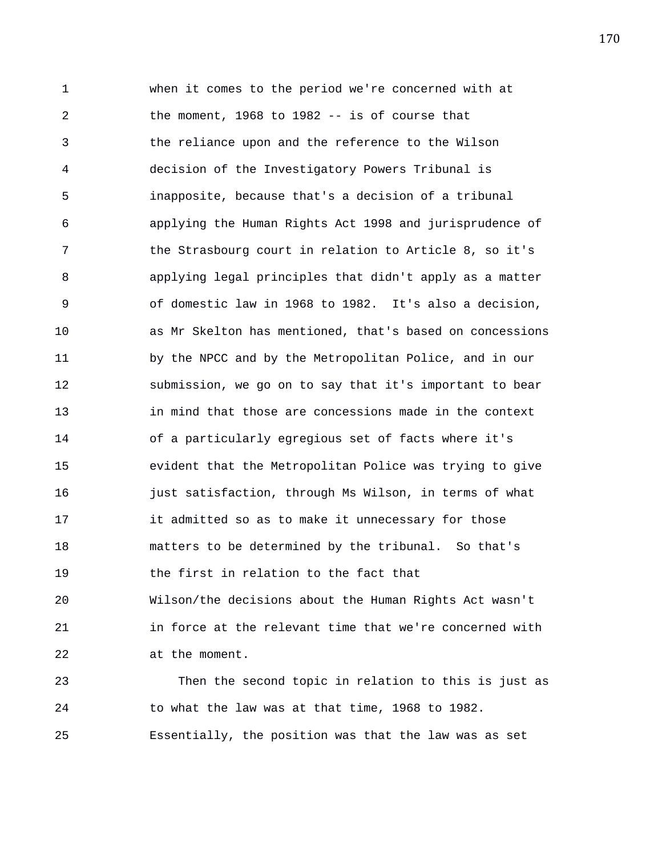1 when it comes to the period we're concerned with at 2 the moment, 1968 to 1982 -- is of course that 3 the reliance upon and the reference to the Wilson 4 decision of the Investigatory Powers Tribunal is 5 inapposite, because that's a decision of a tribunal 6 applying the Human Rights Act 1998 and jurisprudence of 7 the Strasbourg court in relation to Article 8, so it's 8 applying legal principles that didn't apply as a matter 9 of domestic law in 1968 to 1982. It's also a decision, 10 as Mr Skelton has mentioned, that's based on concessions 11 by the NPCC and by the Metropolitan Police, and in our 12 submission, we go on to say that it's important to bear 13 in mind that those are concessions made in the context 14 of a particularly egregious set of facts where it's 15 evident that the Metropolitan Police was trying to give 16 **just satisfaction, through Ms Wilson, in terms of what** 17 it admitted so as to make it unnecessary for those 18 matters to be determined by the tribunal. So that's 19 the first in relation to the fact that 20 Wilson/the decisions about the Human Rights Act wasn't 21 in force at the relevant time that we're concerned with 22 at the moment. 23 Then the second topic in relation to this is just as

25 Essentially, the position was that the law was as set

24 to what the law was at that time, 1968 to 1982.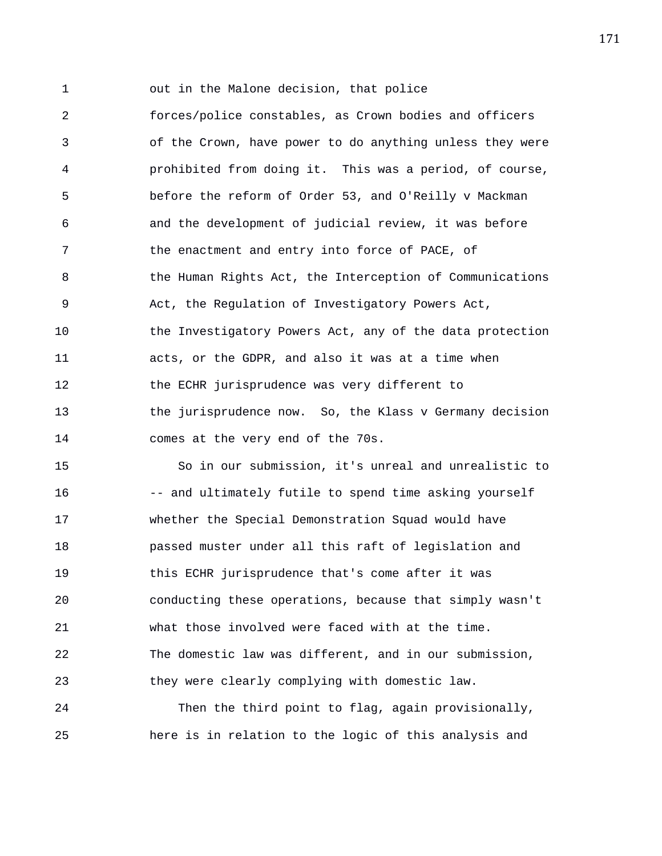1 out in the Malone decision, that police

2 forces/police constables, as Crown bodies and officers 3 of the Crown, have power to do anything unless they were 4 prohibited from doing it. This was a period, of course, 5 before the reform of Order 53, and O'Reilly v Mackman 6 and the development of judicial review, it was before 7 the enactment and entry into force of PACE, of 8 the Human Rights Act, the Interception of Communications 9 Act, the Regulation of Investigatory Powers Act, 10 the Investigatory Powers Act, any of the data protection 11 acts, or the GDPR, and also it was at a time when 12 the ECHR jurisprudence was very different to 13 the jurisprudence now. So, the Klass v Germany decision 14 comes at the very end of the 70s.

15 So in our submission, it's unreal and unrealistic to 16 -- and ultimately futile to spend time asking yourself 17 whether the Special Demonstration Squad would have 18 passed muster under all this raft of legislation and 19 this ECHR jurisprudence that's come after it was 20 conducting these operations, because that simply wasn't 21 what those involved were faced with at the time. 22 The domestic law was different, and in our submission, 23 they were clearly complying with domestic law.

24 Then the third point to flag, again provisionally, 25 here is in relation to the logic of this analysis and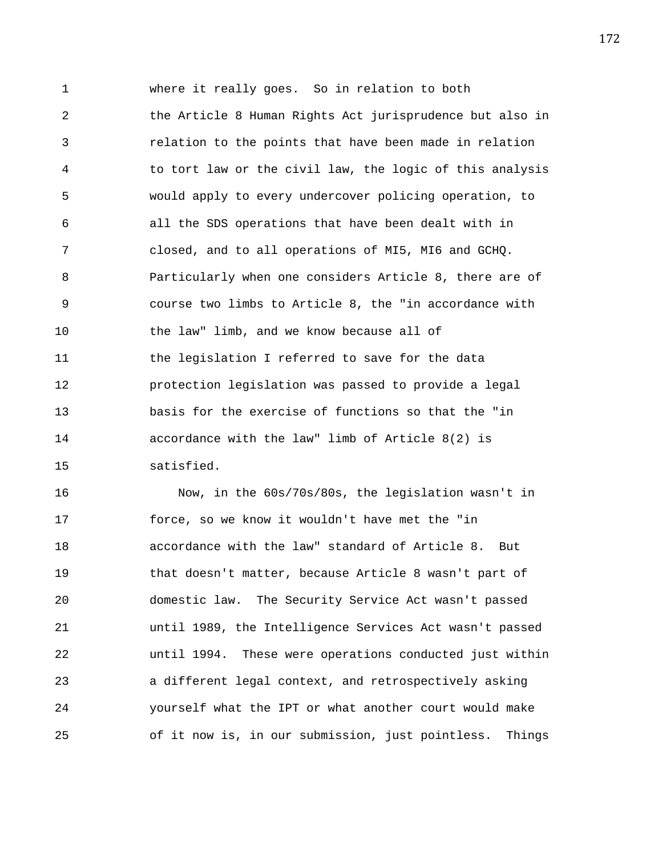1 where it really goes. So in relation to both 2 the Article 8 Human Rights Act jurisprudence but also in 3 relation to the points that have been made in relation 4 to tort law or the civil law, the logic of this analysis 5 would apply to every undercover policing operation, to 6 all the SDS operations that have been dealt with in 7 closed, and to all operations of MI5, MI6 and GCHQ. 8 Particularly when one considers Article 8, there are of 9 course two limbs to Article 8, the "in accordance with 10 the law" limb, and we know because all of 11 the legislation I referred to save for the data 12 protection legislation was passed to provide a legal 13 basis for the exercise of functions so that the "in 14 accordance with the law" limb of Article 8(2) is 15 satisfied.

16 Now, in the 60s/70s/80s, the legislation wasn't in 17 force, so we know it wouldn't have met the "in 18 accordance with the law" standard of Article 8. But 19 that doesn't matter, because Article 8 wasn't part of 20 domestic law. The Security Service Act wasn't passed 21 until 1989, the Intelligence Services Act wasn't passed 22 until 1994. These were operations conducted just within 23 a different legal context, and retrospectively asking 24 yourself what the IPT or what another court would make 25 of it now is, in our submission, just pointless. Things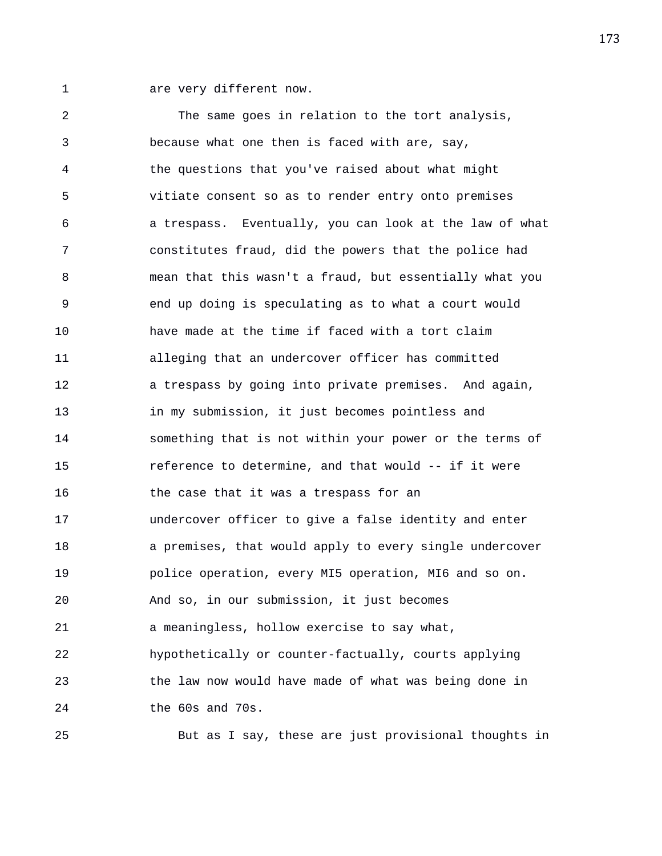1 are very different now.

2 The same goes in relation to the tort analysis, 3 because what one then is faced with are, say, 4 the questions that you've raised about what might 5 vitiate consent so as to render entry onto premises 6 a trespass. Eventually, you can look at the law of what 7 constitutes fraud, did the powers that the police had 8 mean that this wasn't a fraud, but essentially what you 9 end up doing is speculating as to what a court would 10 have made at the time if faced with a tort claim 11 alleging that an undercover officer has committed 12 a trespass by going into private premises. And again, 13 in my submission, it just becomes pointless and 14 something that is not within your power or the terms of 15 reference to determine, and that would -- if it were 16 the case that it was a trespass for an 17 undercover officer to give a false identity and enter 18 a premises, that would apply to every single undercover 19 police operation, every MI5 operation, MI6 and so on. 20 And so, in our submission, it just becomes 21 a meaningless, hollow exercise to say what, 22 hypothetically or counter-factually, courts applying 23 the law now would have made of what was being done in 24 the 60s and 70s.

25 But as I say, these are just provisional thoughts in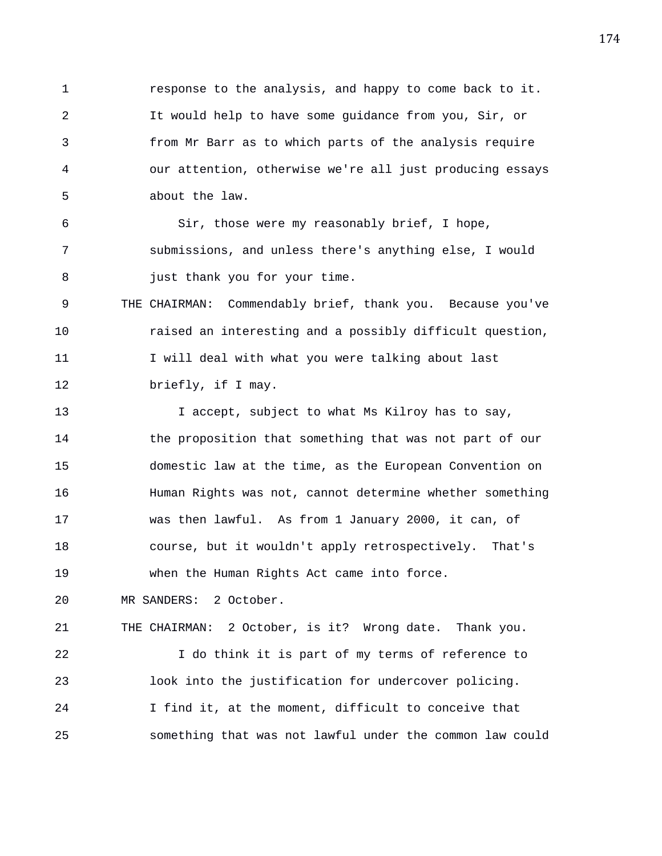1 response to the analysis, and happy to come back to it. 2 It would help to have some guidance from you, Sir, or 3 from Mr Barr as to which parts of the analysis require 4 our attention, otherwise we're all just producing essays 5 about the law.

6 Sir, those were my reasonably brief, I hope, 7 submissions, and unless there's anything else, I would 8 **just thank you for your time.** 

9 THE CHAIRMAN: Commendably brief, thank you. Because you've 10 raised an interesting and a possibly difficult question, 11 I will deal with what you were talking about last 12 briefly, if I may.

13 I accept, subject to what Ms Kilroy has to say, 14 the proposition that something that was not part of our 15 domestic law at the time, as the European Convention on 16 Human Rights was not, cannot determine whether something 17 was then lawful. As from 1 January 2000, it can, of 18 course, but it wouldn't apply retrospectively. That's 19 when the Human Rights Act came into force.

20 MR SANDERS: 2 October.

21 THE CHAIRMAN: 2 October, is it? Wrong date. Thank you. 22 I do think it is part of my terms of reference to 23 look into the justification for undercover policing. 24 I find it, at the moment, difficult to conceive that 25 something that was not lawful under the common law could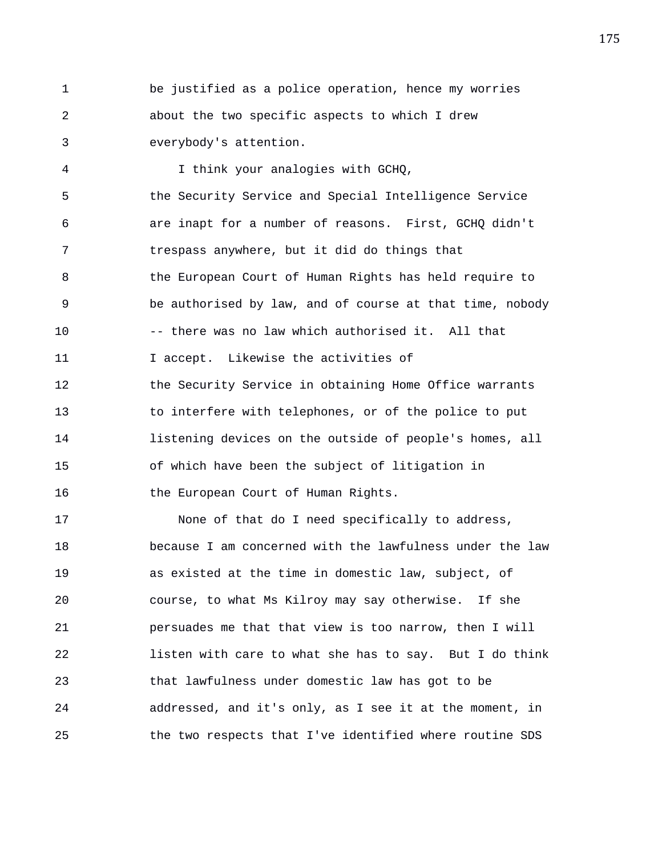1 be justified as a police operation, hence my worries 2 about the two specific aspects to which I drew 3 everybody's attention.

4 I think your analogies with GCHQ, 5 the Security Service and Special Intelligence Service 6 are inapt for a number of reasons. First, GCHQ didn't 7 trespass anywhere, but it did do things that 8 the European Court of Human Rights has held require to 9 be authorised by law, and of course at that time, nobody 10 -- there was no law which authorised it. All that 11 11 I accept. Likewise the activities of 12 the Security Service in obtaining Home Office warrants 13 to interfere with telephones, or of the police to put 14 listening devices on the outside of people's homes, all 15 of which have been the subject of litigation in 16 the European Court of Human Rights. 17 None of that do I need specifically to address,

18 because I am concerned with the lawfulness under the law 19 as existed at the time in domestic law, subject, of 20 course, to what Ms Kilroy may say otherwise. If she 21 persuades me that that view is too narrow, then I will 22 listen with care to what she has to say. But I do think 23 that lawfulness under domestic law has got to be 24 addressed, and it's only, as I see it at the moment, in 25 the two respects that I've identified where routine SDS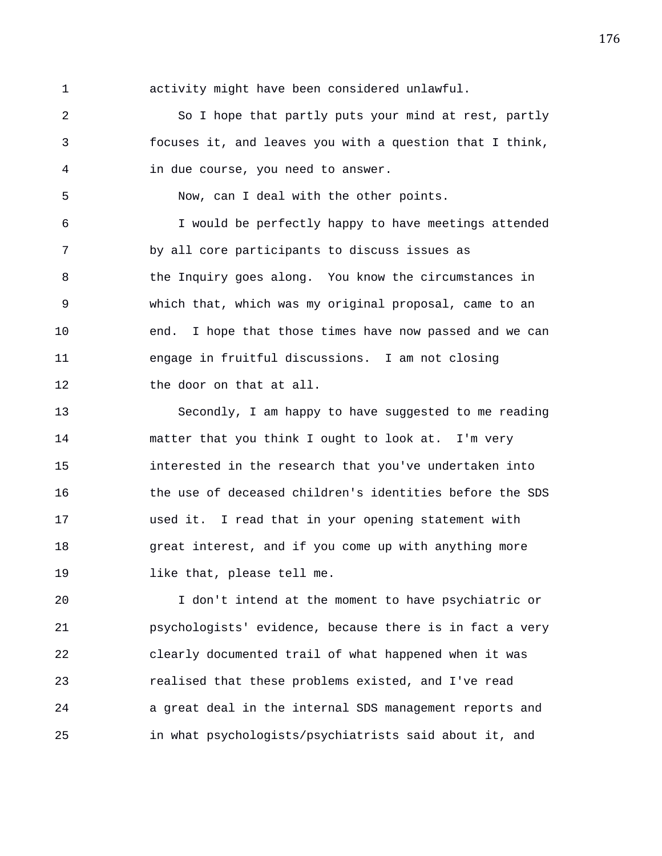1 activity might have been considered unlawful.

2 So I hope that partly puts your mind at rest, partly 3 focuses it, and leaves you with a question that I think, 4 in due course, you need to answer.

5 Now, can I deal with the other points.

6 I would be perfectly happy to have meetings attended 7 by all core participants to discuss issues as 8 the Inquiry goes along. You know the circumstances in 9 which that, which was my original proposal, came to an 10 end. I hope that those times have now passed and we can 11 engage in fruitful discussions. I am not closing 12 the door on that at all.

13 Secondly, I am happy to have suggested to me reading 14 matter that you think I ought to look at. I'm very 15 interested in the research that you've undertaken into 16 the use of deceased children's identities before the SDS 17 used it. I read that in your opening statement with 18 great interest, and if you come up with anything more 19 like that, please tell me.

20 I don't intend at the moment to have psychiatric or 21 psychologists' evidence, because there is in fact a very 22 clearly documented trail of what happened when it was 23 realised that these problems existed, and I've read 24 a great deal in the internal SDS management reports and 25 in what psychologists/psychiatrists said about it, and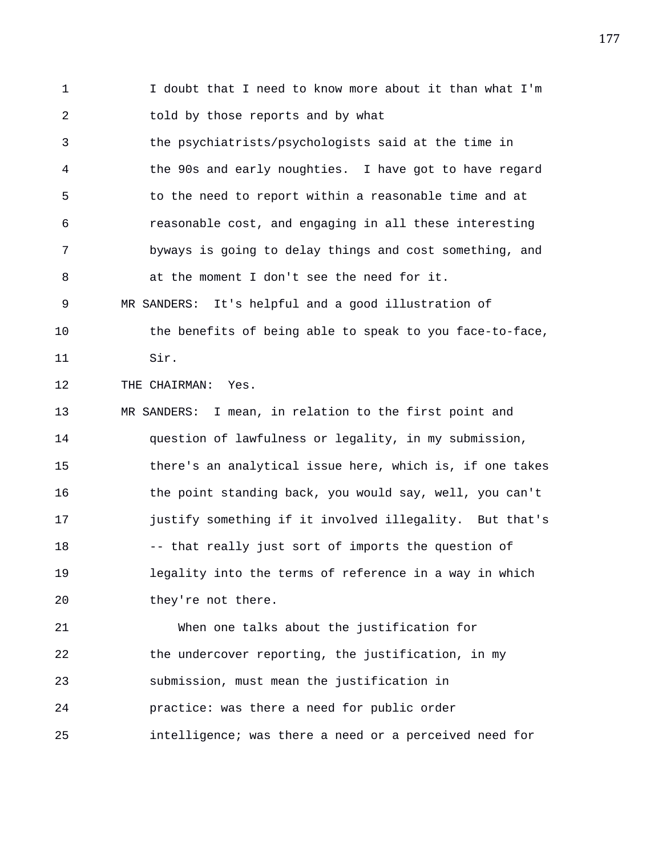1 I doubt that I need to know more about it than what I'm 2 told by those reports and by what

3 the psychiatrists/psychologists said at the time in 4 the 90s and early noughties. I have got to have regard 5 to the need to report within a reasonable time and at 6 reasonable cost, and engaging in all these interesting 7 byways is going to delay things and cost something, and 8 at the moment I don't see the need for it. 9 MR SANDERS: It's helpful and a good illustration of

10 the benefits of being able to speak to you face-to-face, 11 Sir.

12 THE CHAIRMAN: Yes.

13 MR SANDERS: I mean, in relation to the first point and 14 question of lawfulness or legality, in my submission, 15 there's an analytical issue here, which is, if one takes 16 the point standing back, you would say, well, you can't 17 justify something if it involved illegality. But that's 18 -- that really just sort of imports the question of 19 legality into the terms of reference in a way in which 20 they're not there.

21 When one talks about the justification for 22 the undercover reporting, the justification, in my 23 submission, must mean the justification in 24 practice: was there a need for public order 25 intelligence; was there a need or a perceived need for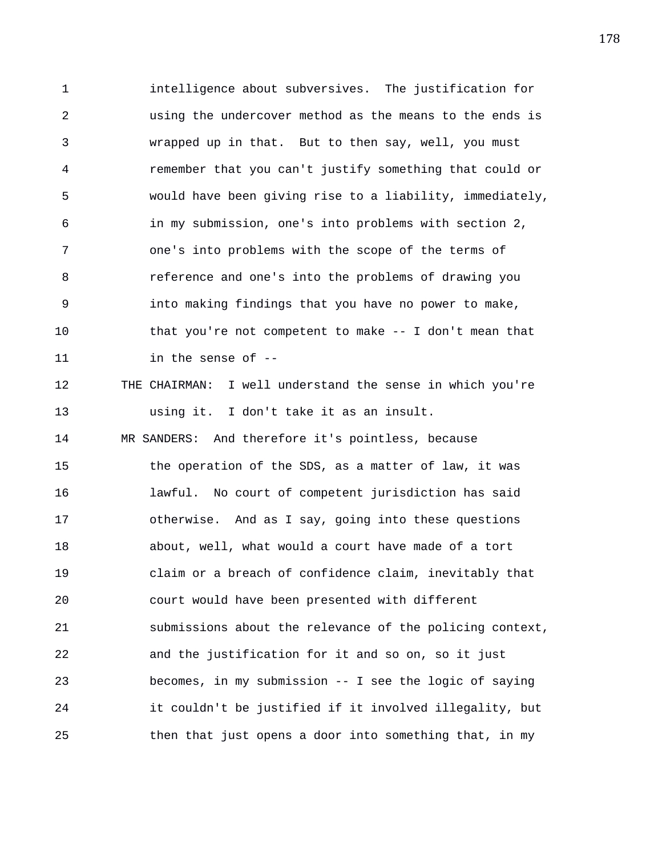1 intelligence about subversives. The justification for 2 using the undercover method as the means to the ends is 3 wrapped up in that. But to then say, well, you must 4 remember that you can't justify something that could or 5 would have been giving rise to a liability, immediately, 6 in my submission, one's into problems with section 2, 7 one's into problems with the scope of the terms of 8 reference and one's into the problems of drawing you 9 into making findings that you have no power to make, 10 that you're not competent to make -- I don't mean that 11 in the sense of -- 12 THE CHAIRMAN: I well understand the sense in which you're 13 using it. I don't take it as an insult. 14 MR SANDERS: And therefore it's pointless, because 15 the operation of the SDS, as a matter of law, it was 16 lawful. No court of competent jurisdiction has said 17 otherwise. And as I say, going into these questions 18 about, well, what would a court have made of a tort 19 claim or a breach of confidence claim, inevitably that 20 court would have been presented with different 21 submissions about the relevance of the policing context, 22 and the justification for it and so on, so it just 23 becomes, in my submission -- I see the logic of saying 24 it couldn't be justified if it involved illegality, but 25 then that just opens a door into something that, in my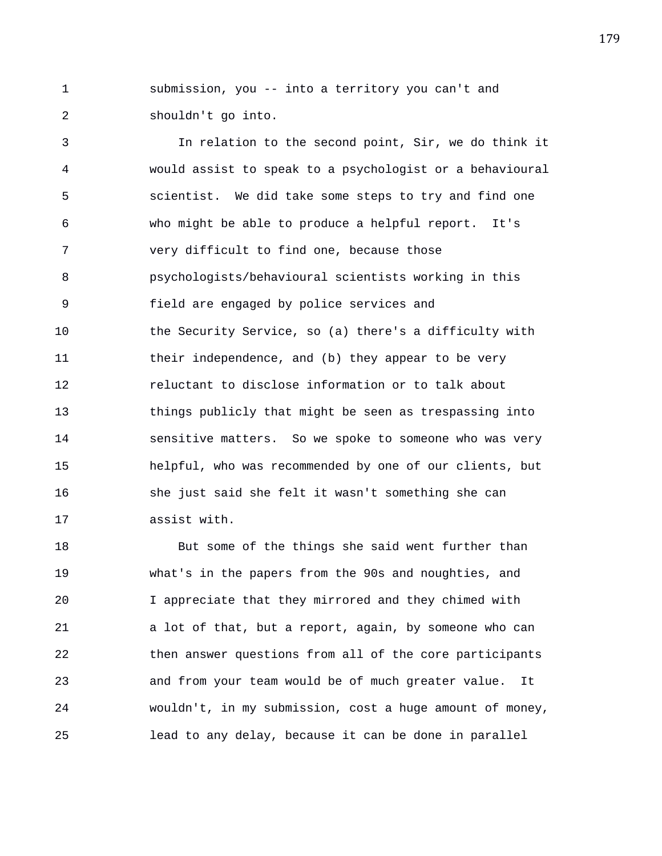1 submission, you -- into a territory you can't and 2 shouldn't go into.

3 In relation to the second point, Sir, we do think it 4 would assist to speak to a psychologist or a behavioural 5 scientist. We did take some steps to try and find one 6 who might be able to produce a helpful report. It's 7 very difficult to find one, because those 8 psychologists/behavioural scientists working in this 9 field are engaged by police services and 10 the Security Service, so (a) there's a difficulty with 11 their independence, and (b) they appear to be very 12 reluctant to disclose information or to talk about 13 things publicly that might be seen as trespassing into 14 sensitive matters. So we spoke to someone who was very 15 helpful, who was recommended by one of our clients, but 16 she just said she felt it wasn't something she can 17 assist with.

18 But some of the things she said went further than 19 what's in the papers from the 90s and noughties, and 20 I appreciate that they mirrored and they chimed with 21 a lot of that, but a report, again, by someone who can 22 then answer questions from all of the core participants 23 and from your team would be of much greater value. It 24 wouldn't, in my submission, cost a huge amount of money, 25 lead to any delay, because it can be done in parallel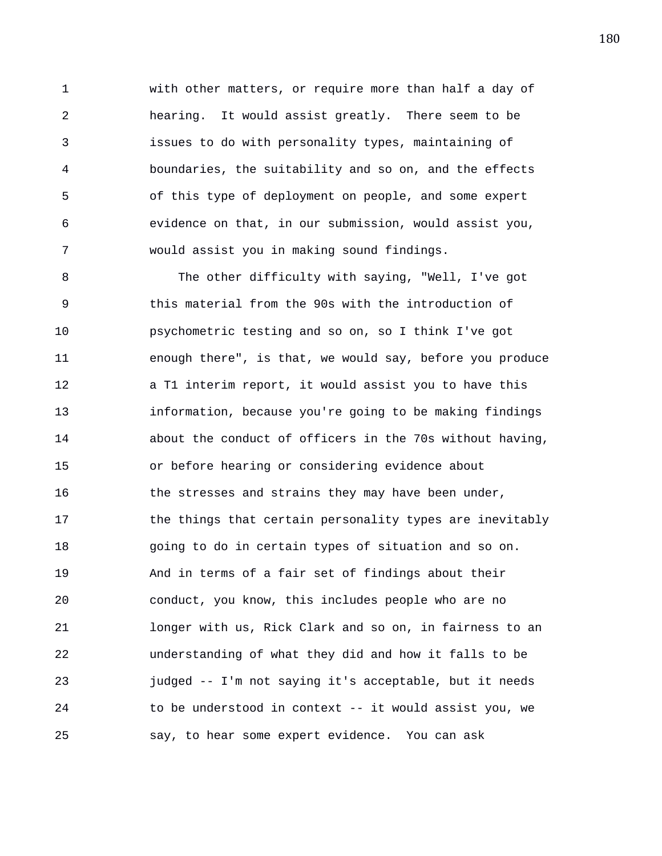1 with other matters, or require more than half a day of 2 hearing. It would assist greatly. There seem to be 3 issues to do with personality types, maintaining of 4 boundaries, the suitability and so on, and the effects 5 of this type of deployment on people, and some expert 6 evidence on that, in our submission, would assist you, 7 would assist you in making sound findings.

8 The other difficulty with saying, "Well, I've got 9 this material from the 90s with the introduction of 10 psychometric testing and so on, so I think I've got 11 enough there", is that, we would say, before you produce 12 a T1 interim report, it would assist you to have this 13 information, because you're going to be making findings 14 about the conduct of officers in the 70s without having, 15 or before hearing or considering evidence about 16 the stresses and strains they may have been under, 17 the things that certain personality types are inevitably 18 going to do in certain types of situation and so on. 19 And in terms of a fair set of findings about their 20 conduct, you know, this includes people who are no 21 longer with us, Rick Clark and so on, in fairness to an 22 understanding of what they did and how it falls to be 23 judged -- I'm not saying it's acceptable, but it needs 24 to be understood in context -- it would assist you, we 25 say, to hear some expert evidence. You can ask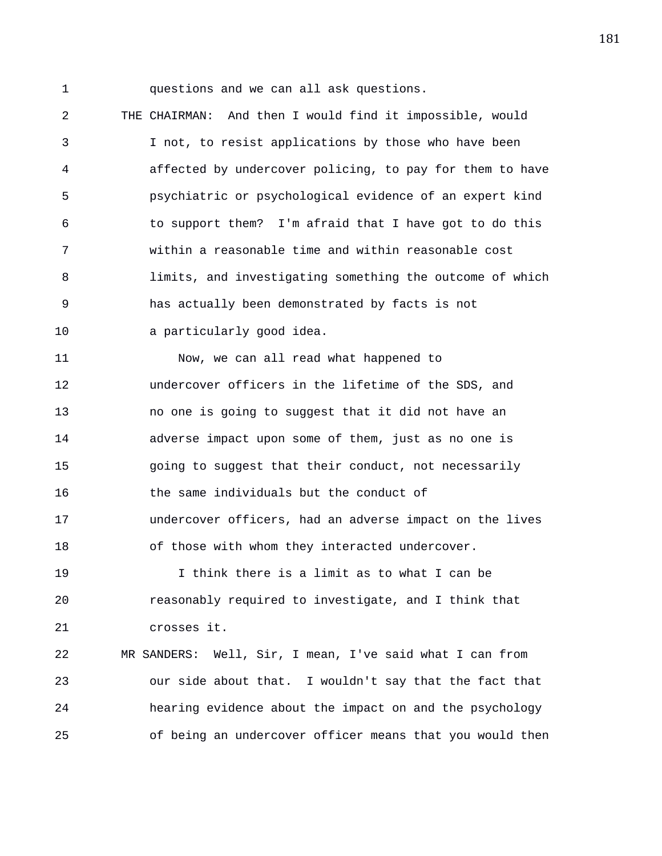1 questions and we can all ask questions.

2 THE CHAIRMAN: And then I would find it impossible, would 3 I not, to resist applications by those who have been 4 affected by undercover policing, to pay for them to have 5 psychiatric or psychological evidence of an expert kind 6 to support them? I'm afraid that I have got to do this 7 within a reasonable time and within reasonable cost 8 limits, and investigating something the outcome of which 9 has actually been demonstrated by facts is not 10 a particularly good idea.

11 Now, we can all read what happened to 12 undercover officers in the lifetime of the SDS, and 13 no one is going to suggest that it did not have an 14 adverse impact upon some of them, just as no one is 15 going to suggest that their conduct, not necessarily 16 the same individuals but the conduct of 17 undercover officers, had an adverse impact on the lives 18 of those with whom they interacted undercover. 19 I think there is a limit as to what I can be 20 reasonably required to investigate, and I think that

21 crosses it.

22 MR SANDERS: Well, Sir, I mean, I've said what I can from 23 our side about that. I wouldn't say that the fact that 24 hearing evidence about the impact on and the psychology 25 of being an undercover officer means that you would then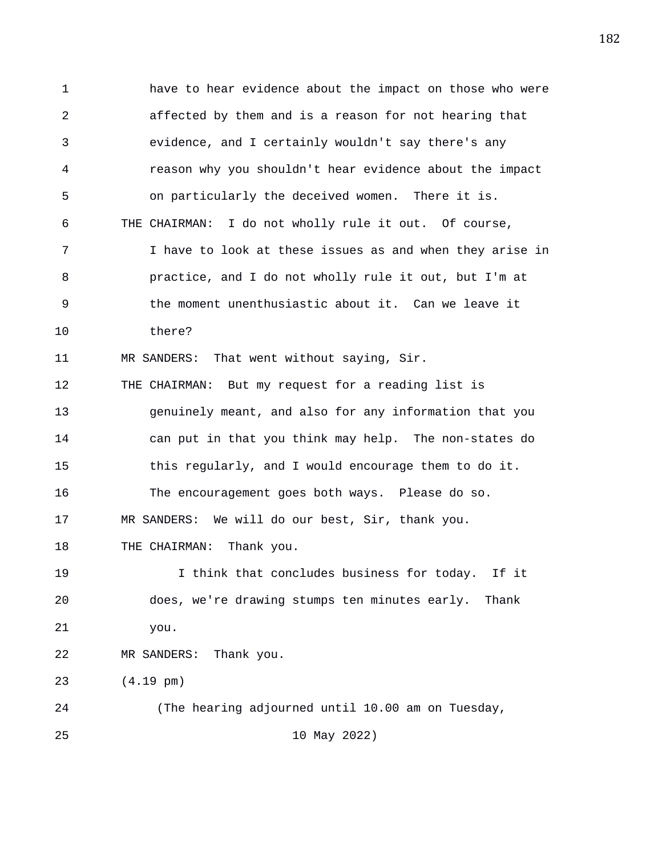1 have to hear evidence about the impact on those who were 2 affected by them and is a reason for not hearing that 3 evidence, and I certainly wouldn't say there's any 4 reason why you shouldn't hear evidence about the impact 5 on particularly the deceived women. There it is. 6 THE CHAIRMAN: I do not wholly rule it out. Of course, 7 I have to look at these issues as and when they arise in 8 practice, and I do not wholly rule it out, but I'm at 9 the moment unenthusiastic about it. Can we leave it 10 there? 11 MR SANDERS: That went without saying, Sir. 12 THE CHAIRMAN: But my request for a reading list is 13 genuinely meant, and also for any information that you 14 can put in that you think may help. The non-states do 15 this regularly, and I would encourage them to do it. 16 The encouragement goes both ways. Please do so. 17 MR SANDERS: We will do our best, Sir, thank you. 18 THE CHAIRMAN: Thank you. 19 I think that concludes business for today. If it 20 does, we're drawing stumps ten minutes early. Thank 21 you. 22 MR SANDERS: Thank you. 23 (4.19 pm) 24 (The hearing adjourned until 10.00 am on Tuesday, 25 10 May 2022)